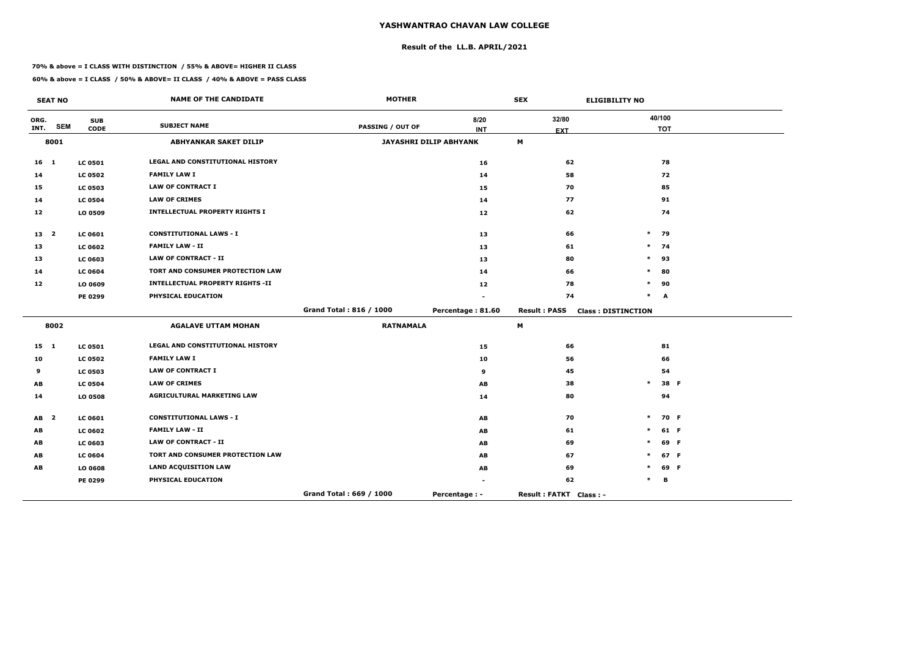## **Result of the LL.B. APRIL/2021**

#### **70% & above = I CLASS WITH DISTINCTION / 55% & ABOVE= HIGHER II CLASS**

 $\overline{\phantom{a}}$ 

|              | <b>SEAT NO</b> |                | <b>NAME OF THE CANDIDATE</b>            | <b>MOTHER</b>           |                        | <b>SEX</b>             | <b>ELIGIBILITY NO</b>     |
|--------------|----------------|----------------|-----------------------------------------|-------------------------|------------------------|------------------------|---------------------------|
| ORG.         | <b>SEM</b>     | <b>SUB</b>     | <b>SUBJECT NAME</b>                     | <b>PASSING / OUT OF</b> | 8/20                   | 32/80                  | 40/100                    |
| INT.         |                | <b>CODE</b>    |                                         |                         | <b>INT</b>             | <b>EXT</b>             | <b>TOT</b>                |
|              | 8001           |                | <b>ABHYANKAR SAKET DILIP</b>            |                         | JAYASHRI DILIP ABHYANK | M                      |                           |
| $16$ 1       |                | <b>LC 0501</b> | LEGAL AND CONSTITUTIONAL HISTORY        |                         | 16                     | 62                     | 78                        |
| 14           |                | <b>LC 0502</b> | <b>FAMILY LAW I</b>                     |                         | 14                     | 58                     | 72                        |
| 15           |                | <b>LC 0503</b> | <b>LAW OF CONTRACT I</b>                |                         | 15                     | 70                     | 85                        |
| 14           |                | <b>LC 0504</b> | <b>LAW OF CRIMES</b>                    |                         | 14                     | 77                     | 91                        |
| 12           |                | LO 0509        | <b>INTELLECTUAL PROPERTY RIGHTS I</b>   |                         | 12                     | 62                     | 74                        |
| 13 2         |                | <b>LC 0601</b> | <b>CONSTITUTIONAL LAWS - I</b>          |                         | 13                     | 66                     | $\ast$<br>79              |
| 13           |                | <b>LC 0602</b> | <b>FAMILY LAW - II</b>                  |                         | 13                     | 61                     | $\ast$<br>- 74            |
| 13           |                | <b>LC 0603</b> | <b>LAW OF CONTRACT - II</b>             |                         | 13                     | 80                     | $\ast$<br>93              |
| 14           |                | <b>LC 0604</b> | TORT AND CONSUMER PROTECTION LAW        |                         | 14                     | 66                     | 80<br>$\ast$              |
| 12           |                | LO 0609        | <b>INTELLECTUAL PROPERTY RIGHTS -II</b> |                         | 12                     | 78                     | 90<br>$\ast$              |
|              |                | PE 0299        | PHYSICAL EDUCATION                      |                         |                        | 74                     | $\ast$<br>A               |
|              |                |                |                                         | Grand Total: 816 / 1000 | Percentage: 81.60      | <b>Result: PASS</b>    | <b>Class: DISTINCTION</b> |
|              | 8002           |                | <b>AGALAVE UTTAM MOHAN</b>              | <b>RATNAMALA</b>        |                        | M                      |                           |
| $15 \quad 1$ |                | <b>LC 0501</b> | LEGAL AND CONSTITUTIONAL HISTORY        |                         | 15                     | 66                     | 81                        |
| 10           |                | <b>LC 0502</b> | <b>FAMILY LAW I</b>                     |                         | 10                     | 56                     | 66                        |
| 9            |                | <b>LC 0503</b> | <b>LAW OF CONTRACT I</b>                |                         | 9                      | 45                     | 54                        |
| AB           |                | <b>LC 0504</b> | <b>LAW OF CRIMES</b>                    |                         | AB                     | 38                     | $\pmb{\ast}$<br>38 F      |
| 14           |                | LO 0508        | <b>AGRICULTURAL MARKETING LAW</b>       |                         | 14                     | 80                     | 94                        |
| $AB$ 2       |                | LC 0601        | <b>CONSTITUTIONAL LAWS - I</b>          |                         | AB                     | 70                     | $\ast$<br>70 F            |
| AB           |                | <b>LC 0602</b> | <b>FAMILY LAW - II</b>                  |                         | AB                     | 61                     | 61 F<br>$\ast$            |
| AB           |                | <b>LC 0603</b> | <b>LAW OF CONTRACT - II</b>             |                         | AB                     | 69                     | $\ast$<br>69 F            |
| AB           |                | <b>LC 0604</b> | TORT AND CONSUMER PROTECTION LAW        |                         | AB                     | 67                     | 67 F<br>$\ast$            |
| AB           |                | LO 0608        | <b>LAND ACQUISITION LAW</b>             |                         | AB                     | 69                     | 69 F<br>$\ast$            |
|              |                | PE 0299        | PHYSICAL EDUCATION                      |                         |                        | 62                     | В<br>*                    |
|              |                |                |                                         | Grand Total: 669 / 1000 | Percentage : -         | Result: FATKT Class: - |                           |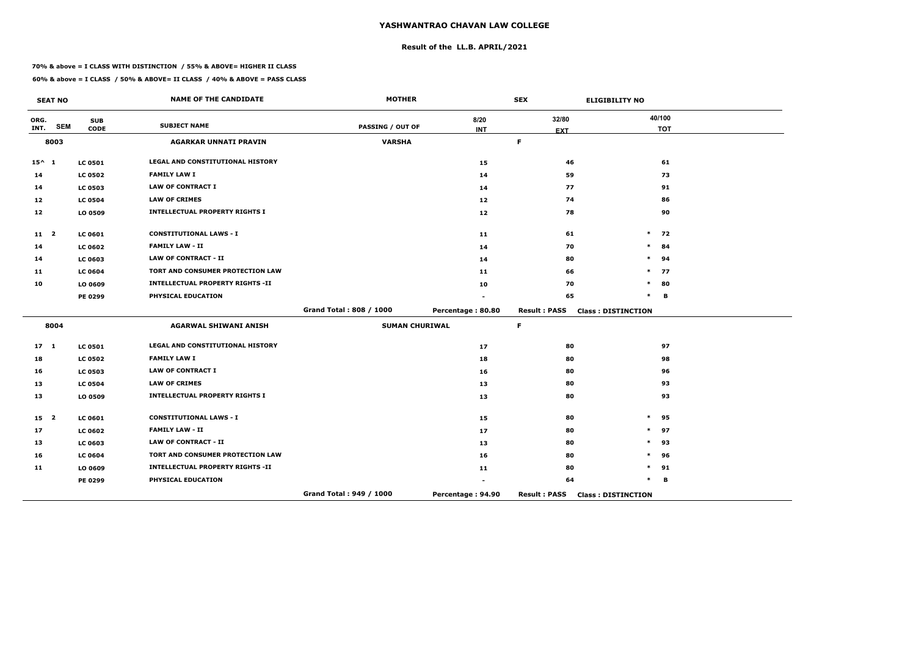## **Result of the LL.B. APRIL/2021**

#### **70% & above = I CLASS WITH DISTINCTION / 55% & ABOVE= HIGHER II CLASS**

|                 | <b>SEAT NO</b> |                           | <b>NAME OF THE CANDIDATE</b>            | <b>MOTHER</b>           |                    | <b>SEX</b>          | <b>ELIGIBILITY NO</b>     |
|-----------------|----------------|---------------------------|-----------------------------------------|-------------------------|--------------------|---------------------|---------------------------|
| ORG.<br>INT.    | <b>SEM</b>     | <b>SUB</b><br><b>CODE</b> | <b>SUBJECT NAME</b>                     | <b>PASSING / OUT OF</b> | 8/20<br><b>INT</b> | 32/80               | 40/100<br><b>TOT</b>      |
|                 | 8003           |                           | <b>AGARKAR UNNATI PRAVIN</b>            | <b>VARSHA</b>           |                    | <b>EXT</b><br>F.    |                           |
|                 |                |                           | <b>LEGAL AND CONSTITUTIONAL HISTORY</b> |                         |                    |                     |                           |
| $15^{\wedge} 1$ |                | <b>LC 0501</b>            | <b>FAMILY LAW I</b>                     |                         | 15                 | 46                  | 61                        |
| 14              |                | <b>LC 0502</b>            | <b>LAW OF CONTRACT I</b>                |                         | 14                 | 59                  | 73                        |
| 14              |                | <b>LC 0503</b>            |                                         |                         | 14                 | 77                  | 91                        |
| 12              |                | <b>LC 0504</b>            | <b>LAW OF CRIMES</b>                    |                         | 12                 | 74                  | 86                        |
| 12              |                | LO 0509                   | <b>INTELLECTUAL PROPERTY RIGHTS I</b>   |                         | 12                 | 78                  | 90                        |
| $11 \quad 2$    |                | LC 0601                   | <b>CONSTITUTIONAL LAWS - I</b>          |                         | 11                 | 61                  | $\ast$<br>72              |
| 14              |                | <b>LC 0602</b>            | <b>FAMILY LAW - II</b>                  |                         | 14                 | 70                  | $\ast$<br>84              |
| 14              |                | <b>LC 0603</b>            | <b>LAW OF CONTRACT - II</b>             |                         | 14                 | 80                  | $\ast$<br>94              |
| 11              |                | <b>LC 0604</b>            | TORT AND CONSUMER PROTECTION LAW        |                         | 11                 | 66                  | $\ast$<br>77              |
| 10              |                | LO 0609                   | <b>INTELLECTUAL PROPERTY RIGHTS -II</b> |                         | 10                 | 70                  | $\ast$<br>80              |
|                 |                | PE 0299                   | PHYSICAL EDUCATION                      |                         |                    | 65                  | $\ast$<br>B               |
|                 |                |                           |                                         | Grand Total: 808 / 1000 | Percentage: 80.80  | <b>Result: PASS</b> | <b>Class: DISTINCTION</b> |
|                 | 8004           |                           | <b>AGARWAL SHIWANI ANISH</b>            | <b>SUMAN CHURIWAL</b>   |                    | F.                  |                           |
| $17-1$          |                | <b>LC 0501</b>            | LEGAL AND CONSTITUTIONAL HISTORY        |                         | 17                 | 80                  | 97                        |
| 18              |                | <b>LC 0502</b>            | <b>FAMILY LAW I</b>                     |                         | 18                 | 80                  | 98                        |
| 16              |                | <b>LC 0503</b>            | <b>LAW OF CONTRACT I</b>                |                         | 16                 | 80                  | 96                        |
| 13              |                | <b>LC 0504</b>            | <b>LAW OF CRIMES</b>                    |                         | 13                 | 80                  | 93                        |
| 13              |                | LO 0509                   | <b>INTELLECTUAL PROPERTY RIGHTS I</b>   |                         | 13                 | 80                  | 93                        |
| 15 <sub>2</sub> |                | <b>LC 0601</b>            | <b>CONSTITUTIONAL LAWS - I</b>          |                         | 15                 | 80                  | $\ast$<br>95              |
| 17              |                | <b>LC 0602</b>            | <b>FAMILY LAW - II</b>                  |                         | 17                 | 80                  | 97<br>$\ast$              |
| 13              |                | <b>LC 0603</b>            | <b>LAW OF CONTRACT - II</b>             |                         | 13                 | 80                  | $\ast$<br>93              |
| 16              |                | <b>LC 0604</b>            | TORT AND CONSUMER PROTECTION LAW        |                         | 16                 | 80                  | $\ast$<br>96              |
| 11              |                | LO 0609                   | <b>INTELLECTUAL PROPERTY RIGHTS -II</b> |                         | 11                 | 80                  | *<br>91                   |
|                 |                | PE 0299                   | PHYSICAL EDUCATION                      |                         |                    | 64                  | $\ast$<br>В               |
|                 |                |                           |                                         | Grand Total: 949 / 1000 | Percentage: 94.90  | <b>Result: PASS</b> | <b>Class: DISTINCTION</b> |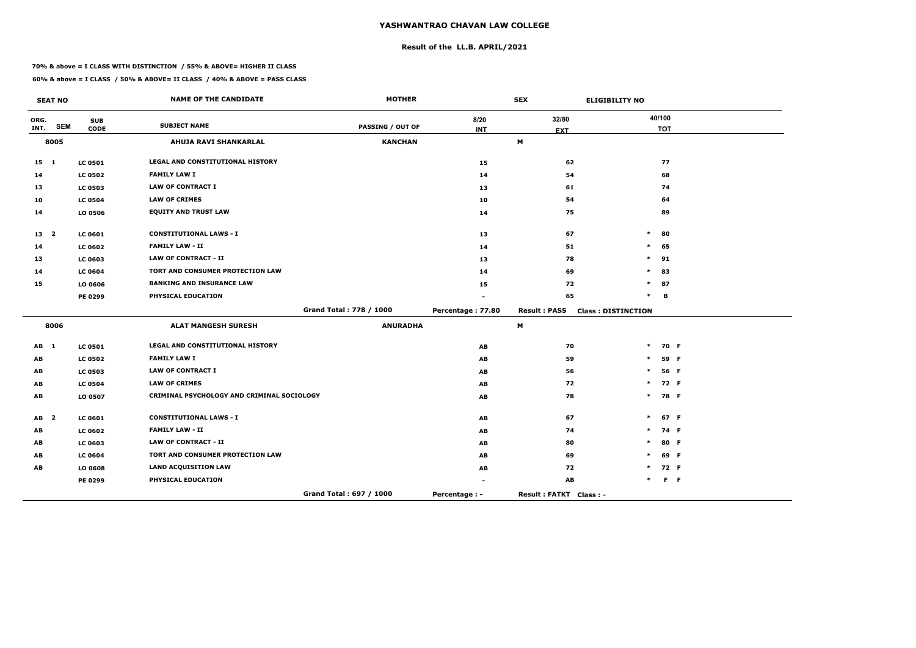## **Result of the LL.B. APRIL/2021**

#### **70% & above = I CLASS WITH DISTINCTION / 55% & ABOVE= HIGHER II CLASS**

|              | <b>SEAT NO</b>          |                           | <b>NAME OF THE CANDIDATE</b>               | <b>MOTHER</b>           |                   | <b>SEX</b>                          | <b>ELIGIBILITY NO</b>     |                      |         |
|--------------|-------------------------|---------------------------|--------------------------------------------|-------------------------|-------------------|-------------------------------------|---------------------------|----------------------|---------|
| ORG.<br>INT. | <b>SEM</b>              | <b>SUB</b><br><b>CODE</b> | <b>SUBJECT NAME</b>                        | <b>PASSING / OUT OF</b> | 8/20              | 32/80                               |                           | 40/100<br><b>TOT</b> |         |
|              | 8005                    |                           | AHUJA RAVI SHANKARLAL                      | <b>KANCHAN</b>          | <b>INT</b>        | <b>EXT</b><br>М                     |                           |                      |         |
|              |                         |                           |                                            |                         |                   |                                     |                           |                      |         |
| $15 \quad 1$ |                         | <b>LC 0501</b>            | LEGAL AND CONSTITUTIONAL HISTORY           |                         | 15                | 62                                  |                           | 77                   |         |
| 14           |                         | <b>LC 0502</b>            | <b>FAMILY LAW I</b>                        |                         | 14                | 54                                  |                           | 68                   |         |
| 13           |                         | <b>LC 0503</b>            | <b>LAW OF CONTRACT I</b>                   |                         | 13                | 61                                  |                           | 74                   |         |
| 10           |                         | <b>LC 0504</b>            | <b>LAW OF CRIMES</b>                       |                         | 10                | 54                                  |                           | 64                   |         |
| 14           |                         | LO 0506                   | <b>EQUITY AND TRUST LAW</b>                |                         | 14                | 75                                  |                           | 89                   |         |
| 13 2         |                         | <b>LC 0601</b>            | <b>CONSTITUTIONAL LAWS - I</b>             |                         | 13                | 67                                  | $\ast$                    | 80                   |         |
| 14           |                         | <b>LC 0602</b>            | <b>FAMILY LAW - II</b>                     |                         | 14                | 51                                  | $\ast$                    | 65                   |         |
| 13           |                         | <b>LC 0603</b>            | <b>LAW OF CONTRACT - II</b>                |                         | 13                | 78                                  | $\ast$                    | 91                   |         |
| 14           |                         | <b>LC 0604</b>            | TORT AND CONSUMER PROTECTION LAW           |                         | 14                | 69                                  | $\ast$                    | 83                   |         |
| 15           |                         | LO 0606                   | <b>BANKING AND INSURANCE LAW</b>           |                         | 15                | 72                                  | $\ast$                    | 87                   |         |
|              |                         | PE 0299                   | PHYSICAL EDUCATION                         |                         |                   | 65                                  | $\ast$                    | B                    |         |
|              |                         |                           |                                            | Grand Total: 778 / 1000 | Percentage: 77.80 | <b>Result: PASS</b>                 | <b>Class: DISTINCTION</b> |                      |         |
|              | 8006                    |                           | <b>ALAT MANGESH SURESH</b>                 | <b>ANURADHA</b>         |                   | М                                   |                           |                      |         |
| AB 1         |                         | <b>LC 0501</b>            | LEGAL AND CONSTITUTIONAL HISTORY           |                         | AB                | 70                                  | $\ast$                    | 70 F                 |         |
| AB           |                         | <b>LC 0502</b>            | <b>FAMILY LAW I</b>                        |                         | AB                | 59                                  | $\ast$                    | 59 F                 |         |
| AB           |                         | <b>LC 0503</b>            | <b>LAW OF CONTRACT I</b>                   |                         | AB                | 56                                  | $\ast$                    | 56 F                 |         |
| AВ           |                         | <b>LC 0504</b>            | <b>LAW OF CRIMES</b>                       |                         | AB                | 72                                  | $\ast$                    | 72 F                 |         |
| AB           |                         | LO 0507                   | CRIMINAL PSYCHOLOGY AND CRIMINAL SOCIOLOGY |                         | AB                | 78                                  | $\ast$                    | 78 F                 |         |
| AB           | $\overline{\mathbf{2}}$ | LC 0601                   | <b>CONSTITUTIONAL LAWS - I</b>             |                         | AB                | 67                                  | $\ast$                    | 67 F                 |         |
| AB           |                         | <b>LC 0602</b>            | <b>FAMILY LAW - II</b>                     |                         | AB                | 74                                  | $\ast$                    | 74 F                 |         |
| AB           |                         | <b>LC 0603</b>            | <b>LAW OF CONTRACT - II</b>                |                         | AB                | 80                                  | $\ast$                    | 80 F                 |         |
| AB           |                         | <b>LC 0604</b>            | TORT AND CONSUMER PROTECTION LAW           |                         | AB                | 69                                  | $\ast$                    | 69 F                 |         |
| AB           |                         | LO 0608                   | <b>LAND ACQUISITION LAW</b>                |                         | AB                | 72                                  | $\ast$                    | 72 F                 |         |
|              |                         | PE 0299                   | PHYSICAL EDUCATION                         |                         |                   | $\boldsymbol{\mathsf{A}\mathsf{B}}$ | $\ast$                    |                      | $F - F$ |
|              |                         |                           |                                            | Grand Total: 697 / 1000 | Percentage : -    | Result: FATKT Class: -              |                           |                      |         |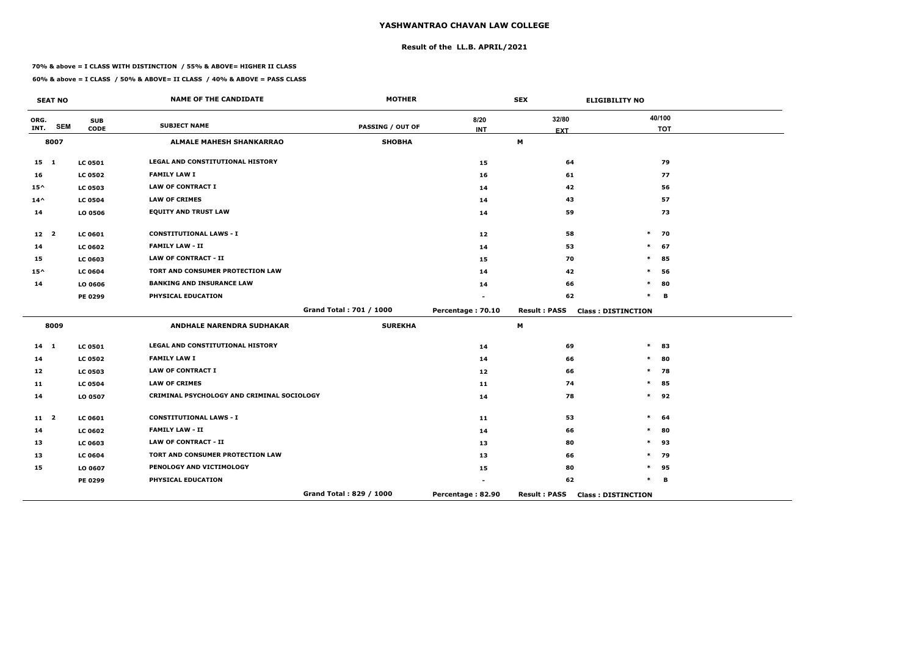## **Result of the LL.B. APRIL/2021**

#### **70% & above = I CLASS WITH DISTINCTION / 55% & ABOVE= HIGHER II CLASS**

|                 | <b>SEAT NO</b> |                           | <b>NAME OF THE CANDIDATE</b>               | <b>MOTHER</b>           |                    | <b>SEX</b>          | <b>ELIGIBILITY NO</b>     |
|-----------------|----------------|---------------------------|--------------------------------------------|-------------------------|--------------------|---------------------|---------------------------|
| ORG.<br>INT.    | <b>SEM</b>     | <b>SUB</b><br><b>CODE</b> | <b>SUBJECT NAME</b>                        | <b>PASSING / OUT OF</b> | 8/20<br><b>INT</b> | 32/80               | 40/100<br><b>TOT</b>      |
|                 | 8007           |                           | <b>ALMALE MAHESH SHANKARRAO</b>            | <b>SHOBHA</b>           |                    | <b>EXT</b><br>M     |                           |
|                 |                |                           |                                            |                         |                    |                     |                           |
| $15 \quad 1$    |                | <b>LC 0501</b>            | <b>LEGAL AND CONSTITUTIONAL HISTORY</b>    |                         | 15                 | 64                  | 79                        |
| 16              |                | <b>LC 0502</b>            | <b>FAMILY LAW I</b>                        |                         | 16                 | 61                  | 77                        |
| $15^{\wedge}$   |                | <b>LC 0503</b>            | <b>LAW OF CONTRACT I</b>                   |                         | 14                 | 42                  | 56                        |
| $14^{\wedge}$   |                | <b>LC 0504</b>            | <b>LAW OF CRIMES</b>                       |                         | 14                 | 43                  | 57                        |
| 14              |                | LO 0506                   | <b>EQUITY AND TRUST LAW</b>                |                         | 14                 | 59                  | 73                        |
| 12 <sub>2</sub> |                | LC 0601                   | <b>CONSTITUTIONAL LAWS - I</b>             |                         | 12                 | 58                  | $\ast$<br>70              |
| 14              |                | <b>LC 0602</b>            | <b>FAMILY LAW - II</b>                     |                         | 14                 | 53                  | $\ast$<br>67              |
| 15              |                | <b>LC 0603</b>            | <b>LAW OF CONTRACT - II</b>                |                         | 15                 | 70                  | $\ast$<br>85              |
| $15^{\wedge}$   |                | <b>LC 0604</b>            | TORT AND CONSUMER PROTECTION LAW           |                         | 14                 | 42                  | 56<br>$\ast$              |
| 14              |                | LO 0606                   | <b>BANKING AND INSURANCE LAW</b>           |                         | 14                 | 66                  | $\ast$<br>80              |
|                 |                | PE 0299                   | PHYSICAL EDUCATION                         |                         |                    | 62                  | $\ast$<br>в               |
|                 |                |                           |                                            | Grand Total: 701 / 1000 | Percentage: 70.10  | <b>Result: PASS</b> | <b>Class: DISTINCTION</b> |
|                 | 8009           |                           | <b>ANDHALE NARENDRA SUDHAKAR</b>           | <b>SUREKHA</b>          |                    | M                   |                           |
| $14 \quad 1$    |                | <b>LC 0501</b>            | LEGAL AND CONSTITUTIONAL HISTORY           |                         | 14                 | 69                  | $\ast$<br>83              |
| 14              |                | <b>LC 0502</b>            | <b>FAMILY LAW I</b>                        |                         | 14                 | 66                  | $\ast$<br>80              |
| 12              |                | <b>LC 0503</b>            | <b>LAW OF CONTRACT I</b>                   |                         | 12                 | 66                  | $\ast$<br>78              |
| 11              |                | <b>LC 0504</b>            | <b>LAW OF CRIMES</b>                       |                         | 11                 | 74                  | $\ast$<br>85              |
| 14              |                | LO 0507                   | CRIMINAL PSYCHOLOGY AND CRIMINAL SOCIOLOGY |                         | 14                 | 78                  | $\ast$<br>92              |
| $11 \quad 2$    |                | <b>LC 0601</b>            | <b>CONSTITUTIONAL LAWS - I</b>             |                         | 11                 | 53                  | $\ast$<br>64              |
| 14              |                | <b>LC 0602</b>            | <b>FAMILY LAW - II</b>                     |                         | 14                 | 66                  | 80<br>$\ast$              |
| 13              |                | <b>LC 0603</b>            | <b>LAW OF CONTRACT - II</b>                |                         | 13                 | 80                  | $\ast$<br>93              |
| 13              |                | <b>LC 0604</b>            | TORT AND CONSUMER PROTECTION LAW           |                         | 13                 | 66                  | $\ast$<br>79              |
| 15              |                | LO 0607                   | PENOLOGY AND VICTIMOLOGY                   |                         | 15                 | 80                  | $\ast$<br>95              |
|                 |                | PE 0299                   | PHYSICAL EDUCATION                         |                         |                    | 62                  | $\ast$<br>в               |
|                 |                |                           |                                            | Grand Total: 829 / 1000 | Percentage: 82.90  | <b>Result: PASS</b> | <b>Class: DISTINCTION</b> |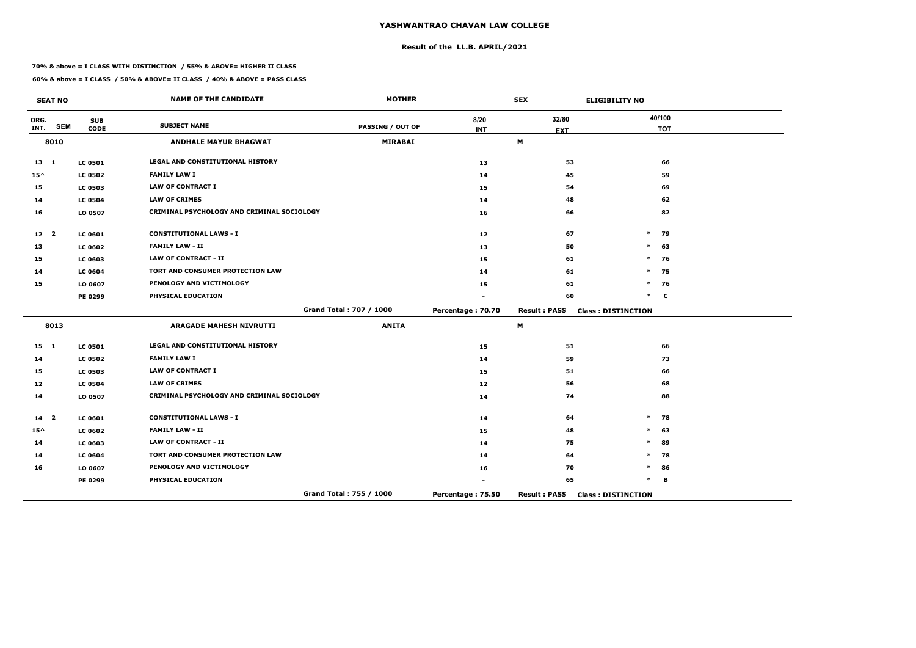## **Result of the LL.B. APRIL/2021**

#### **70% & above = I CLASS WITH DISTINCTION / 55% & ABOVE= HIGHER II CLASS**

|                 | <b>SEAT NO</b> |                           | <b>NAME OF THE CANDIDATE</b>               | <b>MOTHER</b>           |                   | <b>SEX</b>          | <b>ELIGIBILITY NO</b>     |
|-----------------|----------------|---------------------------|--------------------------------------------|-------------------------|-------------------|---------------------|---------------------------|
| ORG.<br>INT.    | <b>SEM</b>     | <b>SUB</b><br><b>CODE</b> | <b>SUBJECT NAME</b>                        | PASSING / OUT OF        | 8/20              | 32/80               | 40/100<br><b>TOT</b>      |
|                 | 8010           |                           | <b>ANDHALE MAYUR BHAGWAT</b>               | <b>MIRABAI</b>          | <b>INT</b>        | <b>EXT</b><br>M     |                           |
|                 |                |                           |                                            |                         |                   |                     |                           |
| $13 \quad 1$    |                | <b>LC 0501</b>            | LEGAL AND CONSTITUTIONAL HISTORY           |                         | 13                | 53                  | 66                        |
| $15^{\wedge}$   |                | <b>LC 0502</b>            | <b>FAMILY LAW I</b>                        |                         | 14                | 45                  | 59                        |
| 15              |                | <b>LC 0503</b>            | <b>LAW OF CONTRACT I</b>                   |                         | 15                | 54                  | 69                        |
| 14              |                | <b>LC 0504</b>            | <b>LAW OF CRIMES</b>                       |                         | 14                | 48                  | 62                        |
| 16              |                | LO 0507                   | CRIMINAL PSYCHOLOGY AND CRIMINAL SOCIOLOGY |                         | 16                | 66                  | 82                        |
| 12 <sub>2</sub> |                | LC 0601                   | <b>CONSTITUTIONAL LAWS - I</b>             |                         | 12                | 67                  | $\ast$<br>79              |
| 13              |                | <b>LC 0602</b>            | <b>FAMILY LAW - II</b>                     |                         | 13                | 50                  | 63<br>$\ast$              |
| 15              |                | <b>LC 0603</b>            | <b>LAW OF CONTRACT - II</b>                |                         | 15                | 61                  | $\ast$<br>76              |
| 14              |                | <b>LC 0604</b>            | TORT AND CONSUMER PROTECTION LAW           |                         | 14                | 61                  | $\ast$<br>75              |
| 15              |                | LO 0607                   | PENOLOGY AND VICTIMOLOGY                   |                         | 15                | 61                  | $\ast$<br>76              |
|                 |                | PE 0299                   | PHYSICAL EDUCATION                         |                         |                   | 60                  | $\ast$<br>$\mathbf c$     |
|                 |                |                           |                                            | Grand Total: 707 / 1000 | Percentage: 70.70 | <b>Result: PASS</b> | <b>Class: DISTINCTION</b> |
|                 | 8013           |                           | <b>ARAGADE MAHESH NIVRUTTI</b>             | <b>ANITA</b>            |                   | M                   |                           |
| $15 \quad 1$    |                | <b>LC 0501</b>            | LEGAL AND CONSTITUTIONAL HISTORY           |                         | 15                | 51                  | 66                        |
| 14              |                | <b>LC 0502</b>            | <b>FAMILY LAW I</b>                        |                         | 14                | 59                  | 73                        |
| 15              |                | <b>LC 0503</b>            | <b>LAW OF CONTRACT I</b>                   |                         | 15                | 51                  | 66                        |
| 12              |                | <b>LC 0504</b>            | <b>LAW OF CRIMES</b>                       |                         | 12                | 56                  | 68                        |
| 14              |                | LO 0507                   | CRIMINAL PSYCHOLOGY AND CRIMINAL SOCIOLOGY |                         | 14                | 74                  | 88                        |
| $14 2$          |                | <b>LC 0601</b>            | <b>CONSTITUTIONAL LAWS - I</b>             |                         | 14                | 64                  | $\ast$<br>78              |
| $15^{\wedge}$   |                | <b>LC 0602</b>            | <b>FAMILY LAW - II</b>                     |                         | 15                | 48                  | $\ast$<br>63              |
| 14              |                | <b>LC 0603</b>            | <b>LAW OF CONTRACT - II</b>                |                         | 14                | 75                  | $\ast$<br>89              |
| 14              |                | <b>LC 0604</b>            | TORT AND CONSUMER PROTECTION LAW           |                         | 14                | 64                  | 78<br>$\ast$              |
| 16              |                | LO 0607                   | PENOLOGY AND VICTIMOLOGY                   |                         | 16                | 70                  | 86<br>$\ast$              |
|                 |                | <b>PE 0299</b>            | PHYSICAL EDUCATION                         |                         | ۰                 | 65                  | $\ast$<br>В               |
|                 |                |                           |                                            | Grand Total: 755 / 1000 | Percentage: 75.50 | <b>Result: PASS</b> | <b>Class: DISTINCTION</b> |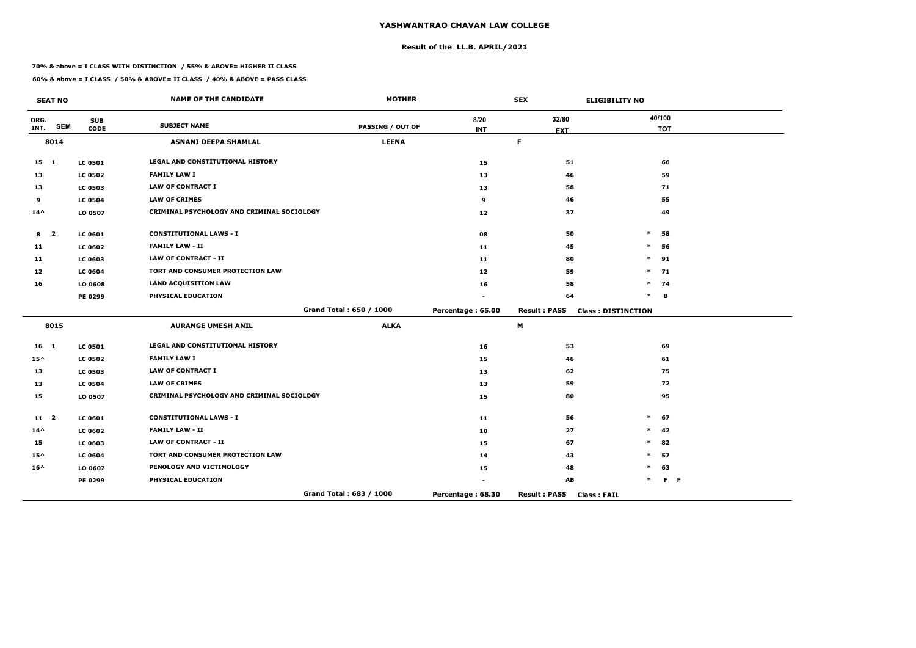## **Result of the LL.B. APRIL/2021**

#### **70% & above = I CLASS WITH DISTINCTION / 55% & ABOVE= HIGHER II CLASS**

|               | <b>SEAT NO</b>          |                | <b>NAME OF THE CANDIDATE</b>               | <b>MOTHER</b>           |                   | <b>SEX</b>                                | <b>ELIGIBILITY NO</b>     |
|---------------|-------------------------|----------------|--------------------------------------------|-------------------------|-------------------|-------------------------------------------|---------------------------|
| ORG.          | <b>SEM</b>              | <b>SUB</b>     | <b>SUBJECT NAME</b>                        | <b>PASSING / OUT OF</b> | 8/20              | 32/80                                     | 40/100                    |
| INT.          |                         | <b>CODE</b>    |                                            |                         | <b>INT</b>        | <b>EXT</b>                                | <b>TOT</b>                |
|               | 8014                    |                | <b>ASNANI DEEPA SHAMLAL</b>                | <b>LEENA</b>            |                   | F                                         |                           |
| $15 \quad 1$  |                         | <b>LC 0501</b> | <b>LEGAL AND CONSTITUTIONAL HISTORY</b>    |                         | 15                | 51                                        | 66                        |
| 13            |                         | <b>LC 0502</b> | <b>FAMILY LAW I</b>                        |                         | 13                | 46                                        | 59                        |
| 13            |                         | <b>LC 0503</b> | <b>LAW OF CONTRACT I</b>                   |                         | 13                | 58                                        | 71                        |
| 9             |                         | <b>LC 0504</b> | <b>LAW OF CRIMES</b>                       |                         | 9                 | 46                                        | 55                        |
| $14^{\wedge}$ |                         | LO 0507        | CRIMINAL PSYCHOLOGY AND CRIMINAL SOCIOLOGY |                         | 12                | 37                                        | 49                        |
| 8             | $\overline{\mathbf{2}}$ | <b>LC 0601</b> | <b>CONSTITUTIONAL LAWS - I</b>             |                         | 08                | 50                                        | 58<br>$\ast$              |
| 11            |                         | <b>LC 0602</b> | <b>FAMILY LAW - II</b>                     |                         | 11                | 45                                        | 56<br>$\ast$              |
| 11            |                         | <b>LC 0603</b> | <b>LAW OF CONTRACT - II</b>                |                         | 11                | 80                                        | $\ast$<br>91              |
| 12            |                         | <b>LC 0604</b> | TORT AND CONSUMER PROTECTION LAW           |                         | 12                | 59                                        | 71<br>$\ast$              |
| 16            |                         | LO 0608        | <b>LAND ACQUISITION LAW</b>                |                         | 16                | 58                                        | $\ast$<br>74              |
|               |                         | PE 0299        | PHYSICAL EDUCATION                         |                         |                   | 64                                        | $\ast$<br>B               |
|               |                         |                |                                            | Grand Total: 650 / 1000 | Percentage: 65.00 | <b>Result: PASS</b>                       | <b>Class: DISTINCTION</b> |
|               | 8015                    |                | <b>AURANGE UMESH ANIL</b>                  | <b>ALKA</b>             |                   | M                                         |                           |
| $16 \quad 1$  |                         | <b>LC 0501</b> | LEGAL AND CONSTITUTIONAL HISTORY           |                         | 16                | 53                                        | 69                        |
| $15^{\wedge}$ |                         | <b>LC 0502</b> | <b>FAMILY LAW I</b>                        |                         | 15                | 46                                        | 61                        |
| 13            |                         | <b>LC 0503</b> | <b>LAW OF CONTRACT I</b>                   |                         | 13                | 62                                        | 75                        |
| 13            |                         | <b>LC 0504</b> | <b>LAW OF CRIMES</b>                       |                         | 13                | 59                                        | 72                        |
| 15            |                         | LO 0507        | CRIMINAL PSYCHOLOGY AND CRIMINAL SOCIOLOGY |                         | 15                | 80                                        | 95                        |
| $11 \quad 2$  |                         | <b>LC 0601</b> | <b>CONSTITUTIONAL LAWS - I</b>             |                         | 11                | 56                                        | $\ast$<br>67              |
| $14^{\wedge}$ |                         | <b>LC 0602</b> | <b>FAMILY LAW - II</b>                     |                         | 10                | 27                                        | 42<br>$\ast$              |
| 15            |                         | LC 0603        | <b>LAW OF CONTRACT - II</b>                |                         | 15                | 67                                        | $\ast$<br>82              |
| $15^{\wedge}$ |                         | <b>LC 0604</b> | TORT AND CONSUMER PROTECTION LAW           |                         | 14                | 43                                        | 57<br>$\ast$              |
| $16^{\wedge}$ |                         | LO 0607        | PENOLOGY AND VICTIMOLOGY                   |                         | 15                | 48                                        | $\ast$<br>63              |
|               |                         | PE 0299        | PHYSICAL EDUCATION                         |                         |                   | AB                                        | $F - F$<br>*              |
|               |                         |                |                                            | Grand Total: 683 / 1000 | Percentage: 68.30 | <b>Result: PASS</b><br><b>Class: FAIL</b> |                           |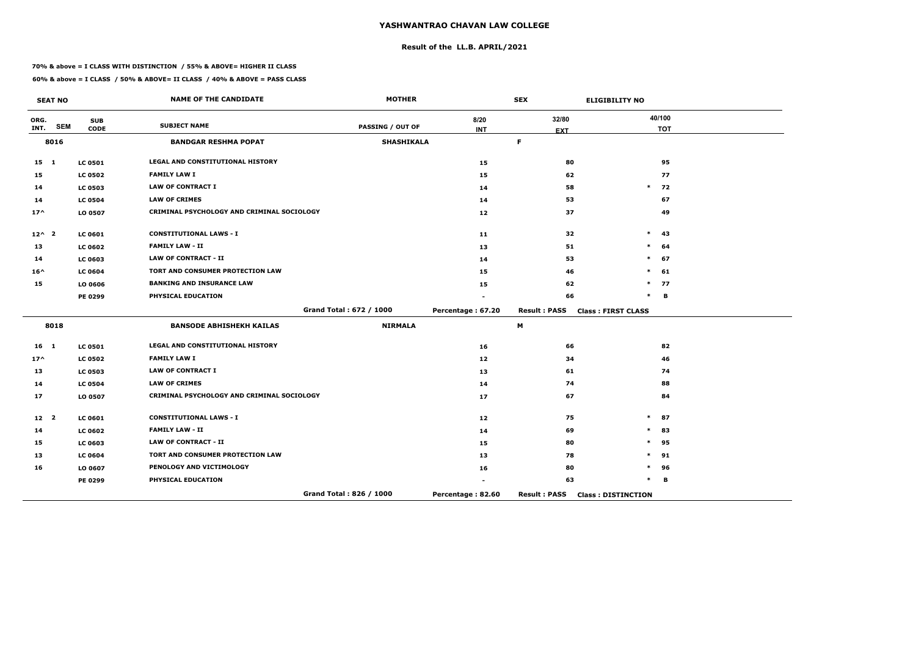## **Result of the LL.B. APRIL/2021**

#### **70% & above = I CLASS WITH DISTINCTION / 55% & ABOVE= HIGHER II CLASS**

**60% & above = I CLASS / 50% & ABOVE= II CLASS / 40% & ABOVE = PASS CLASS**

 $\overline{\phantom{a}}$ 

|                 | <b>SEAT NO</b> |                           | <b>NAME OF THE CANDIDATE</b>                      | <b>MOTHER</b>           |                    | <b>SEX</b>          | <b>ELIGIBILITY NO</b>     |
|-----------------|----------------|---------------------------|---------------------------------------------------|-------------------------|--------------------|---------------------|---------------------------|
| ORG.<br>INT.    | <b>SEM</b>     | <b>SUB</b><br><b>CODE</b> | <b>SUBJECT NAME</b>                               | PASSING / OUT OF        | 8/20<br><b>INT</b> | 32/80<br><b>EXT</b> | 40/100<br><b>TOT</b>      |
|                 | 8016           |                           | <b>BANDGAR RESHMA POPAT</b>                       | <b>SHASHIKALA</b>       |                    | F                   |                           |
| $15 \quad 1$    |                | <b>LC 0501</b>            | LEGAL AND CONSTITUTIONAL HISTORY                  |                         | 15                 | 80                  | 95                        |
| 15              |                | <b>LC 0502</b>            | <b>FAMILY LAW I</b>                               |                         | 15                 | 62                  | 77                        |
| 14              |                | <b>LC 0503</b>            | <b>LAW OF CONTRACT I</b>                          |                         | 14                 | 58                  | $\ast$<br>72              |
| 14              |                | <b>LC 0504</b>            | <b>LAW OF CRIMES</b>                              |                         | 14                 | 53                  | 67                        |
| $17^{\wedge}$   |                | LO 0507                   | <b>CRIMINAL PSYCHOLOGY AND CRIMINAL SOCIOLOGY</b> |                         | 12                 | 37                  | 49                        |
| $12^{\wedge}2$  |                | LC 0601                   | <b>CONSTITUTIONAL LAWS - I</b>                    |                         | 11                 | 32                  | 43<br>$\ast$              |
| 13              |                | <b>LC 0602</b>            | <b>FAMILY LAW - II</b>                            |                         | 13                 | 51                  | 64<br>$\ast$              |
| 14              |                | <b>LC 0603</b>            | <b>LAW OF CONTRACT - II</b>                       |                         | 14                 | 53                  | 67<br>$\ast$              |
| $16^{\wedge}$   |                | <b>LC 0604</b>            | TORT AND CONSUMER PROTECTION LAW                  |                         | 15                 | 46                  | 61<br>$\ast$              |
| 15              |                | LO 0606                   | <b>BANKING AND INSURANCE LAW</b>                  |                         | 15                 | 62                  | $\ast$<br>77              |
|                 |                | PE 0299                   | PHYSICAL EDUCATION                                |                         |                    | 66                  | $\ast$<br>B               |
|                 |                |                           |                                                   | Grand Total: 672 / 1000 | Percentage: 67.20  | <b>Result: PASS</b> | <b>Class: FIRST CLASS</b> |
|                 | 8018           |                           | <b>BANSODE ABHISHEKH KAILAS</b>                   | <b>NIRMALA</b>          |                    | M                   |                           |
| 16 <sub>1</sub> |                | <b>LC 0501</b>            | LEGAL AND CONSTITUTIONAL HISTORY                  |                         | 16                 | 66                  | 82                        |
| $17^$           |                | <b>LC 0502</b>            | <b>FAMILY LAW I</b>                               |                         | 12                 | 34                  | 46                        |
| 13              |                | <b>LC 0503</b>            | <b>LAW OF CONTRACT I</b>                          |                         | 13                 | 61                  | 74                        |
| 14              |                | <b>LC 0504</b>            | <b>LAW OF CRIMES</b>                              |                         | 14                 | 74                  | 88                        |
| 17              |                | LO 0507                   | CRIMINAL PSYCHOLOGY AND CRIMINAL SOCIOLOGY        |                         | 17                 | 67                  | 84                        |
| 12 <sup>2</sup> |                | LC 0601                   | <b>CONSTITUTIONAL LAWS - I</b>                    |                         | 12                 | 75                  | 87<br>$\ast$              |
| 14              |                | <b>LC 0602</b>            | <b>FAMILY LAW - II</b>                            |                         | 14                 | 69                  | 83<br>$\ast$              |
| 15              |                | <b>LC 0603</b>            | <b>LAW OF CONTRACT - II</b>                       |                         | 15                 | 80                  | $\ast$<br>95              |
| 13              |                | <b>LC 0604</b>            | TORT AND CONSUMER PROTECTION LAW                  |                         | 13                 | 78                  | 91<br>$\ast$              |
| 16              |                | LO 0607                   | PENOLOGY AND VICTIMOLOGY                          |                         | 16                 | 80                  | $\ast$<br>96              |
|                 |                | PE 0299                   | PHYSICAL EDUCATION                                |                         |                    | 63                  | $\ast$<br>В               |
|                 |                |                           |                                                   | Grand Total: 826 / 1000 | Percentage: 82.60  | <b>Result: PASS</b> | <b>Class: DISTINCTION</b> |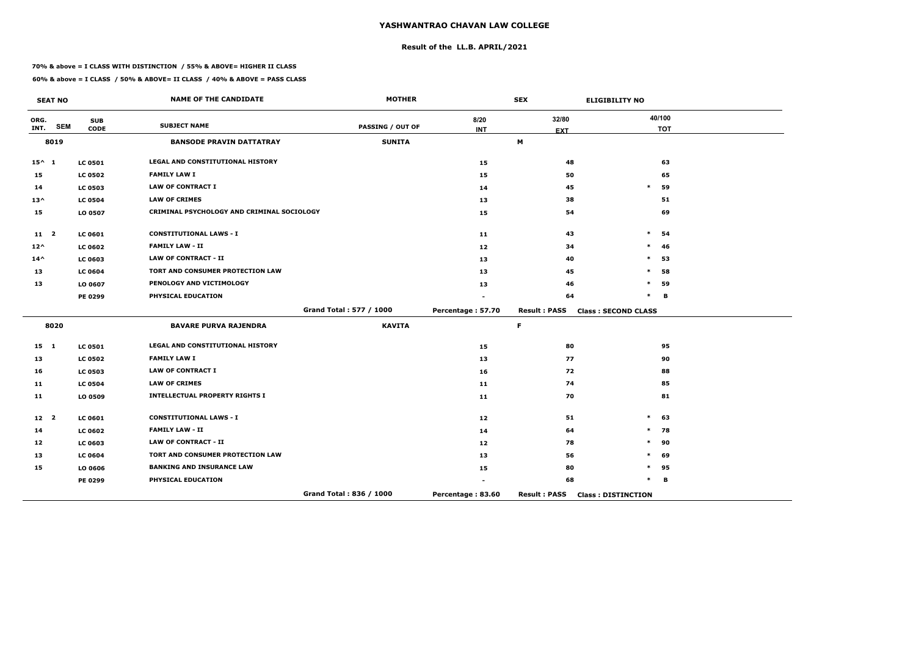## **Result of the LL.B. APRIL/2021**

#### **70% & above = I CLASS WITH DISTINCTION / 55% & ABOVE= HIGHER II CLASS**

|                 | <b>SEAT NO</b> |                           | <b>NAME OF THE CANDIDATE</b>               | <b>MOTHER</b>           |                    | <b>SEX</b>          | <b>ELIGIBILITY NO</b>      |
|-----------------|----------------|---------------------------|--------------------------------------------|-------------------------|--------------------|---------------------|----------------------------|
| ORG.<br>INT.    | <b>SEM</b>     | <b>SUB</b><br><b>CODE</b> | <b>SUBJECT NAME</b>                        | PASSING / OUT OF        | 8/20<br><b>INT</b> | 32/80<br><b>EXT</b> | 40/100<br><b>TOT</b>       |
|                 | 8019           |                           | <b>BANSODE PRAVIN DATTATRAY</b>            | <b>SUNITA</b>           |                    | M                   |                            |
| $15^{\wedge} 1$ |                | <b>LC 0501</b>            | <b>LEGAL AND CONSTITUTIONAL HISTORY</b>    |                         | 15                 | 48                  | 63                         |
| 15              |                | <b>LC 0502</b>            | <b>FAMILY LAW I</b>                        |                         | 15                 | 50                  | 65                         |
| 14              |                | <b>LC 0503</b>            | <b>LAW OF CONTRACT I</b>                   |                         | 14                 | 45                  | 59<br>$\ast$               |
| $13^{\wedge}$   |                | <b>LC 0504</b>            | <b>LAW OF CRIMES</b>                       |                         | 13                 | 38                  | 51                         |
| 15              |                | LO 0507                   | CRIMINAL PSYCHOLOGY AND CRIMINAL SOCIOLOGY |                         | 15                 | 54                  | 69                         |
| 11 <sub>2</sub> |                | <b>LC 0601</b>            | <b>CONSTITUTIONAL LAWS - I</b>             |                         | 11                 | 43                  | $\ast$<br>54               |
| $12^{\wedge}$   |                | <b>LC 0602</b>            | <b>FAMILY LAW - II</b>                     |                         | 12                 | 34                  | $\ast$<br>46               |
| $14^{\wedge}$   |                | LC 0603                   | <b>LAW OF CONTRACT - II</b>                |                         | 13                 | 40                  | $\ast$<br>53               |
| 13              |                | <b>LC 0604</b>            | <b>TORT AND CONSUMER PROTECTION LAW</b>    |                         | 13                 | 45                  | 58<br>$\ast$               |
| 13              |                | LO 0607                   | PENOLOGY AND VICTIMOLOGY                   |                         | 13                 | 46                  | $\ast$<br>59               |
|                 |                | PE 0299                   | PHYSICAL EDUCATION                         |                         |                    | 64                  | $\ast$<br>B                |
|                 |                |                           |                                            | Grand Total: 577 / 1000 | Percentage: 57.70  | <b>Result: PASS</b> | <b>Class: SECOND CLASS</b> |
|                 | 8020           |                           | <b>BAVARE PURVA RAJENDRA</b>               | <b>KAVITA</b>           |                    | F                   |                            |
| 15 1            |                | <b>LC 0501</b>            | LEGAL AND CONSTITUTIONAL HISTORY           |                         | 15                 | 80                  | 95                         |
| 13              |                | <b>LC 0502</b>            | <b>FAMILY LAW I</b>                        |                         | 13                 | 77                  | 90                         |
| 16              |                | <b>LC 0503</b>            | <b>LAW OF CONTRACT I</b>                   |                         | 16                 | 72                  | 88                         |
| 11              |                | <b>LC 0504</b>            | <b>LAW OF CRIMES</b>                       |                         | 11                 | 74                  | 85                         |
| 11              |                | LO 0509                   | <b>INTELLECTUAL PROPERTY RIGHTS I</b>      |                         | 11                 | 70                  | 81                         |
| 12 <sup>2</sup> |                | <b>LC 0601</b>            | <b>CONSTITUTIONAL LAWS - I</b>             |                         | 12                 | 51                  | $\ast$<br>63               |
| 14              |                | <b>LC 0602</b>            | <b>FAMILY LAW - II</b>                     |                         | 14                 | 64                  | 78<br>$\ast$               |
| 12              |                | <b>LC 0603</b>            | <b>LAW OF CONTRACT - II</b>                |                         | 12                 | 78                  | 90<br>$\ast$               |
| 13              |                | <b>LC 0604</b>            | TORT AND CONSUMER PROTECTION LAW           |                         | 13                 | 56                  | 69<br>∗                    |
| 15              |                | LO 0606                   | <b>BANKING AND INSURANCE LAW</b>           |                         | 15                 | 80                  | $\ast$<br>95               |
|                 |                | PE 0299                   | PHYSICAL EDUCATION                         |                         |                    | 68                  | $\ast$<br>в                |
|                 |                |                           |                                            | Grand Total: 836 / 1000 | Percentage: 83.60  | <b>Result: PASS</b> | <b>Class: DISTINCTION</b>  |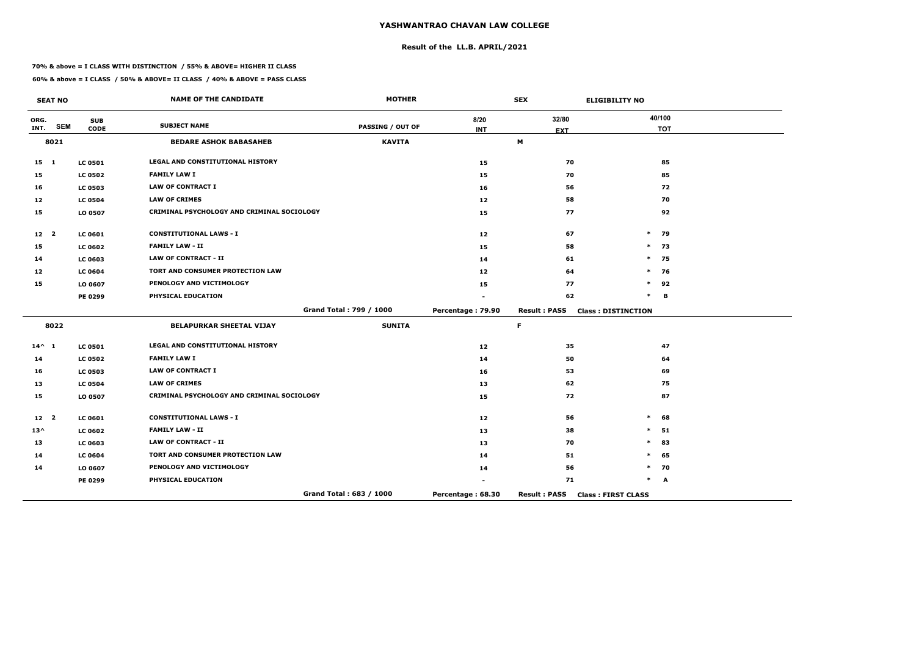## **Result of the LL.B. APRIL/2021**

#### **70% & above = I CLASS WITH DISTINCTION / 55% & ABOVE= HIGHER II CLASS**

|                 | <b>SEAT NO</b> |                           | <b>NAME OF THE CANDIDATE</b>               | <b>MOTHER</b>           |                    | <b>SEX</b>          | <b>ELIGIBILITY NO</b>     |
|-----------------|----------------|---------------------------|--------------------------------------------|-------------------------|--------------------|---------------------|---------------------------|
| ORG.<br>INT.    | <b>SEM</b>     | <b>SUB</b><br><b>CODE</b> | <b>SUBJECT NAME</b>                        | <b>PASSING / OUT OF</b> | 8/20<br><b>INT</b> | 32/80<br><b>EXT</b> | 40/100<br><b>TOT</b>      |
|                 | 8021           |                           | <b>BEDARE ASHOK BABASAHEB</b>              | <b>KAVITA</b>           |                    | M                   |                           |
| $15 \quad 1$    |                | <b>LC 0501</b>            | <b>LEGAL AND CONSTITUTIONAL HISTORY</b>    |                         | 15                 | 70                  | 85                        |
| 15              |                | <b>LC 0502</b>            | <b>FAMILY LAW I</b>                        |                         | 15                 | 70                  | 85                        |
| 16              |                | <b>LC 0503</b>            | <b>LAW OF CONTRACT I</b>                   |                         | 16                 | 56                  | 72                        |
| 12              |                | <b>LC 0504</b>            | <b>LAW OF CRIMES</b>                       |                         | 12                 | 58                  | 70                        |
| 15              |                | LO 0507                   | CRIMINAL PSYCHOLOGY AND CRIMINAL SOCIOLOGY |                         | 15                 | 77                  | 92                        |
| 12 <sub>2</sub> |                | <b>LC 0601</b>            | <b>CONSTITUTIONAL LAWS - I</b>             |                         | 12                 | 67                  | $\ast$<br>79              |
| 15              |                | <b>LC 0602</b>            | <b>FAMILY LAW - II</b>                     |                         | 15                 | 58                  | $\ast$<br>73              |
| 14              |                | <b>LC 0603</b>            | <b>LAW OF CONTRACT - II</b>                |                         | 14                 | 61                  | $\ast$<br>75              |
| 12              |                | <b>LC 0604</b>            | TORT AND CONSUMER PROTECTION LAW           |                         | 12                 | 64                  | $\ast$<br>76              |
| 15              |                | LO 0607                   | PENOLOGY AND VICTIMOLOGY                   |                         | 15                 | 77                  | $\ast$<br>92              |
|                 |                | PE 0299                   | PHYSICAL EDUCATION                         |                         |                    | 62                  | $\ast$<br>B               |
|                 |                |                           |                                            | Grand Total: 799 / 1000 | Percentage: 79.90  | <b>Result: PASS</b> | <b>Class: DISTINCTION</b> |
|                 | 8022           |                           | <b>BELAPURKAR SHEETAL VIJAY</b>            | <b>SUNITA</b>           |                    | F.                  |                           |
| $14^{\wedge} 1$ |                | <b>LC 0501</b>            | LEGAL AND CONSTITUTIONAL HISTORY           |                         | 12                 | 35                  | 47                        |
| 14              |                | <b>LC 0502</b>            | <b>FAMILY LAW I</b>                        |                         | 14                 | 50                  | 64                        |
| 16              |                | <b>LC 0503</b>            | <b>LAW OF CONTRACT I</b>                   |                         | 16                 | 53                  | 69                        |
| 13              |                | <b>LC 0504</b>            | <b>LAW OF CRIMES</b>                       |                         | 13                 | 62                  | 75                        |
| 15              |                | LO 0507                   | CRIMINAL PSYCHOLOGY AND CRIMINAL SOCIOLOGY |                         | 15                 | 72                  | 87                        |
| 12 <sup>2</sup> |                | <b>LC 0601</b>            | <b>CONSTITUTIONAL LAWS - I</b>             |                         | 12                 | 56                  | $\ast$<br>68              |
| $13^{\wedge}$   |                | <b>LC 0602</b>            | <b>FAMILY LAW - II</b>                     |                         | 13                 | 38                  | 51<br>$\ast$              |
| 13              |                | <b>LC 0603</b>            | <b>LAW OF CONTRACT - II</b>                |                         | 13                 | 70                  | $\ast$<br>83              |
| 14              |                | <b>LC 0604</b>            | TORT AND CONSUMER PROTECTION LAW           |                         | 14                 | 51                  | $\ast$<br>65              |
| 14              |                | LO 0607                   | PENOLOGY AND VICTIMOLOGY                   |                         | 14                 | 56                  | 70<br>$\ast$              |
|                 |                | PE 0299                   | PHYSICAL EDUCATION                         |                         |                    | 71                  | *<br>A                    |
|                 |                |                           |                                            | Grand Total: 683 / 1000 | Percentage: 68.30  | <b>Result: PASS</b> | <b>Class: FIRST CLASS</b> |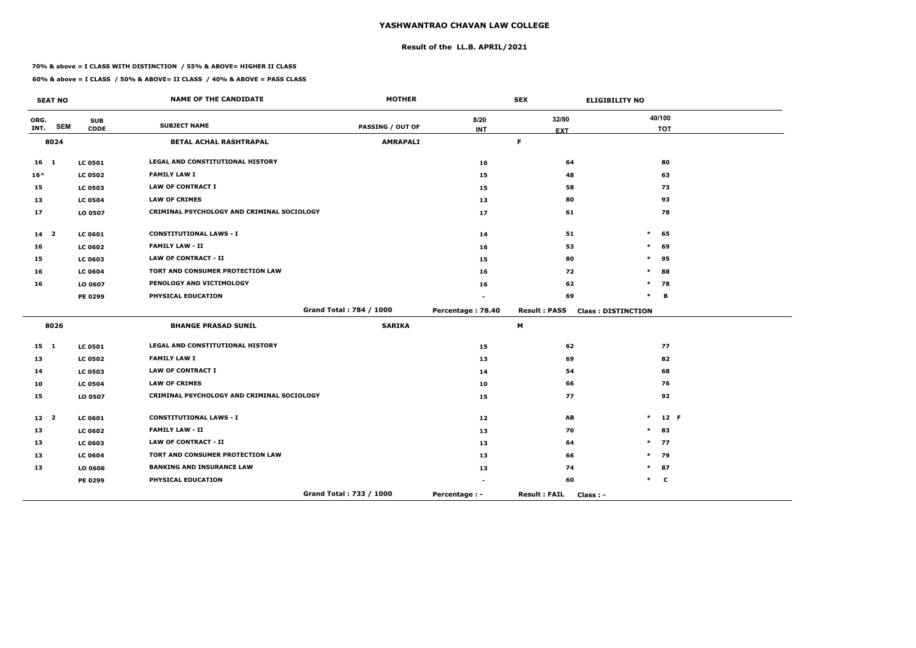## **Result of the LL.B. APRIL/2021**

#### **70% & above = I CLASS WITH DISTINCTION / 55% & ABOVE= HIGHER II CLASS**

 $\overline{\phantom{a}}$ 

|                 | <b>SEAT NO</b> |                | <b>NAME OF THE CANDIDATE</b>               | <b>MOTHER</b>           |                          | <b>SEX</b>                      | <b>ELIGIBILITY NO</b>     |            |
|-----------------|----------------|----------------|--------------------------------------------|-------------------------|--------------------------|---------------------------------|---------------------------|------------|
| ORG.            |                | <b>SUB</b>     | <b>SUBJECT NAME</b>                        |                         | 8/20                     | 32/80                           |                           | 40/100     |
| INT.            | <b>SEM</b>     | <b>CODE</b>    |                                            | <b>PASSING / OUT OF</b> | <b>INT</b>               | <b>EXT</b>                      |                           | <b>TOT</b> |
|                 | 8024           |                | <b>BETAL ACHAL RASHTRAPAL</b>              | <b>AMRAPALI</b>         |                          | F                               |                           |            |
| 16 <sub>1</sub> |                | <b>LC 0501</b> | <b>LEGAL AND CONSTITUTIONAL HISTORY</b>    |                         | 16                       | 64                              |                           | 80         |
| $16^{\wedge}$   |                | <b>LC 0502</b> | <b>FAMILY LAW I</b>                        |                         | 15                       | 48                              |                           | 63         |
| 15              |                | <b>LC 0503</b> | <b>LAW OF CONTRACT I</b>                   |                         | 15                       | 58                              |                           | 73         |
| 13              |                | <b>LC 0504</b> | <b>LAW OF CRIMES</b>                       |                         | 13                       | 80                              |                           | 93         |
| 17              |                | LO 0507        | CRIMINAL PSYCHOLOGY AND CRIMINAL SOCIOLOGY |                         | 17                       | 61                              |                           | 78         |
| 14 <sub>2</sub> |                | <b>LC 0601</b> | <b>CONSTITUTIONAL LAWS - I</b>             |                         | 14                       | 51                              | $\ast$                    | 65         |
| 16              |                | <b>LC 0602</b> | <b>FAMILY LAW - II</b>                     |                         | 16                       | 53                              | $\ast$                    | 69         |
| 15              |                | <b>LC 0603</b> | <b>LAW OF CONTRACT - II</b>                |                         | 15                       | 80                              | $\ast$                    | 95         |
| 16              |                | <b>LC 0604</b> | TORT AND CONSUMER PROTECTION LAW           |                         | 16                       | 72                              | $\ast$                    | 88         |
| 16              |                | LO 0607        | PENOLOGY AND VICTIMOLOGY                   |                         | 16                       | 62                              | $\ast$                    | 78         |
|                 |                | PE 0299        | PHYSICAL EDUCATION                         |                         |                          | 69                              | $\ast$                    | в          |
|                 |                |                |                                            | Grand Total: 784 / 1000 | Percentage: 78.40        | <b>Result: PASS</b>             | <b>Class: DISTINCTION</b> |            |
|                 | 8026           |                | <b>BHANGE PRASAD SUNIL</b>                 | <b>SARIKA</b>           |                          | M                               |                           |            |
| $15 \quad 1$    |                | <b>LC 0501</b> | <b>LEGAL AND CONSTITUTIONAL HISTORY</b>    |                         | 15                       | 62                              |                           | 77         |
| 13              |                | <b>LC 0502</b> | <b>FAMILY LAW I</b>                        |                         | 13                       | 69                              |                           | 82         |
| 14              |                | <b>LC 0503</b> | <b>LAW OF CONTRACT I</b>                   |                         | 14                       | 54                              |                           | 68         |
| 10              |                | <b>LC 0504</b> | <b>LAW OF CRIMES</b>                       |                         | 10                       | 66                              |                           | 76         |
| 15              |                | LO 0507        | CRIMINAL PSYCHOLOGY AND CRIMINAL SOCIOLOGY |                         | 15                       | 77                              |                           | 92         |
| 12 <sup>2</sup> |                | <b>LC 0601</b> | <b>CONSTITUTIONAL LAWS - I</b>             |                         | 12                       | AB                              | $\ast$                    | 12 F       |
| 13              |                | <b>LC 0602</b> | <b>FAMILY LAW - II</b>                     |                         | 13                       | 70                              | $\ast$                    | 83         |
| 13              |                | <b>LC 0603</b> | LAW OF CONTRACT - II                       |                         | 13                       | 64                              | $\ast$                    | 77         |
| 13              |                | <b>LC 0604</b> | TORT AND CONSUMER PROTECTION LAW           |                         | 13                       | 66                              | $\ast$                    | 79         |
| 13              |                | LO 0606        | <b>BANKING AND INSURANCE LAW</b>           |                         | 13                       | 74                              | $\ast$                    | 87         |
|                 |                | PE 0299        | PHYSICAL EDUCATION                         |                         | $\overline{\phantom{a}}$ | 60                              | $*$ C                     |            |
|                 |                |                |                                            | Grand Total: 733 / 1000 | Percentage : -           | <b>Result: FAIL</b><br>Class: - |                           |            |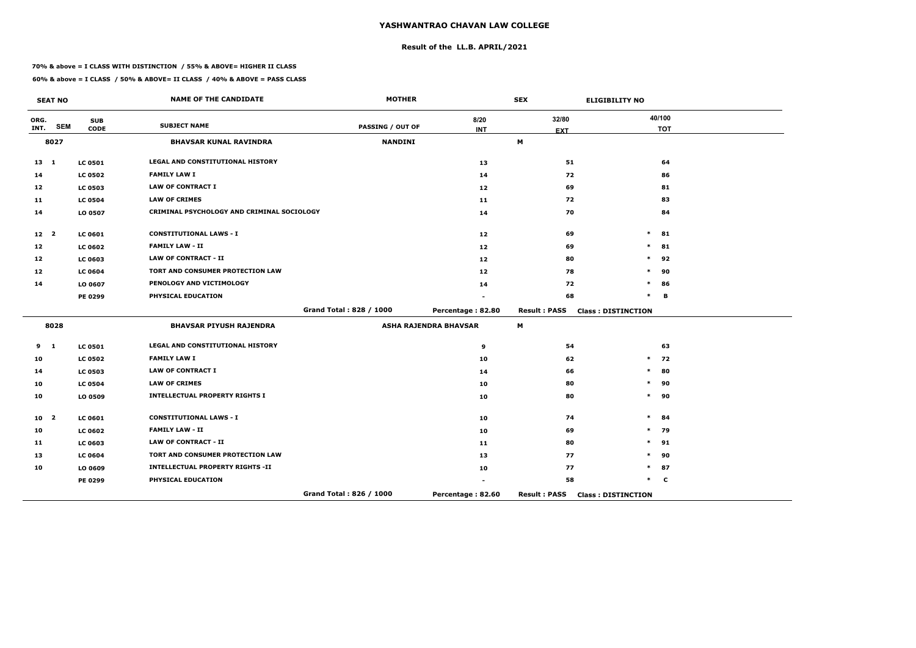## **Result of the LL.B. APRIL/2021**

#### **70% & above = I CLASS WITH DISTINCTION / 55% & ABOVE= HIGHER II CLASS**

|                   | <b>SEAT NO</b>          |                           | <b>NAME OF THE CANDIDATE</b>               | <b>MOTHER</b>           |                              | <b>SEX</b>          | <b>ELIGIBILITY NO</b>     |
|-------------------|-------------------------|---------------------------|--------------------------------------------|-------------------------|------------------------------|---------------------|---------------------------|
| ORG.<br>INT.      | <b>SEM</b>              | <b>SUB</b><br><b>CODE</b> | <b>SUBJECT NAME</b>                        | <b>PASSING / OUT OF</b> | 8/20<br><b>INT</b>           | 32/80<br><b>EXT</b> | 40/100<br><b>TOT</b>      |
|                   | 8027                    |                           | <b>BHAVSAR KUNAL RAVINDRA</b>              | <b>NANDINI</b>          |                              | M                   |                           |
| $13 \quad 1$      |                         | <b>LC 0501</b>            | LEGAL AND CONSTITUTIONAL HISTORY           |                         | 13                           | 51                  | 64                        |
| 14                |                         | <b>LC 0502</b>            | <b>FAMILY LAW I</b>                        |                         | 14                           | 72                  | 86                        |
| 12                |                         | <b>LC 0503</b>            | <b>LAW OF CONTRACT I</b>                   |                         | 12                           | 69                  | 81                        |
| 11                |                         | <b>LC 0504</b>            | <b>LAW OF CRIMES</b>                       |                         | 11                           | 72                  | 83                        |
| 14                |                         | LO 0507                   | CRIMINAL PSYCHOLOGY AND CRIMINAL SOCIOLOGY |                         | 14                           | 70                  | 84                        |
| 12 <sub>2</sub>   |                         | <b>LC 0601</b>            | <b>CONSTITUTIONAL LAWS - I</b>             |                         | $12 \overline{ }$            | 69                  | $\ast$<br>81              |
| 12                |                         | <b>LC 0602</b>            | <b>FAMILY LAW - II</b>                     |                         | $12 \overline{ }$            | 69                  | $\ast$<br>81              |
| $12 \overline{ }$ |                         | <b>LC 0603</b>            | <b>LAW OF CONTRACT - II</b>                |                         | 12 <sub>2</sub>              | 80                  | $\ast$<br>92              |
| 12                |                         | <b>LC 0604</b>            | <b>TORT AND CONSUMER PROTECTION LAW</b>    |                         | 12                           | 78                  | 90<br>$\ast$              |
| 14                |                         | LO 0607                   | PENOLOGY AND VICTIMOLOGY                   |                         | 14                           | 72                  | $\ast$<br>86              |
|                   |                         | PE 0299                   | PHYSICAL EDUCATION                         |                         |                              | 68                  | $\ast$<br>В               |
|                   |                         |                           |                                            | Grand Total: 828 / 1000 | Percentage: 82.80            | <b>Result: PASS</b> | <b>Class: DISTINCTION</b> |
|                   | 8028                    |                           | <b>BHAVSAR PIYUSH RAJENDRA</b>             |                         | <b>ASHA RAJENDRA BHAVSAR</b> | М                   |                           |
| 9                 | $\mathbf{1}$            | <b>LC 0501</b>            | LEGAL AND CONSTITUTIONAL HISTORY           |                         | 9                            | 54                  | 63                        |
| 10                |                         | <b>LC 0502</b>            | <b>FAMILY LAW I</b>                        |                         | 10                           | 62                  | 72<br>$\ast$              |
| 14                |                         | <b>LC 0503</b>            | <b>LAW OF CONTRACT I</b>                   |                         | 14                           | 66                  | $\ast$<br>80              |
| 10                |                         | <b>LC 0504</b>            | <b>LAW OF CRIMES</b>                       |                         | 10                           | 80                  | $\ast$<br>90              |
| 10                |                         | LO 0509                   | <b>INTELLECTUAL PROPERTY RIGHTS I</b>      |                         | 10                           | 80                  | $\ast$<br>90              |
| 10                | $\overline{\mathbf{2}}$ | <b>LC 0601</b>            | <b>CONSTITUTIONAL LAWS - I</b>             |                         | 10                           | 74                  | $\ast$<br>84              |
| 10                |                         | <b>LC 0602</b>            | <b>FAMILY LAW - II</b>                     |                         | 10                           | 69                  | $\ast$<br>79              |
| 11                |                         | <b>LC 0603</b>            | <b>LAW OF CONTRACT - II</b>                |                         | 11                           | 80                  | $\ast$<br>91              |
| 13                |                         | <b>LC 0604</b>            | TORT AND CONSUMER PROTECTION LAW           |                         | 13                           | 77                  | $\ast$<br>90              |
| 10                |                         | LO 0609                   | <b>INTELLECTUAL PROPERTY RIGHTS -II</b>    |                         | 10                           | 77                  | $\ast$<br>87              |
|                   |                         | PE 0299                   | PHYSICAL EDUCATION                         |                         |                              | 58                  | $\ast$<br><b>C</b>        |
|                   |                         |                           |                                            | Grand Total: 826 / 1000 | Percentage: 82.60            | <b>Result: PASS</b> | <b>Class: DISTINCTION</b> |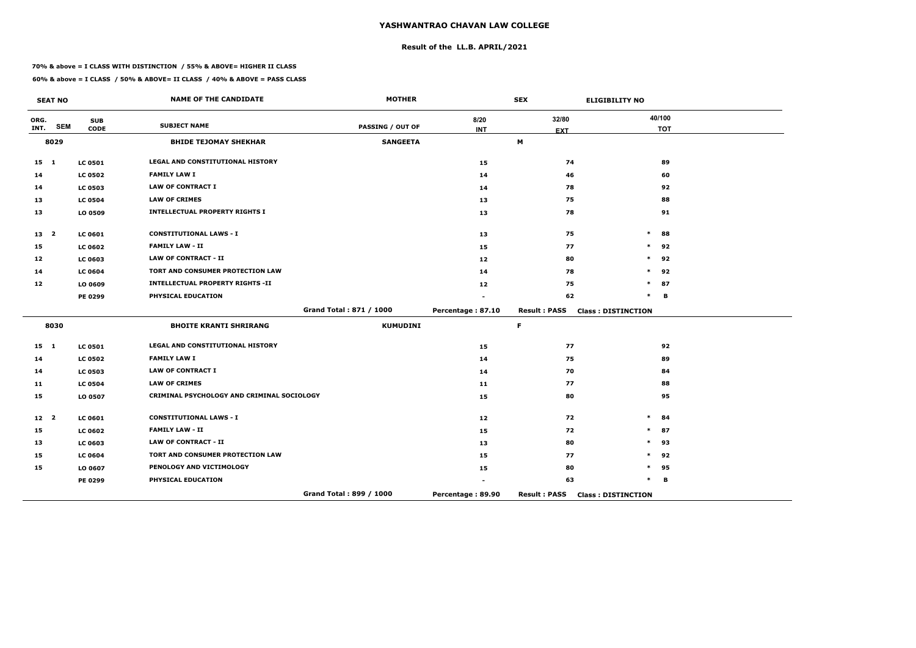## **Result of the LL.B. APRIL/2021**

#### **70% & above = I CLASS WITH DISTINCTION / 55% & ABOVE= HIGHER II CLASS**

|                 | <b>SEAT NO</b> |                           | <b>NAME OF THE CANDIDATE</b>               | <b>MOTHER</b>           |                    | <b>SEX</b>          | <b>ELIGIBILITY NO</b>     |
|-----------------|----------------|---------------------------|--------------------------------------------|-------------------------|--------------------|---------------------|---------------------------|
| ORG.<br>INT.    | <b>SEM</b>     | <b>SUB</b><br><b>CODE</b> | <b>SUBJECT NAME</b>                        | <b>PASSING / OUT OF</b> | 8/20<br><b>INT</b> | 32/80<br><b>EXT</b> | 40/100<br><b>TOT</b>      |
|                 | 8029           |                           | <b>BHIDE TEJOMAY SHEKHAR</b>               | <b>SANGEETA</b>         |                    | M                   |                           |
| $15$ 1          |                | <b>LC 0501</b>            | LEGAL AND CONSTITUTIONAL HISTORY           |                         | 15                 | 74                  | 89                        |
| 14              |                | <b>LC 0502</b>            | <b>FAMILY LAW I</b>                        |                         | 14                 | 46                  | 60                        |
| 14              |                | <b>LC 0503</b>            | <b>LAW OF CONTRACT I</b>                   |                         | 14                 | 78                  | 92                        |
| 13              |                | <b>LC 0504</b>            | <b>LAW OF CRIMES</b>                       |                         | 13                 | 75                  | 88                        |
| 13              |                | LO 0509                   | <b>INTELLECTUAL PROPERTY RIGHTS I</b>      |                         | 13                 | 78                  | 91                        |
| 13 2            |                | <b>LC 0601</b>            | <b>CONSTITUTIONAL LAWS - I</b>             |                         | 13                 | 75                  | $\ast$<br>88              |
| 15              |                | <b>LC 0602</b>            | <b>FAMILY LAW - II</b>                     |                         | 15                 | 77                  | $\ast$<br>92              |
| 12              |                | <b>LC 0603</b>            | <b>LAW OF CONTRACT - II</b>                |                         | 12                 | 80                  | $\ast$<br>92              |
| 14              |                | <b>LC 0604</b>            | TORT AND CONSUMER PROTECTION LAW           |                         | 14                 | 78                  | 92<br>$\ast$              |
| 12              |                | LO 0609                   | <b>INTELLECTUAL PROPERTY RIGHTS -II</b>    |                         | 12                 | 75                  | $\ast$<br>87              |
|                 |                | PE 0299                   | PHYSICAL EDUCATION                         |                         |                    | 62                  | $\ast$<br>B               |
|                 |                |                           |                                            | Grand Total: 871 / 1000 | Percentage: 87.10  | <b>Result: PASS</b> | <b>Class: DISTINCTION</b> |
|                 | 8030           |                           | <b>BHOITE KRANTI SHRIRANG</b>              | <b>KUMUDINI</b>         |                    | F.                  |                           |
| $15 \quad 1$    |                | <b>LC 0501</b>            | <b>LEGAL AND CONSTITUTIONAL HISTORY</b>    |                         | 15                 | 77                  | 92                        |
| 14              |                | <b>LC 0502</b>            | <b>FAMILY LAW I</b>                        |                         | 14                 | 75                  | 89                        |
| 14              |                | <b>LC 0503</b>            | <b>LAW OF CONTRACT I</b>                   |                         | 14                 | 70                  | 84                        |
| 11              |                | <b>LC 0504</b>            | <b>LAW OF CRIMES</b>                       |                         | 11                 | 77                  | 88                        |
| 15              |                | LO 0507                   | CRIMINAL PSYCHOLOGY AND CRIMINAL SOCIOLOGY |                         | 15                 | 80                  | 95                        |
| 12 <sup>2</sup> |                | <b>LC 0601</b>            | <b>CONSTITUTIONAL LAWS - I</b>             |                         | 12                 | 72                  | $\ast$<br>84              |
| 15              |                | <b>LC 0602</b>            | <b>FAMILY LAW - II</b>                     |                         | 15                 | 72                  | 87<br>$\ast$              |
| 13              |                | <b>LC 0603</b>            | <b>LAW OF CONTRACT - II</b>                |                         | 13                 | 80                  | 93<br>$\ast$              |
| 15              |                | <b>LC 0604</b>            | TORT AND CONSUMER PROTECTION LAW           |                         | 15                 | 77                  | $\ast$<br>92              |
| 15              |                | LO 0607                   | PENOLOGY AND VICTIMOLOGY                   |                         | 15                 | 80                  | *<br>95                   |
|                 |                | PE 0299                   | PHYSICAL EDUCATION                         |                         |                    | 63                  | $\ast$<br>В               |
|                 |                |                           |                                            | Grand Total: 899 / 1000 | Percentage: 89.90  | <b>Result: PASS</b> | <b>Class: DISTINCTION</b> |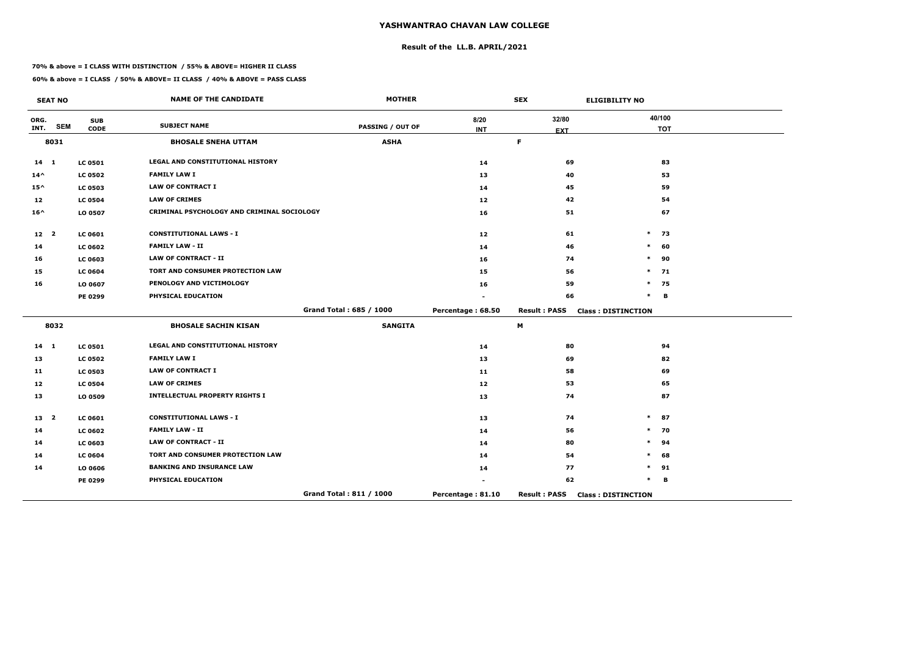## **Result of the LL.B. APRIL/2021**

#### **70% & above = I CLASS WITH DISTINCTION / 55% & ABOVE= HIGHER II CLASS**

|                 | <b>SEAT NO</b> |                           | <b>NAME OF THE CANDIDATE</b>               | <b>MOTHER</b>           |                    | <b>SEX</b>          | <b>ELIGIBILITY NO</b>     |
|-----------------|----------------|---------------------------|--------------------------------------------|-------------------------|--------------------|---------------------|---------------------------|
| ORG.<br>INT.    | <b>SEM</b>     | <b>SUB</b><br><b>CODE</b> | <b>SUBJECT NAME</b>                        | <b>PASSING / OUT OF</b> | 8/20<br><b>INT</b> | 32/80               | 40/100<br><b>TOT</b>      |
|                 | 8031           |                           | <b>BHOSALE SNEHA UTTAM</b>                 | <b>ASHA</b>             |                    | <b>EXT</b><br>F     |                           |
|                 |                |                           |                                            |                         |                    |                     |                           |
| $14 \quad 1$    |                | <b>LC 0501</b>            | LEGAL AND CONSTITUTIONAL HISTORY           |                         | 14                 | 69                  | 83                        |
| $14^{\wedge}$   |                | <b>LC 0502</b>            | <b>FAMILY LAW I</b>                        |                         | 13                 | 40                  | 53                        |
| $15^{\wedge}$   |                | <b>LC 0503</b>            | <b>LAW OF CONTRACT I</b>                   |                         | 14                 | 45                  | 59                        |
| 12              |                | <b>LC 0504</b>            | <b>LAW OF CRIMES</b>                       |                         | 12                 | 42                  | 54                        |
| $16^{\wedge}$   |                | LO 0507                   | CRIMINAL PSYCHOLOGY AND CRIMINAL SOCIOLOGY |                         | 16                 | 51                  | 67                        |
| 12 <sub>2</sub> |                | <b>LC 0601</b>            | <b>CONSTITUTIONAL LAWS - I</b>             |                         | 12                 | 61                  | $\ast$<br>73              |
| 14              |                | <b>LC 0602</b>            | <b>FAMILY LAW - II</b>                     |                         | 14                 | 46                  | $\ast$<br>60              |
| 16              |                | <b>LC 0603</b>            | <b>LAW OF CONTRACT - II</b>                |                         | 16                 | 74                  | 90<br>$\ast$              |
| 15              |                | <b>LC 0604</b>            | TORT AND CONSUMER PROTECTION LAW           |                         | 15                 | 56                  | 71<br>$\ast$              |
| 16              |                | LO 0607                   | PENOLOGY AND VICTIMOLOGY                   |                         | 16                 | 59                  | $\ast$<br>75              |
|                 |                | PE 0299                   | PHYSICAL EDUCATION                         |                         |                    | 66                  | $\ast$<br>B               |
|                 |                |                           |                                            | Grand Total: 685 / 1000 | Percentage: 68.50  | <b>Result: PASS</b> | <b>Class: DISTINCTION</b> |
|                 | 8032           |                           | <b>BHOSALE SACHIN KISAN</b>                | <b>SANGITA</b>          |                    | M                   |                           |
| $14$ 1          |                | <b>LC 0501</b>            | LEGAL AND CONSTITUTIONAL HISTORY           |                         | 14                 | 80                  | 94                        |
| 13              |                | <b>LC 0502</b>            | <b>FAMILY LAW I</b>                        |                         | 13                 | 69                  | 82                        |
| 11              |                | <b>LC 0503</b>            | <b>LAW OF CONTRACT I</b>                   |                         | 11                 | 58                  | 69                        |
| 12              |                | <b>LC 0504</b>            | <b>LAW OF CRIMES</b>                       |                         | 12 <sub>2</sub>    | 53                  | 65                        |
| 13              |                | LO 0509                   | <b>INTELLECTUAL PROPERTY RIGHTS I</b>      |                         | 13                 | 74                  | 87                        |
| 13 2            |                | LC 0601                   | <b>CONSTITUTIONAL LAWS - I</b>             |                         | 13                 | 74                  | $\ast$<br>87              |
| 14              |                | <b>LC 0602</b>            | <b>FAMILY LAW - II</b>                     |                         | 14                 | 56                  | 70<br>$\ast$              |
| 14              |                | <b>LC 0603</b>            | <b>LAW OF CONTRACT - II</b>                |                         | 14                 | 80                  | $\ast$<br>94              |
| 14              |                | <b>LC 0604</b>            | TORT AND CONSUMER PROTECTION LAW           |                         | 14                 | 54                  | $\ast$<br>68              |
| 14              |                | LO 0606                   | <b>BANKING AND INSURANCE LAW</b>           |                         | 14                 | 77                  | 91<br>$\ast$              |
|                 |                | PE 0299                   | PHYSICAL EDUCATION                         |                         |                    | 62                  | $\ast$<br>B               |
|                 |                |                           |                                            | Grand Total: 811 / 1000 | Percentage: 81.10  | <b>Result: PASS</b> | <b>Class: DISTINCTION</b> |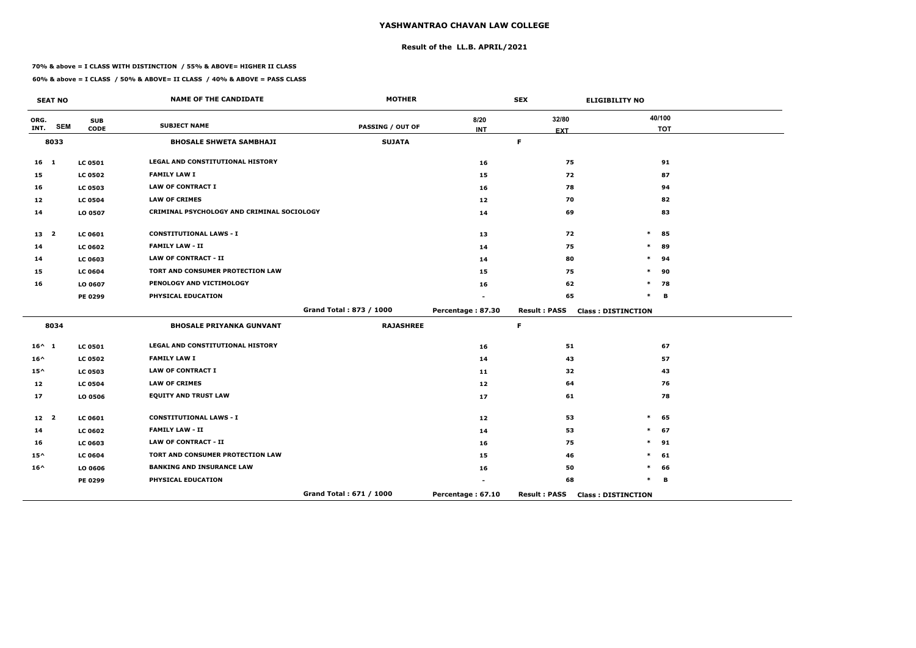## **Result of the LL.B. APRIL/2021**

#### **70% & above = I CLASS WITH DISTINCTION / 55% & ABOVE= HIGHER II CLASS**

 $\overline{\phantom{a}}$ 

|                   | <b>SEAT NO</b> |                | <b>NAME OF THE CANDIDATE</b>               | <b>MOTHER</b>           |                   | <b>SEX</b>          | <b>ELIGIBILITY NO</b>     |
|-------------------|----------------|----------------|--------------------------------------------|-------------------------|-------------------|---------------------|---------------------------|
| ORG.              | <b>SEM</b>     | <b>SUB</b>     | <b>SUBJECT NAME</b>                        | <b>PASSING / OUT OF</b> | 8/20              | 32/80               | 40/100                    |
| INT.              |                | <b>CODE</b>    |                                            |                         | <b>INT</b>        | <b>EXT</b>          | <b>TOT</b>                |
|                   | 8033           |                | <b>BHOSALE SHWETA SAMBHAJI</b>             | <b>SUJATA</b>           |                   | $\mathsf F$         |                           |
| 16 <sub>1</sub>   |                | <b>LC 0501</b> | LEGAL AND CONSTITUTIONAL HISTORY           |                         | 16                | 75                  | 91                        |
| 15                |                | <b>LC 0502</b> | <b>FAMILY LAW I</b>                        |                         | 15                | 72                  | 87                        |
| 16                |                | <b>LC 0503</b> | <b>LAW OF CONTRACT I</b>                   |                         | 16                | 78                  | 94                        |
| 12                |                | <b>LC 0504</b> | <b>LAW OF CRIMES</b>                       |                         | 12                | 70                  | 82                        |
| 14                |                | LO 0507        | CRIMINAL PSYCHOLOGY AND CRIMINAL SOCIOLOGY |                         | 14                | 69                  | 83                        |
| 13 2              |                | <b>LC 0601</b> | <b>CONSTITUTIONAL LAWS - I</b>             |                         | 13                | 72                  | $\ast$<br>85              |
| 14                |                | <b>LC 0602</b> | <b>FAMILY LAW - II</b>                     |                         | 14                | 75                  | 89<br>$\ast$              |
| 14                |                | <b>LC 0603</b> | <b>LAW OF CONTRACT - II</b>                |                         | 14                | 80                  | 94                        |
| 15                |                | <b>LC 0604</b> | TORT AND CONSUMER PROTECTION LAW           |                         | 15                | 75                  | 90<br>$\ast$              |
| 16                |                | LO 0607        | PENOLOGY AND VICTIMOLOGY                   |                         | 16                | 62                  | $\ast$<br>78              |
|                   |                | PE 0299        | PHYSICAL EDUCATION                         |                         |                   | 65                  | $\ast$<br>B               |
|                   |                |                |                                            | Grand Total: 873 / 1000 | Percentage: 87.30 | <b>Result: PASS</b> | <b>Class: DISTINCTION</b> |
|                   | 8034           |                | <b>BHOSALE PRIYANKA GUNVANT</b>            | <b>RAJASHREE</b>        |                   | $\mathsf F$         |                           |
| $16^{\wedge}$ 1   |                | <b>LC 0501</b> | LEGAL AND CONSTITUTIONAL HISTORY           |                         | 16                | 51                  | 67                        |
| $16^{\wedge}$     |                | <b>LC 0502</b> | <b>FAMILY LAW I</b>                        |                         | 14                | 43                  | 57                        |
| $15^{\wedge}$     |                | <b>LC 0503</b> | <b>LAW OF CONTRACT I</b>                   |                         | 11                | 32                  | 43                        |
| $12 \overline{ }$ |                | <b>LC 0504</b> | <b>LAW OF CRIMES</b>                       |                         | 12                | 64                  | 76                        |
| 17                |                | LO 0506        | <b>EQUITY AND TRUST LAW</b>                |                         | 17                | 61                  | 78                        |
| $12 \quad 2$      |                | <b>LC 0601</b> | <b>CONSTITUTIONAL LAWS - I</b>             |                         | 12                | 53                  | 65<br>$\ast$              |
| 14                |                | <b>LC 0602</b> | <b>FAMILY LAW - II</b>                     |                         | 14                | 53                  | 67<br>$\ast$              |
| 16                |                | <b>LC 0603</b> | <b>LAW OF CONTRACT - II</b>                |                         | 16                | 75                  | $\ast$<br>91              |
| $15^{\wedge}$     |                | <b>LC 0604</b> | TORT AND CONSUMER PROTECTION LAW           |                         | 15                | 46                  | 61<br>$\ast$              |
| $16^{\wedge}$     |                | LO 0606        | <b>BANKING AND INSURANCE LAW</b>           |                         | 16                | 50                  | 66<br>$\ast$              |
|                   |                | PE 0299        | PHYSICAL EDUCATION                         |                         |                   | 68                  | $\ast$<br>в               |
|                   |                |                |                                            | Grand Total: 671 / 1000 | Percentage: 67.10 | <b>Result: PASS</b> | <b>Class: DISTINCTION</b> |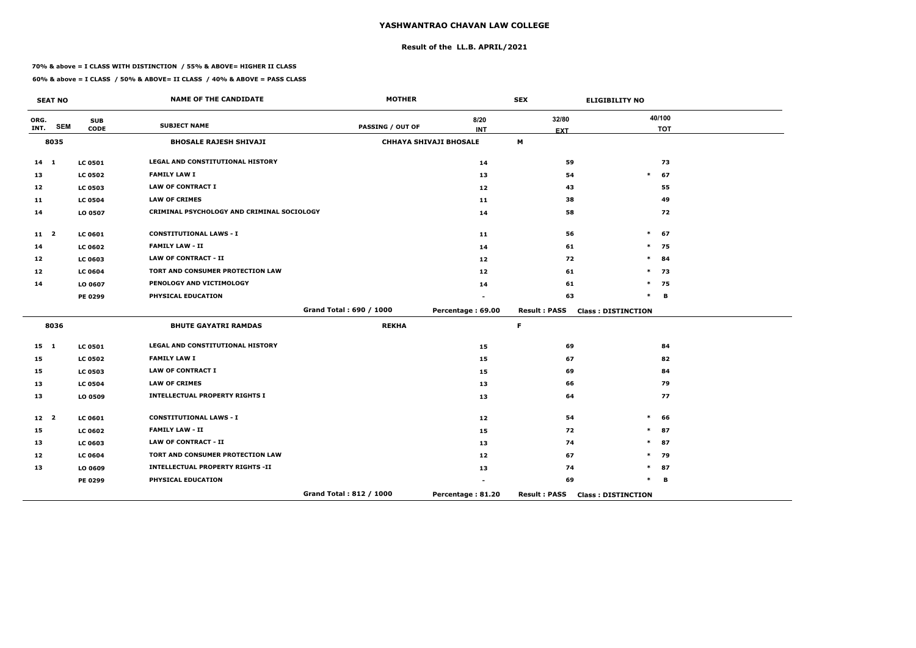## **Result of the LL.B. APRIL/2021**

#### **70% & above = I CLASS WITH DISTINCTION / 55% & ABOVE= HIGHER II CLASS**

|                 | <b>SEAT NO</b> |                           | <b>NAME OF THE CANDIDATE</b>               | <b>MOTHER</b>           |                               | <b>SEX</b>          | <b>ELIGIBILITY NO</b>     |
|-----------------|----------------|---------------------------|--------------------------------------------|-------------------------|-------------------------------|---------------------|---------------------------|
| ORG.<br>INT.    | <b>SEM</b>     | <b>SUB</b><br><b>CODE</b> | <b>SUBJECT NAME</b>                        | <b>PASSING / OUT OF</b> | 8/20<br><b>INT</b>            | 32/80<br><b>EXT</b> | 40/100<br><b>TOT</b>      |
|                 | 8035           |                           | <b>BHOSALE RAJESH SHIVAJI</b>              |                         | <b>CHHAYA SHIVAJI BHOSALE</b> | M                   |                           |
| $14 \quad 1$    |                | <b>LC 0501</b>            | <b>LEGAL AND CONSTITUTIONAL HISTORY</b>    |                         | 14                            | 59                  | 73                        |
| 13              |                | <b>LC 0502</b>            | <b>FAMILY LAW I</b>                        |                         | 13                            | 54                  | $\ast$<br>67              |
| 12              |                | <b>LC 0503</b>            | <b>LAW OF CONTRACT I</b>                   |                         | 12                            | 43                  | 55                        |
| 11              |                | <b>LC 0504</b>            | <b>LAW OF CRIMES</b>                       |                         | 11                            | 38                  | 49                        |
| 14              |                | LO 0507                   | CRIMINAL PSYCHOLOGY AND CRIMINAL SOCIOLOGY |                         | 14                            | 58                  | 72                        |
| $11 \quad 2$    |                | <b>LC 0601</b>            | <b>CONSTITUTIONAL LAWS - I</b>             |                         | 11                            | 56                  | $\ast$<br>67              |
| 14              |                | <b>LC 0602</b>            | <b>FAMILY LAW - II</b>                     |                         | 14                            | 61                  | $\ast$<br>75              |
| 12              |                | <b>LC 0603</b>            | <b>LAW OF CONTRACT - II</b>                |                         | 12                            | 72                  | $\ast$<br>84              |
| 12              |                | <b>LC 0604</b>            | TORT AND CONSUMER PROTECTION LAW           |                         | 12                            | 61                  | $\ast$<br>73              |
| 14              |                | LO 0607                   | PENOLOGY AND VICTIMOLOGY                   |                         | 14                            | 61                  | $\ast$<br>75              |
|                 |                | PE 0299                   | PHYSICAL EDUCATION                         |                         |                               | 63                  | $\ast$<br>В               |
|                 |                |                           |                                            | Grand Total: 690 / 1000 | Percentage: 69.00             | <b>Result: PASS</b> | <b>Class: DISTINCTION</b> |
|                 | 8036           |                           | <b>BHUTE GAYATRI RAMDAS</b>                | <b>REKHA</b>            |                               | F.                  |                           |
| $15 \quad 1$    |                | <b>LC 0501</b>            | LEGAL AND CONSTITUTIONAL HISTORY           |                         | 15                            | 69                  | 84                        |
| 15              |                | <b>LC 0502</b>            | <b>FAMILY LAW I</b>                        |                         | 15                            | 67                  | 82                        |
| 15              |                | <b>LC 0503</b>            | <b>LAW OF CONTRACT I</b>                   |                         | 15                            | 69                  | 84                        |
| 13              |                | <b>LC 0504</b>            | <b>LAW OF CRIMES</b>                       |                         | 13                            | 66                  | 79                        |
| 13              |                | LO 0509                   | <b>INTELLECTUAL PROPERTY RIGHTS I</b>      |                         | 13                            | 64                  | 77                        |
| 12 <sup>2</sup> |                | <b>LC 0601</b>            | <b>CONSTITUTIONAL LAWS - I</b>             |                         | 12                            | 54                  | $\ast$<br>66              |
| 15              |                | <b>LC 0602</b>            | <b>FAMILY LAW - II</b>                     |                         | 15                            | 72                  | 87<br>$\ast$              |
| 13              |                | <b>LC 0603</b>            | <b>LAW OF CONTRACT - II</b>                |                         | 13                            | 74                  | $\ast$<br>87              |
| 12              |                | <b>LC 0604</b>            | TORT AND CONSUMER PROTECTION LAW           |                         | 12                            | 67                  | 79<br>$\ast$              |
| 13              |                | LO 0609                   | <b>INTELLECTUAL PROPERTY RIGHTS -II</b>    |                         | 13                            | 74                  | $\ast$<br>87              |
|                 |                | PE 0299                   | PHYSICAL EDUCATION                         |                         |                               | 69                  | $\ast$<br>В               |
|                 |                |                           |                                            | Grand Total: 812 / 1000 | Percentage: 81.20             | <b>Result: PASS</b> | <b>Class: DISTINCTION</b> |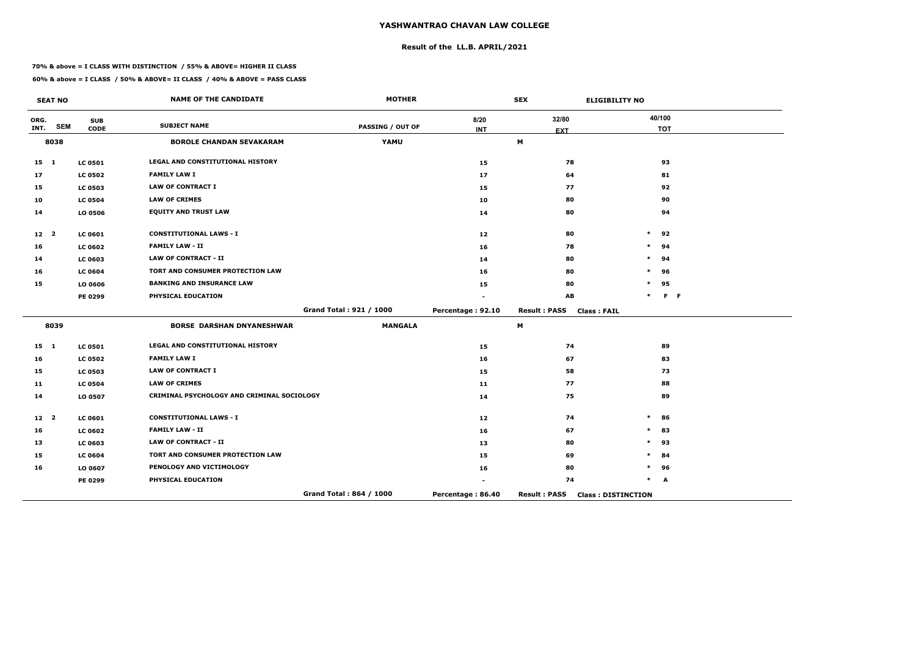## **Result of the LL.B. APRIL/2021**

#### **70% & above = I CLASS WITH DISTINCTION / 55% & ABOVE= HIGHER II CLASS**

|                 | <b>SEAT NO</b> |                           | <b>NAME OF THE CANDIDATE</b>               | <b>MOTHER</b>           |                    | <b>SEX</b>                                | <b>ELIGIBILITY NO</b>     |
|-----------------|----------------|---------------------------|--------------------------------------------|-------------------------|--------------------|-------------------------------------------|---------------------------|
| ORG.<br>INT.    | <b>SEM</b>     | <b>SUB</b><br><b>CODE</b> | <b>SUBJECT NAME</b>                        | <b>PASSING / OUT OF</b> | 8/20<br><b>INT</b> | 32/80                                     | 40/100<br><b>TOT</b>      |
|                 | 8038           |                           | <b>BOROLE CHANDAN SEVAKARAM</b>            | YAMU                    |                    | <b>EXT</b><br>M                           |                           |
| $15$ 1          |                | <b>LC 0501</b>            | LEGAL AND CONSTITUTIONAL HISTORY           |                         | 15                 | 78                                        | 93                        |
| 17              |                | <b>LC 0502</b>            | <b>FAMILY LAW I</b>                        |                         | 17                 | 64                                        | 81                        |
| 15              |                | <b>LC 0503</b>            | <b>LAW OF CONTRACT I</b>                   |                         | 15                 | 77                                        | 92                        |
| 10              |                | <b>LC 0504</b>            | <b>LAW OF CRIMES</b>                       |                         | 10                 | 80                                        | 90                        |
| 14              |                | LO 0506                   | <b>EQUITY AND TRUST LAW</b>                |                         | 14                 | 80                                        | 94                        |
| 12 <sub>2</sub> |                | <b>LC 0601</b>            | <b>CONSTITUTIONAL LAWS - I</b>             |                         | 12                 | 80                                        | $\ast$<br>92              |
| 16              |                | <b>LC 0602</b>            | <b>FAMILY LAW - II</b>                     |                         | 16                 | 78                                        | 94<br>$\ast$              |
| 14              |                | <b>LC 0603</b>            | <b>LAW OF CONTRACT - II</b>                |                         | 14                 | 80                                        | $\ast$<br>94              |
| 16              |                | <b>LC 0604</b>            | TORT AND CONSUMER PROTECTION LAW           |                         | 16                 | 80                                        | *<br>96                   |
| 15              |                | LO 0606                   | <b>BANKING AND INSURANCE LAW</b>           |                         | 15                 | 80                                        | 95<br>$\ast$              |
|                 |                | PE 0299                   | PHYSICAL EDUCATION                         |                         |                    | AB                                        | $\ast$<br>$F - F$         |
|                 |                |                           |                                            | Grand Total: 921 / 1000 | Percentage: 92.10  | <b>Result: PASS</b><br><b>Class: FAIL</b> |                           |
|                 | 8039           |                           | <b>BORSE DARSHAN DNYANESHWAR</b>           | <b>MANGALA</b>          |                    | M                                         |                           |
| $15 \quad 1$    |                | <b>LC 0501</b>            | <b>LEGAL AND CONSTITUTIONAL HISTORY</b>    |                         | 15                 | 74                                        | 89                        |
| 16              |                | <b>LC 0502</b>            | <b>FAMILY LAW I</b>                        |                         | 16                 | 67                                        | 83                        |
| 15              |                | <b>LC 0503</b>            | <b>LAW OF CONTRACT I</b>                   |                         | 15                 | 58                                        | 73                        |
| 11              |                | <b>LC 0504</b>            | <b>LAW OF CRIMES</b>                       |                         | 11                 | 77                                        | 88                        |
| 14              |                | LO 0507                   | CRIMINAL PSYCHOLOGY AND CRIMINAL SOCIOLOGY |                         | 14                 | 75                                        | 89                        |
| 12 <sup>2</sup> |                | <b>LC 0601</b>            | <b>CONSTITUTIONAL LAWS - I</b>             |                         | 12                 | 74                                        | $\ast$<br>86              |
| 16              |                | <b>LC 0602</b>            | <b>FAMILY LAW - II</b>                     |                         | 16                 | 67                                        | 83<br>$\ast$              |
| 13              |                | <b>LC 0603</b>            | <b>LAW OF CONTRACT - II</b>                |                         | 13                 | 80                                        | 93<br>$\ast$              |
| 15              |                | <b>LC 0604</b>            | TORT AND CONSUMER PROTECTION LAW           |                         | 15                 | 69                                        | $\ast$<br>84              |
| 16              |                | LO 0607                   | PENOLOGY AND VICTIMOLOGY                   |                         | 16                 | 80                                        | *<br>96                   |
|                 |                | PE 0299                   | PHYSICAL EDUCATION                         |                         |                    | 74                                        | *<br>A                    |
|                 |                |                           |                                            | Grand Total: 864 / 1000 | Percentage: 86.40  | <b>Result: PASS</b>                       | <b>Class: DISTINCTION</b> |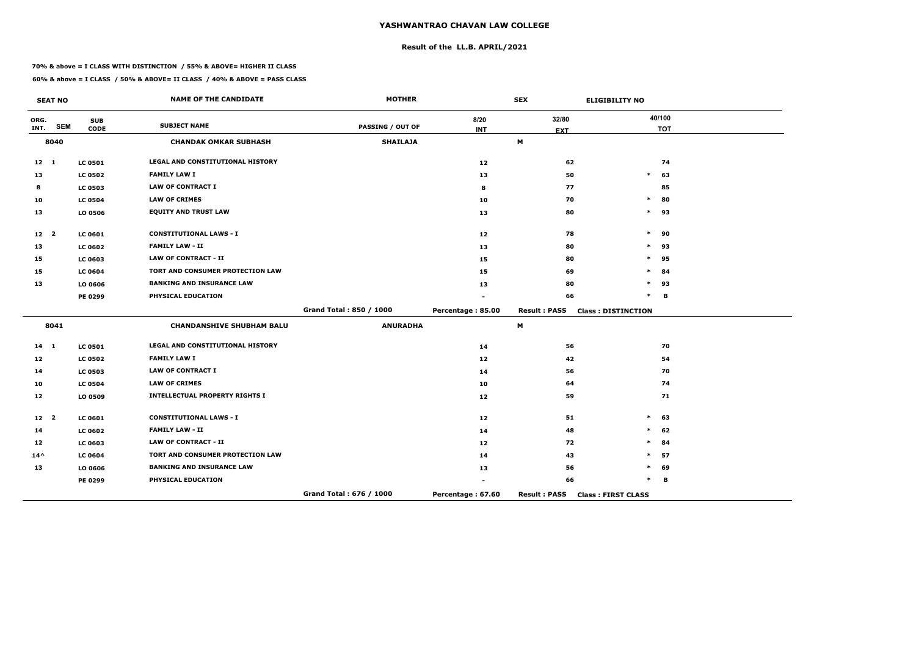## **Result of the LL.B. APRIL/2021**

#### **70% & above = I CLASS WITH DISTINCTION / 55% & ABOVE= HIGHER II CLASS**

|                 | <b>SEAT NO</b> |                           | <b>NAME OF THE CANDIDATE</b>            | <b>MOTHER</b>           |                    | <b>SEX</b>          | <b>ELIGIBILITY NO</b>     |
|-----------------|----------------|---------------------------|-----------------------------------------|-------------------------|--------------------|---------------------|---------------------------|
| ORG.<br>INT.    | <b>SEM</b>     | <b>SUB</b><br><b>CODE</b> | <b>SUBJECT NAME</b>                     | <b>PASSING / OUT OF</b> | 8/20<br><b>INT</b> | 32/80<br><b>EXT</b> | 40/100<br><b>TOT</b>      |
|                 | 8040           |                           | <b>CHANDAK OMKAR SUBHASH</b>            | <b>SHAILAJA</b>         |                    | M                   |                           |
| $12 \quad 1$    |                | <b>LC 0501</b>            | LEGAL AND CONSTITUTIONAL HISTORY        |                         | 12                 | 62                  | 74                        |
| 13              |                | <b>LC 0502</b>            | <b>FAMILY LAW I</b>                     |                         | 13                 | 50                  | $\ast$<br>63              |
| 8               |                | <b>LC 0503</b>            | <b>LAW OF CONTRACT I</b>                |                         | 8                  | 77                  | 85                        |
| 10              |                | <b>LC 0504</b>            | <b>LAW OF CRIMES</b>                    |                         | 10                 | 70                  | $\pmb{\ast}$<br>80        |
| 13              |                | LO 0506                   | <b>EQUITY AND TRUST LAW</b>             |                         | 13                 | 80                  | $\ast$<br>93              |
| 12 <sub>2</sub> |                | LC 0601                   | <b>CONSTITUTIONAL LAWS - I</b>          |                         | 12                 | 78                  | $\ast$<br>90              |
| 13              |                | <b>LC 0602</b>            | <b>FAMILY LAW - II</b>                  |                         | 13                 | 80                  | $\ast$<br>93              |
| 15              |                | LC 0603                   | <b>LAW OF CONTRACT - II</b>             |                         | 15                 | 80                  | $\ast$<br>95              |
| 15              |                | <b>LC 0604</b>            | TORT AND CONSUMER PROTECTION LAW        |                         | 15                 | 69                  | *<br>84                   |
| 13              |                | LO 0606                   | <b>BANKING AND INSURANCE LAW</b>        |                         | 13                 | 80                  | $\ast$<br>93              |
|                 |                | PE 0299                   | PHYSICAL EDUCATION                      |                         |                    | 66                  | $\ast$<br>B               |
|                 |                |                           |                                         | Grand Total: 850 / 1000 | Percentage: 85.00  | <b>Result: PASS</b> | <b>Class: DISTINCTION</b> |
|                 | 8041           |                           | <b>CHANDANSHIVE SHUBHAM BALU</b>        | <b>ANURADHA</b>         |                    | M                   |                           |
| $14 \quad 1$    |                | <b>LC 0501</b>            | <b>LEGAL AND CONSTITUTIONAL HISTORY</b> |                         | 14                 | 56                  | 70                        |
| 12              |                | <b>LC 0502</b>            | <b>FAMILY LAW I</b>                     |                         | 12                 | 42                  | 54                        |
| 14              |                | <b>LC 0503</b>            | <b>LAW OF CONTRACT I</b>                |                         | 14                 | 56                  | 70                        |
| 10              |                | <b>LC 0504</b>            | <b>LAW OF CRIMES</b>                    |                         | 10                 | 64                  | 74                        |
| 12              |                | LO 0509                   | <b>INTELLECTUAL PROPERTY RIGHTS I</b>   |                         | 12                 | 59                  | 71                        |
| 12 <sup>2</sup> |                | <b>LC 0601</b>            | <b>CONSTITUTIONAL LAWS - I</b>          |                         | 12                 | 51                  | $\ast$<br>63              |
| 14              |                | <b>LC 0602</b>            | <b>FAMILY LAW - II</b>                  |                         | 14                 | 48                  | 62<br>$\ast$              |
| 12              |                | <b>LC 0603</b>            | <b>LAW OF CONTRACT - II</b>             |                         | 12                 | 72                  | $\ast$<br>84              |
| $14^{\wedge}$   |                | <b>LC 0604</b>            | TORT AND CONSUMER PROTECTION LAW        |                         | 14                 | 43                  | $\ast$<br>57              |
| 13              |                | LO 0606                   | <b>BANKING AND INSURANCE LAW</b>        |                         | 13                 | 56                  | *<br>69                   |
|                 |                | PE 0299                   | PHYSICAL EDUCATION                      |                         |                    | 66                  | $\ast$<br>В               |
|                 |                |                           |                                         | Grand Total: 676 / 1000 | Percentage: 67.60  | <b>Result: PASS</b> | <b>Class: FIRST CLASS</b> |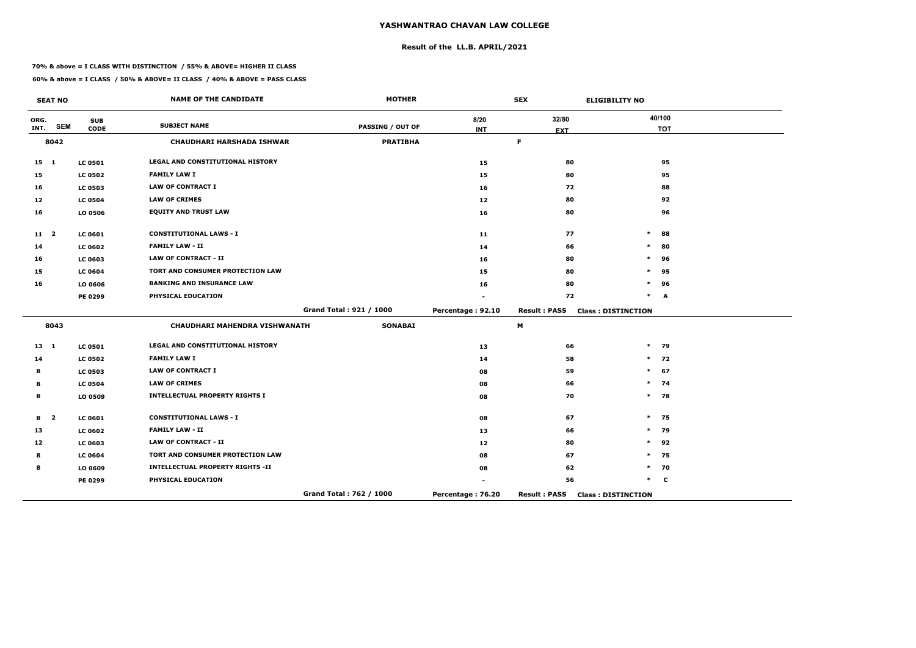## **Result of the LL.B. APRIL/2021**

#### **70% & above = I CLASS WITH DISTINCTION / 55% & ABOVE= HIGHER II CLASS**

|              | <b>SEAT NO</b>          |                | <b>NAME OF THE CANDIDATE</b>            | <b>MOTHER</b>           |                   | <b>SEX</b>          | <b>ELIGIBILITY NO</b>     |
|--------------|-------------------------|----------------|-----------------------------------------|-------------------------|-------------------|---------------------|---------------------------|
| ORG.         | <b>SEM</b>              | <b>SUB</b>     | <b>SUBJECT NAME</b>                     | <b>PASSING / OUT OF</b> | 8/20              | 32/80               | 40/100                    |
| INT.         |                         | <b>CODE</b>    |                                         |                         | <b>INT</b>        | <b>EXT</b>          | <b>TOT</b>                |
|              | 8042                    |                | <b>CHAUDHARI HARSHADA ISHWAR</b>        | <b>PRATIBHA</b>         |                   | F.                  |                           |
| $15 \quad 1$ |                         | <b>LC 0501</b> | LEGAL AND CONSTITUTIONAL HISTORY        |                         | 15                | 80                  | 95                        |
| 15           |                         | <b>LC 0502</b> | <b>FAMILY LAW I</b>                     |                         | 15                | 80                  | 95                        |
| 16           |                         | <b>LC 0503</b> | <b>LAW OF CONTRACT I</b>                |                         | 16                | 72                  | 88                        |
| 12           |                         | <b>LC 0504</b> | <b>LAW OF CRIMES</b>                    |                         | 12                | 80                  | 92                        |
| 16           |                         | LO 0506        | <b>EQUITY AND TRUST LAW</b>             |                         | 16                | 80                  | 96                        |
| 11 2         |                         | LC 0601        | <b>CONSTITUTIONAL LAWS - I</b>          |                         | 11                | 77                  | $\ast$<br>88              |
| 14           |                         | <b>LC 0602</b> | <b>FAMILY LAW - II</b>                  |                         | 14                | 66                  | $\ast$<br>80              |
| 16           |                         | LC 0603        | <b>LAW OF CONTRACT - II</b>             |                         | 16                | 80                  | $\ast$<br>96              |
| 15           |                         | <b>LC 0604</b> | TORT AND CONSUMER PROTECTION LAW        |                         | 15                | 80                  | $\ast$<br>95              |
| 16           |                         | LO 0606        | <b>BANKING AND INSURANCE LAW</b>        |                         | 16                | 80                  | $\ast$<br>96              |
|              |                         | PE 0299        | PHYSICAL EDUCATION                      |                         |                   | 72                  | $\ast$<br>A               |
|              |                         |                |                                         | Grand Total: 921 / 1000 | Percentage: 92.10 | <b>Result: PASS</b> | <b>Class: DISTINCTION</b> |
|              | 8043                    |                | CHAUDHARI MAHENDRA VISHWANATH           | <b>SONABAI</b>          |                   | М                   |                           |
| $13 \quad 1$ |                         | <b>LC 0501</b> | <b>LEGAL AND CONSTITUTIONAL HISTORY</b> |                         | 13                | 66                  | $*$ 79                    |
| 14           |                         | <b>LC 0502</b> | <b>FAMILY LAW I</b>                     |                         | 14                | 58                  | $*$ 72                    |
| 8            |                         | <b>LC 0503</b> | <b>LAW OF CONTRACT I</b>                |                         | 08                | 59                  | $\ast$<br>67              |
| 8            |                         | <b>LC 0504</b> | <b>LAW OF CRIMES</b>                    |                         | 08                | 66                  | $*$ 74                    |
| 8            |                         | LO 0509        | <b>INTELLECTUAL PROPERTY RIGHTS I</b>   |                         | 08                | 70                  | $*$ 78                    |
| 8            | $\overline{\mathbf{2}}$ | <b>LC 0601</b> | <b>CONSTITUTIONAL LAWS - I</b>          |                         | 08                | 67                  | $*$ 75                    |
| 13           |                         | <b>LC 0602</b> | <b>FAMILY LAW - II</b>                  |                         | 13                | 66                  | $*$ 79                    |
| 12           |                         | <b>LC 0603</b> | LAW OF CONTRACT - II                    |                         | 12                | 80                  | $\ast$<br>92              |
| 8            |                         | <b>LC 0604</b> | TORT AND CONSUMER PROTECTION LAW        |                         | 08                | 67                  | $\ast$<br>75              |
| 8            |                         | LO 0609        | <b>INTELLECTUAL PROPERTY RIGHTS -II</b> |                         | 08                | 62                  | $*$ 70                    |
|              |                         | PE 0299        | PHYSICAL EDUCATION                      |                         |                   | 56                  | $*$ C                     |
|              |                         |                |                                         | Grand Total: 762 / 1000 | Percentage: 76.20 | <b>Result: PASS</b> | <b>Class: DISTINCTION</b> |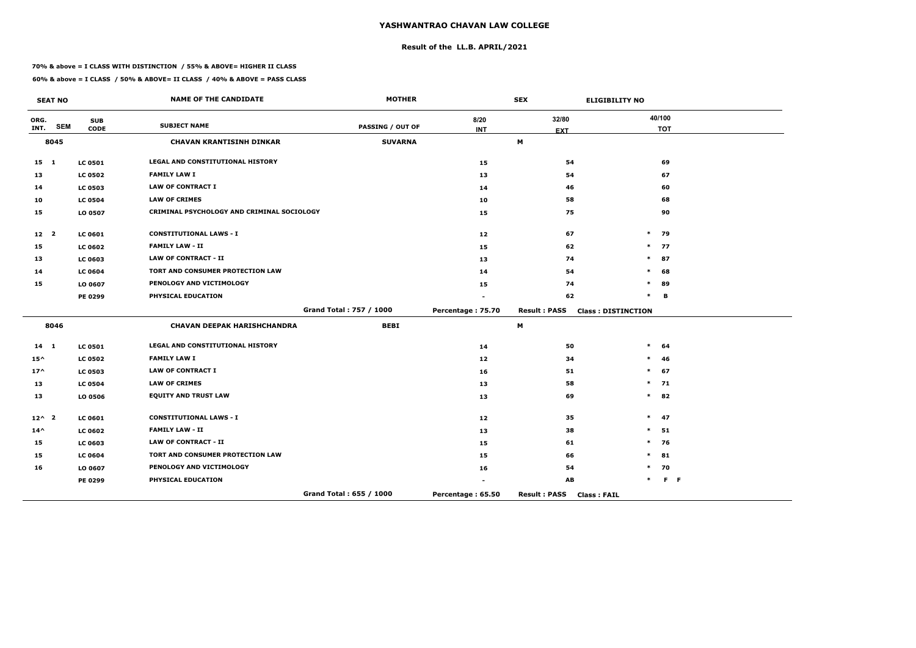## **Result of the LL.B. APRIL/2021**

#### **70% & above = I CLASS WITH DISTINCTION / 55% & ABOVE= HIGHER II CLASS**

 $\overline{\phantom{a}}$ 

|                 | <b>SEAT NO</b> |                | <b>NAME OF THE CANDIDATE</b>               | <b>MOTHER</b>           |                   | <b>SEX</b>                                | <b>ELIGIBILITY NO</b>     |
|-----------------|----------------|----------------|--------------------------------------------|-------------------------|-------------------|-------------------------------------------|---------------------------|
| ORG.            | <b>SEM</b>     | <b>SUB</b>     | <b>SUBJECT NAME</b>                        | <b>PASSING / OUT OF</b> | 8/20              | 32/80                                     | 40/100                    |
| INT.            |                | <b>CODE</b>    |                                            |                         | <b>INT</b>        | <b>EXT</b>                                | <b>TOT</b>                |
|                 | 8045           |                | <b>CHAVAN KRANTISINH DINKAR</b>            | <b>SUVARNA</b>          |                   | M                                         |                           |
| $15 \quad 1$    |                | <b>LC 0501</b> | LEGAL AND CONSTITUTIONAL HISTORY           |                         | 15                | 54                                        | 69                        |
| 13              |                | <b>LC 0502</b> | <b>FAMILY LAW I</b>                        |                         | 13                | 54                                        | 67                        |
| 14              |                | <b>LC 0503</b> | <b>LAW OF CONTRACT I</b>                   |                         | 14                | 46                                        | 60                        |
| 10              |                | <b>LC 0504</b> | <b>LAW OF CRIMES</b>                       |                         | 10                | 58                                        | 68                        |
| 15              |                | LO 0507        | CRIMINAL PSYCHOLOGY AND CRIMINAL SOCIOLOGY |                         | 15                | 75                                        | 90                        |
| 12 <sub>2</sub> |                | <b>LC 0601</b> | <b>CONSTITUTIONAL LAWS - I</b>             |                         | 12                | 67                                        | $\ast$<br>79              |
| 15              |                | <b>LC 0602</b> | <b>FAMILY LAW - II</b>                     |                         | 15                | 62                                        | $\ast$<br>77              |
| 13              |                | <b>LC 0603</b> | <b>LAW OF CONTRACT - II</b>                |                         | 13                | 74                                        | $\ast$<br>87              |
| 14              |                | <b>LC 0604</b> | TORT AND CONSUMER PROTECTION LAW           |                         | 14                | 54                                        | 68<br>$\ast$              |
| 15              |                | LO 0607        | PENOLOGY AND VICTIMOLOGY                   |                         | 15                | 74                                        | $\ast$<br>89              |
|                 |                | PE 0299        | PHYSICAL EDUCATION                         |                         |                   | 62                                        | $\ast$<br>в               |
|                 |                |                |                                            | Grand Total: 757 / 1000 | Percentage: 75.70 | <b>Result: PASS</b>                       | <b>Class: DISTINCTION</b> |
|                 | 8046           |                | <b>CHAVAN DEEPAK HARISHCHANDRA</b>         | <b>BEBI</b>             |                   | M                                         |                           |
| 14 1            |                | <b>LC 0501</b> | LEGAL AND CONSTITUTIONAL HISTORY           |                         | 14                | 50                                        | $\ast$<br>64              |
| $15^{\wedge}$   |                | <b>LC 0502</b> | <b>FAMILY LAW I</b>                        |                         | 12                | 34                                        | $\ast$<br>-46             |
| $17^$           |                | <b>LC 0503</b> | <b>LAW OF CONTRACT I</b>                   |                         | 16                | 51                                        | 67<br>$\ast$              |
| 13              |                | <b>LC 0504</b> | <b>LAW OF CRIMES</b>                       |                         | 13                | 58                                        | $\ast$<br>71              |
| 13              |                | LO 0506        | <b>EQUITY AND TRUST LAW</b>                |                         | 13                | 69                                        | $\ast$<br>82              |
| $12^{\wedge}2$  |                | <b>LC 0601</b> | <b>CONSTITUTIONAL LAWS - I</b>             |                         | 12                | 35                                        | 47<br>$\ast$              |
| $14^{\wedge}$   |                | <b>LC 0602</b> | <b>FAMILY LAW - II</b>                     |                         | 13                | 38                                        | 51<br>$\ast$              |
| 15              |                | <b>LC 0603</b> | <b>LAW OF CONTRACT - II</b>                |                         | 15                | 61                                        | $\ast$<br>76              |
| 15              |                | <b>LC 0604</b> | TORT AND CONSUMER PROTECTION LAW           |                         | 15                | 66                                        | $\ast$<br>81              |
| 16              |                | LO 0607        | PENOLOGY AND VICTIMOLOGY                   |                         | 16                | 54                                        | 70<br>$\ast$              |
|                 |                | PE 0299        | PHYSICAL EDUCATION                         |                         |                   | AB                                        | $F - F$<br>$\ast$         |
|                 |                |                |                                            | Grand Total: 655 / 1000 | Percentage: 65.50 | <b>Result: PASS</b><br><b>Class: FAIL</b> |                           |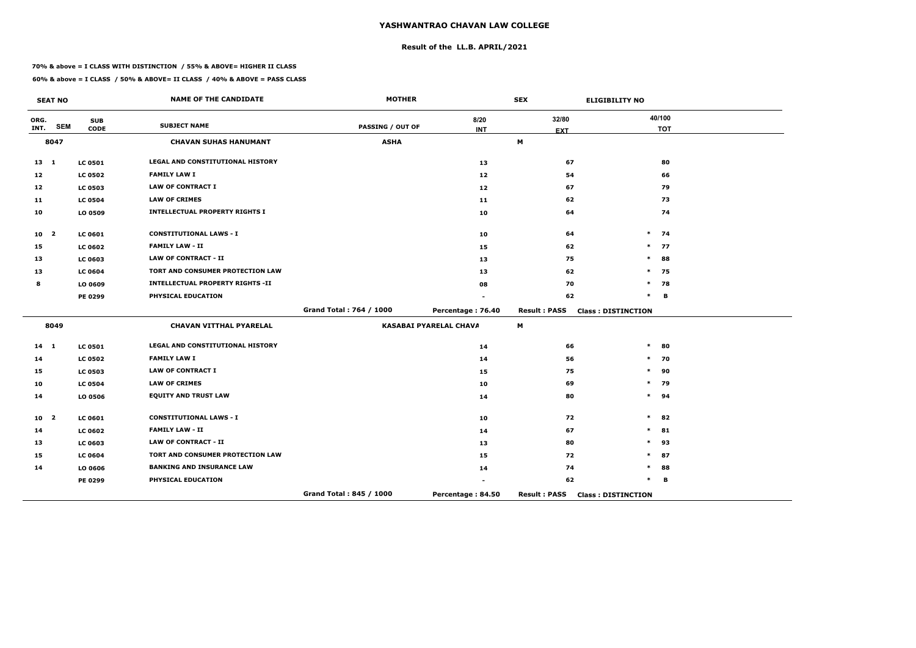## **Result of the LL.B. APRIL/2021**

#### **70% & above = I CLASS WITH DISTINCTION / 55% & ABOVE= HIGHER II CLASS**

|                 | <b>SEAT NO</b>          |                           | <b>NAME OF THE CANDIDATE</b>            | <b>MOTHER</b>           |                               | <b>SEX</b>                | <b>ELIGIBILITY NO</b>     |
|-----------------|-------------------------|---------------------------|-----------------------------------------|-------------------------|-------------------------------|---------------------------|---------------------------|
| ORG.<br>INT.    | <b>SEM</b>              | <b>SUB</b><br><b>CODE</b> | <b>SUBJECT NAME</b>                     | <b>PASSING / OUT OF</b> | 8/20<br><b>INT</b>            | 32/80<br><b>EXT</b>       | 40/100<br><b>TOT</b>      |
|                 | 8047                    |                           | <b>CHAVAN SUHAS HANUMANT</b>            | <b>ASHA</b>             |                               | $\boldsymbol{\mathsf{M}}$ |                           |
| $13 \quad 1$    |                         | <b>LC 0501</b>            | <b>LEGAL AND CONSTITUTIONAL HISTORY</b> |                         | 13                            | 67                        | 80                        |
| 12              |                         | <b>LC 0502</b>            | <b>FAMILY LAW I</b>                     |                         | 12                            | 54                        | 66                        |
| 12              |                         | <b>LC 0503</b>            | <b>LAW OF CONTRACT I</b>                |                         | 12                            | 67                        | 79                        |
| 11              |                         | <b>LC 0504</b>            | <b>LAW OF CRIMES</b>                    |                         | 11                            | 62                        | 73                        |
| 10              |                         | LO 0509                   | <b>INTELLECTUAL PROPERTY RIGHTS I</b>   |                         | 10                            | 64                        | 74                        |
| 10 <sub>2</sub> |                         | <b>LC 0601</b>            | <b>CONSTITUTIONAL LAWS - I</b>          |                         | 10                            | 64                        | $\ast$<br>74              |
| 15              |                         | <b>LC 0602</b>            | <b>FAMILY LAW - II</b>                  |                         | 15                            | 62                        | $\ast$<br>77              |
| 13              |                         | <b>LC 0603</b>            | <b>LAW OF CONTRACT - II</b>             |                         | 13                            | 75                        | $\ast$<br>88              |
| 13              |                         | <b>LC 0604</b>            | TORT AND CONSUMER PROTECTION LAW        |                         | 13                            | 62                        | 75<br>$\ast$              |
| 8               |                         | LO 0609                   | <b>INTELLECTUAL PROPERTY RIGHTS -II</b> |                         | 08                            | 70                        | $\ast$<br>78              |
|                 |                         | PE 0299                   | PHYSICAL EDUCATION                      |                         |                               | 62                        | $\ast$<br>В               |
|                 |                         |                           |                                         | Grand Total: 764 / 1000 | Percentage: 76.40             | <b>Result: PASS</b>       | <b>Class: DISTINCTION</b> |
|                 | 8049                    |                           | <b>CHAVAN VITTHAL PYARELAL</b>          |                         | <b>KASABAI PYARELAL CHAVA</b> | М                         |                           |
| $14 \quad 1$    |                         | <b>LC 0501</b>            | LEGAL AND CONSTITUTIONAL HISTORY        |                         | 14                            | 66                        | $\ast$<br>80              |
| 14              |                         | <b>LC 0502</b>            | <b>FAMILY LAW I</b>                     |                         | 14                            | 56                        | $\ast$<br>70              |
| 15              |                         | <b>LC 0503</b>            | <b>LAW OF CONTRACT I</b>                |                         | 15                            | 75                        | $\ast$<br>90              |
| 10              |                         | <b>LC 0504</b>            | <b>LAW OF CRIMES</b>                    |                         | 10                            | 69                        | $\ast$<br>79              |
| 14              |                         | LO 0506                   | <b>EQUITY AND TRUST LAW</b>             |                         | 14                            | 80                        | $\ast$<br>94              |
| 10              | $\overline{\mathbf{2}}$ | <b>LC 0601</b>            | <b>CONSTITUTIONAL LAWS - I</b>          |                         | 10                            | 72                        | $\ast$<br>82              |
| 14              |                         | <b>LC 0602</b>            | <b>FAMILY LAW - II</b>                  |                         | 14                            | 67                        | 81<br>$\ast$              |
| 13              |                         | <b>LC 0603</b>            | <b>LAW OF CONTRACT - II</b>             |                         | 13                            | 80                        | $\ast$<br>93              |
| 15              |                         | <b>LC 0604</b>            | TORT AND CONSUMER PROTECTION LAW        |                         | 15                            | 72                        | $\ast$<br>87              |
| 14              |                         | LO 0606                   | <b>BANKING AND INSURANCE LAW</b>        |                         | 14                            | 74                        | *<br>88                   |
|                 |                         | PE 0299                   | PHYSICAL EDUCATION                      |                         |                               | 62                        | $\ast$<br>В               |
|                 |                         |                           |                                         | Grand Total: 845 / 1000 | Percentage: 84.50             | <b>Result: PASS</b>       | <b>Class: DISTINCTION</b> |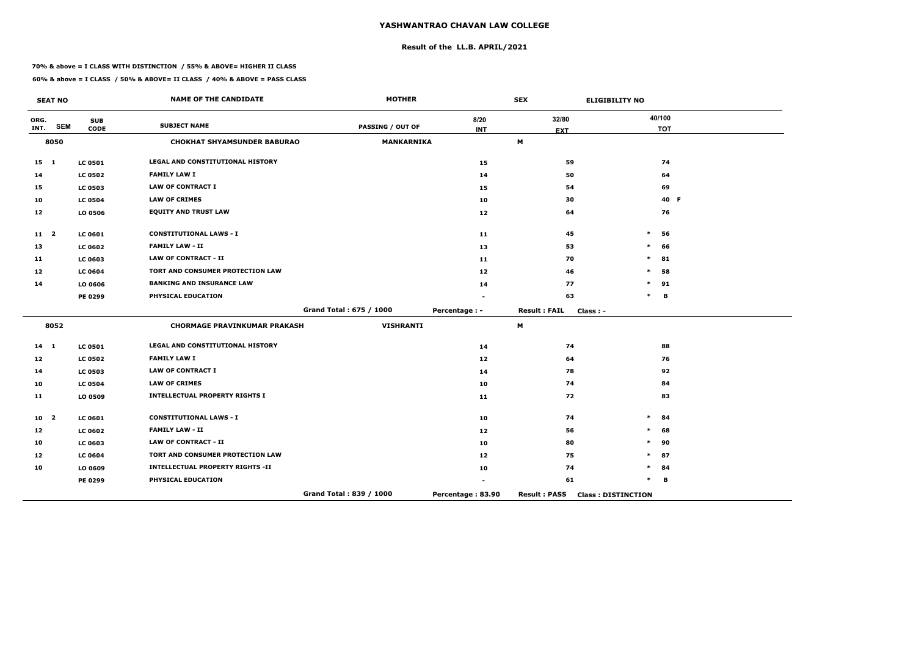## **Result of the LL.B. APRIL/2021**

#### **70% & above = I CLASS WITH DISTINCTION / 55% & ABOVE= HIGHER II CLASS**

 $\overline{\phantom{a}}$ 

|                 | <b>SEAT NO</b> |                | <b>NAME OF THE CANDIDATE</b>            | <b>MOTHER</b>           |                   | <b>SEX</b>          | <b>ELIGIBILITY NO</b>     |
|-----------------|----------------|----------------|-----------------------------------------|-------------------------|-------------------|---------------------|---------------------------|
| ORG.            | <b>SEM</b>     | <b>SUB</b>     | <b>SUBJECT NAME</b>                     | <b>PASSING / OUT OF</b> | 8/20              | 32/80               | 40/100                    |
| INT.            |                | <b>CODE</b>    |                                         |                         | <b>INT</b>        | <b>EXT</b>          | <b>TOT</b>                |
|                 | 8050           |                | <b>CHOKHAT SHYAMSUNDER BABURAO</b>      | <b>MANKARNIKA</b>       |                   | M                   |                           |
| $15 \quad 1$    |                | <b>LC 0501</b> | LEGAL AND CONSTITUTIONAL HISTORY        |                         | 15                | 59                  | 74                        |
| 14              |                | <b>LC 0502</b> | <b>FAMILY LAW I</b>                     |                         | 14                | 50                  | 64                        |
| 15              |                | <b>LC 0503</b> | <b>LAW OF CONTRACT I</b>                |                         | 15                | 54                  | 69                        |
| 10              |                | <b>LC 0504</b> | <b>LAW OF CRIMES</b>                    |                         | 10                | 30                  | 40 F                      |
| 12              |                | LO 0506        | <b>EQUITY AND TRUST LAW</b>             |                         | 12 <sub>2</sub>   | 64                  | 76                        |
| 11 <sub>2</sub> |                | LC 0601        | <b>CONSTITUTIONAL LAWS - I</b>          |                         | 11                | 45                  | $\ast$<br>56              |
| 13              |                | <b>LC 0602</b> | <b>FAMILY LAW - II</b>                  |                         | 13                | 53                  | $\ast$<br>66              |
| 11              |                | <b>LC 0603</b> | <b>LAW OF CONTRACT - II</b>             |                         | 11                | 70                  | $\ast$<br>81              |
| 12              |                | <b>LC 0604</b> | TORT AND CONSUMER PROTECTION LAW        |                         | 12 <sub>1</sub>   | 46                  | 58<br>$\ast$              |
| 14              |                | LO 0606        | <b>BANKING AND INSURANCE LAW</b>        |                         | 14                | 77                  | 91<br>∗                   |
|                 |                | PE 0299        | PHYSICAL EDUCATION                      |                         |                   | 63                  | в                         |
|                 |                |                |                                         | Grand Total: 675 / 1000 | Percentage : -    | <b>Result: FAIL</b> | Class : -                 |
|                 | 8052           |                | <b>CHORMAGE PRAVINKUMAR PRAKASH</b>     | <b>VISHRANTI</b>        |                   | M                   |                           |
| $14 \quad 1$    |                | <b>LC 0501</b> | LEGAL AND CONSTITUTIONAL HISTORY        |                         | 14                | 74                  | 88                        |
| 12              |                | <b>LC 0502</b> | <b>FAMILY LAW I</b>                     |                         | 12 <sub>2</sub>   | 64                  | 76                        |
| 14              |                | <b>LC 0503</b> | <b>LAW OF CONTRACT I</b>                |                         | 14                | 78                  | 92                        |
| 10              |                | <b>LC 0504</b> | <b>LAW OF CRIMES</b>                    |                         | 10                | 74                  | 84                        |
| 11              |                | LO 0509        | <b>INTELLECTUAL PROPERTY RIGHTS I</b>   |                         | 11                | 72                  | 83                        |
| 10 <sub>2</sub> |                | <b>LC 0601</b> | <b>CONSTITUTIONAL LAWS - I</b>          |                         | 10                | 74                  | 84<br>$\ast$              |
| 12              |                | <b>LC 0602</b> | <b>FAMILY LAW - II</b>                  |                         | 12                | 56                  | 68<br>$\ast$              |
| 10              |                | <b>LC 0603</b> | <b>LAW OF CONTRACT - II</b>             |                         | 10                | 80                  | 90<br>∗                   |
| 12 <sup>2</sup> |                | <b>LC 0604</b> | TORT AND CONSUMER PROTECTION LAW        |                         | 12 <sub>1</sub>   | 75                  | $\ast$<br>87              |
| 10              |                | LO 0609        | <b>INTELLECTUAL PROPERTY RIGHTS -II</b> |                         | 10                | 74                  | $\ast$<br>84              |
|                 |                | PE 0299        | PHYSICAL EDUCATION                      |                         |                   | 61                  | B                         |
|                 |                |                |                                         | Grand Total: 839 / 1000 | Percentage: 83.90 | <b>Result: PASS</b> | <b>Class: DISTINCTION</b> |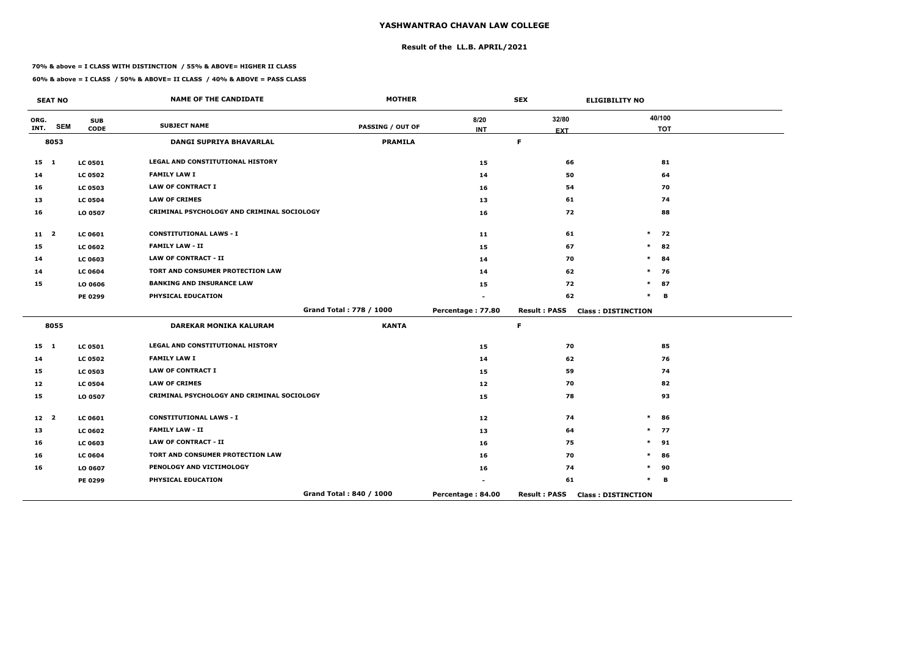## **Result of the LL.B. APRIL/2021**

#### **70% & above = I CLASS WITH DISTINCTION / 55% & ABOVE= HIGHER II CLASS**

 $\overline{\phantom{a}}$ 

|                 | <b>SEAT NO</b> |                | <b>NAME OF THE CANDIDATE</b>               | <b>MOTHER</b>           |                   | <b>SEX</b>          | <b>ELIGIBILITY NO</b>     |
|-----------------|----------------|----------------|--------------------------------------------|-------------------------|-------------------|---------------------|---------------------------|
| ORG.            | <b>SEM</b>     | <b>SUB</b>     | <b>SUBJECT NAME</b>                        | <b>PASSING / OUT OF</b> | 8/20              | 32/80               | 40/100                    |
| INT.            |                | <b>CODE</b>    |                                            |                         | <b>INT</b>        | <b>EXT</b>          | <b>TOT</b>                |
|                 | 8053           |                | DANGI SUPRIYA BHAVARLAL                    | <b>PRAMILA</b>          |                   | $\mathsf F$         |                           |
| 15 1            |                | <b>LC 0501</b> | <b>LEGAL AND CONSTITUTIONAL HISTORY</b>    |                         | 15                | 66                  | 81                        |
| 14              |                | <b>LC 0502</b> | <b>FAMILY LAW I</b>                        |                         | 14                | 50                  | 64                        |
| 16              |                | <b>LC 0503</b> | <b>LAW OF CONTRACT I</b>                   |                         | 16                | 54                  | 70                        |
| 13              |                | <b>LC 0504</b> | <b>LAW OF CRIMES</b>                       |                         | 13                | 61                  | 74                        |
| 16              |                | LO 0507        | CRIMINAL PSYCHOLOGY AND CRIMINAL SOCIOLOGY |                         | 16                | 72                  | 88                        |
| 11 <sub>2</sub> |                | <b>LC 0601</b> | <b>CONSTITUTIONAL LAWS - I</b>             |                         | 11                | 61                  | $\ast$<br>72              |
| 15              |                | <b>LC 0602</b> | <b>FAMILY LAW - II</b>                     |                         | 15                | 67                  | $\ast$<br>82              |
| 14              |                | <b>LC 0603</b> | <b>LAW OF CONTRACT - II</b>                |                         | 14                | 70                  | $\ast$<br>84              |
| 14              |                | <b>LC 0604</b> | TORT AND CONSUMER PROTECTION LAW           |                         | 14                | 62                  | 76<br>$\ast$              |
| 15              |                | LO 0606        | <b>BANKING AND INSURANCE LAW</b>           |                         | 15                | 72                  | 87<br>$\ast$              |
|                 |                | PE 0299        | PHYSICAL EDUCATION                         |                         |                   | 62                  | $\ast$<br>B               |
|                 |                |                |                                            | Grand Total: 778 / 1000 | Percentage: 77.80 | <b>Result: PASS</b> | <b>Class: DISTINCTION</b> |
|                 | 8055           |                | <b>DAREKAR MONIKA KALURAM</b>              | <b>KANTA</b>            |                   | F.                  |                           |
| 15 1            |                | <b>LC 0501</b> | LEGAL AND CONSTITUTIONAL HISTORY           |                         | 15                | 70                  | 85                        |
| 14              |                | <b>LC 0502</b> | <b>FAMILY LAW I</b>                        |                         | 14                | 62                  | 76                        |
| 15              |                | <b>LC 0503</b> | <b>LAW OF CONTRACT I</b>                   |                         | 15                | 59                  | 74                        |
| 12              |                | <b>LC 0504</b> | <b>LAW OF CRIMES</b>                       |                         | 12                | 70                  | 82                        |
| 15              |                | LO 0507        | CRIMINAL PSYCHOLOGY AND CRIMINAL SOCIOLOGY |                         | 15                | 78                  | 93                        |
| 12 <sup>2</sup> |                | <b>LC 0601</b> | <b>CONSTITUTIONAL LAWS - I</b>             |                         | 12                | 74                  | $\ast$<br>86              |
| 13              |                | <b>LC 0602</b> | <b>FAMILY LAW - II</b>                     |                         | 13                | 64                  | $\ast$<br>77              |
| 16              |                | LC 0603        | <b>LAW OF CONTRACT - II</b>                |                         | 16                | 75                  | $\ast$<br>91              |
| 16              |                | <b>LC 0604</b> | TORT AND CONSUMER PROTECTION LAW           |                         | 16                | 70                  | $\ast$<br>86              |
| 16              |                | LO 0607        | PENOLOGY AND VICTIMOLOGY                   |                         | 16                | 74                  | 90<br>*                   |
|                 |                | <b>PE 0299</b> | PHYSICAL EDUCATION                         |                         |                   | 61                  | *<br>в                    |
|                 |                |                |                                            | Grand Total: 840 / 1000 | Percentage: 84.00 | <b>Result: PASS</b> | <b>Class: DISTINCTION</b> |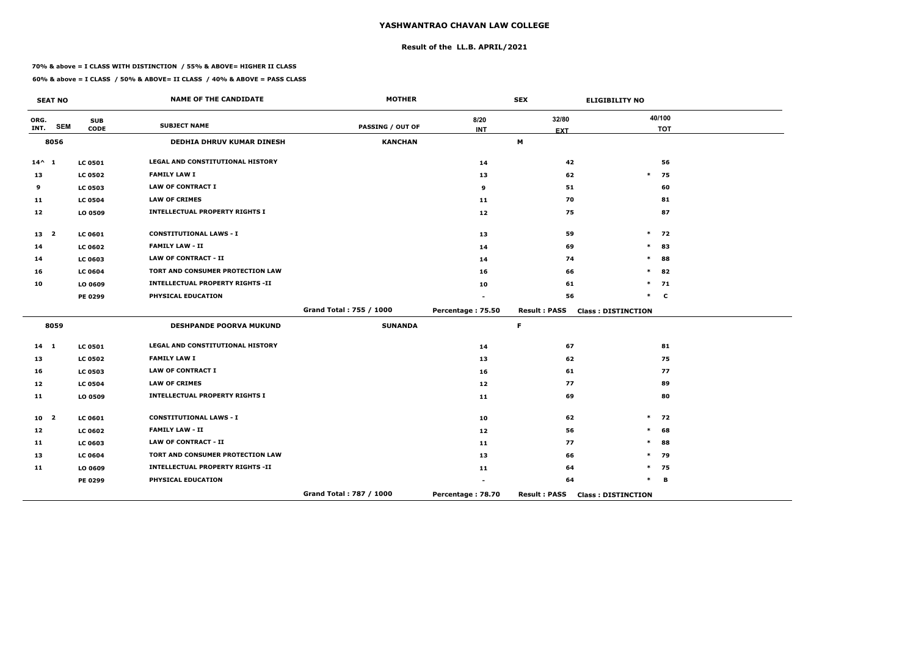## **Result of the LL.B. APRIL/2021**

#### **70% & above = I CLASS WITH DISTINCTION / 55% & ABOVE= HIGHER II CLASS**

|                 | <b>SEAT NO</b>          |                           | <b>NAME OF THE CANDIDATE</b>            | <b>MOTHER</b>           |                    | <b>SEX</b>          | <b>ELIGIBILITY NO</b>     |
|-----------------|-------------------------|---------------------------|-----------------------------------------|-------------------------|--------------------|---------------------|---------------------------|
| ORG.<br>INT.    | <b>SEM</b>              | <b>SUB</b><br><b>CODE</b> | <b>SUBJECT NAME</b>                     | <b>PASSING / OUT OF</b> | 8/20<br><b>INT</b> | 32/80<br><b>EXT</b> | 40/100<br><b>TOT</b>      |
|                 | 8056                    |                           | <b>DEDHIA DHRUV KUMAR DINESH</b>        | <b>KANCHAN</b>          |                    | M                   |                           |
| $14^{\wedge} 1$ |                         | <b>LC 0501</b>            | <b>LEGAL AND CONSTITUTIONAL HISTORY</b> |                         | 14                 | 42                  | 56                        |
| 13              |                         | <b>LC 0502</b>            | <b>FAMILY LAW I</b>                     |                         | 13                 | 62                  | $\ast$<br>75              |
| 9               |                         | <b>LC 0503</b>            | <b>LAW OF CONTRACT I</b>                |                         | 9                  | 51                  | 60                        |
| 11              |                         | <b>LC 0504</b>            | <b>LAW OF CRIMES</b>                    |                         | 11                 | 70                  | 81                        |
| 12              |                         | LO 0509                   | <b>INTELLECTUAL PROPERTY RIGHTS I</b>   |                         | 12                 | 75                  | 87                        |
| 13 2            |                         | <b>LC 0601</b>            | <b>CONSTITUTIONAL LAWS - I</b>          |                         | 13                 | 59                  | $\ast$<br>72              |
| 14              |                         | <b>LC 0602</b>            | <b>FAMILY LAW - II</b>                  |                         | 14                 | 69                  | $\ast$<br>83              |
| 14              |                         | <b>LC 0603</b>            | <b>LAW OF CONTRACT - II</b>             |                         | 14                 | 74                  | $\ast$<br>88              |
| 16              |                         | <b>LC 0604</b>            | TORT AND CONSUMER PROTECTION LAW        |                         | 16                 | 66                  | 82<br>$\ast$              |
| 10              |                         | LO 0609                   | <b>INTELLECTUAL PROPERTY RIGHTS -II</b> |                         | 10                 | 61                  | $\ast$<br>71              |
|                 |                         | PE 0299                   | PHYSICAL EDUCATION                      |                         |                    | 56                  | $\ast$<br>$\mathbf c$     |
|                 |                         |                           |                                         | Grand Total: 755 / 1000 | Percentage: 75.50  | <b>Result: PASS</b> | <b>Class: DISTINCTION</b> |
|                 | 8059                    |                           | <b>DESHPANDE POORVA MUKUND</b>          | <b>SUNANDA</b>          |                    | $\mathsf F$         |                           |
| $14 \quad 1$    |                         | <b>LC 0501</b>            | LEGAL AND CONSTITUTIONAL HISTORY        |                         | 14                 | 67                  | 81                        |
| 13              |                         | <b>LC 0502</b>            | <b>FAMILY LAW I</b>                     |                         | 13                 | 62                  | 75                        |
| 16              |                         | <b>LC 0503</b>            | <b>LAW OF CONTRACT I</b>                |                         | 16                 | 61                  | 77                        |
| 12              |                         | <b>LC 0504</b>            | <b>LAW OF CRIMES</b>                    |                         | 12                 | 77                  | 89                        |
| 11              |                         | LO 0509                   | <b>INTELLECTUAL PROPERTY RIGHTS I</b>   |                         | 11                 | 69                  | 80                        |
| 10              | $\overline{\mathbf{2}}$ | <b>LC 0601</b>            | <b>CONSTITUTIONAL LAWS - I</b>          |                         | 10                 | 62                  | $\ast$<br>72              |
| 12              |                         | <b>LC 0602</b>            | <b>FAMILY LAW - II</b>                  |                         | 12                 | 56                  | $\ast$<br>68              |
| 11              |                         | <b>LC 0603</b>            | <b>LAW OF CONTRACT - II</b>             |                         | 11                 | 77                  | $\ast$<br>88              |
| 13              |                         | <b>LC 0604</b>            | TORT AND CONSUMER PROTECTION LAW        |                         | 13                 | 66                  | $\ast$<br>79              |
| 11              |                         | LO 0609                   | <b>INTELLECTUAL PROPERTY RIGHTS -II</b> |                         | 11                 | 64                  | 75<br>$\ast$              |
|                 |                         | PE 0299                   | PHYSICAL EDUCATION                      |                         |                    | 64                  | $\ast$<br>в               |
|                 |                         |                           |                                         | Grand Total: 787 / 1000 | Percentage: 78.70  | <b>Result: PASS</b> | <b>Class: DISTINCTION</b> |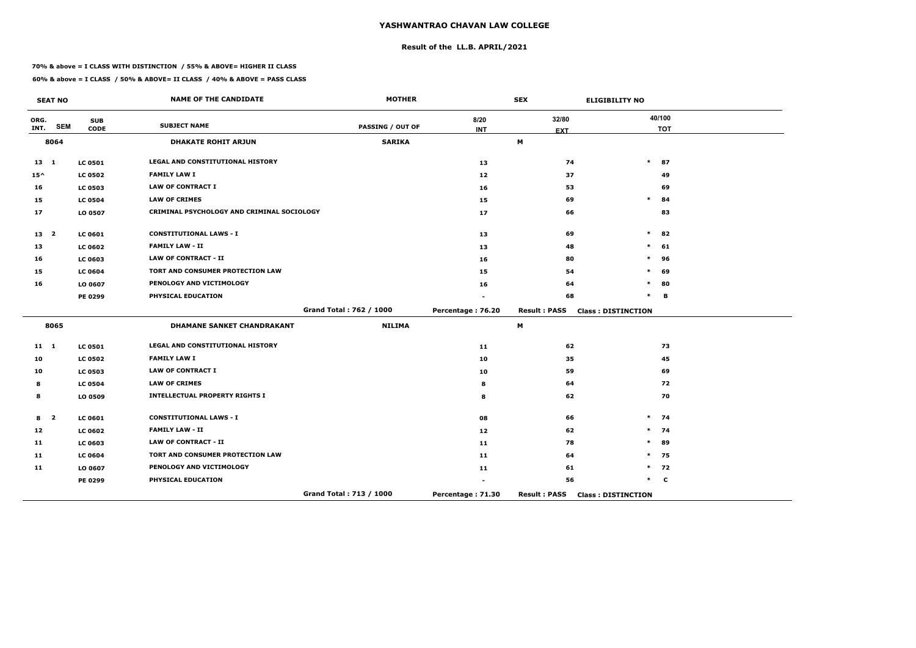## **Result of the LL.B. APRIL/2021**

#### **70% & above = I CLASS WITH DISTINCTION / 55% & ABOVE= HIGHER II CLASS**

|               | <b>SEAT NO</b>          |                           | <b>NAME OF THE CANDIDATE</b>               | <b>MOTHER</b>           |                    | <b>SEX</b>          | <b>ELIGIBILITY NO</b>     |
|---------------|-------------------------|---------------------------|--------------------------------------------|-------------------------|--------------------|---------------------|---------------------------|
| ORG.<br>INT.  | <b>SEM</b>              | <b>SUB</b><br><b>CODE</b> | <b>SUBJECT NAME</b>                        | <b>PASSING / OUT OF</b> | 8/20<br><b>INT</b> | 32/80<br><b>EXT</b> | 40/100<br><b>TOT</b>      |
|               | 8064                    |                           | <b>DHAKATE ROHIT ARJUN</b>                 | <b>SARIKA</b>           |                    | M                   |                           |
| 13 1          |                         | <b>LC 0501</b>            | LEGAL AND CONSTITUTIONAL HISTORY           |                         | 13                 | 74                  | $\ast$<br>87              |
| $15^{\wedge}$ |                         | <b>LC 0502</b>            | <b>FAMILY LAW I</b>                        |                         | 12                 | 37                  | 49                        |
| 16            |                         | <b>LC 0503</b>            | <b>LAW OF CONTRACT I</b>                   |                         | 16                 | 53                  | 69                        |
| 15            |                         | <b>LC 0504</b>            | <b>LAW OF CRIMES</b>                       |                         | 15                 | 69                  | $\pmb{\ast}$<br>84        |
| 17            |                         | LO 0507                   | CRIMINAL PSYCHOLOGY AND CRIMINAL SOCIOLOGY |                         | 17                 | 66                  | 83                        |
| 13 2          |                         | LC 0601                   | <b>CONSTITUTIONAL LAWS - I</b>             |                         | 13                 | 69                  | $\ast$<br>82              |
| 13            |                         | <b>LC 0602</b>            | <b>FAMILY LAW - II</b>                     |                         | 13                 | 48                  | $\ast$<br>61              |
| 16            |                         | LC 0603                   | <b>LAW OF CONTRACT - II</b>                |                         | 16                 | 80                  | $\ast$<br>96              |
| 15            |                         | <b>LC 0604</b>            | TORT AND CONSUMER PROTECTION LAW           |                         | 15                 | 54                  | *<br>69                   |
| 16            |                         | LO 0607                   | PENOLOGY AND VICTIMOLOGY                   |                         | 16                 | 64                  | 80<br>*                   |
|               |                         | PE 0299                   | PHYSICAL EDUCATION                         |                         |                    | 68                  | $\ast$<br>В               |
|               |                         |                           |                                            | Grand Total: 762 / 1000 | Percentage: 76.20  | <b>Result: PASS</b> | <b>Class: DISTINCTION</b> |
|               | 8065                    |                           | <b>DHAMANE SANKET CHANDRAKANT</b>          | <b>NILIMA</b>           |                    | M                   |                           |
| $11 \quad 1$  |                         | <b>LC 0501</b>            | <b>LEGAL AND CONSTITUTIONAL HISTORY</b>    |                         | 11                 | 62                  | 73                        |
| 10            |                         | <b>LC 0502</b>            | <b>FAMILY LAW I</b>                        |                         | 10                 | 35                  | 45                        |
| 10            |                         | <b>LC 0503</b>            | <b>LAW OF CONTRACT I</b>                   |                         | 10                 | 59                  | 69                        |
| 8             |                         | <b>LC 0504</b>            | <b>LAW OF CRIMES</b>                       |                         | 8                  | 64                  | 72                        |
| 8             |                         | LO 0509                   | <b>INTELLECTUAL PROPERTY RIGHTS I</b>      |                         | 8                  | 62                  | 70                        |
| 8             | $\overline{\mathbf{2}}$ | <b>LC 0601</b>            | <b>CONSTITUTIONAL LAWS - I</b>             |                         | 08                 | 66                  | $\ast$<br>74              |
| 12            |                         | <b>LC 0602</b>            | <b>FAMILY LAW - II</b>                     |                         | 12                 | 62                  | 74<br>$\ast$              |
| 11            |                         | LC 0603                   | <b>LAW OF CONTRACT - II</b>                |                         | 11                 | 78                  | 89<br>$\ast$              |
| 11            |                         | <b>LC 0604</b>            | TORT AND CONSUMER PROTECTION LAW           |                         | 11                 | 64                  | $\ast$<br>75              |
| 11            |                         | LO 0607                   | PENOLOGY AND VICTIMOLOGY                   |                         | 11                 | 61                  | 72<br>$\ast$              |
|               |                         | PE 0299                   | PHYSICAL EDUCATION                         |                         |                    | 56                  | $\ast$<br>$\mathbf c$     |
|               |                         |                           |                                            | Grand Total: 713 / 1000 | Percentage: 71.30  | <b>Result: PASS</b> | <b>Class: DISTINCTION</b> |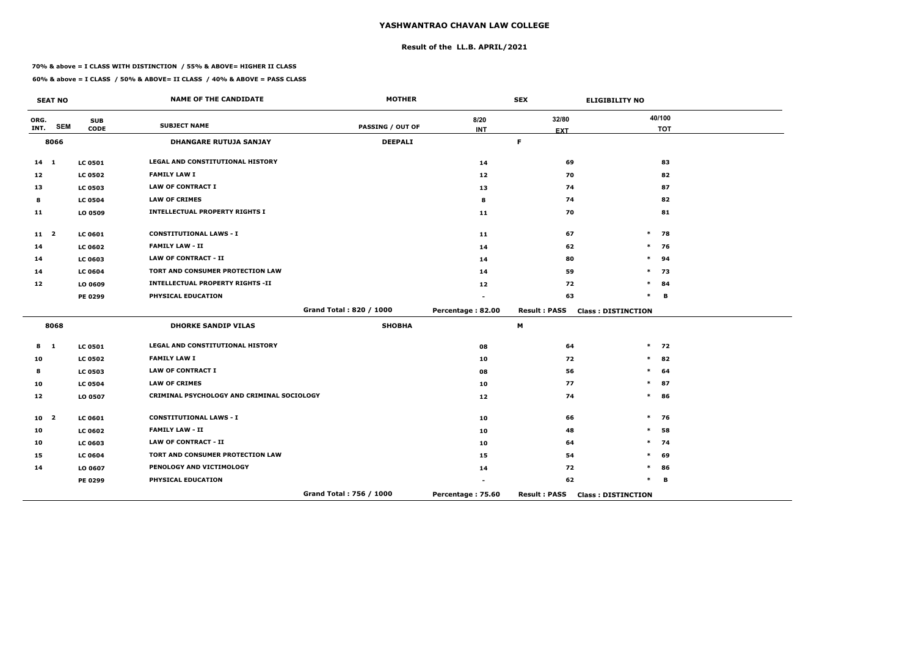## **Result of the LL.B. APRIL/2021**

#### **70% & above = I CLASS WITH DISTINCTION / 55% & ABOVE= HIGHER II CLASS**

 $\overline{\phantom{a}}$ 

|                 | <b>SEAT NO</b>          |                           | <b>NAME OF THE CANDIDATE</b>               | <b>MOTHER</b>           |                    | <b>SEX</b>          | <b>ELIGIBILITY NO</b>     |
|-----------------|-------------------------|---------------------------|--------------------------------------------|-------------------------|--------------------|---------------------|---------------------------|
| ORG.<br>INT.    | <b>SEM</b>              | <b>SUB</b><br><b>CODE</b> | <b>SUBJECT NAME</b>                        | <b>PASSING / OUT OF</b> | 8/20<br><b>INT</b> | 32/80<br><b>EXT</b> | 40/100<br><b>TOT</b>      |
|                 | 8066                    |                           | <b>DHANGARE RUTUJA SANJAY</b>              | <b>DEEPALI</b>          |                    | F.                  |                           |
| $14 \quad 1$    |                         | <b>LC 0501</b>            | <b>LEGAL AND CONSTITUTIONAL HISTORY</b>    |                         | 14                 | 69                  | 83                        |
| 12              |                         | <b>LC 0502</b>            | <b>FAMILY LAW I</b>                        |                         | 12                 | 70                  | 82                        |
| 13              |                         | <b>LC 0503</b>            | <b>LAW OF CONTRACT I</b>                   |                         | 13                 | 74                  | 87                        |
| 8               |                         | <b>LC 0504</b>            | <b>LAW OF CRIMES</b>                       |                         | 8                  | 74                  | 82                        |
| 11              |                         | LO 0509                   | <b>INTELLECTUAL PROPERTY RIGHTS I</b>      |                         | 11                 | 70                  | 81                        |
| 11 <sub>2</sub> |                         | LC 0601                   | <b>CONSTITUTIONAL LAWS - I</b>             |                         | 11                 | 67                  | $\ast$<br>78              |
| 14              |                         | <b>LC 0602</b>            | <b>FAMILY LAW - II</b>                     |                         | 14                 | 62                  | 76<br>$\ast$              |
| 14              |                         | <b>LC 0603</b>            | <b>LAW OF CONTRACT - II</b>                |                         | 14                 | 80                  | $\ast$<br>94              |
| 14              |                         | <b>LC 0604</b>            | TORT AND CONSUMER PROTECTION LAW           |                         | 14                 | 59                  | 73<br>$\ast$              |
| 12              |                         | LO 0609                   | <b>INTELLECTUAL PROPERTY RIGHTS -II</b>    |                         | 12                 | 72                  | 84<br>$\ast$              |
|                 |                         | <b>PE 0299</b>            | PHYSICAL EDUCATION                         |                         |                    | 63                  | $\ast$<br>B               |
|                 |                         |                           |                                            | Grand Total: 820 / 1000 | Percentage: 82.00  | <b>Result: PASS</b> | <b>Class: DISTINCTION</b> |
|                 | 8068                    |                           | <b>DHORKE SANDIP VILAS</b>                 | <b>SHOBHA</b>           |                    | M                   |                           |
| 8               | $\blacksquare$          | <b>LC 0501</b>            | <b>LEGAL AND CONSTITUTIONAL HISTORY</b>    |                         | 08                 | 64                  | $*$ 72                    |
| 10              |                         | <b>LC 0502</b>            | <b>FAMILY LAW I</b>                        |                         | 10                 | 72                  | 82<br>$\ast$              |
| 8               |                         | <b>LC 0503</b>            | <b>LAW OF CONTRACT I</b>                   |                         | 08                 | 56                  | 64<br>*                   |
| 10              |                         | <b>LC 0504</b>            | <b>LAW OF CRIMES</b>                       |                         | 10                 | 77                  | $\ast$<br>87              |
| 12              |                         | LO 0507                   | CRIMINAL PSYCHOLOGY AND CRIMINAL SOCIOLOGY |                         | 12 <sub>1</sub>    | 74                  | $\ast$<br>86              |
| 10              | $\overline{\mathbf{2}}$ | LC 0601                   | <b>CONSTITUTIONAL LAWS - I</b>             |                         | 10                 | 66                  | $\ast$<br>76              |
| 10              |                         | <b>LC 0602</b>            | <b>FAMILY LAW - II</b>                     |                         | 10                 | 48                  | 58<br>$\ast$              |
| 10              |                         | <b>LC 0603</b>            | <b>LAW OF CONTRACT - II</b>                |                         | 10                 | 64                  | $\ast$<br>74              |
| 15              |                         | <b>LC 0604</b>            | TORT AND CONSUMER PROTECTION LAW           |                         | 15                 | 54                  | 69<br>$\ast$              |
| 14              |                         | LO 0607                   | PENOLOGY AND VICTIMOLOGY                   |                         | 14                 | 72                  | $\ast$<br>86              |
|                 |                         | <b>PE 0299</b>            | PHYSICAL EDUCATION                         |                         |                    | 62                  | $\ast$<br>в               |
|                 |                         |                           |                                            | Grand Total: 756 / 1000 | Percentage: 75.60  | <b>Result: PASS</b> | <b>Class: DISTINCTION</b> |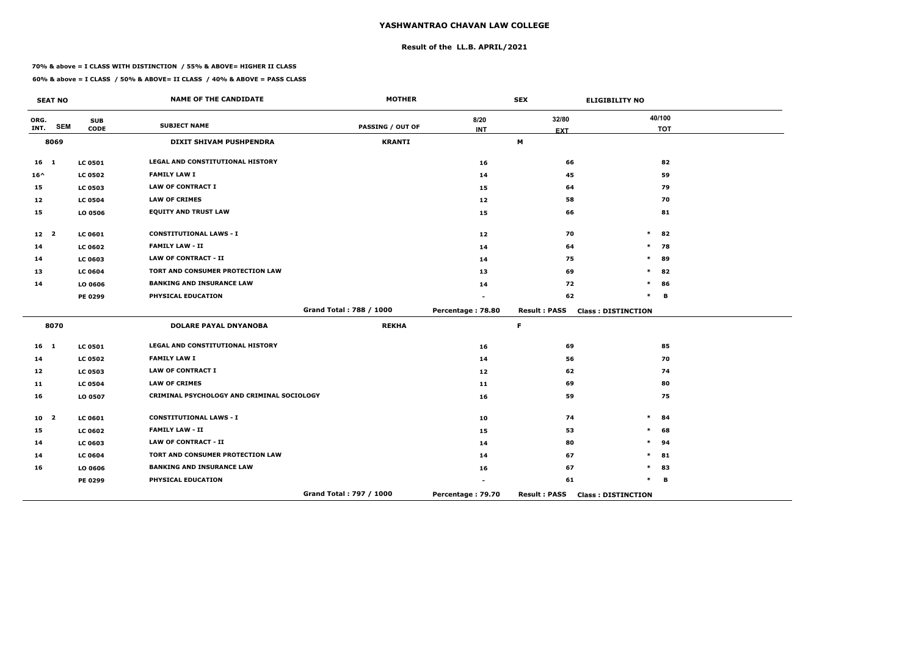## **Result of the LL.B. APRIL/2021**

#### **70% & above = I CLASS WITH DISTINCTION / 55% & ABOVE= HIGHER II CLASS**

|                 | <b>SEAT NO</b>          |                           | <b>NAME OF THE CANDIDATE</b>               | <b>MOTHER</b>           |                    | <b>SEX</b>                | <b>ELIGIBILITY NO</b>     |
|-----------------|-------------------------|---------------------------|--------------------------------------------|-------------------------|--------------------|---------------------------|---------------------------|
| ORG.<br>INT.    | <b>SEM</b>              | <b>SUB</b><br><b>CODE</b> | <b>SUBJECT NAME</b>                        | <b>PASSING / OUT OF</b> | 8/20<br><b>INT</b> | 32/80<br><b>EXT</b>       | 40/100<br><b>TOT</b>      |
|                 | 8069                    |                           | DIXIT SHIVAM PUSHPENDRA                    | <b>KRANTI</b>           |                    | $\boldsymbol{\mathsf{M}}$ |                           |
| $16 \quad 1$    |                         | <b>LC 0501</b>            | <b>LEGAL AND CONSTITUTIONAL HISTORY</b>    |                         | 16                 | 66                        | 82                        |
| $16^{\wedge}$   |                         | <b>LC 0502</b>            | <b>FAMILY LAW I</b>                        |                         | 14                 | 45                        | 59                        |
| 15              |                         | <b>LC 0503</b>            | <b>LAW OF CONTRACT I</b>                   |                         | 15                 | 64                        | 79                        |
| 12              |                         | <b>LC 0504</b>            | <b>LAW OF CRIMES</b>                       |                         | 12                 | 58                        | 70                        |
| 15              |                         | LO 0506                   | <b>EQUITY AND TRUST LAW</b>                |                         | 15                 | 66                        | 81                        |
| 12 <sub>2</sub> |                         | <b>LC 0601</b>            | <b>CONSTITUTIONAL LAWS - I</b>             |                         | 12                 | 70                        | $\ast$<br>82              |
| 14              |                         | <b>LC 0602</b>            | <b>FAMILY LAW - II</b>                     |                         | 14                 | 64                        | $\ast$<br>78              |
| 14              |                         | <b>LC 0603</b>            | <b>LAW OF CONTRACT - II</b>                |                         | 14                 | 75                        | $\ast$<br>89              |
| 13              |                         | <b>LC 0604</b>            | TORT AND CONSUMER PROTECTION LAW           |                         | 13                 | 69                        | $\ast$<br>82              |
| 14              |                         | LO 0606                   | <b>BANKING AND INSURANCE LAW</b>           |                         | 14                 | 72                        | *<br>86                   |
|                 |                         | PE 0299                   | PHYSICAL EDUCATION                         |                         |                    | 62                        | $\ast$<br>В               |
|                 |                         |                           |                                            | Grand Total: 788 / 1000 | Percentage: 78.80  | <b>Result: PASS</b>       | <b>Class: DISTINCTION</b> |
|                 | 8070                    |                           | <b>DOLARE PAYAL DNYANOBA</b>               | <b>REKHA</b>            |                    | F.                        |                           |
| $16 \quad 1$    |                         | <b>LC 0501</b>            | LEGAL AND CONSTITUTIONAL HISTORY           |                         | 16                 | 69                        | 85                        |
| 14              |                         | <b>LC 0502</b>            | <b>FAMILY LAW I</b>                        |                         | 14                 | 56                        | 70                        |
| 12              |                         | <b>LC 0503</b>            | <b>LAW OF CONTRACT I</b>                   |                         | 12                 | 62                        | 74                        |
| 11              |                         | <b>LC 0504</b>            | <b>LAW OF CRIMES</b>                       |                         | 11                 | 69                        | 80                        |
| 16              |                         | LO 0507                   | CRIMINAL PSYCHOLOGY AND CRIMINAL SOCIOLOGY |                         | 16                 | 59                        | 75                        |
| 10              | $\overline{\mathbf{2}}$ | <b>LC 0601</b>            | <b>CONSTITUTIONAL LAWS - I</b>             |                         | 10                 | 74                        | $\ast$<br>84              |
| 15              |                         | <b>LC 0602</b>            | <b>FAMILY LAW - II</b>                     |                         | 15                 | 53                        | 68<br>$\ast$              |
| 14              |                         | <b>LC 0603</b>            | <b>LAW OF CONTRACT - II</b>                |                         | 14                 | 80                        | $\ast$<br>94              |
| 14              |                         | <b>LC 0604</b>            | TORT AND CONSUMER PROTECTION LAW           |                         | 14                 | 67                        | $\ast$<br>81              |
| 16              |                         | LO 0606                   | <b>BANKING AND INSURANCE LAW</b>           |                         | 16                 | 67                        | *<br>83                   |
|                 |                         | PE 0299                   | PHYSICAL EDUCATION                         |                         |                    | 61                        | $\ast$<br>В               |
|                 |                         |                           |                                            | Grand Total: 797 / 1000 | Percentage: 79.70  | <b>Result: PASS</b>       | <b>Class: DISTINCTION</b> |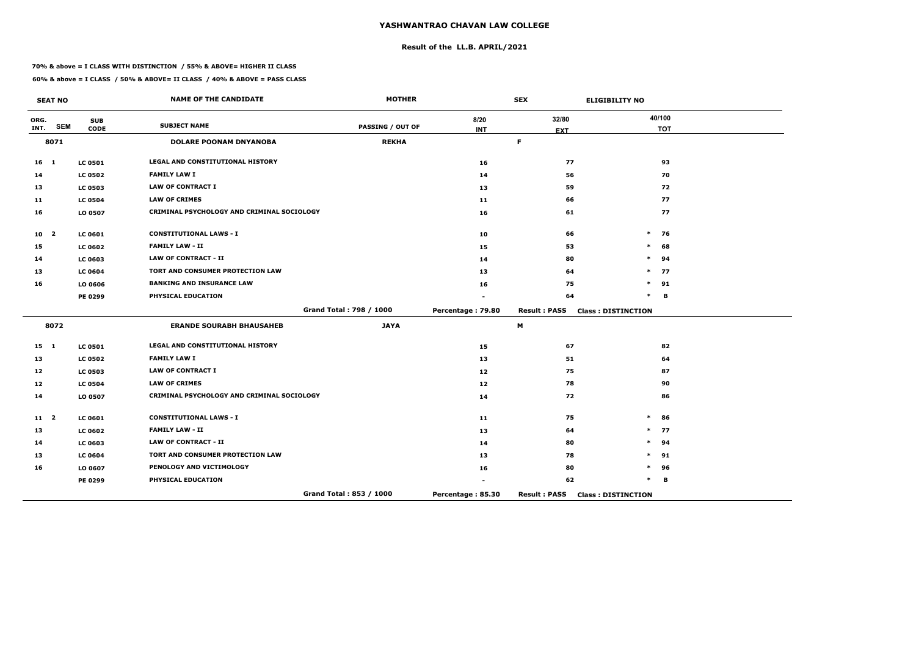## **Result of the LL.B. APRIL/2021**

#### **70% & above = I CLASS WITH DISTINCTION / 55% & ABOVE= HIGHER II CLASS**

 $\overline{\phantom{a}}$ 

|                 | <b>SEAT NO</b>          |                           | <b>NAME OF THE CANDIDATE</b>               | <b>MOTHER</b>           |                    | <b>SEX</b>          | <b>ELIGIBILITY NO</b>     |
|-----------------|-------------------------|---------------------------|--------------------------------------------|-------------------------|--------------------|---------------------|---------------------------|
| ORG.<br>INT.    | <b>SEM</b>              | <b>SUB</b><br><b>CODE</b> | <b>SUBJECT NAME</b>                        | <b>PASSING / OUT OF</b> | 8/20<br><b>INT</b> | 32/80<br><b>EXT</b> | 40/100<br><b>TOT</b>      |
|                 | 8071                    |                           | <b>DOLARE POONAM DNYANOBA</b>              | <b>REKHA</b>            |                    | F.                  |                           |
| $16 \quad 1$    |                         | <b>LC 0501</b>            | <b>LEGAL AND CONSTITUTIONAL HISTORY</b>    |                         | 16                 | 77                  | 93                        |
| 14              |                         | <b>LC 0502</b>            | <b>FAMILY LAW I</b>                        |                         | 14                 | 56                  | 70                        |
| 13              |                         | <b>LC 0503</b>            | <b>LAW OF CONTRACT I</b>                   |                         | 13                 | 59                  | 72                        |
| 11              |                         | <b>LC 0504</b>            | <b>LAW OF CRIMES</b>                       |                         | 11                 | 66                  | 77                        |
| 16              |                         | LO 0507                   | CRIMINAL PSYCHOLOGY AND CRIMINAL SOCIOLOGY |                         | 16                 | 61                  | 77                        |
| 10 <sub>2</sub> |                         | LC 0601                   | <b>CONSTITUTIONAL LAWS - I</b>             |                         | 10                 | 66                  | $\ast$<br>76              |
| 15              |                         | <b>LC 0602</b>            | <b>FAMILY LAW - II</b>                     |                         | 15                 | 53                  | 68<br>$\ast$              |
| 14              |                         | <b>LC 0603</b>            | <b>LAW OF CONTRACT - II</b>                |                         | 14                 | 80                  | $\ast$<br>94              |
| 13              |                         | <b>LC 0604</b>            | TORT AND CONSUMER PROTECTION LAW           |                         | 13                 | 64                  | 77<br>$\ast$              |
| 16              |                         | LO 0606                   | <b>BANKING AND INSURANCE LAW</b>           |                         | 16                 | 75                  | $\ast$<br>91              |
|                 |                         | <b>PE 0299</b>            | PHYSICAL EDUCATION                         |                         |                    | 64                  | $\ast$<br>B               |
|                 |                         |                           |                                            | Grand Total: 798 / 1000 | Percentage: 79.80  | <b>Result: PASS</b> | <b>Class: DISTINCTION</b> |
|                 | 8072                    |                           | <b>ERANDE SOURABH BHAUSAHEB</b>            | <b>JAYA</b>             |                    | M                   |                           |
| $15 \quad 1$    |                         | <b>LC 0501</b>            | <b>LEGAL AND CONSTITUTIONAL HISTORY</b>    |                         | 15                 | 67                  | 82                        |
| 13              |                         | <b>LC 0502</b>            | <b>FAMILY LAW I</b>                        |                         | 13                 | 51                  | 64                        |
| 12              |                         | <b>LC 0503</b>            | <b>LAW OF CONTRACT I</b>                   |                         | 12                 | 75                  | 87                        |
| 12              |                         | <b>LC 0504</b>            | <b>LAW OF CRIMES</b>                       |                         | 12 <sub>1</sub>    | 78                  | 90                        |
| 14              |                         | LO 0507                   | CRIMINAL PSYCHOLOGY AND CRIMINAL SOCIOLOGY |                         | 14                 | 72                  | 86                        |
| 11              | $\overline{\mathbf{2}}$ | LC 0601                   | <b>CONSTITUTIONAL LAWS - I</b>             |                         | 11                 | 75                  | $\ast$<br>86              |
| 13              |                         | <b>LC 0602</b>            | <b>FAMILY LAW - II</b>                     |                         | 13                 | 64                  | 77<br>$\ast$              |
| 14              |                         | <b>LC 0603</b>            | <b>LAW OF CONTRACT - II</b>                |                         | 14                 | 80                  | 94<br>$\ast$              |
| 13              |                         | <b>LC 0604</b>            | TORT AND CONSUMER PROTECTION LAW           |                         | 13                 | 78                  | 91<br>$\ast$              |
| 16              |                         | LO 0607                   | PENOLOGY AND VICTIMOLOGY                   |                         | 16                 | 80                  | $\ast$<br>96              |
|                 |                         | <b>PE 0299</b>            | PHYSICAL EDUCATION                         |                         |                    | 62                  | $\ast$<br>В               |
|                 |                         |                           |                                            | Grand Total: 853 / 1000 | Percentage: 85.30  | <b>Result: PASS</b> | <b>Class: DISTINCTION</b> |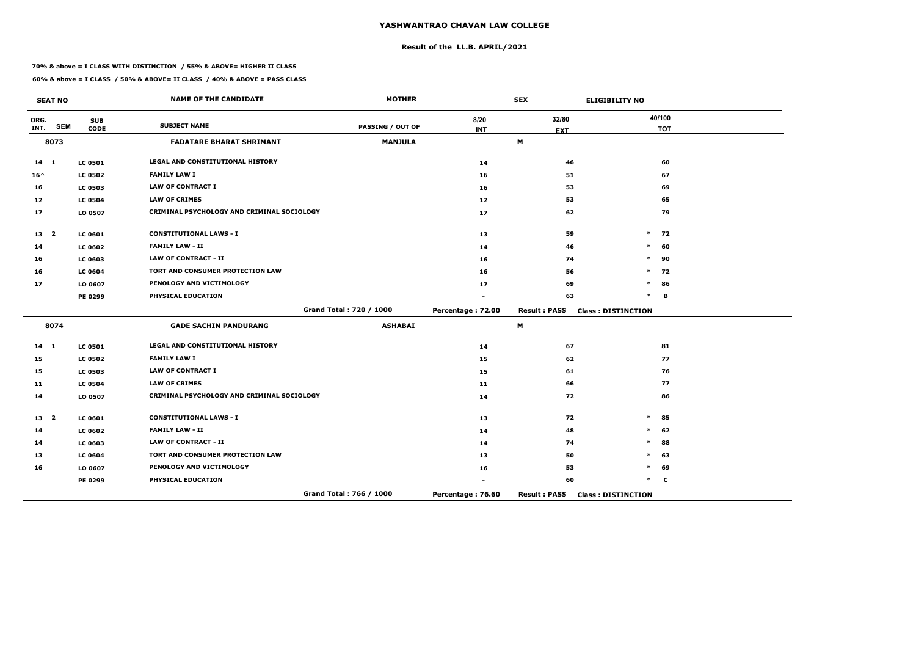## **Result of the LL.B. APRIL/2021**

#### **70% & above = I CLASS WITH DISTINCTION / 55% & ABOVE= HIGHER II CLASS**

|               | <b>SEAT NO</b> |                           | <b>NAME OF THE CANDIDATE</b>               | <b>MOTHER</b>           |                    | <b>SEX</b>          | <b>ELIGIBILITY NO</b>     |
|---------------|----------------|---------------------------|--------------------------------------------|-------------------------|--------------------|---------------------|---------------------------|
| ORG.<br>INT.  | <b>SEM</b>     | <b>SUB</b><br><b>CODE</b> | <b>SUBJECT NAME</b>                        | PASSING / OUT OF        | 8/20<br><b>INT</b> | 32/80<br><b>EXT</b> | 40/100<br><b>TOT</b>      |
|               | 8073           |                           | <b>FADATARE BHARAT SHRIMANT</b>            | <b>MANJULA</b>          |                    | M                   |                           |
| $14 \quad 1$  |                | <b>LC 0501</b>            | LEGAL AND CONSTITUTIONAL HISTORY           |                         | 14                 | 46                  | 60                        |
| $16^{\wedge}$ |                | <b>LC 0502</b>            | <b>FAMILY LAW I</b>                        |                         | 16                 | 51                  | 67                        |
| 16            |                | <b>LC 0503</b>            | <b>LAW OF CONTRACT I</b>                   |                         | 16                 | 53                  | 69                        |
| 12            |                | <b>LC 0504</b>            | <b>LAW OF CRIMES</b>                       |                         | 12                 | 53                  | 65                        |
| 17            |                | LO 0507                   | CRIMINAL PSYCHOLOGY AND CRIMINAL SOCIOLOGY |                         | 17                 | 62                  | 79                        |
| 13 2          |                | <b>LC 0601</b>            | <b>CONSTITUTIONAL LAWS - I</b>             |                         | 13                 | 59                  | $\ast$<br>72              |
| 14            |                | <b>LC 0602</b>            | <b>FAMILY LAW - II</b>                     |                         | 14                 | 46                  | $\ast$<br>60              |
| 16            |                | <b>LC 0603</b>            | <b>LAW OF CONTRACT - II</b>                |                         | 16                 | 74                  | 90<br>$\ast$              |
| 16            |                | <b>LC 0604</b>            | TORT AND CONSUMER PROTECTION LAW           |                         | 16                 | 56                  | $\ast$<br>72              |
| 17            |                | LO 0607                   | PENOLOGY AND VICTIMOLOGY                   |                         | 17                 | 69                  | $\ast$<br>86              |
|               |                | PE 0299                   | PHYSICAL EDUCATION                         |                         |                    | 63                  | $\ast$<br>B               |
|               |                |                           |                                            | Grand Total: 720 / 1000 | Percentage: 72.00  | <b>Result: PASS</b> | <b>Class: DISTINCTION</b> |
|               | 8074           |                           | <b>GADE SACHIN PANDURANG</b>               | <b>ASHABAI</b>          |                    | M                   |                           |
| $14$ 1        |                | <b>LC 0501</b>            | LEGAL AND CONSTITUTIONAL HISTORY           |                         | 14                 | 67                  | 81                        |
| 15            |                | <b>LC 0502</b>            | <b>FAMILY LAW I</b>                        |                         | 15                 | 62                  | 77                        |
| 15            |                | <b>LC 0503</b>            | <b>LAW OF CONTRACT I</b>                   |                         | 15                 | 61                  | 76                        |
| 11            |                | <b>LC 0504</b>            | <b>LAW OF CRIMES</b>                       |                         | 11                 | 66                  | 77                        |
| 14            |                | LO 0507                   | CRIMINAL PSYCHOLOGY AND CRIMINAL SOCIOLOGY |                         | 14                 | 72                  | 86                        |
| 13 2          |                | LC 0601                   | <b>CONSTITUTIONAL LAWS - I</b>             |                         | 13                 | 72                  | $\ast$<br>85              |
| 14            |                | <b>LC 0602</b>            | <b>FAMILY LAW - II</b>                     |                         | 14                 | 48                  | 62<br>$\ast$              |
| 14            |                | <b>LC 0603</b>            | <b>LAW OF CONTRACT - II</b>                |                         | 14                 | 74                  | $\ast$<br>88              |
| 13            |                | <b>LC 0604</b>            | TORT AND CONSUMER PROTECTION LAW           |                         | 13                 | 50                  | $\ast$<br>63              |
| 16            |                | LO 0607                   | PENOLOGY AND VICTIMOLOGY                   |                         | 16                 | 53                  | $\ast$<br>69              |
|               |                | PE 0299                   | PHYSICAL EDUCATION                         |                         |                    | 60                  | $\ast$<br>C               |
|               |                |                           |                                            | Grand Total: 766 / 1000 | Percentage: 76.60  | <b>Result: PASS</b> | <b>Class: DISTINCTION</b> |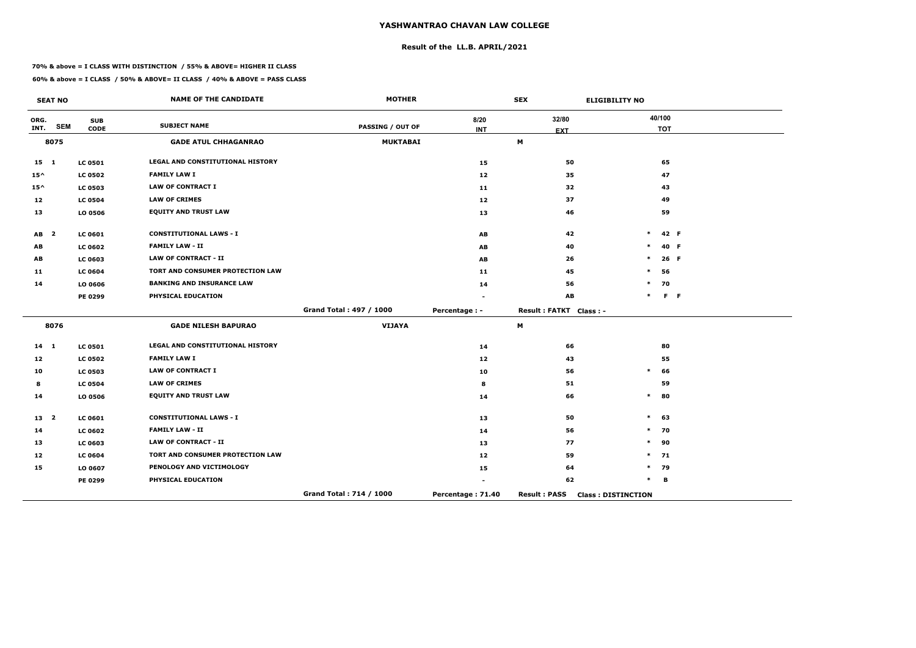## **Result of the LL.B. APRIL/2021**

#### **70% & above = I CLASS WITH DISTINCTION / 55% & ABOVE= HIGHER II CLASS**

|                 | <b>SEAT NO</b>          |                           | <b>NAME OF THE CANDIDATE</b>            | <b>MOTHER</b>           |                    | <b>SEX</b>             | <b>ELIGIBILITY NO</b>     |
|-----------------|-------------------------|---------------------------|-----------------------------------------|-------------------------|--------------------|------------------------|---------------------------|
| ORG.<br>INT.    | <b>SEM</b>              | <b>SUB</b><br><b>CODE</b> | <b>SUBJECT NAME</b>                     | <b>PASSING / OUT OF</b> | 8/20<br><b>INT</b> | 32/80<br><b>EXT</b>    | 40/100<br><b>TOT</b>      |
|                 | 8075                    |                           | <b>GADE ATUL CHHAGANRAO</b>             | <b>MUKTABAI</b>         |                    | M                      |                           |
| $15 \quad 1$    |                         | <b>LC 0501</b>            | LEGAL AND CONSTITUTIONAL HISTORY        |                         | 15                 | 50                     | 65                        |
| $15^{\wedge}$   |                         | <b>LC 0502</b>            | <b>FAMILY LAW I</b>                     |                         | 12                 | 35                     | 47                        |
| $15^{\wedge}$   |                         | <b>LC 0503</b>            | <b>LAW OF CONTRACT I</b>                |                         | 11                 | 32                     | 43                        |
| 12              |                         | <b>LC 0504</b>            | <b>LAW OF CRIMES</b>                    |                         | 12                 | 37                     | 49                        |
| 13              |                         | LO 0506                   | <b>EQUITY AND TRUST LAW</b>             |                         | 13                 | 46                     | 59                        |
| AB              | $\overline{\mathbf{2}}$ | LC 0601                   | <b>CONSTITUTIONAL LAWS - I</b>          |                         | AB                 | 42                     | $\ast$<br>42 F            |
| AB              |                         | <b>LC 0602</b>            | <b>FAMILY LAW - II</b>                  |                         | AB                 | 40                     | 40 F<br>$\ast$            |
| AB              |                         | <b>LC 0603</b>            | <b>LAW OF CONTRACT - II</b>             |                         | AB                 | 26                     | 26 F<br>$\ast$            |
| 11              |                         | <b>LC 0604</b>            | <b>TORT AND CONSUMER PROTECTION LAW</b> |                         | 11                 | 45                     | $\ast$<br>56              |
| 14              |                         | LO 0606                   | <b>BANKING AND INSURANCE LAW</b>        |                         | 14                 | 56                     | 70<br>$\ast$              |
|                 |                         | PE 0299                   | PHYSICAL EDUCATION                      |                         |                    | AB                     | $\ast$<br>F <sub>F</sub>  |
|                 |                         |                           |                                         | Grand Total: 497 / 1000 | Percentage : -     | Result: FATKT Class: - |                           |
|                 | 8076                    |                           | <b>GADE NILESH BAPURAO</b>              | <b>VIJAYA</b>           |                    | М                      |                           |
| $14 \quad 1$    |                         | <b>LC 0501</b>            | LEGAL AND CONSTITUTIONAL HISTORY        |                         | 14                 | 66                     | 80                        |
| 12              |                         | <b>LC 0502</b>            | <b>FAMILY LAW I</b>                     |                         | 12 <sub>2</sub>    | 43                     | 55                        |
| 10              |                         | <b>LC 0503</b>            | <b>LAW OF CONTRACT I</b>                |                         | 10                 | 56                     | $\ast$<br>66              |
| 8               |                         | <b>LC 0504</b>            | <b>LAW OF CRIMES</b>                    |                         | 8                  | 51                     | 59                        |
| 14              |                         | LO 0506                   | <b>EQUITY AND TRUST LAW</b>             |                         | 14                 | 66                     | $\ast$<br>80              |
| 13 <sup>2</sup> |                         | <b>LC 0601</b>            | <b>CONSTITUTIONAL LAWS - I</b>          |                         | 13                 | 50                     | $\ast$<br>63              |
| 14              |                         | <b>LC 0602</b>            | <b>FAMILY LAW - II</b>                  |                         | 14                 | 56                     | $\ast$<br>70              |
| 13              |                         | <b>LC 0603</b>            | <b>LAW OF CONTRACT - II</b>             |                         | 13                 | 77                     | $\ast$<br>90              |
| 12              |                         | <b>LC 0604</b>            | TORT AND CONSUMER PROTECTION LAW        |                         | 12 <sub>2</sub>    | 59                     | $\ast$<br>71              |
| 15              |                         | LO 0607                   | PENOLOGY AND VICTIMOLOGY                |                         | 15                 | 64                     | $\ast$<br>79              |
|                 |                         | PE 0299                   | PHYSICAL EDUCATION                      |                         |                    | 62                     | $\ast$<br>в               |
|                 |                         |                           |                                         | Grand Total: 714 / 1000 | Percentage: 71.40  | <b>Result: PASS</b>    | <b>Class: DISTINCTION</b> |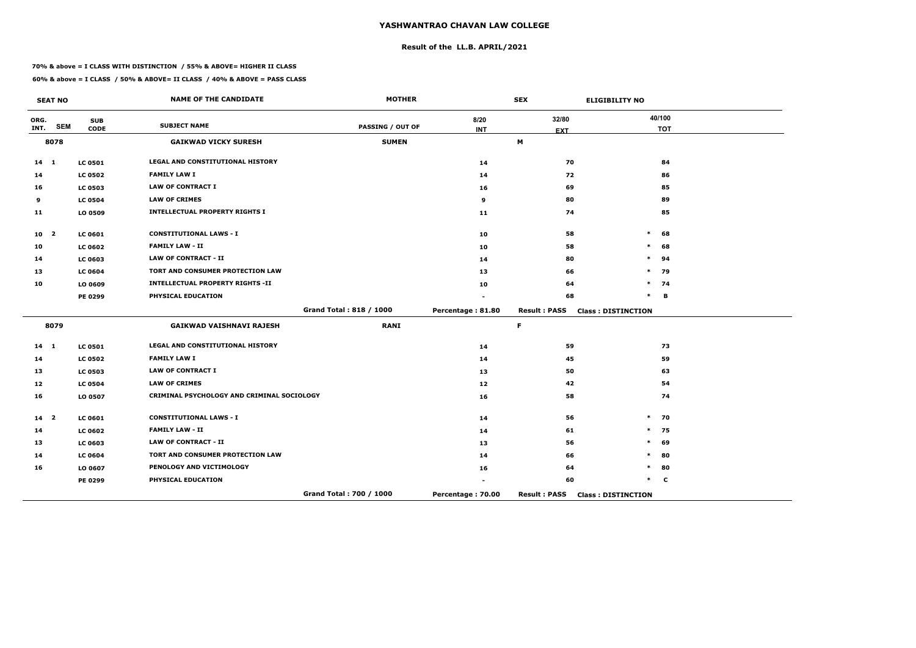## **Result of the LL.B. APRIL/2021**

#### **70% & above = I CLASS WITH DISTINCTION / 55% & ABOVE= HIGHER II CLASS**

|                 | <b>SEAT NO</b> |                           | <b>NAME OF THE CANDIDATE</b>               | <b>MOTHER</b>           |                    | <b>SEX</b>          | <b>ELIGIBILITY NO</b>     |
|-----------------|----------------|---------------------------|--------------------------------------------|-------------------------|--------------------|---------------------|---------------------------|
| ORG.<br>INT.    | <b>SEM</b>     | <b>SUB</b><br><b>CODE</b> | <b>SUBJECT NAME</b>                        | <b>PASSING / OUT OF</b> | 8/20<br><b>INT</b> | 32/80<br><b>EXT</b> | 40/100<br><b>TOT</b>      |
|                 | 8078           |                           | <b>GAIKWAD VICKY SURESH</b>                | <b>SUMEN</b>            |                    | M                   |                           |
| $14$ 1          |                | <b>LC 0501</b>            | LEGAL AND CONSTITUTIONAL HISTORY           |                         | 14                 | 70                  | 84                        |
| 14              |                | <b>LC 0502</b>            | <b>FAMILY LAW I</b>                        |                         | 14                 | 72                  | 86                        |
| 16              |                | <b>LC 0503</b>            | <b>LAW OF CONTRACT I</b>                   |                         | 16                 | 69                  | 85                        |
| 9               |                | <b>LC 0504</b>            | <b>LAW OF CRIMES</b>                       |                         | 9                  | 80                  | 89                        |
| 11              |                | LO 0509                   | <b>INTELLECTUAL PROPERTY RIGHTS I</b>      |                         | 11                 | 74                  | 85                        |
| 10 <sub>2</sub> |                | <b>LC 0601</b>            | <b>CONSTITUTIONAL LAWS - I</b>             |                         | 10                 | 58                  | $\ast$<br>68              |
| 10              |                | <b>LC 0602</b>            | <b>FAMILY LAW - II</b>                     |                         | 10                 | 58                  | 68<br>$\ast$              |
| 14              |                | <b>LC 0603</b>            | <b>LAW OF CONTRACT - II</b>                |                         | 14                 | 80                  | 94                        |
| 13              |                | <b>LC 0604</b>            | TORT AND CONSUMER PROTECTION LAW           |                         | 13                 | 66                  | $\ast$<br>79              |
| 10              |                | LO 0609                   | <b>INTELLECTUAL PROPERTY RIGHTS -II</b>    |                         | 10                 | 64                  | 74<br>$\ast$              |
|                 |                | <b>PE 0299</b>            | PHYSICAL EDUCATION                         |                         |                    | 68                  | $\ast$<br>в               |
|                 |                |                           |                                            | Grand Total: 818 / 1000 | Percentage: 81.80  | <b>Result: PASS</b> | <b>Class: DISTINCTION</b> |
|                 | 8079           |                           | <b>GAIKWAD VAISHNAVI RAJESH</b>            | <b>RANI</b>             |                    | F                   |                           |
| $14$ 1          |                | <b>LC 0501</b>            | LEGAL AND CONSTITUTIONAL HISTORY           |                         | 14                 | 59                  | 73                        |
| 14              |                | <b>LC 0502</b>            | <b>FAMILY LAW I</b>                        |                         | 14                 | 45                  | 59                        |
| 13              |                | <b>LC 0503</b>            | <b>LAW OF CONTRACT I</b>                   |                         | 13                 | 50                  | 63                        |
| 12              |                | <b>LC 0504</b>            | <b>LAW OF CRIMES</b>                       |                         | 12                 | 42                  | 54                        |
| 16              |                | LO 0507                   | CRIMINAL PSYCHOLOGY AND CRIMINAL SOCIOLOGY |                         | 16                 | 58                  | 74                        |
| 14 <sup>2</sup> |                | <b>LC 0601</b>            | <b>CONSTITUTIONAL LAWS - I</b>             |                         | 14                 | 56                  | 70<br>$\ast$              |
| 14              |                | <b>LC 0602</b>            | <b>FAMILY LAW - II</b>                     |                         | 14                 | 61                  | $\ast$<br>75              |
| 13              |                | <b>LC 0603</b>            | <b>LAW OF CONTRACT - II</b>                |                         | 13                 | 56                  | $\ast$<br>69              |
| 14              |                | <b>LC 0604</b>            | TORT AND CONSUMER PROTECTION LAW           |                         | 14                 | 66                  | 80<br>$\ast$              |
| 16              |                | LO 0607                   | PENOLOGY AND VICTIMOLOGY                   |                         | 16                 | 64                  | 80<br>$\ast$              |
|                 |                | PE 0299                   | PHYSICAL EDUCATION                         |                         |                    | 60                  | $\ast$<br>C               |
|                 |                |                           |                                            | Grand Total: 700 / 1000 | Percentage: 70.00  | <b>Result: PASS</b> | <b>Class: DISTINCTION</b> |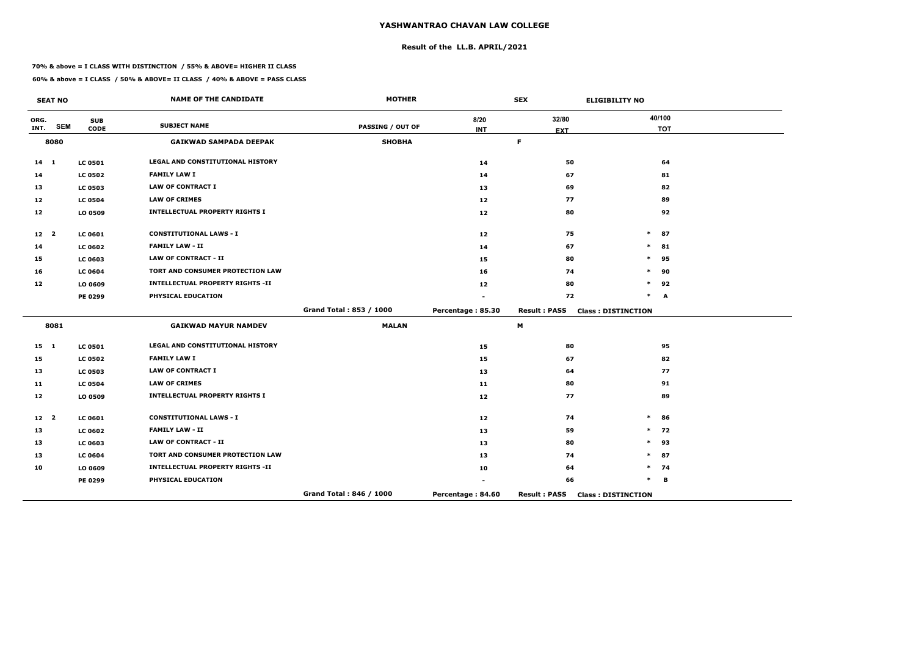## **Result of the LL.B. APRIL/2021**

#### **70% & above = I CLASS WITH DISTINCTION / 55% & ABOVE= HIGHER II CLASS**

|                 | <b>SEAT NO</b> |                           | <b>NAME OF THE CANDIDATE</b>            | <b>MOTHER</b>           |                    | <b>SEX</b>          | <b>ELIGIBILITY NO</b>     |
|-----------------|----------------|---------------------------|-----------------------------------------|-------------------------|--------------------|---------------------|---------------------------|
| ORG.<br>INT.    | <b>SEM</b>     | <b>SUB</b><br><b>CODE</b> | <b>SUBJECT NAME</b>                     | <b>PASSING / OUT OF</b> | 8/20<br><b>INT</b> | 32/80<br><b>EXT</b> | 40/100<br><b>TOT</b>      |
|                 | 8080           |                           | <b>GAIKWAD SAMPADA DEEPAK</b>           | <b>SHOBHA</b>           |                    | F.                  |                           |
| $14 \quad 1$    |                | <b>LC 0501</b>            | <b>LEGAL AND CONSTITUTIONAL HISTORY</b> |                         | 14                 | 50                  | 64                        |
| 14              |                | <b>LC 0502</b>            | <b>FAMILY LAW I</b>                     |                         | 14                 | 67                  | 81                        |
| 13              |                | <b>LC 0503</b>            | <b>LAW OF CONTRACT I</b>                |                         | 13                 | 69                  | 82                        |
| 12              |                | <b>LC 0504</b>            | <b>LAW OF CRIMES</b>                    |                         | 12                 | 77                  | 89                        |
| 12              |                | LO 0509                   | <b>INTELLECTUAL PROPERTY RIGHTS I</b>   |                         | 12                 | 80                  | 92                        |
| 12 <sub>2</sub> |                | <b>LC 0601</b>            | <b>CONSTITUTIONAL LAWS - I</b>          |                         | 12                 | 75                  | $\ast$<br>87              |
| 14              |                | <b>LC 0602</b>            | <b>FAMILY LAW - II</b>                  |                         | 14                 | 67                  | $\ast$<br>81              |
| 15              |                | <b>LC 0603</b>            | <b>LAW OF CONTRACT - II</b>             |                         | 15                 | 80                  | $\ast$<br>95              |
| 16              |                | <b>LC 0604</b>            | TORT AND CONSUMER PROTECTION LAW        |                         | 16                 | 74                  | 90<br>$\ast$              |
| 12              |                | LO 0609                   | <b>INTELLECTUAL PROPERTY RIGHTS -II</b> |                         | 12                 | 80                  | $\ast$<br>92              |
|                 |                | PE 0299                   | PHYSICAL EDUCATION                      |                         |                    | 72                  | $\ast$<br>A               |
|                 |                |                           |                                         | Grand Total: 853 / 1000 | Percentage: 85.30  | <b>Result: PASS</b> | <b>Class: DISTINCTION</b> |
|                 | 8081           |                           | <b>GAIKWAD MAYUR NAMDEV</b>             | <b>MALAN</b>            |                    | М                   |                           |
| $15 \quad 1$    |                | <b>LC 0501</b>            | LEGAL AND CONSTITUTIONAL HISTORY        |                         | 15                 | 80                  | 95                        |
| 15              |                | <b>LC 0502</b>            | <b>FAMILY LAW I</b>                     |                         | 15                 | 67                  | 82                        |
| 13              |                | <b>LC 0503</b>            | <b>LAW OF CONTRACT I</b>                |                         | 13                 | 64                  | 77                        |
| 11              |                | <b>LC 0504</b>            | <b>LAW OF CRIMES</b>                    |                         | 11                 | 80                  | 91                        |
| 12              |                | LO 0509                   | <b>INTELLECTUAL PROPERTY RIGHTS I</b>   |                         | 12                 | 77                  | 89                        |
| 12 <sup>2</sup> |                | <b>LC 0601</b>            | <b>CONSTITUTIONAL LAWS - I</b>          |                         | 12                 | 74                  | $\ast$<br>86              |
| 13              |                | <b>LC 0602</b>            | <b>FAMILY LAW - II</b>                  |                         | 13                 | 59                  | $\ast$<br>72              |
| 13              |                | <b>LC 0603</b>            | <b>LAW OF CONTRACT - II</b>             |                         | 13                 | 80                  | $\ast$<br>93              |
| 13              |                | <b>LC 0604</b>            | TORT AND CONSUMER PROTECTION LAW        |                         | 13                 | 74                  | $\ast$<br>87              |
| 10              |                | LO 0609                   | <b>INTELLECTUAL PROPERTY RIGHTS -II</b> |                         | 10                 | 64                  | 74<br>$\ast$              |
|                 |                | PE 0299                   | PHYSICAL EDUCATION                      |                         |                    | 66                  | $\ast$<br>В               |
|                 |                |                           |                                         | Grand Total: 846 / 1000 | Percentage: 84.60  | <b>Result: PASS</b> | <b>Class: DISTINCTION</b> |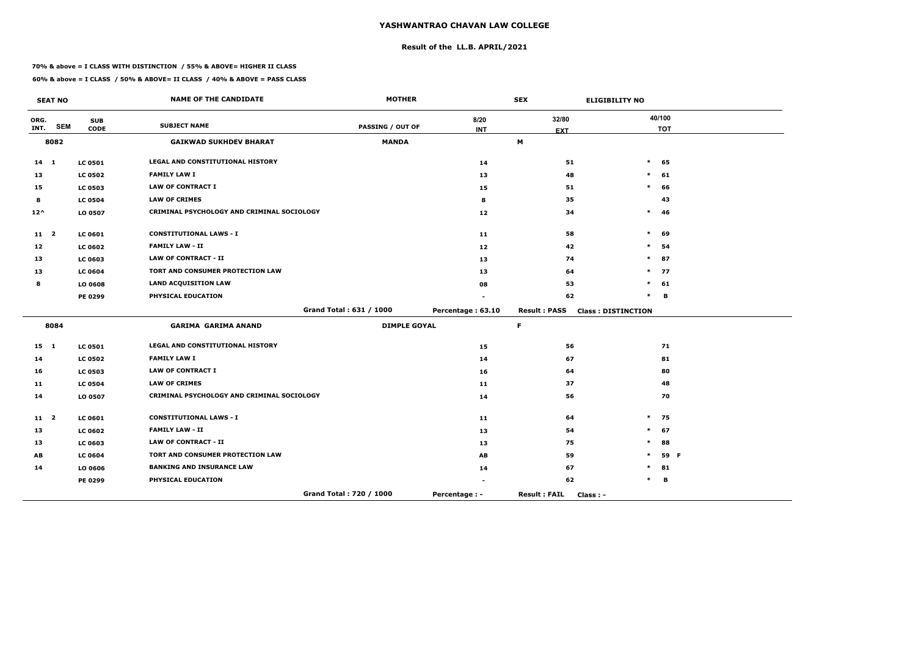## **Result of the LL.B. APRIL/2021**

#### **70% & above = I CLASS WITH DISTINCTION / 55% & ABOVE= HIGHER II CLASS**

#### **60% & above = I CLASS / 50% & ABOVE= II CLASS / 40% & ABOVE = PASS CLASS**

 $\overline{\phantom{a}}$ 

|                 | <b>SEAT NO</b> |                           | <b>NAME OF THE CANDIDATE</b>               | <b>MOTHER</b>           |                    | <b>SEX</b>                       | <b>ELIGIBILITY NO</b>     |            |
|-----------------|----------------|---------------------------|--------------------------------------------|-------------------------|--------------------|----------------------------------|---------------------------|------------|
| ORG.<br>INT.    | <b>SEM</b>     | <b>SUB</b><br><b>CODE</b> | <b>SUBJECT NAME</b>                        | <b>PASSING / OUT OF</b> | 8/20<br><b>INT</b> | 32/80                            | 40/100                    | <b>TOT</b> |
|                 | 8082           |                           | <b>GAIKWAD SUKHDEV BHARAT</b>              | <b>MANDA</b>            |                    | <b>EXT</b><br>M                  |                           |            |
| $14 \quad 1$    |                | <b>LC 0501</b>            | LEGAL AND CONSTITUTIONAL HISTORY           |                         | 14                 | 51                               | $\ast$                    | 65         |
| 13              |                | <b>LC 0502</b>            | <b>FAMILY LAW I</b>                        |                         | 13                 | 48                               | $\ast$                    | 61         |
| 15              |                | <b>LC 0503</b>            | <b>LAW OF CONTRACT I</b>                   |                         | 15                 | 51                               | $\ast$                    | 66         |
| 8               |                | <b>LC 0504</b>            | <b>LAW OF CRIMES</b>                       |                         | 8                  | 35                               |                           | 43         |
| $12^{\wedge}$   |                | LO 0507                   | CRIMINAL PSYCHOLOGY AND CRIMINAL SOCIOLOGY |                         | 12                 | 34                               | $\ast$                    | -46        |
| 11 <sub>2</sub> |                | LC 0601                   | <b>CONSTITUTIONAL LAWS - I</b>             |                         | 11                 | 58                               | $\ast$                    | 69         |
| 12              |                | <b>LC 0602</b>            | <b>FAMILY LAW - II</b>                     |                         | 12                 | 42                               | *                         | 54         |
| 13              |                | <b>LC 0603</b>            | <b>LAW OF CONTRACT - II</b>                |                         | 13                 | 74                               | $\ast$                    | 87         |
| 13              |                | <b>LC 0604</b>            | TORT AND CONSUMER PROTECTION LAW           |                         | 13                 | 64                               | $\ast$                    | 77         |
| 8               |                | LO 0608                   | <b>LAND ACQUISITION LAW</b>                |                         | 08                 | 53                               | $\ast$                    | 61         |
|                 |                | <b>PE 0299</b>            | PHYSICAL EDUCATION                         |                         |                    | 62                               | $\ast$                    | B          |
|                 |                |                           |                                            | Grand Total: 631 / 1000 | Percentage: 63.10  | <b>Result: PASS</b>              | <b>Class: DISTINCTION</b> |            |
|                 | 8084           |                           | <b>GARIMA GARIMA ANAND</b>                 | <b>DIMPLE GOYAL</b>     |                    | F.                               |                           |            |
| $15 \quad 1$    |                | <b>LC 0501</b>            | <b>LEGAL AND CONSTITUTIONAL HISTORY</b>    |                         | 15                 | 56                               |                           | 71         |
| 14              |                | <b>LC 0502</b>            | <b>FAMILY LAW I</b>                        |                         | 14                 | 67                               |                           | 81         |
| 16              |                | <b>LC 0503</b>            | <b>LAW OF CONTRACT I</b>                   |                         | 16                 | 64                               |                           | 80         |
| 11              |                | <b>LC 0504</b>            | <b>LAW OF CRIMES</b>                       |                         | 11                 | 37                               |                           | 48         |
| 14              |                | LO 0507                   | CRIMINAL PSYCHOLOGY AND CRIMINAL SOCIOLOGY |                         | 14                 | 56                               |                           | 70         |
| $11 \quad 2$    |                | LC 0601                   | <b>CONSTITUTIONAL LAWS - I</b>             |                         | 11                 | 64                               | $\ast$                    | 75         |
| 13              |                | <b>LC 0602</b>            | <b>FAMILY LAW - II</b>                     |                         | 13                 | 54                               | $\ast$                    | 67         |
| 13              |                | LC 0603                   | <b>LAW OF CONTRACT - II</b>                |                         | 13                 | 75                               | $\ast$                    | 88         |
| AB              |                | <b>LC 0604</b>            | TORT AND CONSUMER PROTECTION LAW           |                         | AB                 | 59                               | $\ast$                    | 59 F       |
| 14              |                | LO 0606                   | <b>BANKING AND INSURANCE LAW</b>           |                         | 14                 | 67                               |                           | 81         |
|                 |                | <b>PE 0299</b>            | PHYSICAL EDUCATION                         |                         |                    | 62                               |                           | В          |
|                 |                |                           |                                            | Grand Total: 720 / 1000 | Percentage : -     | <b>Result: FAIL</b><br>Class : - |                           |            |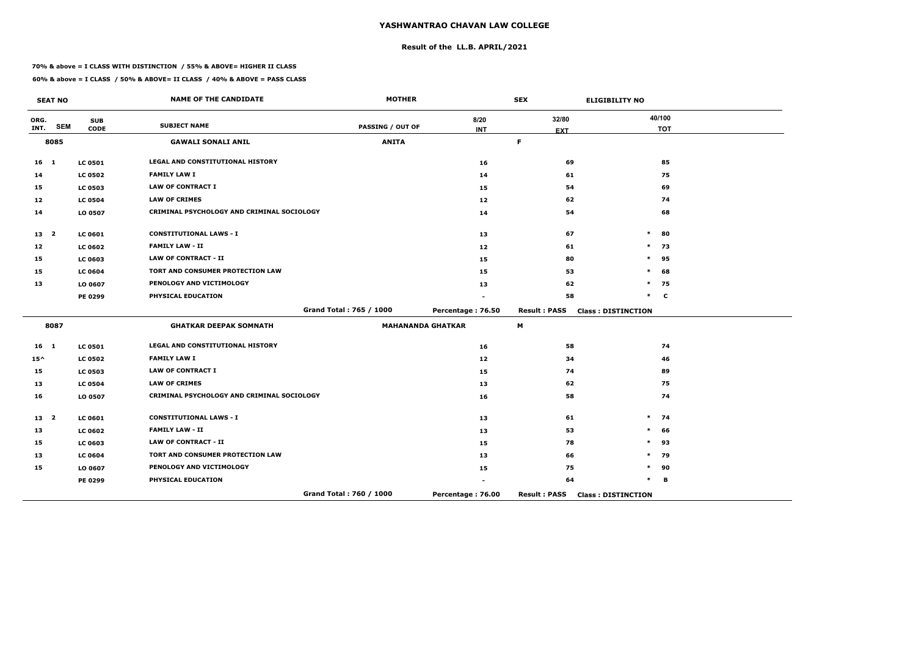## **Result of the LL.B. APRIL/2021**

#### **70% & above = I CLASS WITH DISTINCTION / 55% & ABOVE= HIGHER II CLASS**

|                 | <b>SEAT NO</b> |                           | <b>NAME OF THE CANDIDATE</b>               | <b>MOTHER</b>           |                          | <b>SEX</b>          | <b>ELIGIBILITY NO</b>     |
|-----------------|----------------|---------------------------|--------------------------------------------|-------------------------|--------------------------|---------------------|---------------------------|
| ORG.<br>INT.    | <b>SEM</b>     | <b>SUB</b><br><b>CODE</b> | <b>SUBJECT NAME</b>                        | <b>PASSING / OUT OF</b> | 8/20<br><b>INT</b>       | 32/80<br><b>EXT</b> | 40/100<br><b>TOT</b>      |
|                 | 8085           |                           | <b>GAWALI SONALI ANIL</b>                  | <b>ANITA</b>            |                          | F                   |                           |
| 16 <sub>1</sub> |                | <b>LC 0501</b>            | <b>LEGAL AND CONSTITUTIONAL HISTORY</b>    |                         | 16                       | 69                  | 85                        |
| 14              |                | <b>LC 0502</b>            | <b>FAMILY LAW I</b>                        |                         | 14                       | 61                  | 75                        |
| 15              |                | <b>LC 0503</b>            | <b>LAW OF CONTRACT I</b>                   |                         | 15                       | 54                  | 69                        |
| 12              |                | <b>LC 0504</b>            | <b>LAW OF CRIMES</b>                       |                         | 12                       | 62                  | 74                        |
| 14              |                | LO 0507                   | CRIMINAL PSYCHOLOGY AND CRIMINAL SOCIOLOGY |                         | 14                       | 54                  | 68                        |
| 13 <sub>2</sub> |                | <b>LC 0601</b>            | <b>CONSTITUTIONAL LAWS - I</b>             |                         | 13                       | 67                  | $\ast$<br>80              |
| 12              |                | <b>LC 0602</b>            | <b>FAMILY LAW - II</b>                     |                         | 12                       | 61                  | $\ast$<br>73              |
| 15              |                | LC 0603                   | <b>LAW OF CONTRACT - II</b>                |                         | 15                       | 80                  | $\ast$<br>95              |
| 15              |                | <b>LC 0604</b>            | TORT AND CONSUMER PROTECTION LAW           |                         | 15                       | 53                  | 68<br>∗                   |
| 13              |                | LO 0607                   | PENOLOGY AND VICTIMOLOGY                   |                         | 13                       | 62                  | $\ast$<br>75              |
|                 |                | PE 0299                   | PHYSICAL EDUCATION                         |                         |                          | 58                  | $\ast$<br>$\mathbf c$     |
|                 |                |                           |                                            | Grand Total: 765 / 1000 | Percentage: 76.50        | <b>Result: PASS</b> | <b>Class: DISTINCTION</b> |
|                 | 8087           |                           | <b>GHATKAR DEEPAK SOMNATH</b>              |                         | <b>MAHANANDA GHATKAR</b> | M                   |                           |
| 16 1            |                | <b>LC 0501</b>            | LEGAL AND CONSTITUTIONAL HISTORY           |                         | 16                       | 58                  | 74                        |
| $15^{\wedge}$   |                | <b>LC 0502</b>            | <b>FAMILY LAW I</b>                        |                         | 12                       | 34                  | 46                        |
| 15              |                | <b>LC 0503</b>            | <b>LAW OF CONTRACT I</b>                   |                         | 15                       | 74                  | 89                        |
| 13              |                | <b>LC 0504</b>            | <b>LAW OF CRIMES</b>                       |                         | 13                       | 62                  | 75                        |
| 16              |                | LO 0507                   | CRIMINAL PSYCHOLOGY AND CRIMINAL SOCIOLOGY |                         | 16                       | 58                  | 74                        |
| 13 <sup>2</sup> |                | LC 0601                   | <b>CONSTITUTIONAL LAWS - I</b>             |                         | 13                       | 61                  | $\ast$<br>74              |
| 13              |                | <b>LC 0602</b>            | <b>FAMILY LAW - II</b>                     |                         | 13                       | 53                  | $\ast$<br>66              |
| 15              |                | LC 0603                   | <b>LAW OF CONTRACT - II</b>                |                         | 15                       | 78                  | 93<br>$\ast$              |
| 13              |                | <b>LC 0604</b>            | TORT AND CONSUMER PROTECTION LAW           |                         | 13                       | 66                  | $\ast$<br>79              |
| 15              |                | LO 0607                   | PENOLOGY AND VICTIMOLOGY                   |                         | 15                       | 75                  | $\ast$<br>90              |
|                 |                | PE 0299                   | PHYSICAL EDUCATION                         |                         |                          | 64                  | $\ast$<br>в               |
|                 |                |                           |                                            | Grand Total: 760 / 1000 | Percentage: 76.00        | <b>Result: PASS</b> | <b>Class: DISTINCTION</b> |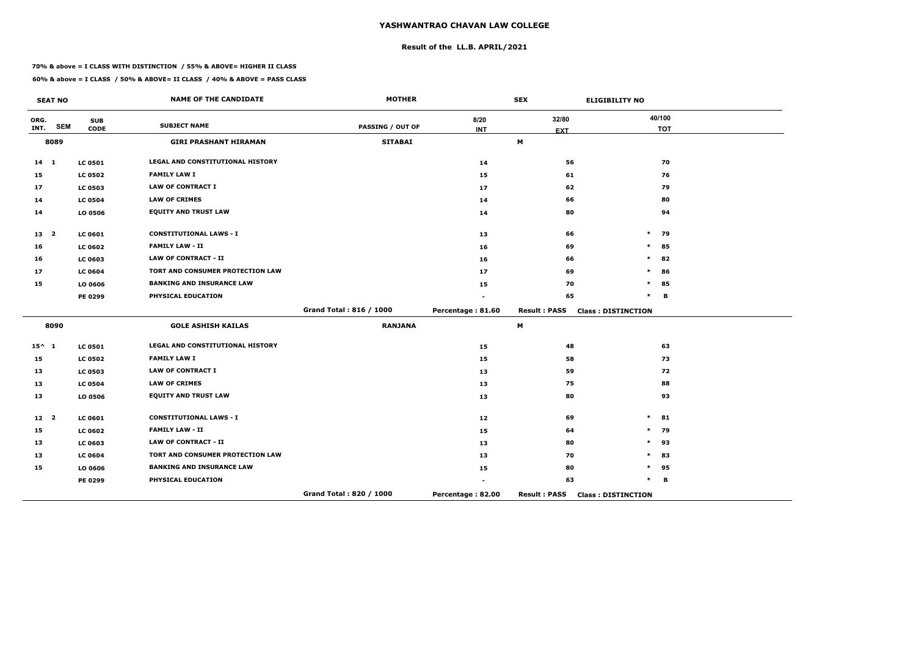## **Result of the LL.B. APRIL/2021**

#### **70% & above = I CLASS WITH DISTINCTION / 55% & ABOVE= HIGHER II CLASS**

|                 | <b>SEAT NO</b> |                           | <b>NAME OF THE CANDIDATE</b>            | <b>MOTHER</b>           |                    | <b>SEX</b>          | <b>ELIGIBILITY NO</b>     |
|-----------------|----------------|---------------------------|-----------------------------------------|-------------------------|--------------------|---------------------|---------------------------|
| ORG.<br>INT.    | <b>SEM</b>     | <b>SUB</b><br><b>CODE</b> | <b>SUBJECT NAME</b>                     | <b>PASSING / OUT OF</b> | 8/20<br><b>INT</b> | 32/80<br><b>EXT</b> | 40/100<br><b>TOT</b>      |
|                 | 8089           |                           | <b>GIRI PRASHANT HIRAMAN</b>            | <b>SITABAI</b>          |                    | M                   |                           |
| $14 \quad 1$    |                | <b>LC 0501</b>            | LEGAL AND CONSTITUTIONAL HISTORY        |                         | 14                 | 56                  | 70                        |
| 15              |                | <b>LC 0502</b>            | <b>FAMILY LAW I</b>                     |                         | 15                 | 61                  | 76                        |
| 17              |                | <b>LC 0503</b>            | <b>LAW OF CONTRACT I</b>                |                         | 17                 | 62                  | 79                        |
| 14              |                | <b>LC 0504</b>            | <b>LAW OF CRIMES</b>                    |                         | 14                 | 66                  | 80                        |
| 14              |                | LO 0506                   | <b>EQUITY AND TRUST LAW</b>             |                         | 14                 | 80                  | 94                        |
| 13 2            |                | LC 0601                   | <b>CONSTITUTIONAL LAWS - I</b>          |                         | 13                 | 66                  | $\ast$<br>79              |
| 16              |                | <b>LC 0602</b>            | <b>FAMILY LAW - II</b>                  |                         | 16                 | 69                  | $\ast$<br>85              |
| 16              |                | LC 0603                   | <b>LAW OF CONTRACT - II</b>             |                         | 16                 | 66                  | $\ast$<br>82              |
| 17              |                | <b>LC 0604</b>            | TORT AND CONSUMER PROTECTION LAW        |                         | 17                 | 69                  | $\ast$<br>86              |
| 15              |                | LO 0606                   | <b>BANKING AND INSURANCE LAW</b>        |                         | 15                 | 70                  | $\ast$<br>85              |
|                 |                | PE 0299                   | PHYSICAL EDUCATION                      |                         |                    | 65                  | $\ast$<br>B               |
|                 |                |                           |                                         | Grand Total: 816 / 1000 | Percentage: 81.60  | <b>Result: PASS</b> | <b>Class: DISTINCTION</b> |
|                 | 8090           |                           | <b>GOLE ASHISH KAILAS</b>               | <b>RANJANA</b>          |                    | M                   |                           |
| $15^{\wedge}$ 1 |                | <b>LC 0501</b>            | <b>LEGAL AND CONSTITUTIONAL HISTORY</b> |                         | 15                 | 48                  | 63                        |
| 15              |                | <b>LC 0502</b>            | <b>FAMILY LAW I</b>                     |                         | 15                 | 58                  | 73                        |
| 13              |                | <b>LC 0503</b>            | <b>LAW OF CONTRACT I</b>                |                         | 13                 | 59                  | 72                        |
| 13              |                | <b>LC 0504</b>            | <b>LAW OF CRIMES</b>                    |                         | 13                 | 75                  | 88                        |
| 13              |                | LO 0506                   | <b>EQUITY AND TRUST LAW</b>             |                         | 13                 | 80                  | 93                        |
| 12 <sup>2</sup> |                | LC 0601                   | <b>CONSTITUTIONAL LAWS - I</b>          |                         | 12                 | 69                  | $\ast$<br>81              |
| 15              |                | <b>LC 0602</b>            | <b>FAMILY LAW - II</b>                  |                         | 15                 | 64                  | 79<br>$\ast$              |
| 13              |                | LC 0603                   | <b>LAW OF CONTRACT - II</b>             |                         | 13                 | 80                  | $\ast$<br>93              |
| 13              |                | <b>LC 0604</b>            | TORT AND CONSUMER PROTECTION LAW        |                         | 13                 | 70                  | $\ast$<br>83              |
| 15              |                | LO 0606                   | <b>BANKING AND INSURANCE LAW</b>        |                         | 15                 | 80                  | *<br>95                   |
|                 |                | PE 0299                   | PHYSICAL EDUCATION                      |                         |                    | 63                  | $\ast$<br>В               |
|                 |                |                           |                                         | Grand Total: 820 / 1000 | Percentage: 82.00  | <b>Result: PASS</b> | <b>Class: DISTINCTION</b> |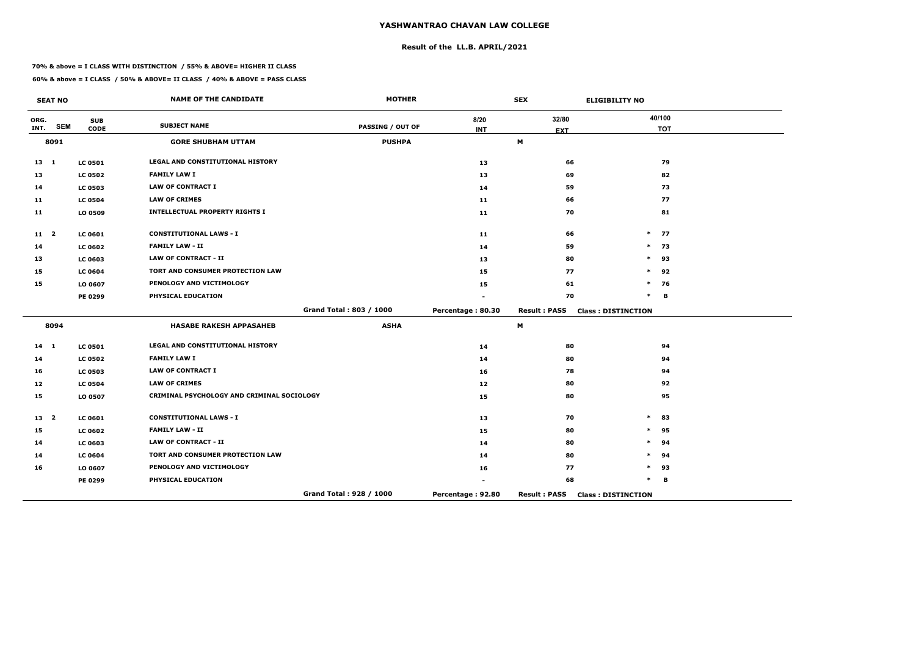## **Result of the LL.B. APRIL/2021**

#### **70% & above = I CLASS WITH DISTINCTION / 55% & ABOVE= HIGHER II CLASS**

|                 | <b>SEAT NO</b> |                           | <b>NAME OF THE CANDIDATE</b>               | <b>MOTHER</b>           |                    | <b>SEX</b>                | <b>ELIGIBILITY NO</b>     |
|-----------------|----------------|---------------------------|--------------------------------------------|-------------------------|--------------------|---------------------------|---------------------------|
| ORG.<br>INT.    | <b>SEM</b>     | <b>SUB</b><br><b>CODE</b> | <b>SUBJECT NAME</b>                        | <b>PASSING / OUT OF</b> | 8/20<br><b>INT</b> | 32/80<br><b>EXT</b>       | 40/100<br><b>TOT</b>      |
|                 | 8091           |                           | <b>GORE SHUBHAM UTTAM</b>                  | <b>PUSHPA</b>           |                    | $\boldsymbol{\mathsf{M}}$ |                           |
| $13 \quad 1$    |                | <b>LC 0501</b>            | <b>LEGAL AND CONSTITUTIONAL HISTORY</b>    |                         | 13                 | 66                        | 79                        |
| 13              |                | <b>LC 0502</b>            | <b>FAMILY LAW I</b>                        |                         | 13                 | 69                        | 82                        |
| 14              |                | <b>LC 0503</b>            | <b>LAW OF CONTRACT I</b>                   |                         | 14                 | 59                        | 73                        |
| 11              |                | <b>LC 0504</b>            | <b>LAW OF CRIMES</b>                       |                         | 11                 | 66                        | 77                        |
| 11              |                | LO 0509                   | <b>INTELLECTUAL PROPERTY RIGHTS I</b>      |                         | 11                 | 70                        | 81                        |
| $11 \quad 2$    |                | <b>LC 0601</b>            | <b>CONSTITUTIONAL LAWS - I</b>             |                         | 11                 | 66                        | $\ast$<br>77              |
| 14              |                | <b>LC 0602</b>            | <b>FAMILY LAW - II</b>                     |                         | 14                 | 59                        | $\ast$<br>- 73            |
| 13              |                | LC 0603                   | <b>LAW OF CONTRACT - II</b>                |                         | 13                 | 80                        | $\ast$<br>93              |
| 15              |                | <b>LC 0604</b>            | TORT AND CONSUMER PROTECTION LAW           |                         | 15                 | 77                        | $\ast$<br>92              |
| 15              |                | LO 0607                   | PENOLOGY AND VICTIMOLOGY                   |                         | 15                 | 61                        | $\ast$<br>76              |
|                 |                | PE 0299                   | PHYSICAL EDUCATION                         |                         |                    | 70                        | $\ast$<br>В               |
|                 |                |                           |                                            | Grand Total: 803 / 1000 | Percentage: 80.30  | <b>Result: PASS</b>       | <b>Class: DISTINCTION</b> |
|                 | 8094           |                           | <b>HASABE RAKESH APPASAHEB</b>             | <b>ASHA</b>             |                    | М                         |                           |
| $14 \quad 1$    |                | <b>LC 0501</b>            | LEGAL AND CONSTITUTIONAL HISTORY           |                         | 14                 | 80                        | 94                        |
| 14              |                | <b>LC 0502</b>            | <b>FAMILY LAW I</b>                        |                         | 14                 | 80                        | 94                        |
| 16              |                | <b>LC 0503</b>            | <b>LAW OF CONTRACT I</b>                   |                         | 16                 | 78                        | 94                        |
| 12              |                | <b>LC 0504</b>            | <b>LAW OF CRIMES</b>                       |                         | 12                 | 80                        | 92                        |
| 15              |                | LO 0507                   | CRIMINAL PSYCHOLOGY AND CRIMINAL SOCIOLOGY |                         | 15                 | 80                        | 95                        |
| 13 <sup>2</sup> |                | LC 0601                   | <b>CONSTITUTIONAL LAWS - I</b>             |                         | 13                 | 70                        | $\ast$<br>83              |
| 15              |                | <b>LC 0602</b>            | <b>FAMILY LAW - II</b>                     |                         | 15                 | 80                        | 95<br>$\ast$              |
| 14              |                | LC 0603                   | <b>LAW OF CONTRACT - II</b>                |                         | 14                 | 80                        | 94<br>$\ast$              |
| 14              |                | <b>LC 0604</b>            | TORT AND CONSUMER PROTECTION LAW           |                         | 14                 | 80                        | $\ast$<br>94              |
| 16              |                | LO 0607                   | PENOLOGY AND VICTIMOLOGY                   |                         | 16                 | 77                        | *<br>93                   |
|                 |                | PE 0299                   | PHYSICAL EDUCATION                         |                         |                    | 68                        | $\ast$<br>В               |
|                 |                |                           |                                            | Grand Total: 928 / 1000 | Percentage: 92.80  | <b>Result: PASS</b>       | <b>Class: DISTINCTION</b> |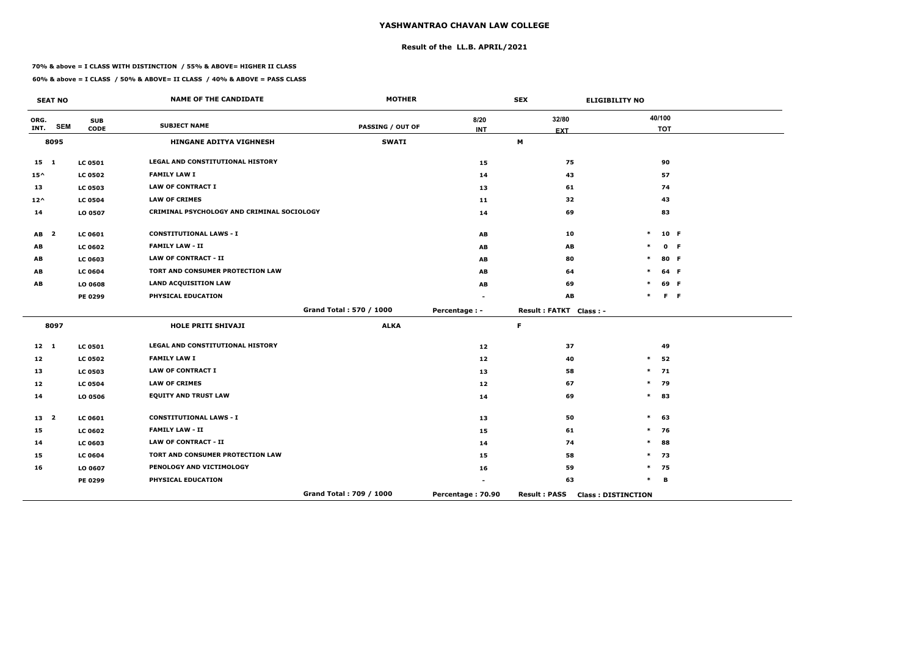## **Result of the LL.B. APRIL/2021**

#### **70% & above = I CLASS WITH DISTINCTION / 55% & ABOVE= HIGHER II CLASS**

|                 | <b>SEAT NO</b>          |                           | <b>NAME OF THE CANDIDATE</b>               | <b>MOTHER</b>           |                    | <b>SEX</b>             | <b>ELIGIBILITY NO</b>     |                      |         |
|-----------------|-------------------------|---------------------------|--------------------------------------------|-------------------------|--------------------|------------------------|---------------------------|----------------------|---------|
| ORG.<br>INT.    | <b>SEM</b>              | <b>SUB</b><br><b>CODE</b> | <b>SUBJECT NAME</b>                        | <b>PASSING / OUT OF</b> | 8/20<br><b>INT</b> | 32/80<br><b>EXT</b>    |                           | 40/100<br><b>TOT</b> |         |
|                 | 8095                    |                           | <b>HINGANE ADITYA VIGHNESH</b>             | <b>SWATI</b>            |                    | M                      |                           |                      |         |
| $15 \quad 1$    |                         | <b>LC 0501</b>            | LEGAL AND CONSTITUTIONAL HISTORY           |                         | 15                 | 75                     |                           | 90                   |         |
| $15^{\wedge}$   |                         | <b>LC 0502</b>            | <b>FAMILY LAW I</b>                        |                         | 14                 | 43                     |                           | 57                   |         |
| 13              |                         | <b>LC 0503</b>            | <b>LAW OF CONTRACT I</b>                   |                         | 13                 | 61                     |                           | 74                   |         |
| $12^{\wedge}$   |                         | <b>LC 0504</b>            | <b>LAW OF CRIMES</b>                       |                         | 11                 | 32                     |                           | 43                   |         |
| 14              |                         | LO 0507                   | CRIMINAL PSYCHOLOGY AND CRIMINAL SOCIOLOGY |                         | 14                 | 69                     |                           | 83                   |         |
| AB              | $\overline{\mathbf{2}}$ | <b>LC 0601</b>            | <b>CONSTITUTIONAL LAWS - I</b>             |                         | AB                 | 10                     | $\ast$                    | 10 F                 |         |
| AB              |                         | <b>LC 0602</b>            | <b>FAMILY LAW - II</b>                     |                         | AB                 | AB                     |                           |                      | 0 F     |
| AB              |                         | <b>LC 0603</b>            | <b>LAW OF CONTRACT - II</b>                |                         | AB                 | 80                     | $\ast$                    |                      | 80 F    |
| AB              |                         | <b>LC 0604</b>            | TORT AND CONSUMER PROTECTION LAW           |                         | AB                 | 64                     | $\ast$                    |                      | 64 F    |
| AB              |                         | LO 0608                   | <b>LAND ACQUISITION LAW</b>                |                         | AB                 | 69                     |                           |                      | 69 F    |
|                 |                         | PE 0299                   | PHYSICAL EDUCATION                         |                         |                    | AB                     | $\ast$                    |                      | $F - F$ |
|                 |                         |                           |                                            | Grand Total: 570 / 1000 | Percentage : -     | Result: FATKT Class: - |                           |                      |         |
|                 | 8097                    |                           | <b>HOLE PRITI SHIVAJI</b>                  | <b>ALKA</b>             |                    | $\mathsf F$            |                           |                      |         |
| $12 \quad 1$    |                         | <b>LC 0501</b>            | LEGAL AND CONSTITUTIONAL HISTORY           |                         | 12                 | 37                     |                           | 49                   |         |
| 12              |                         | <b>LC 0502</b>            | <b>FAMILY LAW I</b>                        |                         | 12                 | 40                     | $\ast$                    | 52                   |         |
| 13              |                         | <b>LC 0503</b>            | <b>LAW OF CONTRACT I</b>                   |                         | 13                 | 58                     |                           | $*$ 71               |         |
| 12              |                         | <b>LC 0504</b>            | <b>LAW OF CRIMES</b>                       |                         | 12                 | 67                     | $\ast$                    | 79                   |         |
| 14              |                         | LO 0506                   | <b>EQUITY AND TRUST LAW</b>                |                         | 14                 | 69                     | $\ast$                    | 83                   |         |
| 13 <sup>2</sup> |                         | <b>LC 0601</b>            | <b>CONSTITUTIONAL LAWS - I</b>             |                         | 13                 | 50                     | $\ast$                    | 63                   |         |
| 15              |                         | <b>LC 0602</b>            | <b>FAMILY LAW - II</b>                     |                         | 15                 | 61                     | $\ast$                    | 76                   |         |
| 14              |                         | <b>LC 0603</b>            | <b>LAW OF CONTRACT - II</b>                |                         | 14                 | 74                     | $\ast$                    | 88                   |         |
| 15              |                         | <b>LC 0604</b>            | TORT AND CONSUMER PROTECTION LAW           |                         | 15                 | 58                     | $\ast$                    | 73                   |         |
| 16              |                         | LO 0607                   | PENOLOGY AND VICTIMOLOGY                   |                         | 16                 | 59                     | $\ast$                    | 75                   |         |
|                 |                         | PE 0299                   | PHYSICAL EDUCATION                         |                         |                    | 63                     | $\ast$                    | в                    |         |
|                 |                         |                           |                                            | Grand Total: 709 / 1000 | Percentage: 70.90  | <b>Result: PASS</b>    | <b>Class: DISTINCTION</b> |                      |         |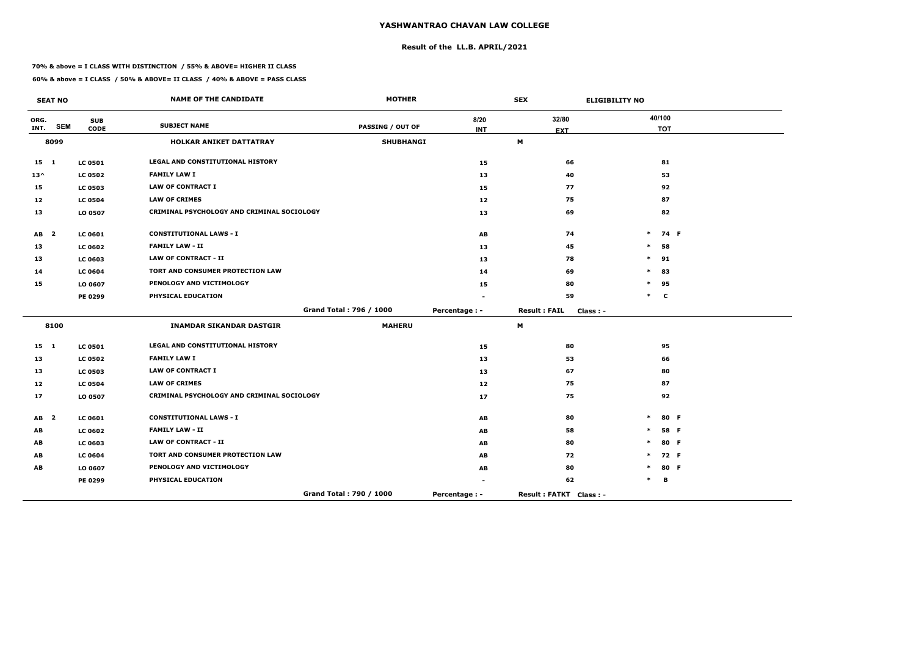## **Result of the LL.B. APRIL/2021**

#### **70% & above = I CLASS WITH DISTINCTION / 55% & ABOVE= HIGHER II CLASS**

|               | <b>SEAT NO</b>          |                           | <b>NAME OF THE CANDIDATE</b>               | <b>MOTHER</b>           |                | <b>SEX</b><br><b>ELIGIBILITY NO</b> |        |                      |      |
|---------------|-------------------------|---------------------------|--------------------------------------------|-------------------------|----------------|-------------------------------------|--------|----------------------|------|
| ORG.<br>INT.  | <b>SEM</b>              | <b>SUB</b><br><b>CODE</b> | <b>SUBJECT NAME</b>                        | <b>PASSING / OUT OF</b> | 8/20           | 32/80                               |        | 40/100<br><b>TOT</b> |      |
|               | 8099                    |                           | <b>HOLKAR ANIKET DATTATRAY</b>             | <b>SHUBHANGI</b>        | <b>INT</b>     | <b>EXT</b><br>М                     |        |                      |      |
| 15 1          |                         | <b>LC 0501</b>            | LEGAL AND CONSTITUTIONAL HISTORY           |                         | 15             | 66                                  |        | 81                   |      |
| $13^{\wedge}$ |                         | <b>LC 0502</b>            | <b>FAMILY LAW I</b>                        |                         | 13             | 40                                  |        | 53                   |      |
| 15            |                         | <b>LC 0503</b>            | <b>LAW OF CONTRACT I</b>                   |                         | 15             | 77                                  |        | 92                   |      |
| 12            |                         | <b>LC 0504</b>            | <b>LAW OF CRIMES</b>                       |                         | 12             | 75                                  |        | 87                   |      |
| 13            |                         | LO 0507                   | CRIMINAL PSYCHOLOGY AND CRIMINAL SOCIOLOGY |                         | 13             | 69                                  |        | 82                   |      |
| AB            | $\overline{\mathbf{2}}$ | <b>LC 0601</b>            | <b>CONSTITUTIONAL LAWS - I</b>             |                         | AB             | 74                                  | $\ast$ |                      | 74 F |
| 13            |                         | <b>LC 0602</b>            | <b>FAMILY LAW - II</b>                     |                         | 13             | 45                                  | $\ast$ | 58                   |      |
| 13            |                         | <b>LC 0603</b>            | <b>LAW OF CONTRACT - II</b>                |                         | 13             | 78                                  | $\ast$ | 91                   |      |
| 14            |                         | <b>LC 0604</b>            | TORT AND CONSUMER PROTECTION LAW           |                         | 14             | 69                                  | $\ast$ | 83                   |      |
| 15            |                         | LO 0607                   | PENOLOGY AND VICTIMOLOGY                   |                         | 15             | 80                                  | $\ast$ | 95                   |      |
|               |                         | PE 0299                   | PHYSICAL EDUCATION                         |                         |                | 59                                  |        | $*$ C                |      |
|               |                         |                           |                                            | Grand Total: 796 / 1000 | Percentage : - | <b>Result: FAIL</b><br>$Class: -$   |        |                      |      |
|               | 8100                    |                           | <b>INAMDAR SIKANDAR DASTGIR</b>            | <b>MAHERU</b>           |                | М                                   |        |                      |      |
| $15 \quad 1$  |                         | <b>LC 0501</b>            | <b>LEGAL AND CONSTITUTIONAL HISTORY</b>    |                         | 15             | 80                                  |        | 95                   |      |
| 13            |                         | <b>LC 0502</b>            | <b>FAMILY LAW I</b>                        |                         | 13             | 53                                  |        | 66                   |      |
| 13            |                         | <b>LC 0503</b>            | <b>LAW OF CONTRACT I</b>                   |                         | 13             | 67                                  |        | 80                   |      |
| 12            |                         | <b>LC 0504</b>            | <b>LAW OF CRIMES</b>                       |                         | 12             | 75                                  |        | 87                   |      |
| 17            |                         | LO 0507                   | CRIMINAL PSYCHOLOGY AND CRIMINAL SOCIOLOGY |                         | 17             | 75                                  |        | 92                   |      |
| AB            | $\mathbf{2}$            | LC 0601                   | <b>CONSTITUTIONAL LAWS - I</b>             |                         | AB             | 80                                  | $\ast$ |                      | 80 F |
| AB            |                         | <b>LC 0602</b>            | <b>FAMILY LAW - II</b>                     |                         | AB             | 58                                  | $\ast$ |                      | 58 F |
| AB            |                         | <b>LC 0603</b>            | <b>LAW OF CONTRACT - II</b>                |                         | AB             | 80                                  | $\ast$ |                      | 80 F |
| AB            |                         | <b>LC 0604</b>            | TORT AND CONSUMER PROTECTION LAW           |                         | AB             | 72                                  | $\ast$ |                      | 72 F |
| AB            |                         | LO 0607                   | PENOLOGY AND VICTIMOLOGY                   |                         | AB             | 80                                  | $\ast$ |                      | 80 F |
|               |                         | PE 0299                   | PHYSICAL EDUCATION                         |                         |                | 62                                  | $\ast$ | В                    |      |
|               |                         |                           |                                            | Grand Total: 790 / 1000 | Percentage : - | Result: FATKT Class: -              |        |                      |      |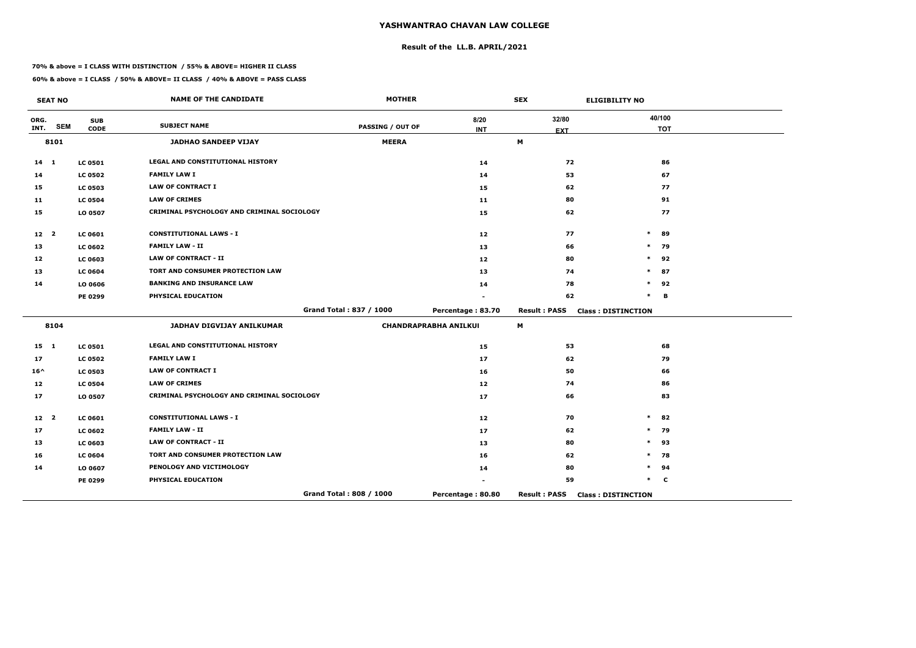## **Result of the LL.B. APRIL/2021**

#### **70% & above = I CLASS WITH DISTINCTION / 55% & ABOVE= HIGHER II CLASS**

|                 | <b>SEAT NO</b> |                           | <b>NAME OF THE CANDIDATE</b>               | <b>MOTHER</b>           |                              | <b>SEX</b>          | <b>ELIGIBILITY NO</b>     |
|-----------------|----------------|---------------------------|--------------------------------------------|-------------------------|------------------------------|---------------------|---------------------------|
| ORG.<br>INT.    | <b>SEM</b>     | <b>SUB</b><br><b>CODE</b> | <b>SUBJECT NAME</b>                        | <b>PASSING / OUT OF</b> | 8/20<br><b>INT</b>           | 32/80<br><b>EXT</b> | 40/100<br><b>TOT</b>      |
|                 | 8101           |                           | <b>JADHAO SANDEEP VIJAY</b>                | <b>MEERA</b>            |                              | M                   |                           |
| $14$ 1          |                | <b>LC 0501</b>            | LEGAL AND CONSTITUTIONAL HISTORY           |                         | 14                           | 72                  | 86                        |
| 14              |                | <b>LC 0502</b>            | <b>FAMILY LAW I</b>                        |                         | 14                           | 53                  | 67                        |
| 15              |                | <b>LC 0503</b>            | <b>LAW OF CONTRACT I</b>                   |                         | 15                           | 62                  | 77                        |
| 11              |                | <b>LC 0504</b>            | <b>LAW OF CRIMES</b>                       |                         | 11                           | 80                  | 91                        |
| 15              |                | LO 0507                   | CRIMINAL PSYCHOLOGY AND CRIMINAL SOCIOLOGY |                         | 15                           | 62                  | 77                        |
| 12 <sup>2</sup> |                | <b>LC 0601</b>            | <b>CONSTITUTIONAL LAWS - I</b>             |                         | 12                           | 77                  | $\ast$<br>89              |
| 13              |                | <b>LC 0602</b>            | <b>FAMILY LAW - II</b>                     |                         | 13                           | 66                  | 79<br>$\ast$              |
| 12              |                | <b>LC 0603</b>            | <b>LAW OF CONTRACT - II</b>                |                         | 12                           | 80                  | $\ast$<br>92              |
| 13              |                | <b>LC 0604</b>            | TORT AND CONSUMER PROTECTION LAW           |                         | 13                           | 74                  | 87<br>$\ast$              |
| 14              |                | LO 0606                   | <b>BANKING AND INSURANCE LAW</b>           |                         | 14                           | 78                  | 92<br>$\ast$              |
|                 |                | <b>PE 0299</b>            | PHYSICAL EDUCATION                         |                         |                              | 62                  | $\ast$<br>B               |
|                 |                |                           |                                            | Grand Total: 837 / 1000 | Percentage: 83.70            | <b>Result: PASS</b> | <b>Class: DISTINCTION</b> |
|                 | 8104           |                           | JADHAV DIGVIJAY ANILKUMAR                  |                         | <b>CHANDRAPRABHA ANILKUI</b> | M                   |                           |
| $15 \quad 1$    |                | <b>LC 0501</b>            | LEGAL AND CONSTITUTIONAL HISTORY           |                         | 15                           | 53                  | 68                        |
| 17              |                | <b>LC 0502</b>            | <b>FAMILY LAW I</b>                        |                         | 17                           | 62                  | 79                        |
| $16^{\wedge}$   |                | <b>LC 0503</b>            | <b>LAW OF CONTRACT I</b>                   |                         | 16                           | 50                  | 66                        |
| 12              |                | <b>LC 0504</b>            | <b>LAW OF CRIMES</b>                       |                         | 12                           | 74                  | 86                        |
| 17              |                | LO 0507                   | CRIMINAL PSYCHOLOGY AND CRIMINAL SOCIOLOGY |                         | 17                           | 66                  | 83                        |
| 12 <sup>2</sup> |                | <b>LC 0601</b>            | <b>CONSTITUTIONAL LAWS - I</b>             |                         | 12                           | 70                  | 82<br>$\ast$              |
| 17              |                | <b>LC 0602</b>            | <b>FAMILY LAW - II</b>                     |                         | 17                           | 62                  | $\ast$<br>79              |
| 13              |                | <b>LC 0603</b>            | <b>LAW OF CONTRACT - II</b>                |                         | 13                           | 80                  | $\ast$<br>93              |
| 16              |                | <b>LC 0604</b>            | TORT AND CONSUMER PROTECTION LAW           |                         | 16                           | 62                  | 78<br>∗                   |
| 14              |                | LO 0607                   | PENOLOGY AND VICTIMOLOGY                   |                         | 14                           | 80                  | 94<br>$\ast$              |
|                 |                | <b>PE 0299</b>            | PHYSICAL EDUCATION                         |                         |                              | 59                  | $\ast$<br>C               |
|                 |                |                           |                                            | Grand Total: 808 / 1000 | Percentage: 80.80            | <b>Result: PASS</b> | <b>Class: DISTINCTION</b> |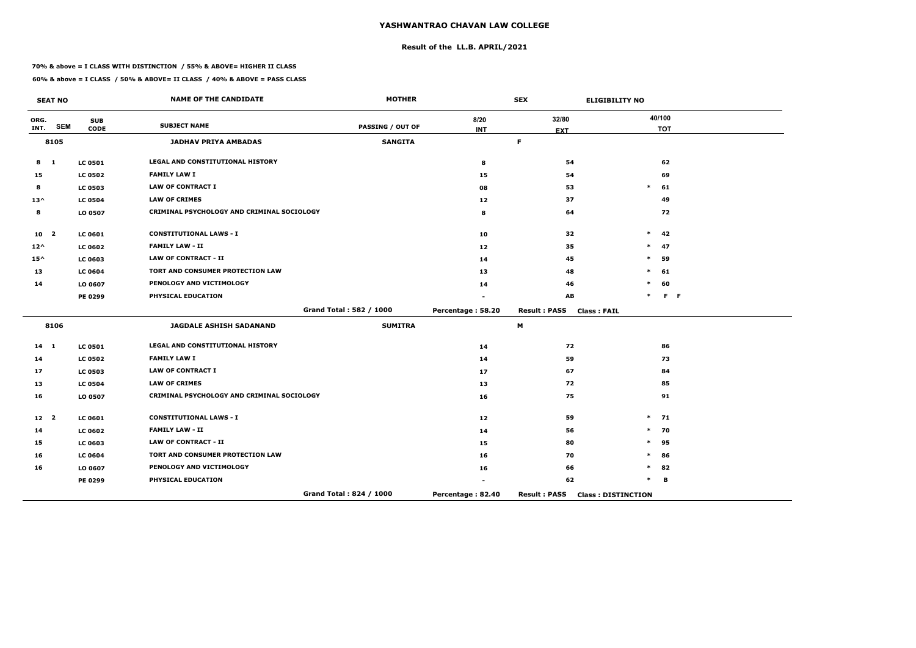## **Result of the LL.B. APRIL/2021**

#### **70% & above = I CLASS WITH DISTINCTION / 55% & ABOVE= HIGHER II CLASS**

 $\overline{\phantom{a}}$ 

|                 | <b>SEAT NO</b> |                           | <b>NAME OF THE CANDIDATE</b>               | <b>MOTHER</b>           |                    | <b>SEX</b>                                | <b>ELIGIBILITY NO</b>     |
|-----------------|----------------|---------------------------|--------------------------------------------|-------------------------|--------------------|-------------------------------------------|---------------------------|
| ORG.<br>INT.    | <b>SEM</b>     | <b>SUB</b><br><b>CODE</b> | <b>SUBJECT NAME</b>                        | <b>PASSING / OUT OF</b> | 8/20<br><b>INT</b> | 32/80<br><b>EXT</b>                       | 40/100<br><b>TOT</b>      |
|                 | 8105           |                           | <b>JADHAV PRIYA AMBADAS</b>                | <b>SANGITA</b>          |                    | $\mathsf F$                               |                           |
| $8 \quad 1$     |                | <b>LC 0501</b>            | <b>LEGAL AND CONSTITUTIONAL HISTORY</b>    |                         | 8                  | 54                                        | 62                        |
| 15              |                | <b>LC 0502</b>            | <b>FAMILY LAW I</b>                        |                         | 15                 | 54                                        | 69                        |
| 8               |                | <b>LC 0503</b>            | <b>LAW OF CONTRACT I</b>                   |                         | 08                 | 53                                        | $\ast$<br>61              |
| $13^{\wedge}$   |                | <b>LC 0504</b>            | <b>LAW OF CRIMES</b>                       |                         | 12                 | 37                                        | 49                        |
| 8               |                | LO 0507                   | CRIMINAL PSYCHOLOGY AND CRIMINAL SOCIOLOGY |                         | 8                  | 64                                        | 72                        |
| 10 <sub>2</sub> |                | LC 0601                   | <b>CONSTITUTIONAL LAWS - I</b>             |                         | 10                 | 32                                        | 42<br>$\ast$              |
| $12^{\wedge}$   |                | <b>LC 0602</b>            | <b>FAMILY LAW - II</b>                     |                         | 12 <sub>1</sub>    | 35                                        | 47<br>$\ast$              |
| $15^{\wedge}$   |                | <b>LC 0603</b>            | <b>LAW OF CONTRACT - II</b>                |                         | 14                 | 45                                        | $\ast$<br>59              |
| 13              |                | <b>LC 0604</b>            | TORT AND CONSUMER PROTECTION LAW           |                         | 13                 | 48                                        | 61<br>$\ast$              |
| 14              |                | LO 0607                   | PENOLOGY AND VICTIMOLOGY                   |                         | 14                 | 46                                        | 60                        |
|                 |                | PE 0299                   | PHYSICAL EDUCATION                         |                         |                    | AB                                        | $F - F$<br>$\ast$         |
|                 |                |                           |                                            | Grand Total: 582 / 1000 | Percentage: 58.20  | <b>Result: PASS</b><br><b>Class: FAIL</b> |                           |
|                 | 8106           |                           | <b>JAGDALE ASHISH SADANAND</b>             | <b>SUMITRA</b>          |                    | M                                         |                           |
| $14 \quad 1$    |                | <b>LC 0501</b>            | LEGAL AND CONSTITUTIONAL HISTORY           |                         | 14                 | 72                                        | 86                        |
| 14              |                | <b>LC 0502</b>            | <b>FAMILY LAW I</b>                        |                         | 14                 | 59                                        | 73                        |
| 17              |                | <b>LC 0503</b>            | <b>LAW OF CONTRACT I</b>                   |                         | 17                 | 67                                        | 84                        |
| 13              |                | <b>LC 0504</b>            | <b>LAW OF CRIMES</b>                       |                         | 13                 | 72                                        | 85                        |
| 16              |                | LO 0507                   | CRIMINAL PSYCHOLOGY AND CRIMINAL SOCIOLOGY |                         | 16                 | 75                                        | 91                        |
| 12 2            |                | LC 0601                   | <b>CONSTITUTIONAL LAWS - I</b>             |                         | 12                 | 59                                        | 71<br>$\ast$              |
| 14              |                | <b>LC 0602</b>            | <b>FAMILY LAW - II</b>                     |                         | 14                 | 56                                        | 70<br>$\ast$              |
| 15              |                | <b>LC 0603</b>            | <b>LAW OF CONTRACT - II</b>                |                         | 15                 | 80                                        | 95<br>$\ast$              |
| 16              |                | <b>LC 0604</b>            | TORT AND CONSUMER PROTECTION LAW           |                         | 16                 | 70                                        | $\ast$<br>86              |
| 16              |                | LO 0607                   | PENOLOGY AND VICTIMOLOGY                   |                         | 16                 | 66                                        | 82<br>$\ast$              |
|                 |                | PE 0299                   | PHYSICAL EDUCATION                         |                         |                    | 62                                        | $\ast$<br>в               |
|                 |                |                           |                                            | Grand Total: 824 / 1000 | Percentage: 82.40  | <b>Result: PASS</b>                       | <b>Class: DISTINCTION</b> |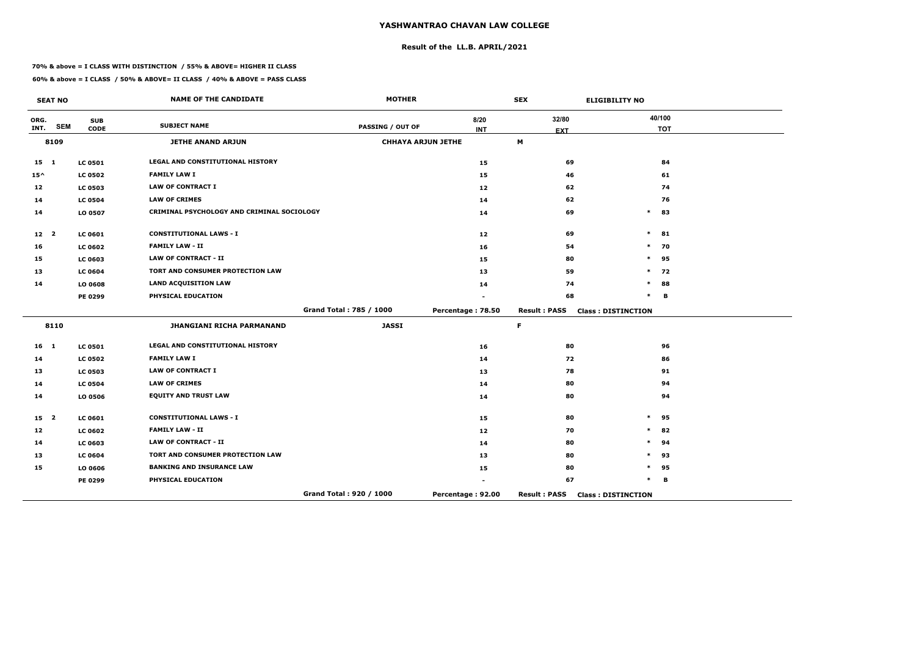## **Result of the LL.B. APRIL/2021**

#### **70% & above = I CLASS WITH DISTINCTION / 55% & ABOVE= HIGHER II CLASS**

 $\overline{\phantom{a}}$ 

|                 | <b>SEAT NO</b> |                | <b>NAME OF THE CANDIDATE</b>               | <b>MOTHER</b>             |                   | <b>SEX</b>          | <b>ELIGIBILITY NO</b>     |
|-----------------|----------------|----------------|--------------------------------------------|---------------------------|-------------------|---------------------|---------------------------|
| ORG.            |                | <b>SUB</b>     | <b>SUBJECT NAME</b>                        |                           | 8/20              | 32/80               | 40/100                    |
| INT.            | <b>SEM</b>     | <b>CODE</b>    |                                            | <b>PASSING / OUT OF</b>   | <b>INT</b>        | <b>EXT</b>          | <b>TOT</b>                |
|                 | 8109           |                | <b>JETHE ANAND ARJUN</b>                   | <b>CHHAYA ARJUN JETHE</b> |                   | M                   |                           |
| $15 \quad 1$    |                | <b>LC 0501</b> | LEGAL AND CONSTITUTIONAL HISTORY           |                           | 15                | 69                  | 84                        |
| $15^{\wedge}$   |                | <b>LC 0502</b> | <b>FAMILY LAW I</b>                        |                           | 15                | 46                  | 61                        |
| 12              |                | <b>LC 0503</b> | <b>LAW OF CONTRACT I</b>                   |                           | 12                | 62                  | 74                        |
| 14              |                | <b>LC 0504</b> | <b>LAW OF CRIMES</b>                       |                           | 14                | 62                  | 76                        |
| 14              |                | LO 0507        | CRIMINAL PSYCHOLOGY AND CRIMINAL SOCIOLOGY |                           | 14                | 69                  | $\ast$<br>83              |
| 12 <sub>2</sub> |                | <b>LC 0601</b> | <b>CONSTITUTIONAL LAWS - I</b>             |                           | 12                | 69                  | $\ast$<br>81              |
| 16              |                | <b>LC 0602</b> | <b>FAMILY LAW - II</b>                     |                           | 16                | 54                  | $\ast$<br>70              |
| 15              |                | LC 0603        | <b>LAW OF CONTRACT - II</b>                |                           | 15                | 80                  | $\ast$<br>95              |
| 13              |                | <b>LC 0604</b> | TORT AND CONSUMER PROTECTION LAW           |                           | 13                | 59                  | 72<br>$\ast$              |
| 14              |                | LO 0608        | <b>LAND ACQUISITION LAW</b>                |                           | 14                | 74                  | $\ast$<br>88              |
|                 |                | <b>PE 0299</b> | PHYSICAL EDUCATION                         |                           |                   | 68                  | $\ast$<br>B               |
|                 |                |                |                                            | Grand Total: 785 / 1000   | Percentage: 78.50 | <b>Result: PASS</b> | <b>Class: DISTINCTION</b> |
|                 | 8110           |                | <b>JHANGIANI RICHA PARMANAND</b>           | <b>JASSI</b>              |                   | $\mathsf F$         |                           |
| 16 <sub>1</sub> |                | <b>LC 0501</b> | LEGAL AND CONSTITUTIONAL HISTORY           |                           | 16                | 80                  | 96                        |
| 14              |                | <b>LC 0502</b> | <b>FAMILY LAW I</b>                        |                           | 14                | 72                  | 86                        |
| 13              |                | <b>LC 0503</b> | <b>LAW OF CONTRACT I</b>                   |                           | 13                | 78                  | 91                        |
| 14              |                | <b>LC 0504</b> | <b>LAW OF CRIMES</b>                       |                           | 14                | 80                  | 94                        |
| 14              |                | LO 0506        | <b>EQUITY AND TRUST LAW</b>                |                           | 14                | 80                  | 94                        |
| 15 <sub>2</sub> |                | <b>LC 0601</b> | <b>CONSTITUTIONAL LAWS - I</b>             |                           | 15                | 80                  | 95<br>$\ast$              |
| 12              |                | <b>LC 0602</b> | <b>FAMILY LAW - II</b>                     |                           | 12                | 70                  | 82<br>$\ast$              |
| 14              |                | LC 0603        | <b>LAW OF CONTRACT - II</b>                |                           | 14                | 80                  | 94<br>$\ast$              |
| 13              |                | <b>LC 0604</b> | TORT AND CONSUMER PROTECTION LAW           |                           | 13                | 80                  | 93<br>$\ast$              |
| 15              |                | LO 0606        | <b>BANKING AND INSURANCE LAW</b>           |                           | 15                | 80                  | 95<br>$\ast$              |
|                 |                | <b>PE 0299</b> | PHYSICAL EDUCATION                         |                           |                   | 67                  | $\ast$<br>B               |
|                 |                |                |                                            | Grand Total: 920 / 1000   | Percentage: 92.00 | <b>Result: PASS</b> | <b>Class: DISTINCTION</b> |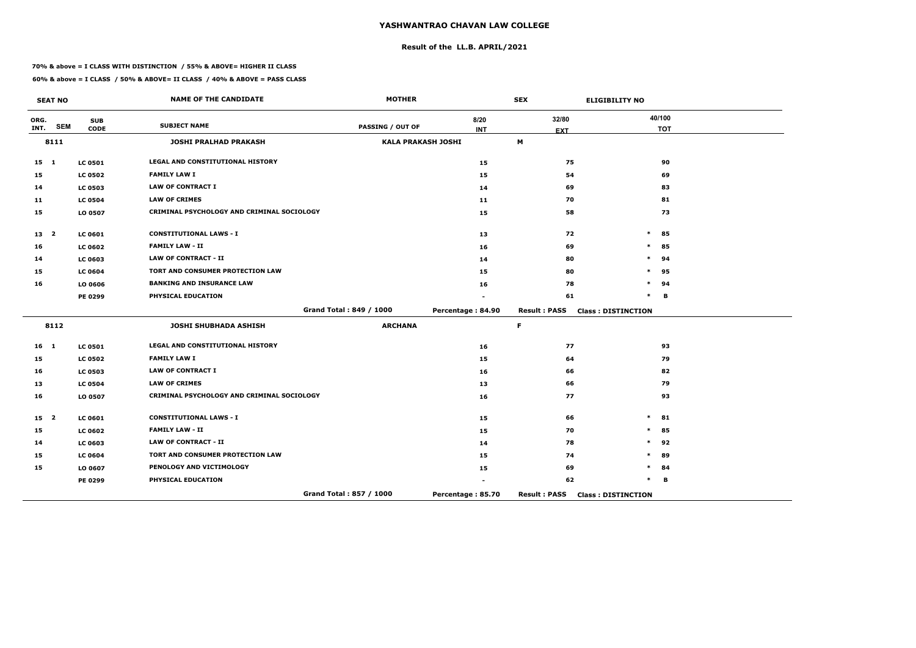## **Result of the LL.B. APRIL/2021**

#### **70% & above = I CLASS WITH DISTINCTION / 55% & ABOVE= HIGHER II CLASS**

**60% & above = I CLASS / 50% & ABOVE= II CLASS / 40% & ABOVE = PASS CLASS**

 $\overline{\phantom{a}}$ 

|                 | <b>SEAT NO</b> |                | <b>NAME OF THE CANDIDATE</b>               | <b>MOTHER</b>             |                   | <b>SEX</b>          | <b>ELIGIBILITY NO</b>     |
|-----------------|----------------|----------------|--------------------------------------------|---------------------------|-------------------|---------------------|---------------------------|
| ORG.            |                | <b>SUB</b>     | <b>SUBJECT NAME</b>                        |                           | 8/20              | 32/80               | 40/100                    |
| INT.            | <b>SEM</b>     | <b>CODE</b>    |                                            | <b>PASSING / OUT OF</b>   | <b>INT</b>        | <b>EXT</b>          | <b>TOT</b>                |
|                 | 8111           |                | <b>JOSHI PRALHAD PRAKASH</b>               | <b>KALA PRAKASH JOSHI</b> |                   | M                   |                           |
| $15 \quad 1$    |                | <b>LC 0501</b> | LEGAL AND CONSTITUTIONAL HISTORY           |                           | 15                | 75                  | 90                        |
| 15              |                | <b>LC 0502</b> | <b>FAMILY LAW I</b>                        |                           | 15                | 54                  | 69                        |
| 14              |                | <b>LC 0503</b> | <b>LAW OF CONTRACT I</b>                   |                           | 14                | 69                  | 83                        |
| 11              |                | <b>LC 0504</b> | <b>LAW OF CRIMES</b>                       |                           | 11                | 70                  | 81                        |
| 15              |                | LO 0507        | CRIMINAL PSYCHOLOGY AND CRIMINAL SOCIOLOGY |                           | 15                | 58                  | 73                        |
| 13 <sub>2</sub> |                | <b>LC 0601</b> | <b>CONSTITUTIONAL LAWS - I</b>             |                           | 13                | 72                  | $\ast$<br>85              |
| 16              |                | <b>LC 0602</b> | <b>FAMILY LAW - II</b>                     |                           | 16                | 69                  | $\ast$<br>85              |
| 14              |                | LC 0603        | <b>LAW OF CONTRACT - II</b>                |                           | 14                | 80                  | 94<br>$\ast$              |
| 15              |                | <b>LC 0604</b> | TORT AND CONSUMER PROTECTION LAW           |                           | 15                | 80                  | 95<br>$\ast$              |
| 16              |                | LO 0606        | <b>BANKING AND INSURANCE LAW</b>           |                           | 16                | 78                  | 94<br>*                   |
|                 |                | <b>PE 0299</b> | PHYSICAL EDUCATION                         |                           |                   | 61                  | $\ast$<br>в               |
|                 |                |                |                                            | Grand Total: 849 / 1000   | Percentage: 84.90 | <b>Result: PASS</b> | <b>Class: DISTINCTION</b> |
|                 | 8112           |                | <b>JOSHI SHUBHADA ASHISH</b>               | <b>ARCHANA</b>            |                   | $\mathsf F$         |                           |
| 16 <sub>1</sub> |                | <b>LC 0501</b> | LEGAL AND CONSTITUTIONAL HISTORY           |                           | 16                | 77                  | 93                        |
| 15              |                | <b>LC 0502</b> | <b>FAMILY LAW I</b>                        |                           | 15                | 64                  | 79                        |
| 16              |                | <b>LC 0503</b> | <b>LAW OF CONTRACT I</b>                   |                           | 16                | 66                  | 82                        |
| 13              |                | <b>LC 0504</b> | <b>LAW OF CRIMES</b>                       |                           | 13                | 66                  | 79                        |
| 16              |                | LO 0507        | CRIMINAL PSYCHOLOGY AND CRIMINAL SOCIOLOGY |                           | 16                | 77                  | 93                        |
| 15 <sub>2</sub> |                | <b>LC 0601</b> | <b>CONSTITUTIONAL LAWS - I</b>             |                           | 15                | 66                  | 81<br>$\ast$              |
| 15              |                | <b>LC 0602</b> | <b>FAMILY LAW - II</b>                     |                           | 15                | 70                  | 85<br>$\ast$              |
| 14              |                | <b>LC 0603</b> | <b>LAW OF CONTRACT - II</b>                |                           | 14                | 78                  | 92<br>$\ast$              |
| 15              |                | <b>LC 0604</b> | TORT AND CONSUMER PROTECTION LAW           |                           | 15                | 74                  | 89<br>$\ast$              |
| 15              |                | LO 0607        | PENOLOGY AND VICTIMOLOGY                   |                           | 15                | 69                  | $\ast$<br>84              |
|                 |                | <b>PE 0299</b> | PHYSICAL EDUCATION                         |                           |                   | 62                  | $\ast$<br>в               |
|                 |                |                |                                            | Grand Total: 857 / 1000   | Percentage: 85.70 | <b>Result: PASS</b> | <b>Class: DISTINCTION</b> |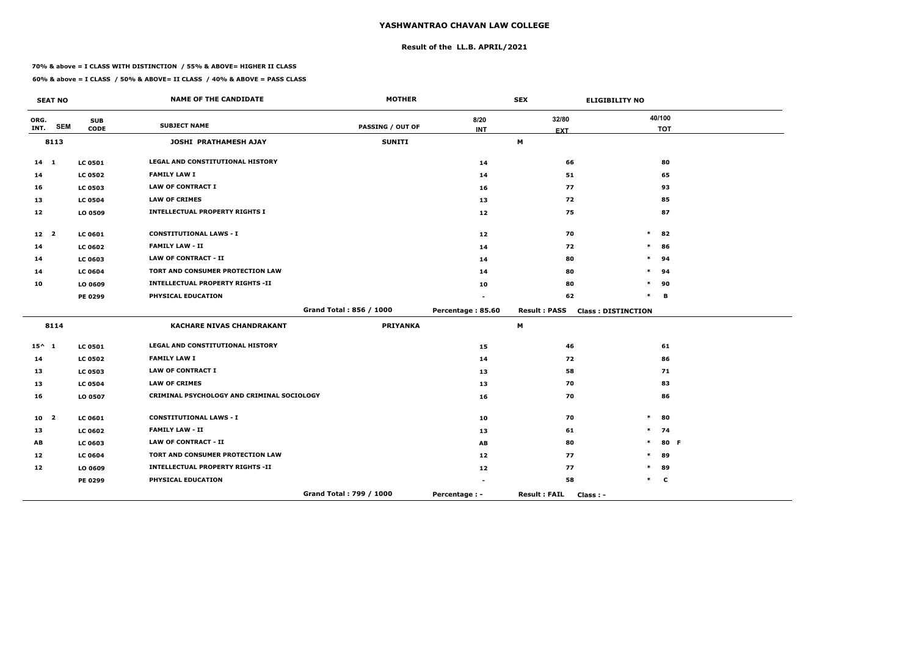## **Result of the LL.B. APRIL/2021**

#### **70% & above = I CLASS WITH DISTINCTION / 55% & ABOVE= HIGHER II CLASS**

|                 | <b>SEAT NO</b>          |                           | <b>NAME OF THE CANDIDATE</b>               | <b>MOTHER</b>           |                      | <b>SEX</b>                              | <b>ELIGIBILITY NO</b>     |
|-----------------|-------------------------|---------------------------|--------------------------------------------|-------------------------|----------------------|-----------------------------------------|---------------------------|
| ORG.<br>INT.    | <b>SEM</b>              | <b>SUB</b><br><b>CODE</b> | <b>SUBJECT NAME</b>                        | <b>PASSING / OUT OF</b> | 8/20<br><b>INT</b>   | 32/80                                   | 40/100<br><b>TOT</b>      |
|                 | 8113                    |                           | JOSHI PRATHAMESH AJAY                      | <b>SUNITI</b>           |                      | <b>EXT</b><br>$\boldsymbol{\mathsf{M}}$ |                           |
|                 |                         |                           |                                            |                         |                      |                                         |                           |
| $14 \quad 1$    |                         | <b>LC 0501</b>            | <b>LEGAL AND CONSTITUTIONAL HISTORY</b>    |                         | 14                   | 66                                      | 80                        |
| 14              |                         | <b>LC 0502</b>            | <b>FAMILY LAW I</b>                        |                         | 14                   | 51                                      | 65                        |
| 16              |                         | <b>LC 0503</b>            | <b>LAW OF CONTRACT I</b>                   |                         | 16                   | 77                                      | 93                        |
| 13              |                         | <b>LC 0504</b>            | <b>LAW OF CRIMES</b>                       |                         | 13                   | 72                                      | 85                        |
| 12              |                         | LO 0509                   | <b>INTELLECTUAL PROPERTY RIGHTS I</b>      |                         | 12                   | 75                                      | 87                        |
| 12 <sub>2</sub> |                         | <b>LC 0601</b>            | <b>CONSTITUTIONAL LAWS - I</b>             |                         | 12                   | 70                                      | $\ast$<br>82              |
| 14              |                         | <b>LC 0602</b>            | <b>FAMILY LAW - II</b>                     |                         | 14                   | 72                                      | $\ast$<br>86              |
| 14              |                         | <b>LC 0603</b>            | <b>LAW OF CONTRACT - II</b>                |                         | 14                   | 80                                      | $\ast$<br>94              |
| 14              |                         | <b>LC 0604</b>            | TORT AND CONSUMER PROTECTION LAW           |                         | 14                   | 80                                      | 94<br>*                   |
| 10              |                         | LO 0609                   | <b>INTELLECTUAL PROPERTY RIGHTS -II</b>    |                         | 10                   | 80                                      | *<br>90                   |
|                 |                         | PE 0299                   | PHYSICAL EDUCATION                         |                         |                      | 62                                      | $\ast$<br>B               |
|                 |                         |                           |                                            | Grand Total: 856 / 1000 | Percentage: 85.60    | <b>Result: PASS</b>                     | <b>Class: DISTINCTION</b> |
|                 | 8114                    |                           | <b>KACHARE NIVAS CHANDRAKANT</b>           | <b>PRIYANKA</b>         |                      | М                                       |                           |
| $15^{\wedge} 1$ |                         | <b>LC 0501</b>            | LEGAL AND CONSTITUTIONAL HISTORY           |                         | 15                   | 46                                      | 61                        |
| 14              |                         | <b>LC 0502</b>            | <b>FAMILY LAW I</b>                        |                         | 14                   | 72                                      | 86                        |
| 13              |                         | <b>LC 0503</b>            | <b>LAW OF CONTRACT I</b>                   |                         | 13                   | 58                                      | 71                        |
| 13              |                         | <b>LC 0504</b>            | <b>LAW OF CRIMES</b>                       |                         | 13                   | 70                                      | 83                        |
| 16              |                         | LO 0507                   | CRIMINAL PSYCHOLOGY AND CRIMINAL SOCIOLOGY |                         | 16                   | 70                                      | 86                        |
| 10              | $\overline{\mathbf{2}}$ | <b>LC 0601</b>            | <b>CONSTITUTIONAL LAWS - I</b>             |                         | 10                   | 70                                      | $\ast$<br>80              |
| 13              |                         | <b>LC 0602</b>            | <b>FAMILY LAW - II</b>                     |                         | 13                   | 61                                      | $\ast$<br>74              |
| AB              |                         | <b>LC 0603</b>            | <b>LAW OF CONTRACT - II</b>                |                         | AB                   | 80                                      | $\ast$<br>80 F            |
| 12              |                         | <b>LC 0604</b>            | TORT AND CONSUMER PROTECTION LAW           |                         | 12                   | 77                                      | 89<br>$\ast$              |
| 12              |                         | LO 0609                   | <b>INTELLECTUAL PROPERTY RIGHTS -II</b>    |                         | 12                   | 77                                      | 89<br>*                   |
|                 |                         | PE 0299                   | PHYSICAL EDUCATION                         |                         |                      | 58                                      | $\ast$<br>$\mathbf c$     |
|                 |                         |                           |                                            | Grand Total: 799 / 1000 | <b>Percentage: -</b> | <b>Result: FAIL</b><br>$Class: -$       |                           |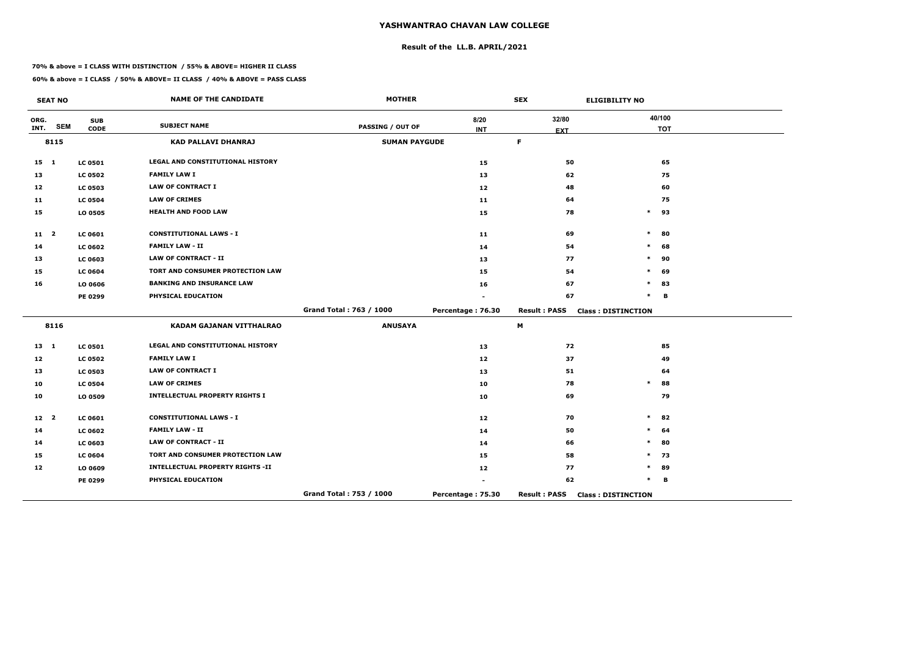## **Result of the LL.B. APRIL/2021**

#### **70% & above = I CLASS WITH DISTINCTION / 55% & ABOVE= HIGHER II CLASS**

|                 | <b>SEAT NO</b> |                           | <b>NAME OF THE CANDIDATE</b>            | <b>MOTHER</b>           |                   | <b>SEX</b>          | <b>ELIGIBILITY NO</b>     |
|-----------------|----------------|---------------------------|-----------------------------------------|-------------------------|-------------------|---------------------|---------------------------|
| ORG.<br>INT.    | <b>SEM</b>     | <b>SUB</b><br><b>CODE</b> | <b>SUBJECT NAME</b>                     | <b>PASSING / OUT OF</b> | 8/20              | 32/80               | 40/100<br><b>TOT</b>      |
|                 | 8115           |                           | KAD PALLAVI DHANRAJ                     | <b>SUMAN PAYGUDE</b>    | <b>INT</b>        | <b>EXT</b><br>F.    |                           |
|                 |                |                           |                                         |                         |                   |                     |                           |
| $15$ 1          |                | <b>LC 0501</b>            | LEGAL AND CONSTITUTIONAL HISTORY        |                         | 15                | 50                  | 65                        |
| 13              |                | <b>LC 0502</b>            | <b>FAMILY LAW I</b>                     |                         | 13                | 62                  | 75                        |
| 12              |                | <b>LC 0503</b>            | <b>LAW OF CONTRACT I</b>                |                         | 12                | 48                  | 60                        |
| 11              |                | <b>LC 0504</b>            | <b>LAW OF CRIMES</b>                    |                         | 11                | 64                  | 75                        |
| 15              |                | LO 0505                   | <b>HEALTH AND FOOD LAW</b>              |                         | 15                | 78                  | $\ast$<br>93              |
| $11 \quad 2$    |                | <b>LC 0601</b>            | <b>CONSTITUTIONAL LAWS - I</b>          |                         | 11                | 69                  | $\ast$<br>80              |
| 14              |                | <b>LC 0602</b>            | <b>FAMILY LAW - II</b>                  |                         | 14                | 54                  | 68<br>$\ast$              |
| 13              |                | <b>LC 0603</b>            | <b>LAW OF CONTRACT - II</b>             |                         | 13                | 77                  | $\ast$<br>90              |
| 15              |                | <b>LC 0604</b>            | TORT AND CONSUMER PROTECTION LAW        |                         | 15                | 54                  | 69<br>*                   |
| 16              |                | LO 0606                   | <b>BANKING AND INSURANCE LAW</b>        |                         | 16                | 67                  | $\ast$<br>83              |
|                 |                | PE 0299                   | PHYSICAL EDUCATION                      |                         |                   | 67                  | $\ast$<br>B               |
|                 |                |                           |                                         | Grand Total: 763 / 1000 | Percentage: 76.30 | <b>Result: PASS</b> | <b>Class: DISTINCTION</b> |
|                 | 8116           |                           | KADAM GAJANAN VITTHALRAO                | <b>ANUSAYA</b>          |                   | M                   |                           |
| $13 \quad 1$    |                | <b>LC 0501</b>            | <b>LEGAL AND CONSTITUTIONAL HISTORY</b> |                         | 13                | 72                  | 85                        |
| 12              |                | <b>LC 0502</b>            | <b>FAMILY LAW I</b>                     |                         | 12                | 37                  | 49                        |
| 13              |                | <b>LC 0503</b>            | <b>LAW OF CONTRACT I</b>                |                         | 13                | 51                  | 64                        |
| 10              |                | <b>LC 0504</b>            | <b>LAW OF CRIMES</b>                    |                         | 10                | 78                  | $\ast$<br>88              |
| 10              |                | LO 0509                   | <b>INTELLECTUAL PROPERTY RIGHTS I</b>   |                         | 10                | 69                  | 79                        |
| 12 <sup>2</sup> |                | <b>LC 0601</b>            | <b>CONSTITUTIONAL LAWS - I</b>          |                         | 12                | 70                  | $\ast$<br>82              |
| 14              |                | <b>LC 0602</b>            | <b>FAMILY LAW - II</b>                  |                         | 14                | 50                  | $\ast$<br>64              |
| 14              |                | <b>LC 0603</b>            | <b>LAW OF CONTRACT - II</b>             |                         | 14                | 66                  | 80<br>$\ast$              |
| 15              |                | <b>LC 0604</b>            | TORT AND CONSUMER PROTECTION LAW        |                         | 15                | 58                  | $\ast$<br>73              |
| 12              |                | LO 0609                   | <b>INTELLECTUAL PROPERTY RIGHTS -II</b> |                         | 12                | 77                  | *<br>89                   |
|                 |                | PE 0299                   | PHYSICAL EDUCATION                      |                         |                   | 62                  | $\ast$<br>В               |
|                 |                |                           |                                         | Grand Total: 753 / 1000 | Percentage: 75.30 | <b>Result: PASS</b> | <b>Class: DISTINCTION</b> |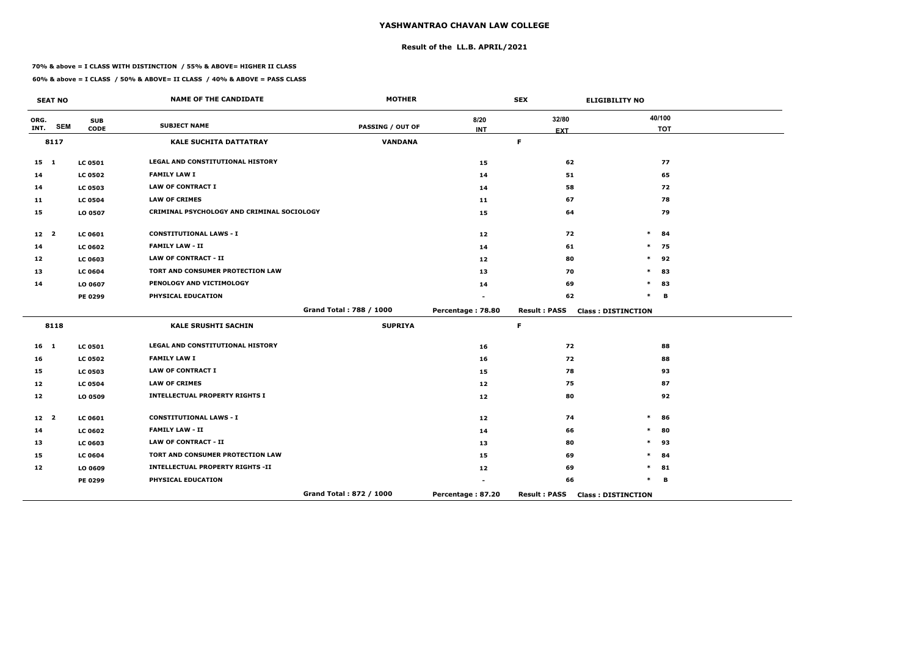## **Result of the LL.B. APRIL/2021**

#### **70% & above = I CLASS WITH DISTINCTION / 55% & ABOVE= HIGHER II CLASS**

|                 | <b>SEAT NO</b> |                           | <b>NAME OF THE CANDIDATE</b>               | <b>MOTHER</b>           |                   | <b>SEX</b>          | <b>ELIGIBILITY NO</b>     |
|-----------------|----------------|---------------------------|--------------------------------------------|-------------------------|-------------------|---------------------|---------------------------|
| ORG.<br>INT.    | <b>SEM</b>     | <b>SUB</b><br><b>CODE</b> | <b>SUBJECT NAME</b>                        | PASSING / OUT OF        | 8/20              | 32/80               | 40/100<br><b>TOT</b>      |
|                 | 8117           |                           | <b>KALE SUCHITA DATTATRAY</b>              | <b>VANDANA</b>          | <b>INT</b>        | <b>EXT</b><br>F     |                           |
|                 |                |                           |                                            |                         |                   |                     |                           |
| $15$ 1          |                | <b>LC 0501</b>            | LEGAL AND CONSTITUTIONAL HISTORY           |                         | 15                | 62                  | 77                        |
| 14              |                | <b>LC 0502</b>            | <b>FAMILY LAW I</b>                        |                         | 14                | 51                  | 65                        |
| 14              |                | <b>LC 0503</b>            | <b>LAW OF CONTRACT I</b>                   |                         | 14                | 58                  | 72                        |
| 11              |                | <b>LC 0504</b>            | <b>LAW OF CRIMES</b>                       |                         | 11                | 67                  | 78                        |
| 15              |                | LO 0507                   | CRIMINAL PSYCHOLOGY AND CRIMINAL SOCIOLOGY |                         | 15                | 64                  | 79                        |
| 12 <sub>2</sub> |                | <b>LC 0601</b>            | <b>CONSTITUTIONAL LAWS - I</b>             |                         | 12                | 72                  | $\ast$<br>84              |
| 14              |                | <b>LC 0602</b>            | <b>FAMILY LAW - II</b>                     |                         | 14                | 61                  | $\ast$<br>75              |
| 12              |                | <b>LC 0603</b>            | <b>LAW OF CONTRACT - II</b>                |                         | 12                | 80                  | 92<br>$\ast$              |
| 13              |                | <b>LC 0604</b>            | TORT AND CONSUMER PROTECTION LAW           |                         | 13                | 70                  | $\ast$<br>83              |
| 14              |                | LO 0607                   | PENOLOGY AND VICTIMOLOGY                   |                         | 14                | 69                  | $\ast$<br>83              |
|                 |                | PE 0299                   | PHYSICAL EDUCATION                         |                         |                   | 62                  | $\ast$<br>B               |
|                 |                |                           |                                            | Grand Total: 788 / 1000 | Percentage: 78.80 | <b>Result: PASS</b> | <b>Class: DISTINCTION</b> |
|                 | 8118           |                           | <b>KALE SRUSHTI SACHIN</b>                 | <b>SUPRIYA</b>          |                   | $\mathsf F$         |                           |
| 16 <sub>1</sub> |                | <b>LC 0501</b>            | LEGAL AND CONSTITUTIONAL HISTORY           |                         | 16                | 72                  | 88                        |
| 16              |                | <b>LC 0502</b>            | <b>FAMILY LAW I</b>                        |                         | 16                | 72                  | 88                        |
| 15              |                | <b>LC 0503</b>            | <b>LAW OF CONTRACT I</b>                   |                         | 15                | 78                  | 93                        |
| 12              |                | <b>LC 0504</b>            | <b>LAW OF CRIMES</b>                       |                         | 12 <sub>1</sub>   | 75                  | 87                        |
| 12              |                | LO 0509                   | <b>INTELLECTUAL PROPERTY RIGHTS I</b>      |                         | 12                | 80                  | 92                        |
| 12 <sup>2</sup> |                | LC 0601                   | <b>CONSTITUTIONAL LAWS - I</b>             |                         | 12                | 74                  | $\ast$<br>86              |
| 14              |                | <b>LC 0602</b>            | <b>FAMILY LAW - II</b>                     |                         | 14                | 66                  | 80<br>$\ast$              |
| 13              |                | <b>LC 0603</b>            | <b>LAW OF CONTRACT - II</b>                |                         | 13                | 80                  | $\ast$<br>93              |
| 15              |                | <b>LC 0604</b>            | TORT AND CONSUMER PROTECTION LAW           |                         | 15                | 69                  | $\ast$<br>84              |
| 12              |                | LO 0609                   | <b>INTELLECTUAL PROPERTY RIGHTS -II</b>    |                         | 12                | 69                  | 81<br>$\ast$              |
|                 |                | PE 0299                   | PHYSICAL EDUCATION                         |                         |                   | 66                  | $\ast$<br>B               |
|                 |                |                           |                                            | Grand Total: 872 / 1000 | Percentage: 87.20 | <b>Result: PASS</b> | <b>Class: DISTINCTION</b> |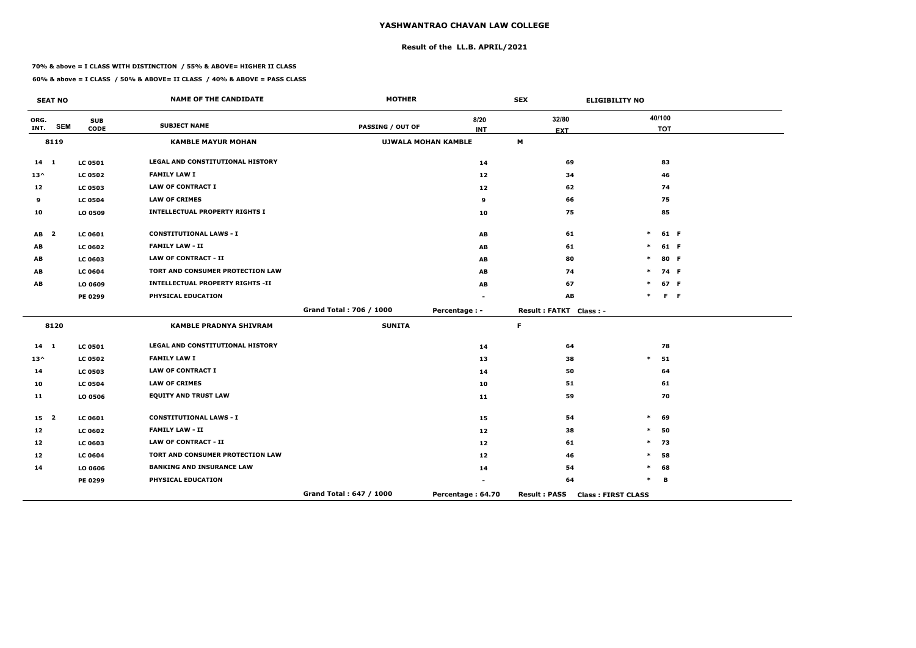## **Result of the LL.B. APRIL/2021**

#### **70% & above = I CLASS WITH DISTINCTION / 55% & ABOVE= HIGHER II CLASS**

**60% & above = I CLASS / 50% & ABOVE= II CLASS / 40% & ABOVE = PASS CLASS**

 $\overline{\phantom{a}}$ 

|                 | <b>SEAT NO</b>          |                | <b>NAME OF THE CANDIDATE</b>            | <b>MOTHER</b>           |                            | <b>SEX</b>             | <b>ELIGIBILITY NO</b>     |            |                |
|-----------------|-------------------------|----------------|-----------------------------------------|-------------------------|----------------------------|------------------------|---------------------------|------------|----------------|
| ORG.            |                         | <b>SUB</b>     |                                         |                         | 8/20                       | 32/80                  |                           | 40/100     |                |
| INT.            | <b>SEM</b>              | <b>CODE</b>    | <b>SUBJECT NAME</b>                     | <b>PASSING / OUT OF</b> | <b>INT</b>                 | <b>EXT</b>             |                           | <b>TOT</b> |                |
|                 | 8119                    |                | <b>KAMBLE MAYUR MOHAN</b>               |                         | <b>UJWALA MOHAN KAMBLE</b> | M                      |                           |            |                |
| 14 1            |                         | <b>LC 0501</b> | LEGAL AND CONSTITUTIONAL HISTORY        |                         | 14                         | 69                     |                           | 83         |                |
| $13^{\wedge}$   |                         | <b>LC 0502</b> | <b>FAMILY LAW I</b>                     |                         | 12                         | 34                     |                           | 46         |                |
| 12              |                         | <b>LC 0503</b> | <b>LAW OF CONTRACT I</b>                |                         | 12 <sub>2</sub>            | 62                     |                           | 74         |                |
| 9               |                         | <b>LC 0504</b> | <b>LAW OF CRIMES</b>                    |                         | 9                          | 66                     |                           | 75         |                |
| 10              |                         | LO 0509        | <b>INTELLECTUAL PROPERTY RIGHTS I</b>   |                         | 10                         | 75                     |                           | 85         |                |
| <b>AB</b>       | $\overline{\mathbf{2}}$ | LC 0601        | <b>CONSTITUTIONAL LAWS - I</b>          |                         | AB                         | 61                     | $\ast$                    | 61 F       |                |
| AB              |                         | <b>LC 0602</b> | <b>FAMILY LAW - II</b>                  |                         | AB                         | 61                     | $\ast$                    | 61 F       |                |
| AB              |                         | <b>LC 0603</b> | <b>LAW OF CONTRACT - II</b>             |                         | AB                         | 80                     | $\ast$                    | 80 F       |                |
| AB              |                         | <b>LC 0604</b> | TORT AND CONSUMER PROTECTION LAW        |                         | AB                         | 74                     | $\ast$                    | 74 F       |                |
| AB              |                         | LO 0609        | <b>INTELLECTUAL PROPERTY RIGHTS -II</b> |                         | AB                         | 67                     | ∗                         | 67 F       |                |
|                 |                         | <b>PE 0299</b> | PHYSICAL EDUCATION                      |                         |                            | <b>AB</b>              | $\ast$                    |            | F <sub>F</sub> |
|                 |                         |                |                                         | Grand Total: 706 / 1000 | Percentage : -             | Result: FATKT Class: - |                           |            |                |
|                 | 8120                    |                | <b>KAMBLE PRADNYA SHIVRAM</b>           | <b>SUNITA</b>           |                            | $\mathsf F$            |                           |            |                |
| $14 \quad 1$    |                         | <b>LC 0501</b> | LEGAL AND CONSTITUTIONAL HISTORY        |                         | 14                         | 64                     |                           | 78         |                |
| $13^{\wedge}$   |                         | <b>LC 0502</b> | <b>FAMILY LAW I</b>                     |                         | 13                         | 38                     | $\ast$                    | 51         |                |
| 14              |                         | <b>LC 0503</b> | <b>LAW OF CONTRACT I</b>                |                         | 14                         | 50                     |                           | 64         |                |
| 10              |                         | <b>LC 0504</b> | <b>LAW OF CRIMES</b>                    |                         | 10                         | 51                     |                           | 61         |                |
| 11              |                         | LO 0506        | <b>EQUITY AND TRUST LAW</b>             |                         | 11                         | 59                     |                           | 70         |                |
| 15 <sub>2</sub> |                         | <b>LC 0601</b> | <b>CONSTITUTIONAL LAWS - I</b>          |                         | 15                         | 54                     | $\ast$                    | 69         |                |
| 12              |                         | <b>LC 0602</b> | <b>FAMILY LAW - II</b>                  |                         | 12 <sub>1</sub>            | 38                     | $\ast$                    | 50         |                |
| 12              |                         | <b>LC 0603</b> | <b>LAW OF CONTRACT - II</b>             |                         | 12 <sub>2</sub>            | 61                     | $\ast$                    | 73         |                |
| 12 <sup>1</sup> |                         | <b>LC 0604</b> | TORT AND CONSUMER PROTECTION LAW        |                         | 12 <sub>2</sub>            | 46                     | $\ast$                    | 58         |                |
| 14              |                         | LO 0606        | <b>BANKING AND INSURANCE LAW</b>        |                         | 14                         | 54                     | $\ast$                    | 68         |                |
|                 |                         | <b>PE 0299</b> | PHYSICAL EDUCATION                      |                         |                            | 64                     | $\ast$                    | в          |                |
|                 |                         |                |                                         | Grand Total: 647 / 1000 | Percentage: 64.70          | <b>Result: PASS</b>    | <b>Class: FIRST CLASS</b> |            |                |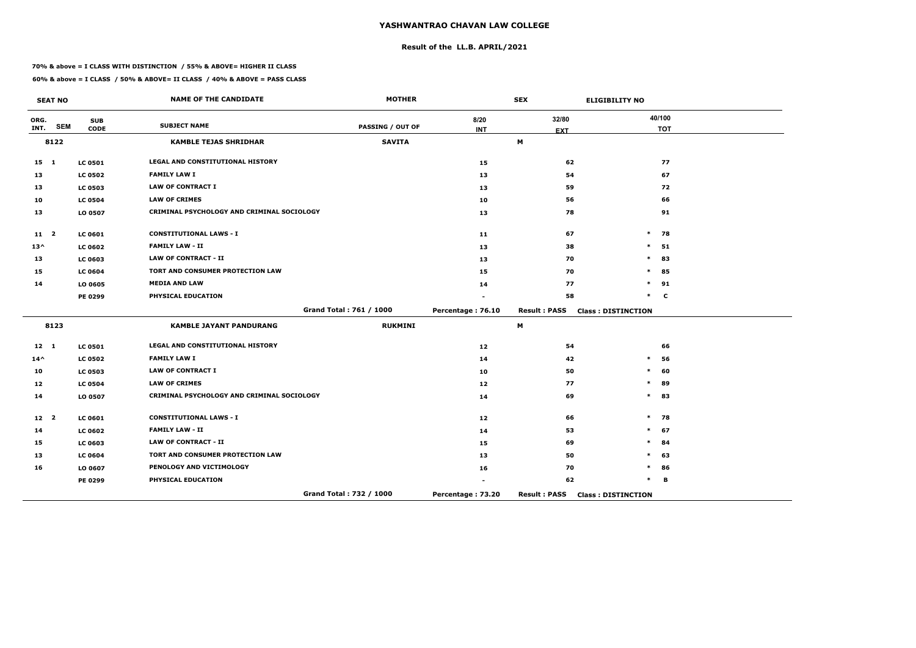## **Result of the LL.B. APRIL/2021**

#### **70% & above = I CLASS WITH DISTINCTION / 55% & ABOVE= HIGHER II CLASS**

 $\overline{\phantom{a}}$ 

|                 | <b>SEAT NO</b> |                           | <b>NAME OF THE CANDIDATE</b>               | <b>MOTHER</b>           |                   | <b>SEX</b>          | <b>ELIGIBILITY NO</b>     |
|-----------------|----------------|---------------------------|--------------------------------------------|-------------------------|-------------------|---------------------|---------------------------|
| ORG.<br>INT.    | <b>SEM</b>     | <b>SUB</b><br><b>CODE</b> | <b>SUBJECT NAME</b>                        | <b>PASSING / OUT OF</b> | 8/20              | 32/80               | 40/100<br><b>TOT</b>      |
|                 | 8122           |                           | <b>KAMBLE TEJAS SHRIDHAR</b>               | <b>SAVITA</b>           | <b>INT</b>        | <b>EXT</b><br>M     |                           |
|                 |                |                           |                                            |                         |                   |                     |                           |
| $15 \quad 1$    |                | <b>LC 0501</b>            | LEGAL AND CONSTITUTIONAL HISTORY           |                         | 15                | 62                  | 77                        |
| 13              |                | <b>LC 0502</b>            | <b>FAMILY LAW I</b>                        |                         | 13                | 54                  | 67                        |
| 13              |                | <b>LC 0503</b>            | <b>LAW OF CONTRACT I</b>                   |                         | 13                | 59                  | 72                        |
| 10              |                | <b>LC 0504</b>            | <b>LAW OF CRIMES</b>                       |                         | 10                | 56                  | 66                        |
| 13              |                | LO 0507                   | CRIMINAL PSYCHOLOGY AND CRIMINAL SOCIOLOGY |                         | 13                | 78                  | 91                        |
| 11 <sub>2</sub> |                | LC 0601                   | <b>CONSTITUTIONAL LAWS - I</b>             |                         | 11                | 67                  | $\ast$<br>78              |
| $13^{\wedge}$   |                | <b>LC 0602</b>            | <b>FAMILY LAW - II</b>                     |                         | 13                | 38                  | 51<br>$\ast$              |
| 13              |                | <b>LC 0603</b>            | <b>LAW OF CONTRACT - II</b>                |                         | 13                | 70                  | 83<br>$\ast$              |
| 15              |                | <b>LC 0604</b>            | TORT AND CONSUMER PROTECTION LAW           |                         | 15                | 70                  | 85<br>$\ast$              |
| 14              |                | LO 0605                   | <b>MEDIA AND LAW</b>                       |                         | 14                | 77                  | $\ast$<br>91              |
|                 |                | <b>PE 0299</b>            | PHYSICAL EDUCATION                         |                         |                   | 58                  | $\ast$<br>$\mathbf c$     |
|                 |                |                           |                                            | Grand Total: 761 / 1000 | Percentage: 76.10 | <b>Result: PASS</b> | <b>Class: DISTINCTION</b> |
|                 | 8123           |                           | <b>KAMBLE JAYANT PANDURANG</b>             | <b>RUKMINI</b>          |                   | M                   |                           |
| $12 \quad 1$    |                | <b>LC 0501</b>            | LEGAL AND CONSTITUTIONAL HISTORY           |                         | 12 <sub>1</sub>   | 54                  | 66                        |
| $14^{\wedge}$   |                | <b>LC 0502</b>            | <b>FAMILY LAW I</b>                        |                         | 14                | 42                  | 56<br>$\ast$              |
| 10              |                | <b>LC 0503</b>            | <b>LAW OF CONTRACT I</b>                   |                         | 10                | 50                  | 60<br>$\ast$              |
| 12              |                | <b>LC 0504</b>            | <b>LAW OF CRIMES</b>                       |                         | 12                | 77                  | 89<br>$\ast$              |
| 14              |                | LO 0507                   | CRIMINAL PSYCHOLOGY AND CRIMINAL SOCIOLOGY |                         | 14                | 69                  | $\ast$<br>83              |
| 12 <sup>2</sup> |                | <b>LC 0601</b>            | <b>CONSTITUTIONAL LAWS - I</b>             |                         | 12 <sub>1</sub>   | 66                  | 78<br>$\ast$              |
| 14              |                | <b>LC 0602</b>            | <b>FAMILY LAW - II</b>                     |                         | 14                | 53                  | 67<br>$\ast$              |
| 15              |                | <b>LC 0603</b>            | <b>LAW OF CONTRACT - II</b>                |                         | 15                | 69                  | $\ast$<br>84              |
| 13              |                | <b>LC 0604</b>            | TORT AND CONSUMER PROTECTION LAW           |                         | 13                | 50                  | 63<br>$\ast$              |
| 16              |                | LO 0607                   | PENOLOGY AND VICTIMOLOGY                   |                         | 16                | 70                  | 86<br>$\ast$              |
|                 |                | <b>PE 0299</b>            | PHYSICAL EDUCATION                         |                         |                   | 62                  | $\ast$<br>B               |
|                 |                |                           |                                            | Grand Total: 732 / 1000 | Percentage: 73.20 | <b>Result: PASS</b> | <b>Class: DISTINCTION</b> |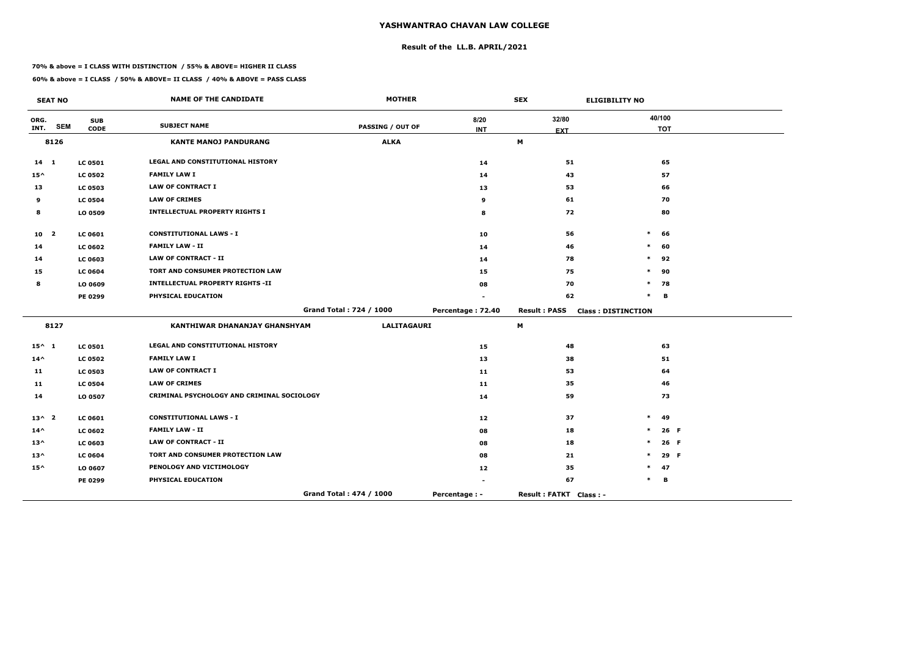## **Result of the LL.B. APRIL/2021**

#### **70% & above = I CLASS WITH DISTINCTION / 55% & ABOVE= HIGHER II CLASS**

|                 | <b>SEAT NO</b> |                | <b>NAME OF THE CANDIDATE</b>               | <b>MOTHER</b>           |                   | <b>SEX</b>             | <b>ELIGIBILITY NO</b>     |            |      |
|-----------------|----------------|----------------|--------------------------------------------|-------------------------|-------------------|------------------------|---------------------------|------------|------|
| ORG.            | <b>SEM</b>     | <b>SUB</b>     | <b>SUBJECT NAME</b>                        | <b>PASSING / OUT OF</b> | 8/20              | 32/80                  |                           | 40/100     |      |
| INT.            | 8126           | <b>CODE</b>    | <b>KANTE MANOJ PANDURANG</b>               | <b>ALKA</b>             | <b>INT</b>        | <b>EXT</b><br>М        |                           | <b>TOT</b> |      |
|                 |                |                |                                            |                         |                   |                        |                           |            |      |
| $14 \quad 1$    |                | <b>LC 0501</b> | LEGAL AND CONSTITUTIONAL HISTORY           |                         | 14                | 51                     |                           | 65         |      |
| $15^{\wedge}$   |                | <b>LC 0502</b> | <b>FAMILY LAW I</b>                        |                         | 14                | 43                     |                           | 57         |      |
| 13              |                | <b>LC 0503</b> | <b>LAW OF CONTRACT I</b>                   |                         | 13                | 53                     |                           | 66         |      |
| 9               |                | <b>LC 0504</b> | <b>LAW OF CRIMES</b>                       |                         | 9                 | 61                     |                           | 70         |      |
| 8               |                | LO 0509        | <b>INTELLECTUAL PROPERTY RIGHTS I</b>      |                         | 8                 | 72                     |                           | 80         |      |
| 10 2            |                | LC 0601        | <b>CONSTITUTIONAL LAWS - I</b>             |                         | 10                | 56                     | $\ast$                    | 66         |      |
| 14              |                | <b>LC 0602</b> | <b>FAMILY LAW - II</b>                     |                         | 14                | 46                     | $\ast$                    | 60         |      |
| 14              |                | <b>LC 0603</b> | <b>LAW OF CONTRACT - II</b>                |                         | 14                | 78                     | $\ast$                    | 92         |      |
| 15              |                | <b>LC 0604</b> | TORT AND CONSUMER PROTECTION LAW           |                         | 15                | 75                     | $\ast$                    | 90         |      |
| 8               |                | LO 0609        | <b>INTELLECTUAL PROPERTY RIGHTS -II</b>    |                         | 08                | 70                     | $\ast$                    | 78         |      |
|                 |                | PE 0299        | PHYSICAL EDUCATION                         |                         |                   | 62                     | $\ast$                    | В          |      |
|                 |                |                |                                            | Grand Total: 724 / 1000 | Percentage: 72.40 | <b>Result: PASS</b>    | <b>Class: DISTINCTION</b> |            |      |
|                 | 8127           |                | KANTHIWAR DHANANJAY GHANSHYAM              | LALITAGAURI             |                   | M                      |                           |            |      |
| $15^{\wedge} 1$ |                | <b>LC 0501</b> | LEGAL AND CONSTITUTIONAL HISTORY           |                         | 15                | 48                     |                           | 63         |      |
| $14^{\wedge}$   |                | <b>LC 0502</b> | <b>FAMILY LAW I</b>                        |                         | 13                | 38                     |                           | 51         |      |
| 11              |                | <b>LC 0503</b> | <b>LAW OF CONTRACT I</b>                   |                         | 11                | 53                     |                           | 64         |      |
| 11              |                | <b>LC 0504</b> | <b>LAW OF CRIMES</b>                       |                         | $11$              | 35                     |                           | 46         |      |
| 14              |                | LO 0507        | CRIMINAL PSYCHOLOGY AND CRIMINAL SOCIOLOGY |                         | 14                | 59                     |                           | 73         |      |
| $13^{\wedge}2$  |                | <b>LC 0601</b> | <b>CONSTITUTIONAL LAWS - I</b>             |                         | 12                | 37                     | $\ast$                    | 49         |      |
| $14^{\wedge}$   |                | <b>LC 0602</b> | <b>FAMILY LAW - II</b>                     |                         | 08                | 18                     | $\ast$                    | 26 F       |      |
| $13^{\wedge}$   |                | <b>LC 0603</b> | <b>LAW OF CONTRACT - II</b>                |                         | 08                | 18                     | $\ast$                    | 26 F       |      |
| $13^{\wedge}$   |                | <b>LC 0604</b> | TORT AND CONSUMER PROTECTION LAW           |                         | 08                | 21                     | $\ast$                    |            | 29 F |
| $15^{\wedge}$   |                | LO 0607        | PENOLOGY AND VICTIMOLOGY                   |                         | 12                | 35                     | $\ast$                    | 47         |      |
|                 |                | <b>PE 0299</b> | PHYSICAL EDUCATION                         |                         | $\blacksquare$    | 67                     | $\ast$                    | В          |      |
|                 |                |                |                                            | Grand Total: 474 / 1000 | Percentage : -    | Result: FATKT Class: - |                           |            |      |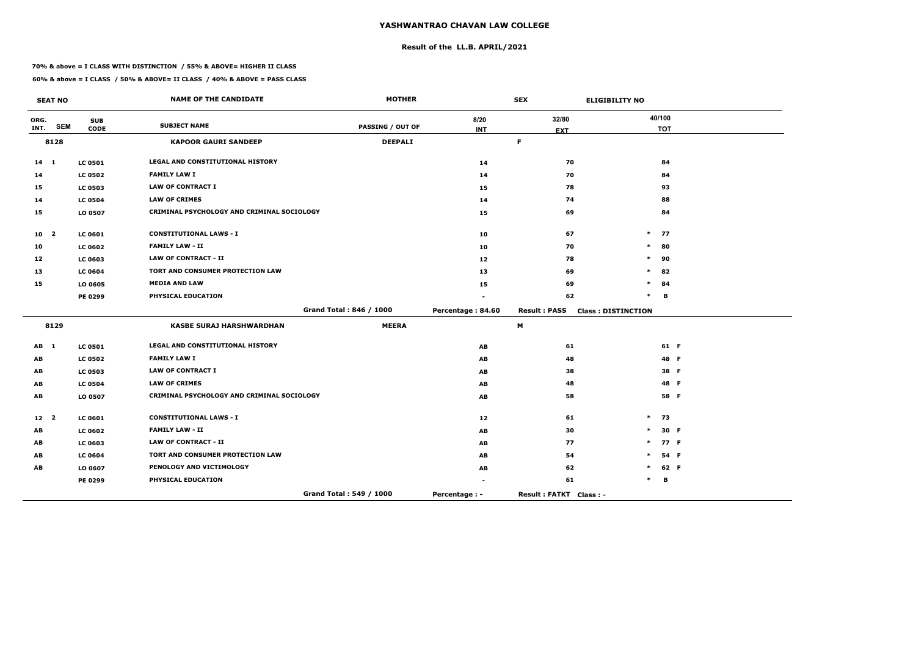## **Result of the LL.B. APRIL/2021**

#### **70% & above = I CLASS WITH DISTINCTION / 55% & ABOVE= HIGHER II CLASS**

 $\overline{\phantom{a}}$ 

|                 | <b>SEAT NO</b> |                | <b>NAME OF THE CANDIDATE</b>               | <b>MOTHER</b>           |                   | <b>SEX</b>             | <b>ELIGIBILITY NO</b>     |            |  |
|-----------------|----------------|----------------|--------------------------------------------|-------------------------|-------------------|------------------------|---------------------------|------------|--|
| ORG.            |                | <b>SUB</b>     | <b>SUBJECT NAME</b>                        |                         | 8/20              | 32/80                  |                           | 40/100     |  |
| INT.            | <b>SEM</b>     | <b>CODE</b>    |                                            | <b>PASSING / OUT OF</b> | <b>INT</b>        | <b>EXT</b>             |                           | <b>TOT</b> |  |
|                 | 8128           |                | <b>KAPOOR GAURI SANDEEP</b>                | <b>DEEPALI</b>          |                   | $\mathsf F$            |                           |            |  |
| $14 \quad 1$    |                | <b>LC 0501</b> | LEGAL AND CONSTITUTIONAL HISTORY           |                         | 14                | 70                     |                           | 84         |  |
| 14              |                | <b>LC 0502</b> | <b>FAMILY LAW I</b>                        |                         | 14                | 70                     |                           | 84         |  |
| 15              |                | <b>LC 0503</b> | <b>LAW OF CONTRACT I</b>                   |                         | 15                | 78                     |                           | 93         |  |
| 14              |                | <b>LC 0504</b> | <b>LAW OF CRIMES</b>                       |                         | 14                | 74                     |                           | 88         |  |
| 15              |                | LO 0507        | CRIMINAL PSYCHOLOGY AND CRIMINAL SOCIOLOGY |                         | 15                | 69                     |                           | 84         |  |
| 10 <sub>2</sub> |                | <b>LC 0601</b> | <b>CONSTITUTIONAL LAWS - I</b>             |                         | 10                | 67                     | $*$ 77                    |            |  |
| 10              |                | <b>LC 0602</b> | <b>FAMILY LAW - II</b>                     |                         | 10                | 70                     | $\ast$                    | 80         |  |
| 12              |                | <b>LC 0603</b> | <b>LAW OF CONTRACT - II</b>                |                         | 12                | 78                     | $\ast$                    | 90         |  |
| 13              |                | <b>LC 0604</b> | <b>TORT AND CONSUMER PROTECTION LAW</b>    |                         | 13                | 69                     | $\ast$                    | 82         |  |
| 15              |                | LO 0605        | <b>MEDIA AND LAW</b>                       |                         | 15                | 69                     | $\ast$                    | 84         |  |
|                 |                | PE 0299        | PHYSICAL EDUCATION                         |                         |                   | 62                     | $\ast$                    | в          |  |
|                 |                |                |                                            | Grand Total: 846 / 1000 | Percentage: 84.60 | <b>Result: PASS</b>    | <b>Class: DISTINCTION</b> |            |  |
|                 | 8129           |                | <b>KASBE SURAJ HARSHWARDHAN</b>            | <b>MEERA</b>            |                   | M                      |                           |            |  |
| AB 1            |                | <b>LC 0501</b> | LEGAL AND CONSTITUTIONAL HISTORY           |                         | AB                | 61                     |                           | 61 F       |  |
| AB              |                | <b>LC 0502</b> | <b>FAMILY LAW I</b>                        |                         | AB                | 48                     |                           | 48 F       |  |
| AB              |                | <b>LC 0503</b> | <b>LAW OF CONTRACT I</b>                   |                         | AB                | 38                     |                           | 38 F       |  |
| AB              |                | <b>LC 0504</b> | <b>LAW OF CRIMES</b>                       |                         | AB                | 48                     |                           | 48 F       |  |
| AB              |                | LO 0507        | CRIMINAL PSYCHOLOGY AND CRIMINAL SOCIOLOGY |                         | AB                | 58                     |                           | 58 F       |  |
| 12 <sup>2</sup> |                | <b>LC 0601</b> | <b>CONSTITUTIONAL LAWS - I</b>             |                         | 12                | 61                     | $\ast$                    | 73         |  |
| AB              |                | <b>LC 0602</b> | <b>FAMILY LAW - II</b>                     |                         | <b>AB</b>         | 30                     | $\ast$                    | 30 F       |  |
| AB              |                | <b>LC 0603</b> | <b>LAW OF CONTRACT - II</b>                |                         | AB                | 77                     |                           | 77 F       |  |
| AB              |                | <b>LC 0604</b> | TORT AND CONSUMER PROTECTION LAW           |                         | AB                | 54                     |                           | 54 F       |  |
| AB              |                | LO 0607        | PENOLOGY AND VICTIMOLOGY                   |                         | AB                | 62                     | $\ast$                    | 62 F       |  |
|                 |                | <b>PE 0299</b> | PHYSICAL EDUCATION                         |                         | $\blacksquare$    | 61                     |                           | в          |  |
|                 |                |                |                                            | Grand Total: 549 / 1000 | Percentage : -    | Result: FATKT Class: - |                           |            |  |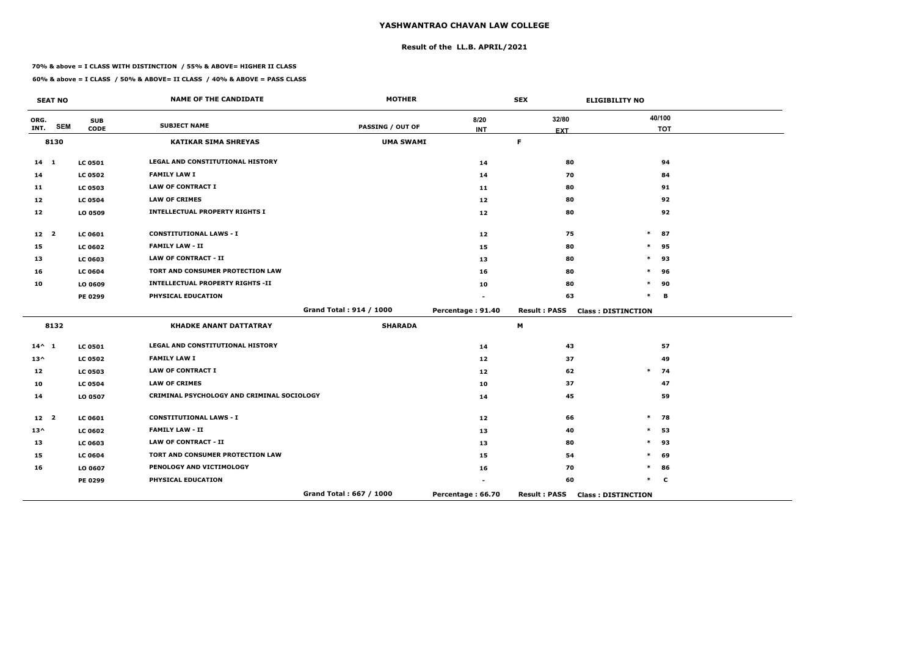## **Result of the LL.B. APRIL/2021**

#### **70% & above = I CLASS WITH DISTINCTION / 55% & ABOVE= HIGHER II CLASS**

|                 | <b>SEAT NO</b> |                           | <b>NAME OF THE CANDIDATE</b>               | <b>MOTHER</b>           |                    | <b>SEX</b>          | <b>ELIGIBILITY NO</b>     |
|-----------------|----------------|---------------------------|--------------------------------------------|-------------------------|--------------------|---------------------|---------------------------|
| ORG.<br>INT.    | <b>SEM</b>     | <b>SUB</b><br><b>CODE</b> | <b>SUBJECT NAME</b>                        | <b>PASSING / OUT OF</b> | 8/20<br><b>INT</b> | 32/80               | 40/100<br><b>TOT</b>      |
|                 | 8130           |                           | <b>KATIKAR SIMA SHREYAS</b>                | <b>UMA SWAMI</b>        |                    | <b>EXT</b><br>F.    |                           |
|                 |                |                           |                                            |                         |                    |                     |                           |
| $14 \quad 1$    |                | <b>LC 0501</b>            | <b>LEGAL AND CONSTITUTIONAL HISTORY</b>    |                         | 14                 | 80                  | 94                        |
| 14              |                | <b>LC 0502</b>            | <b>FAMILY LAW I</b>                        |                         | 14                 | 70                  | 84                        |
| 11              |                | <b>LC 0503</b>            | <b>LAW OF CONTRACT I</b>                   |                         | 11                 | 80                  | 91                        |
| 12              |                | <b>LC 0504</b>            | <b>LAW OF CRIMES</b>                       |                         | 12                 | 80                  | 92                        |
| 12              |                | LO 0509                   | <b>INTELLECTUAL PROPERTY RIGHTS I</b>      |                         | 12                 | 80                  | 92                        |
| 12 <sub>2</sub> |                | LC 0601                   | <b>CONSTITUTIONAL LAWS - I</b>             |                         | 12                 | 75                  | $\ast$<br>87              |
| 15              |                | <b>LC 0602</b>            | <b>FAMILY LAW - II</b>                     |                         | 15                 | 80                  | $\ast$<br>95              |
| 13              |                | <b>LC 0603</b>            | <b>LAW OF CONTRACT - II</b>                |                         | 13                 | 80                  | $\ast$<br>93              |
| 16              |                | <b>LC 0604</b>            | TORT AND CONSUMER PROTECTION LAW           |                         | 16                 | 80                  | $\ast$<br>96              |
| 10              |                | LO 0609                   | <b>INTELLECTUAL PROPERTY RIGHTS -II</b>    |                         | 10                 | 80                  | *<br>90                   |
|                 |                | PE 0299                   | PHYSICAL EDUCATION                         |                         |                    | 63                  | $\ast$<br>B               |
|                 |                |                           |                                            | Grand Total: 914 / 1000 | Percentage: 91.40  | <b>Result: PASS</b> | <b>Class: DISTINCTION</b> |
|                 | 8132           |                           | <b>KHADKE ANANT DATTATRAY</b>              | <b>SHARADA</b>          |                    | M                   |                           |
| $14^{\wedge} 1$ |                | <b>LC 0501</b>            | LEGAL AND CONSTITUTIONAL HISTORY           |                         | 14                 | 43                  | 57                        |
| $13^{\wedge}$   |                | <b>LC 0502</b>            | <b>FAMILY LAW I</b>                        |                         | 12                 | 37                  | 49                        |
| 12              |                | <b>LC 0503</b>            | <b>LAW OF CONTRACT I</b>                   |                         | 12 <sub>1</sub>    | 62                  | $\ast$<br>74              |
| 10              |                | <b>LC 0504</b>            | <b>LAW OF CRIMES</b>                       |                         | 10                 | 37                  | 47                        |
| 14              |                | LO 0507                   | CRIMINAL PSYCHOLOGY AND CRIMINAL SOCIOLOGY |                         | 14                 | 45                  | 59                        |
| 12 <sup>2</sup> |                | <b>LC 0601</b>            | <b>CONSTITUTIONAL LAWS - I</b>             |                         | 12                 | 66                  | $\ast$<br>78              |
| $13^{\wedge}$   |                | <b>LC 0602</b>            | <b>FAMILY LAW - II</b>                     |                         | 13                 | 40                  | 53<br>$\ast$              |
| 13              |                | <b>LC 0603</b>            | <b>LAW OF CONTRACT - II</b>                |                         | 13                 | 80                  | $\ast$<br>93              |
| 15              |                | <b>LC 0604</b>            | TORT AND CONSUMER PROTECTION LAW           |                         | 15                 | 54                  | $\ast$<br>69              |
| 16              |                | LO 0607                   | PENOLOGY AND VICTIMOLOGY                   |                         | 16                 | 70                  | *<br>86                   |
|                 |                | PE 0299                   | PHYSICAL EDUCATION                         |                         |                    | 60                  | $\ast$<br>$\mathbf c$     |
|                 |                |                           |                                            | Grand Total: 667 / 1000 | Percentage: 66.70  | <b>Result: PASS</b> | <b>Class: DISTINCTION</b> |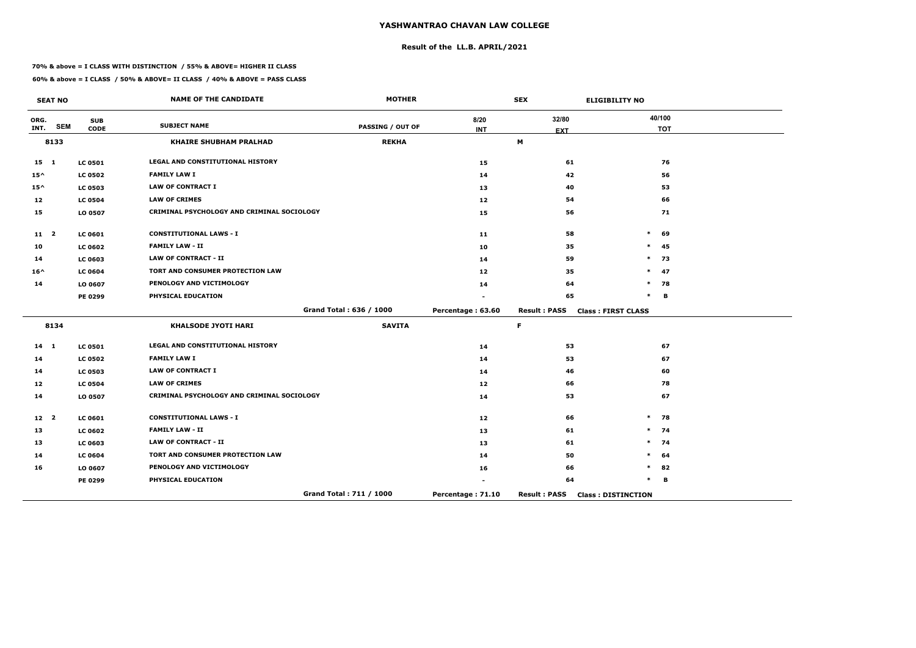## **Result of the LL.B. APRIL/2021**

#### **70% & above = I CLASS WITH DISTINCTION / 55% & ABOVE= HIGHER II CLASS**

|                 | <b>SEAT NO</b> |                           | <b>NAME OF THE CANDIDATE</b>               | <b>MOTHER</b>           |                    | <b>SEX</b>          | <b>ELIGIBILITY NO</b>     |
|-----------------|----------------|---------------------------|--------------------------------------------|-------------------------|--------------------|---------------------|---------------------------|
| ORG.<br>INT.    | <b>SEM</b>     | <b>SUB</b><br><b>CODE</b> | <b>SUBJECT NAME</b>                        | <b>PASSING / OUT OF</b> | 8/20<br><b>INT</b> | 32/80               | 40/100<br><b>TOT</b>      |
|                 | 8133           |                           | <b>KHAIRE SHUBHAM PRALHAD</b>              | <b>REKHA</b>            |                    | <b>EXT</b><br>M     |                           |
| $15 \quad 1$    |                | <b>LC 0501</b>            | <b>LEGAL AND CONSTITUTIONAL HISTORY</b>    |                         | 15                 | 61                  | 76                        |
| $15^{\wedge}$   |                | <b>LC 0502</b>            | <b>FAMILY LAW I</b>                        |                         | 14                 | 42                  | 56                        |
| $15^{\wedge}$   |                | <b>LC 0503</b>            | <b>LAW OF CONTRACT I</b>                   |                         | 13                 | 40                  | 53                        |
| 12              |                | <b>LC 0504</b>            | <b>LAW OF CRIMES</b>                       |                         | 12                 | 54                  | 66                        |
| 15              |                | LO 0507                   | CRIMINAL PSYCHOLOGY AND CRIMINAL SOCIOLOGY |                         | 15                 | 56                  | 71                        |
| $11 \quad 2$    |                | <b>LC 0601</b>            | <b>CONSTITUTIONAL LAWS - I</b>             |                         | 11                 | 58                  | $\ast$<br>69              |
| 10              |                | <b>LC 0602</b>            | <b>FAMILY LAW - II</b>                     |                         | 10                 | 35                  | $\ast$<br>45              |
| 14              |                | <b>LC 0603</b>            | <b>LAW OF CONTRACT - II</b>                |                         | 14                 | 59                  | $\ast$<br>73              |
| $16^{\wedge}$   |                | <b>LC 0604</b>            | TORT AND CONSUMER PROTECTION LAW           |                         | 12                 | 35                  | 47<br>$\ast$              |
| 14              |                | LO 0607                   | PENOLOGY AND VICTIMOLOGY                   |                         | 14                 | 64                  | $\ast$<br>78              |
|                 |                | PE 0299                   | PHYSICAL EDUCATION                         |                         |                    | 65                  | $\ast$<br>B               |
|                 |                |                           |                                            | Grand Total: 636 / 1000 | Percentage: 63.60  | <b>Result: PASS</b> | <b>Class: FIRST CLASS</b> |
|                 | 8134           |                           | <b>KHALSODE JYOTI HARI</b>                 | <b>SAVITA</b>           |                    | F.                  |                           |
| $14 \quad 1$    |                | <b>LC 0501</b>            | LEGAL AND CONSTITUTIONAL HISTORY           |                         | 14                 | 53                  | 67                        |
| 14              |                | <b>LC 0502</b>            | <b>FAMILY LAW I</b>                        |                         | 14                 | 53                  | 67                        |
| 14              |                | <b>LC 0503</b>            | <b>LAW OF CONTRACT I</b>                   |                         | 14                 | 46                  | 60                        |
| 12              |                | <b>LC 0504</b>            | <b>LAW OF CRIMES</b>                       |                         | 12                 | 66                  | 78                        |
| 14              |                | LO 0507                   | CRIMINAL PSYCHOLOGY AND CRIMINAL SOCIOLOGY |                         | 14                 | 53                  | 67                        |
| 12 <sup>2</sup> |                | <b>LC 0601</b>            | <b>CONSTITUTIONAL LAWS - I</b>             |                         | 12                 | 66                  | $\ast$<br>78              |
| 13              |                | <b>LC 0602</b>            | <b>FAMILY LAW - II</b>                     |                         | 13                 | 61                  | 74<br>$\ast$              |
| 13              |                | <b>LC 0603</b>            | <b>LAW OF CONTRACT - II</b>                |                         | 13                 | 61                  | 74<br>$\ast$              |
| 14              |                | <b>LC 0604</b>            | TORT AND CONSUMER PROTECTION LAW           |                         | 14                 | 50                  | $\ast$<br>64              |
| 16              |                | LO 0607                   | PENOLOGY AND VICTIMOLOGY                   |                         | 16                 | 66                  | *<br>82                   |
|                 |                | PE 0299                   | PHYSICAL EDUCATION                         |                         |                    | 64                  | $\ast$<br>В               |
|                 |                |                           |                                            | Grand Total: 711 / 1000 | Percentage: 71.10  | <b>Result: PASS</b> | <b>Class: DISTINCTION</b> |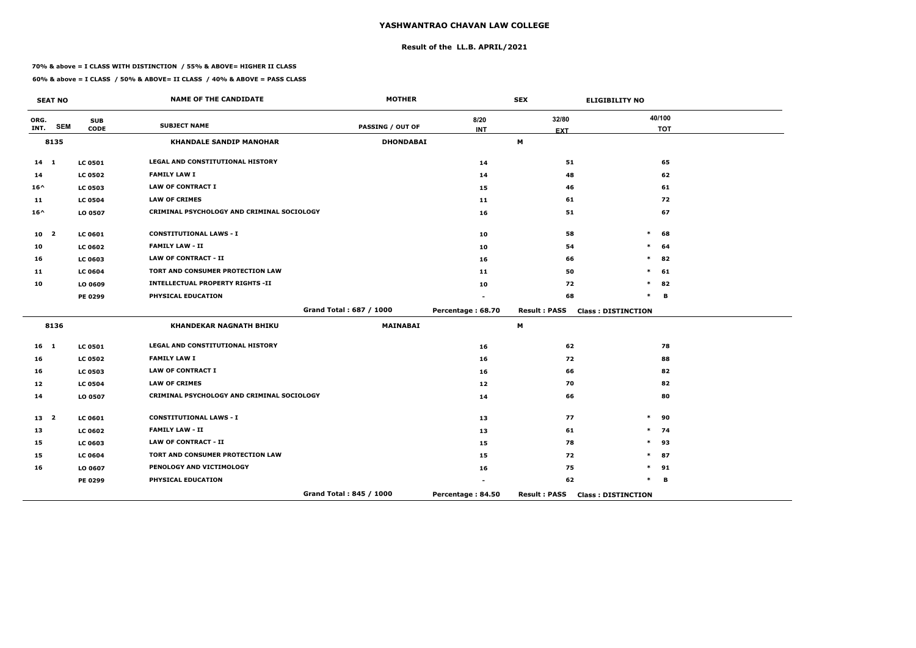## **Result of the LL.B. APRIL/2021**

#### **70% & above = I CLASS WITH DISTINCTION / 55% & ABOVE= HIGHER II CLASS**

 $\overline{\phantom{a}}$ 

|                 | <b>SEAT NO</b>          |                | <b>NAME OF THE CANDIDATE</b>               | <b>MOTHER</b>           |                   | <b>SEX</b>          | <b>ELIGIBILITY NO</b>     |
|-----------------|-------------------------|----------------|--------------------------------------------|-------------------------|-------------------|---------------------|---------------------------|
| ORG.            | <b>SEM</b>              | <b>SUB</b>     | <b>SUBJECT NAME</b>                        | <b>PASSING / OUT OF</b> | 8/20              | 32/80               | 40/100                    |
| INT.            |                         | <b>CODE</b>    |                                            |                         | <b>INT</b>        | <b>EXT</b>          | <b>TOT</b>                |
|                 | 8135                    |                | <b>KHANDALE SANDIP MANOHAR</b>             | <b>DHONDABAI</b>        |                   | M                   |                           |
| $14 \quad 1$    |                         | <b>LC 0501</b> | LEGAL AND CONSTITUTIONAL HISTORY           |                         | 14                | 51                  | 65                        |
| 14              |                         | <b>LC 0502</b> | <b>FAMILY LAW I</b>                        |                         | 14                | 48                  | 62                        |
| $16^{\wedge}$   |                         | <b>LC 0503</b> | <b>LAW OF CONTRACT I</b>                   |                         | 15                | 46                  | 61                        |
| 11              |                         | <b>LC 0504</b> | <b>LAW OF CRIMES</b>                       |                         | 11                | 61                  | 72                        |
| $16^{\wedge}$   |                         | LO 0507        | CRIMINAL PSYCHOLOGY AND CRIMINAL SOCIOLOGY |                         | 16                | 51                  | 67                        |
| 10 <sub>2</sub> |                         | <b>LC 0601</b> | <b>CONSTITUTIONAL LAWS - I</b>             |                         | 10                | 58                  | 68<br>$\ast$              |
| 10              |                         | <b>LC 0602</b> | <b>FAMILY LAW - II</b>                     |                         | 10                | 54                  | 64<br>$\ast$              |
| 16              |                         | LC 0603        | <b>LAW OF CONTRACT - II</b>                |                         | 16                | 66                  | $\ast$<br>82              |
| 11              |                         | <b>LC 0604</b> | TORT AND CONSUMER PROTECTION LAW           |                         | 11                | 50                  | 61<br>$\ast$              |
| 10              |                         | LO 0609        | <b>INTELLECTUAL PROPERTY RIGHTS -II</b>    |                         | 10                | 72                  | $\ast$<br>82              |
|                 |                         | <b>PE 0299</b> | PHYSICAL EDUCATION                         |                         |                   | 68                  | $\ast$<br>B               |
|                 |                         |                |                                            | Grand Total: 687 / 1000 | Percentage: 68.70 | <b>Result: PASS</b> | <b>Class: DISTINCTION</b> |
|                 | 8136                    |                | <b>KHANDEKAR NAGNATH BHIKU</b>             | <b>MAINABAI</b>         |                   | M                   |                           |
| 16 <sub>1</sub> |                         | <b>LC 0501</b> | LEGAL AND CONSTITUTIONAL HISTORY           |                         | 16                | 62                  | 78                        |
| 16              |                         | <b>LC 0502</b> | <b>FAMILY LAW I</b>                        |                         | 16                | 72                  | 88                        |
| 16              |                         | <b>LC 0503</b> | <b>LAW OF CONTRACT I</b>                   |                         | 16                | 66                  | 82                        |
| 12              |                         | <b>LC 0504</b> | <b>LAW OF CRIMES</b>                       |                         | 12 <sub>1</sub>   | 70                  | 82                        |
| 14              |                         | LO 0507        | CRIMINAL PSYCHOLOGY AND CRIMINAL SOCIOLOGY |                         | 14                | 66                  | 80                        |
| 13              | $\overline{\mathbf{2}}$ | <b>LC 0601</b> | <b>CONSTITUTIONAL LAWS - I</b>             |                         | 13                | 77                  | 90<br>$\ast$              |
| 13              |                         | <b>LC 0602</b> | <b>FAMILY LAW - II</b>                     |                         | 13                | 61                  | 74<br>$\ast$              |
| 15              |                         | <b>LC 0603</b> | <b>LAW OF CONTRACT - II</b>                |                         | 15                | 78                  | 93<br>$\ast$              |
| 15              |                         | <b>LC 0604</b> | TORT AND CONSUMER PROTECTION LAW           |                         | 15                | 72                  | 87<br>$\ast$              |
| 16              |                         | LO 0607        | PENOLOGY AND VICTIMOLOGY                   |                         | 16                | 75                  | 91<br>$\ast$              |
|                 |                         | <b>PE 0299</b> | PHYSICAL EDUCATION                         |                         |                   | 62                  | $\ast$<br>B               |
|                 |                         |                |                                            | Grand Total: 845 / 1000 | Percentage: 84.50 | <b>Result: PASS</b> | <b>Class: DISTINCTION</b> |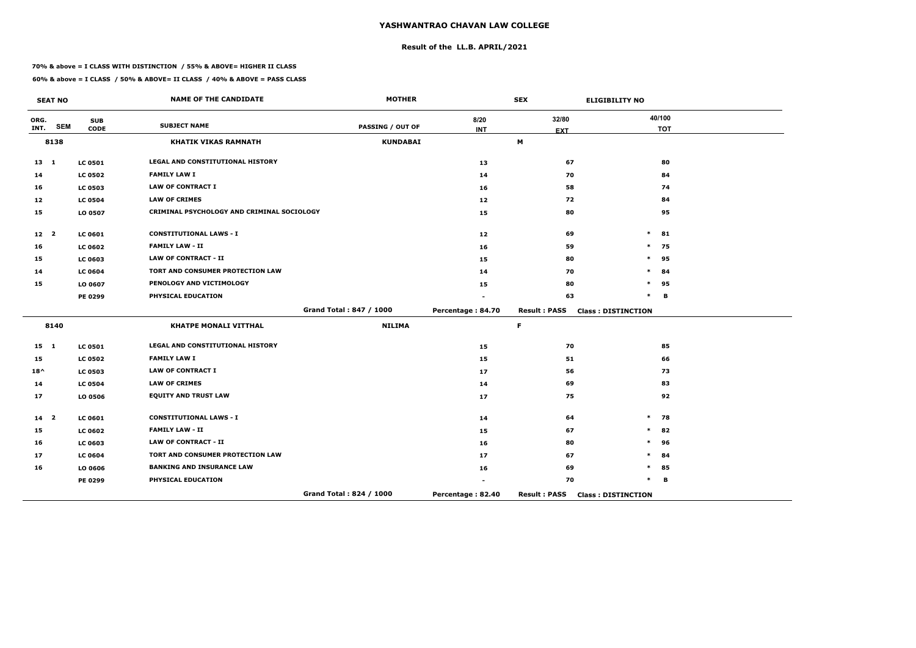## **Result of the LL.B. APRIL/2021**

#### **70% & above = I CLASS WITH DISTINCTION / 55% & ABOVE= HIGHER II CLASS**

|                 | <b>SEAT NO</b> |                           | <b>NAME OF THE CANDIDATE</b>               | <b>MOTHER</b>           |                    | <b>SEX</b>          | <b>ELIGIBILITY NO</b>     |                      |
|-----------------|----------------|---------------------------|--------------------------------------------|-------------------------|--------------------|---------------------|---------------------------|----------------------|
| ORG.<br>INT.    | <b>SEM</b>     | <b>SUB</b><br><b>CODE</b> | <b>SUBJECT NAME</b>                        | <b>PASSING / OUT OF</b> | 8/20<br><b>INT</b> | 32/80<br><b>EXT</b> |                           | 40/100<br><b>TOT</b> |
|                 | 8138           |                           | <b>KHATIK VIKAS RAMNATH</b>                | <b>KUNDABAI</b>         |                    | M                   |                           |                      |
| $13 \quad 1$    |                | <b>LC 0501</b>            | LEGAL AND CONSTITUTIONAL HISTORY           |                         | 13                 | 67                  |                           | 80                   |
| 14              |                | <b>LC 0502</b>            | <b>FAMILY LAW I</b>                        |                         | 14                 | 70                  |                           | 84                   |
| 16              |                | <b>LC 0503</b>            | <b>LAW OF CONTRACT I</b>                   |                         | 16                 | 58                  |                           | 74                   |
| 12              |                | <b>LC 0504</b>            | <b>LAW OF CRIMES</b>                       |                         | 12 <sub>2</sub>    | 72                  |                           | 84                   |
| 15              |                | LO 0507                   | CRIMINAL PSYCHOLOGY AND CRIMINAL SOCIOLOGY |                         | 15                 | 80                  |                           | 95                   |
| 12 <sub>2</sub> |                | <b>LC 0601</b>            | <b>CONSTITUTIONAL LAWS - I</b>             |                         | 12                 | 69                  | $\ast$                    | 81                   |
| 16              |                | <b>LC 0602</b>            | <b>FAMILY LAW - II</b>                     |                         | 16                 | 59                  | $\ast$                    | 75                   |
| 15              |                | <b>LC 0603</b>            | <b>LAW OF CONTRACT - II</b>                |                         | 15                 | 80                  | $\ast$                    | 95                   |
| 14              |                | <b>LC 0604</b>            | TORT AND CONSUMER PROTECTION LAW           |                         | 14                 | 70                  | $\ast$                    | 84                   |
| 15              |                | LO 0607                   | PENOLOGY AND VICTIMOLOGY                   |                         | 15                 | 80                  | $\ast$                    | 95                   |
|                 |                | PE 0299                   | PHYSICAL EDUCATION                         |                         |                    | 63                  | $\ast$                    | В                    |
|                 |                |                           |                                            | Grand Total: 847 / 1000 | Percentage: 84.70  | <b>Result: PASS</b> | <b>Class: DISTINCTION</b> |                      |
|                 | 8140           |                           | <b>KHATPE MONALI VITTHAL</b>               | <b>NILIMA</b>           |                    | F.                  |                           |                      |
| $15 \quad 1$    |                | <b>LC 0501</b>            | LEGAL AND CONSTITUTIONAL HISTORY           |                         | 15                 | 70                  |                           | 85                   |
| 15              |                | <b>LC 0502</b>            | <b>FAMILY LAW I</b>                        |                         | 15                 | 51                  |                           | 66                   |
| $18^{\wedge}$   |                | <b>LC 0503</b>            | <b>LAW OF CONTRACT I</b>                   |                         | 17                 | 56                  |                           | 73                   |
| 14              |                | <b>LC 0504</b>            | <b>LAW OF CRIMES</b>                       |                         | 14                 | 69                  |                           | 83                   |
| 17              |                | LO 0506                   | <b>EQUITY AND TRUST LAW</b>                |                         | 17                 | 75                  |                           | 92                   |
| $14 2$          |                | <b>LC 0601</b>            | <b>CONSTITUTIONAL LAWS - I</b>             |                         | 14                 | 64                  | $\ast$                    | 78                   |
| 15              |                | <b>LC 0602</b>            | <b>FAMILY LAW - II</b>                     |                         | 15                 | 67                  | $\ast$                    | 82                   |
| 16              |                | <b>LC 0603</b>            | <b>LAW OF CONTRACT - II</b>                |                         | 16                 | 80                  | $\ast$                    | 96                   |
| 17              |                | <b>LC 0604</b>            | TORT AND CONSUMER PROTECTION LAW           |                         | 17                 | 67                  | $\ast$                    | 84                   |
| 16              |                | LO 0606                   | <b>BANKING AND INSURANCE LAW</b>           |                         | 16                 | 69                  | $\ast$                    | 85                   |
|                 |                | PE 0299                   | PHYSICAL EDUCATION                         |                         |                    | 70                  | $\ast$                    | В                    |
|                 |                |                           |                                            | Grand Total: 824 / 1000 | Percentage: 82.40  | <b>Result: PASS</b> | <b>Class: DISTINCTION</b> |                      |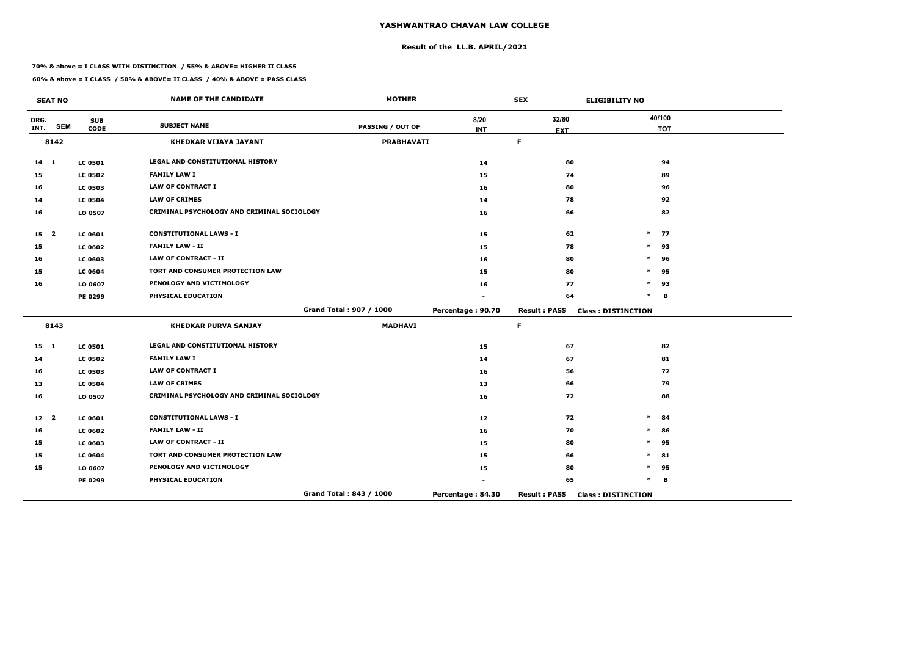## **Result of the LL.B. APRIL/2021**

#### **70% & above = I CLASS WITH DISTINCTION / 55% & ABOVE= HIGHER II CLASS**

 $\overline{\phantom{a}}$ 

|                 | <b>SEAT NO</b> |                | <b>NAME OF THE CANDIDATE</b>               | <b>MOTHER</b>           |                   | <b>SEX</b>          | <b>ELIGIBILITY NO</b>     |
|-----------------|----------------|----------------|--------------------------------------------|-------------------------|-------------------|---------------------|---------------------------|
| ORG.            | <b>SEM</b>     | <b>SUB</b>     | <b>SUBJECT NAME</b>                        | <b>PASSING / OUT OF</b> | 8/20              | 32/80               | 40/100                    |
| INT.            |                | <b>CODE</b>    |                                            |                         | <b>INT</b>        | <b>EXT</b>          | <b>TOT</b>                |
|                 | 8142           |                | <b>KHEDKAR VIJAYA JAYANT</b>               | <b>PRABHAVATI</b>       |                   | $\mathsf F$         |                           |
| $14 \quad 1$    |                | <b>LC 0501</b> | LEGAL AND CONSTITUTIONAL HISTORY           |                         | 14                | 80                  | 94                        |
| 15              |                | <b>LC 0502</b> | <b>FAMILY LAW I</b>                        |                         | 15                | 74                  | 89                        |
| 16              |                | <b>LC 0503</b> | <b>LAW OF CONTRACT I</b>                   |                         | 16                | 80                  | 96                        |
| 14              |                | <b>LC 0504</b> | <b>LAW OF CRIMES</b>                       |                         | 14                | 78                  | 92                        |
| 16              |                | LO 0507        | CRIMINAL PSYCHOLOGY AND CRIMINAL SOCIOLOGY |                         | 16                | 66                  | 82                        |
| 15 <sub>2</sub> |                | <b>LC 0601</b> | <b>CONSTITUTIONAL LAWS - I</b>             |                         | 15                | 62                  | $\ast$<br>77              |
| 15              |                | <b>LC 0602</b> | <b>FAMILY LAW - II</b>                     |                         | 15                | 78                  | $\ast$<br>93              |
| 16              |                | LC 0603        | <b>LAW OF CONTRACT - II</b>                |                         | 16                | 80                  | $\ast$<br>96              |
| 15              |                | <b>LC 0604</b> | TORT AND CONSUMER PROTECTION LAW           |                         | 15                | 80                  | 95<br>$\ast$              |
| 16              |                | LO 0607        | PENOLOGY AND VICTIMOLOGY                   |                         | 16                | 77                  | $\ast$<br>93              |
|                 |                | <b>PE 0299</b> | PHYSICAL EDUCATION                         |                         |                   | 64                  | $\ast$<br>B               |
|                 |                |                |                                            | Grand Total: 907 / 1000 | Percentage: 90.70 | <b>Result: PASS</b> | <b>Class: DISTINCTION</b> |
|                 | 8143           |                | <b>KHEDKAR PURVA SANJAY</b>                | <b>MADHAVI</b>          |                   | $\mathsf F$         |                           |
| $15 \quad 1$    |                | <b>LC 0501</b> | LEGAL AND CONSTITUTIONAL HISTORY           |                         | 15                | 67                  | 82                        |
| 14              |                | <b>LC 0502</b> | <b>FAMILY LAW I</b>                        |                         | 14                | 67                  | 81                        |
| 16              |                | <b>LC 0503</b> | <b>LAW OF CONTRACT I</b>                   |                         | 16                | 56                  | 72                        |
| 13              |                | <b>LC 0504</b> | <b>LAW OF CRIMES</b>                       |                         | 13                | 66                  | 79                        |
| 16              |                | LO 0507        | CRIMINAL PSYCHOLOGY AND CRIMINAL SOCIOLOGY |                         | 16                | 72                  | 88                        |
| 12 <sup>2</sup> |                | <b>LC 0601</b> | <b>CONSTITUTIONAL LAWS - I</b>             |                         | 12 <sub>1</sub>   | 72                  | $\ast$<br>84              |
| 16              |                | <b>LC 0602</b> | <b>FAMILY LAW - II</b>                     |                         | 16                | 70                  | $\ast$<br>86              |
| 15              |                | <b>LC 0603</b> | <b>LAW OF CONTRACT - II</b>                |                         | 15                | 80                  | 95<br>$\ast$              |
| 15              |                | <b>LC 0604</b> | TORT AND CONSUMER PROTECTION LAW           |                         | 15                | 66                  | 81<br>$\ast$              |
| 15              |                | LO 0607        | PENOLOGY AND VICTIMOLOGY                   |                         | 15                | 80                  | 95<br>$\ast$              |
|                 |                | <b>PE 0299</b> | PHYSICAL EDUCATION                         |                         |                   | 65                  | $\ast$<br>B               |
|                 |                |                |                                            | Grand Total: 843 / 1000 | Percentage: 84.30 | <b>Result: PASS</b> | <b>Class: DISTINCTION</b> |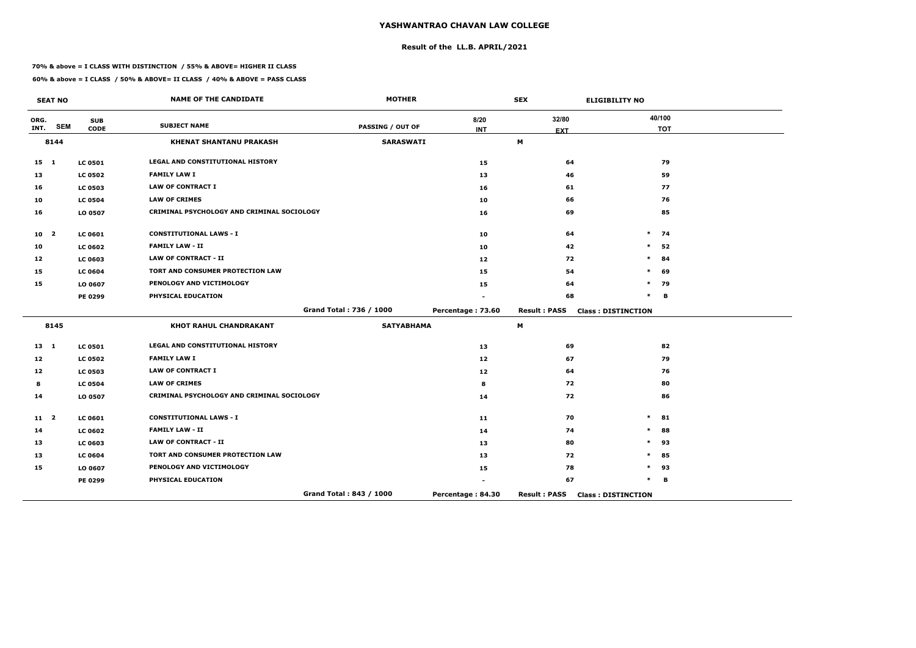## **Result of the LL.B. APRIL/2021**

#### **70% & above = I CLASS WITH DISTINCTION / 55% & ABOVE= HIGHER II CLASS**

**60% & above = I CLASS / 50% & ABOVE= II CLASS / 40% & ABOVE = PASS CLASS**

 $\overline{\phantom{a}}$ 

|                 | <b>SEAT NO</b>          |                | <b>NAME OF THE CANDIDATE</b>               | <b>MOTHER</b>           |                   | <b>SEX</b>          | <b>ELIGIBILITY NO</b>     |
|-----------------|-------------------------|----------------|--------------------------------------------|-------------------------|-------------------|---------------------|---------------------------|
| ORG.            | <b>SEM</b>              | <b>SUB</b>     | <b>SUBJECT NAME</b>                        | <b>PASSING / OUT OF</b> | 8/20              | 32/80               | 40/100                    |
| INT.            |                         | <b>CODE</b>    |                                            |                         | <b>INT</b>        | <b>EXT</b>          | <b>TOT</b>                |
|                 | 8144                    |                | <b>KHENAT SHANTANU PRAKASH</b>             | <b>SARASWATI</b>        |                   | M                   |                           |
| $15 \quad 1$    |                         | <b>LC 0501</b> | LEGAL AND CONSTITUTIONAL HISTORY           |                         | 15                | 64                  | 79                        |
| 13              |                         | <b>LC 0502</b> | <b>FAMILY LAW I</b>                        |                         | 13                | 46                  | 59                        |
| 16              |                         | <b>LC 0503</b> | <b>LAW OF CONTRACT I</b>                   |                         | 16                | 61                  | 77                        |
| 10              |                         | <b>LC 0504</b> | <b>LAW OF CRIMES</b>                       |                         | 10                | 66                  | 76                        |
| 16              |                         | LO 0507        | CRIMINAL PSYCHOLOGY AND CRIMINAL SOCIOLOGY |                         | 16                | 69                  | 85                        |
| 10 <sub>2</sub> |                         | LC 0601        | <b>CONSTITUTIONAL LAWS - I</b>             |                         | 10                | 64                  | $\ast$<br>74              |
| 10              |                         | <b>LC 0602</b> | <b>FAMILY LAW - II</b>                     |                         | 10                | 42                  | $\ast$<br>52              |
| 12              |                         | <b>LC 0603</b> | <b>LAW OF CONTRACT - II</b>                |                         | 12 <sub>1</sub>   | 72                  | 84                        |
| 15              |                         | <b>LC 0604</b> | TORT AND CONSUMER PROTECTION LAW           |                         | 15                | 54                  | $\ast$<br>69              |
| 15              |                         | LO 0607        | PENOLOGY AND VICTIMOLOGY                   |                         | 15                | 64                  | 79<br>$\ast$              |
|                 |                         | <b>PE 0299</b> | PHYSICAL EDUCATION                         |                         |                   | 68                  | $\ast$<br>B               |
|                 |                         |                |                                            | Grand Total: 736 / 1000 | Percentage: 73.60 | <b>Result: PASS</b> | <b>Class: DISTINCTION</b> |
|                 | 8145                    |                | <b>KHOT RAHUL CHANDRAKANT</b>              | <b>SATYABHAMA</b>       |                   | M                   |                           |
| $13 \quad 1$    |                         | <b>LC 0501</b> | LEGAL AND CONSTITUTIONAL HISTORY           |                         | 13                | 69                  | 82                        |
| 12 <sub>1</sub> |                         | <b>LC 0502</b> | <b>FAMILY LAW I</b>                        |                         | 12                | 67                  | 79                        |
| 12              |                         | <b>LC 0503</b> | <b>LAW OF CONTRACT I</b>                   |                         | 12                | 64                  | 76                        |
| 8               |                         | <b>LC 0504</b> | <b>LAW OF CRIMES</b>                       |                         | 8                 | 72                  | 80                        |
| 14              |                         | LO 0507        | CRIMINAL PSYCHOLOGY AND CRIMINAL SOCIOLOGY |                         | 14                | 72                  | 86                        |
| 11              | $\overline{\mathbf{2}}$ | <b>LC 0601</b> | <b>CONSTITUTIONAL LAWS - I</b>             |                         | 11                | 70                  | $\ast$<br>81              |
| 14              |                         | <b>LC 0602</b> | <b>FAMILY LAW - II</b>                     |                         | 14                | 74                  | $\ast$<br>88              |
| 13              |                         | <b>LC 0603</b> | <b>LAW OF CONTRACT - II</b>                |                         | 13                | 80                  | $\ast$<br>93              |
| 13              |                         | <b>LC 0604</b> | TORT AND CONSUMER PROTECTION LAW           |                         | 13                | 72                  | 85<br>$\ast$              |
| 15              |                         | LO 0607        | PENOLOGY AND VICTIMOLOGY                   |                         | 15                | 78                  | 93<br>$\ast$              |
|                 |                         | PE 0299        | PHYSICAL EDUCATION                         |                         |                   | 67                  | $\ast$<br>B               |
|                 |                         |                |                                            | Grand Total: 843 / 1000 | Percentage: 84.30 | <b>Result: PASS</b> | <b>Class: DISTINCTION</b> |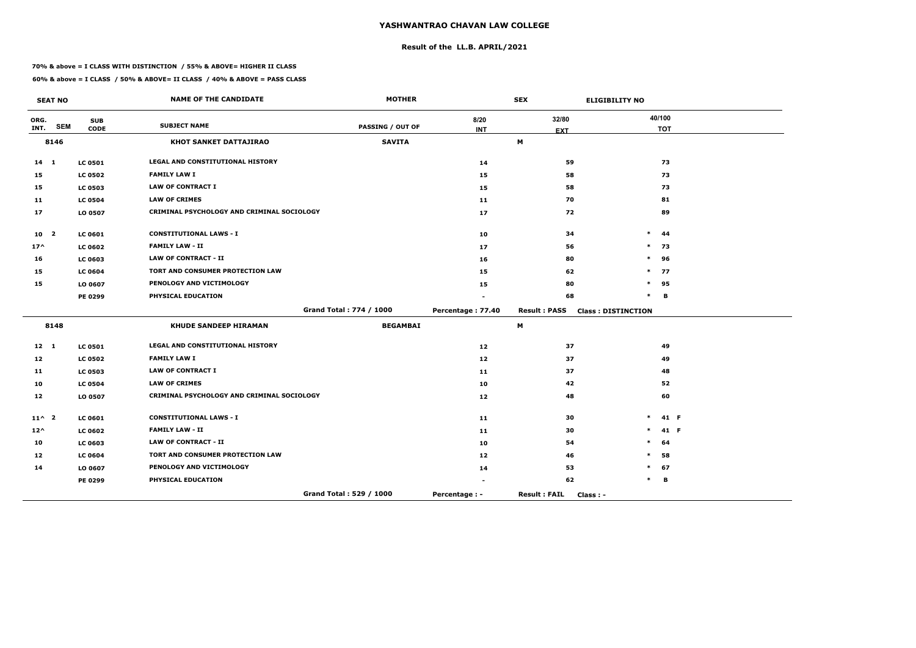## **Result of the LL.B. APRIL/2021**

#### **70% & above = I CLASS WITH DISTINCTION / 55% & ABOVE= HIGHER II CLASS**

 $\overline{\phantom{a}}$ 

|                 | <b>SEAT NO</b> |                           | <b>NAME OF THE CANDIDATE</b>               | <b>MOTHER</b>           |                    | <b>SEX</b>                       | <b>ELIGIBILITY NO</b>     |                      |
|-----------------|----------------|---------------------------|--------------------------------------------|-------------------------|--------------------|----------------------------------|---------------------------|----------------------|
| ORG.<br>INT.    | <b>SEM</b>     | <b>SUB</b><br><b>CODE</b> | <b>SUBJECT NAME</b>                        | <b>PASSING / OUT OF</b> | 8/20<br><b>INT</b> | 32/80                            |                           | 40/100<br><b>TOT</b> |
|                 | 8146           |                           | <b>KHOT SANKET DATTAJIRAO</b>              | <b>SAVITA</b>           |                    | <b>EXT</b><br>M                  |                           |                      |
| $14 \quad 1$    |                | <b>LC 0501</b>            | <b>LEGAL AND CONSTITUTIONAL HISTORY</b>    |                         | 14                 | 59                               |                           | 73                   |
| 15              |                | <b>LC 0502</b>            | <b>FAMILY LAW I</b>                        |                         | 15                 | 58                               |                           | 73                   |
| 15              |                | <b>LC 0503</b>            | <b>LAW OF CONTRACT I</b>                   |                         | 15                 | 58                               |                           | 73                   |
| 11              |                | <b>LC 0504</b>            | <b>LAW OF CRIMES</b>                       |                         | 11                 | 70                               |                           | 81                   |
| 17              |                | LO 0507                   | CRIMINAL PSYCHOLOGY AND CRIMINAL SOCIOLOGY |                         | 17                 | 72                               |                           | 89                   |
| 10 <sub>2</sub> |                | LC 0601                   | <b>CONSTITUTIONAL LAWS - I</b>             |                         | 10                 | 34                               | $\ast$                    | 44                   |
| $17^{\wedge}$   |                | <b>LC 0602</b>            | <b>FAMILY LAW - II</b>                     |                         | 17                 | 56                               | $\ast$                    | 73                   |
| 16              |                | <b>LC 0603</b>            | <b>LAW OF CONTRACT - II</b>                |                         | 16                 | 80                               | $\ast$                    | 96                   |
| 15              |                | <b>LC 0604</b>            | TORT AND CONSUMER PROTECTION LAW           |                         | 15                 | 62                               | $\ast$                    | 77                   |
| 15              |                | LO 0607                   | PENOLOGY AND VICTIMOLOGY                   |                         | 15                 | 80                               | $\ast$                    | 95                   |
|                 |                | PE 0299                   | PHYSICAL EDUCATION                         |                         |                    | 68                               | $\ast$                    | B                    |
|                 |                |                           |                                            | Grand Total: 774 / 1000 | Percentage: 77.40  | <b>Result : PASS</b>             | <b>Class: DISTINCTION</b> |                      |
|                 | 8148           |                           | <b>KHUDE SANDEEP HIRAMAN</b>               | <b>BEGAMBAI</b>         |                    | M                                |                           |                      |
| $12 \quad 1$    |                | <b>LC 0501</b>            | <b>LEGAL AND CONSTITUTIONAL HISTORY</b>    |                         | 12                 | 37                               |                           | 49                   |
| 12              |                | <b>LC 0502</b>            | <b>FAMILY LAW I</b>                        |                         | 12                 | 37                               |                           | 49                   |
| 11              |                | <b>LC 0503</b>            | <b>LAW OF CONTRACT I</b>                   |                         | 11                 | 37                               |                           | 48                   |
| 10              |                | <b>LC 0504</b>            | <b>LAW OF CRIMES</b>                       |                         | 10                 | 42                               |                           | 52                   |
| 12              |                | LO 0507                   | CRIMINAL PSYCHOLOGY AND CRIMINAL SOCIOLOGY |                         | 12                 | 48                               |                           | 60                   |
| $11^{\wedge}$ 2 |                | <b>LC 0601</b>            | <b>CONSTITUTIONAL LAWS - I</b>             |                         | 11                 | 30                               | $\ast$                    | 41 F                 |
| $12^{\wedge}$   |                | <b>LC 0602</b>            | <b>FAMILY LAW - II</b>                     |                         | 11                 | 30                               | $\ast$                    | 41 F                 |
| 10              |                | LC 0603                   | <b>LAW OF CONTRACT - II</b>                |                         | 10                 | 54                               | $\ast$                    | 64                   |
| 12              |                | <b>LC 0604</b>            | <b>TORT AND CONSUMER PROTECTION LAW</b>    |                         | 12                 | 46                               | $\ast$                    | 58                   |
| 14              |                | LO 0607                   | PENOLOGY AND VICTIMOLOGY                   |                         | 14                 | 53                               | $\ast$                    | 67                   |
|                 |                | PE 0299                   | PHYSICAL EDUCATION                         |                         |                    | 62                               | $\ast$                    | В                    |
|                 |                |                           |                                            | Grand Total: 529 / 1000 | Percentage : -     | <b>Result: FAIL</b><br>Class : - |                           |                      |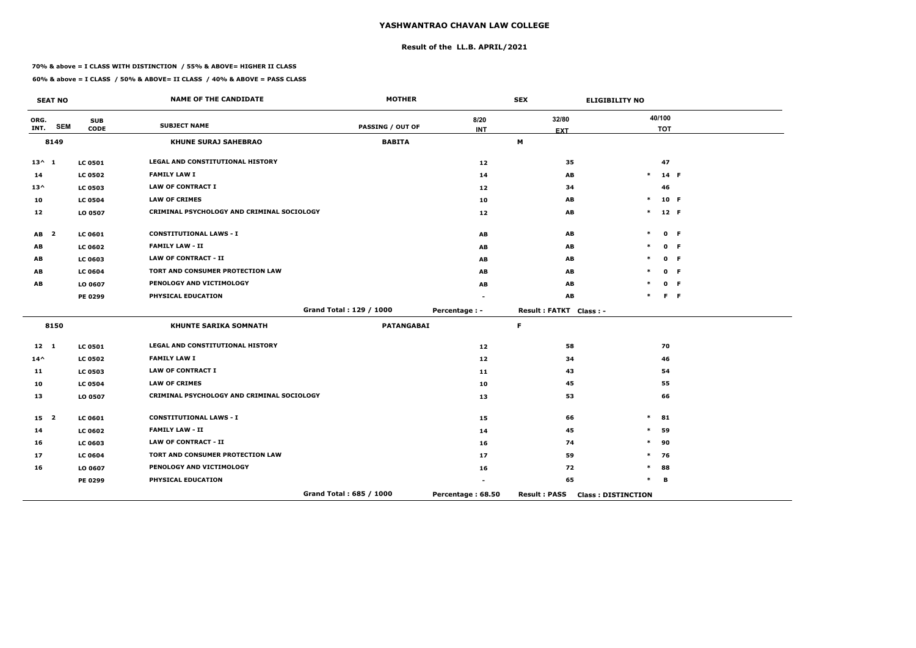## **Result of the LL.B. APRIL/2021**

#### **70% & above = I CLASS WITH DISTINCTION / 55% & ABOVE= HIGHER II CLASS**

 $\overline{\phantom{a}}$ 

|                 | <b>SEAT NO</b>          |                           | <b>NAME OF THE CANDIDATE</b>               | <b>MOTHER</b>           |                    | <b>SEX</b>             | <b>ELIGIBILITY NO</b>     |                      |                |
|-----------------|-------------------------|---------------------------|--------------------------------------------|-------------------------|--------------------|------------------------|---------------------------|----------------------|----------------|
| ORG.<br>INT.    | <b>SEM</b>              | <b>SUB</b><br><b>CODE</b> | <b>SUBJECT NAME</b>                        | <b>PASSING / OUT OF</b> | 8/20<br><b>INT</b> | 32/80<br><b>EXT</b>    |                           | 40/100<br><b>TOT</b> |                |
|                 | 8149                    |                           | <b>KHUNE SURAJ SAHEBRAO</b>                | <b>BABITA</b>           |                    | M                      |                           |                      |                |
| $13^{\wedge} 1$ |                         | <b>LC 0501</b>            | LEGAL AND CONSTITUTIONAL HISTORY           |                         | 12                 | 35                     |                           | 47                   |                |
| 14              |                         | <b>LC 0502</b>            | <b>FAMILY LAW I</b>                        |                         | 14                 | AB                     | $\ast$                    | 14 F                 |                |
| $13^{\wedge}$   |                         | <b>LC 0503</b>            | <b>LAW OF CONTRACT I</b>                   |                         | 12                 | 34                     |                           | 46                   |                |
| 10              |                         | <b>LC 0504</b>            | <b>LAW OF CRIMES</b>                       |                         | 10                 | AB                     | $\ast$                    | 10 F                 |                |
| 12              |                         | LO 0507                   | CRIMINAL PSYCHOLOGY AND CRIMINAL SOCIOLOGY |                         | 12                 | AB                     | $\ast$                    | 12 F                 |                |
| <b>AB</b>       | $\overline{\mathbf{2}}$ | <b>LC 0601</b>            | <b>CONSTITUTIONAL LAWS - I</b>             |                         | <b>AB</b>          | AB                     | $\ast$                    |                      | 0 F            |
| AB              |                         | <b>LC 0602</b>            | <b>FAMILY LAW - II</b>                     |                         | <b>AB</b>          | AB                     |                           |                      | 0 F            |
| AB              |                         | <b>LC 0603</b>            | <b>LAW OF CONTRACT - II</b>                |                         | AB                 | AB                     |                           |                      | 0 F            |
| AB              |                         | <b>LC 0604</b>            | <b>TORT AND CONSUMER PROTECTION LAW</b>    |                         | AB                 | AB                     |                           |                      | 0 F            |
| AB              |                         | LO 0607                   | PENOLOGY AND VICTIMOLOGY                   |                         | AB                 | AB                     |                           |                      | 0 F            |
|                 |                         | PE 0299                   | PHYSICAL EDUCATION                         |                         |                    | AB                     |                           |                      | F <sub>F</sub> |
|                 |                         |                           |                                            | Grand Total: 129 / 1000 | Percentage : -     | Result: FATKT Class: - |                           |                      |                |
|                 | 8150                    |                           | <b>KHUNTE SARIKA SOMNATH</b>               | <b>PATANGABAI</b>       |                    | $\mathsf F$            |                           |                      |                |
| 12 1            |                         | <b>LC 0501</b>            | LEGAL AND CONSTITUTIONAL HISTORY           |                         | 12 <sub>1</sub>    | 58                     |                           | 70                   |                |
| $14^{\wedge}$   |                         | <b>LC 0502</b>            | <b>FAMILY LAW I</b>                        |                         | 12                 | 34                     |                           | 46                   |                |
| 11              |                         | <b>LC 0503</b>            | <b>LAW OF CONTRACT I</b>                   |                         | 11                 | 43                     |                           | 54                   |                |
| 10              |                         | <b>LC 0504</b>            | <b>LAW OF CRIMES</b>                       |                         | 10                 | 45                     |                           | 55                   |                |
| 13              |                         | LO 0507                   | CRIMINAL PSYCHOLOGY AND CRIMINAL SOCIOLOGY |                         | 13                 | 53                     |                           | 66                   |                |
| 15 <sub>2</sub> |                         | <b>LC 0601</b>            | <b>CONSTITUTIONAL LAWS - I</b>             |                         | 15                 | 66                     | $\ast$                    | 81                   |                |
| 14              |                         | <b>LC 0602</b>            | <b>FAMILY LAW - II</b>                     |                         | 14                 | 45                     | $\ast$                    | 59                   |                |
| 16              |                         | <b>LC 0603</b>            | <b>LAW OF CONTRACT - II</b>                |                         | 16                 | 74                     | $\ast$                    | 90                   |                |
| 17              |                         | <b>LC 0604</b>            | TORT AND CONSUMER PROTECTION LAW           |                         | 17                 | 59                     | $\ast$                    | 76                   |                |
| 16              |                         | LO 0607                   | PENOLOGY AND VICTIMOLOGY                   |                         | 16                 | 72                     | $\ast$                    | 88                   |                |
|                 |                         | PE 0299                   | PHYSICAL EDUCATION                         |                         |                    | 65                     | $\ast$                    | в                    |                |
|                 |                         |                           |                                            | Grand Total: 685 / 1000 | Percentage: 68.50  | <b>Result: PASS</b>    | <b>Class: DISTINCTION</b> |                      |                |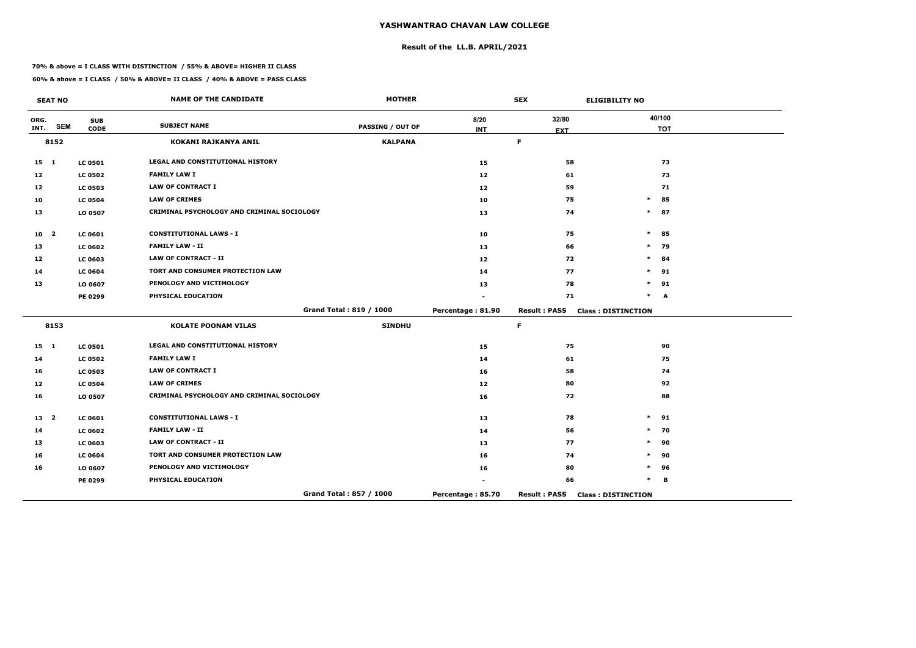## **Result of the LL.B. APRIL/2021**

#### **70% & above = I CLASS WITH DISTINCTION / 55% & ABOVE= HIGHER II CLASS**

 $\overline{\phantom{a}}$ 

|                 | <b>SEAT NO</b>          |                | <b>NAME OF THE CANDIDATE</b>               | <b>MOTHER</b>           |                   | <b>SEX</b>          | <b>ELIGIBILITY NO</b>     |
|-----------------|-------------------------|----------------|--------------------------------------------|-------------------------|-------------------|---------------------|---------------------------|
| ORG.            | <b>SEM</b>              | <b>SUB</b>     | <b>SUBJECT NAME</b>                        | <b>PASSING / OUT OF</b> | 8/20              | 32/80               | 40/100                    |
| INT.            |                         | <b>CODE</b>    |                                            |                         | <b>INT</b>        | <b>EXT</b>          | <b>TOT</b>                |
|                 | 8152                    |                | KOKANI RAJKANYA ANIL                       | <b>KALPANA</b>          |                   | $\mathsf F$         |                           |
| $15 \quad 1$    |                         | <b>LC 0501</b> | LEGAL AND CONSTITUTIONAL HISTORY           |                         | 15                | 58                  | 73                        |
| 12              |                         | <b>LC 0502</b> | <b>FAMILY LAW I</b>                        |                         | 12                | 61                  | 73                        |
| 12              |                         | <b>LC 0503</b> | <b>LAW OF CONTRACT I</b>                   |                         | 12                | 59                  | 71                        |
| 10              |                         | <b>LC 0504</b> | <b>LAW OF CRIMES</b>                       |                         | 10                | 75                  | 85<br>$\ast$              |
| 13              |                         | LO 0507        | CRIMINAL PSYCHOLOGY AND CRIMINAL SOCIOLOGY |                         | 13                | 74                  | $\ast$<br>87              |
| 10 <sub>2</sub> |                         | <b>LC 0601</b> | <b>CONSTITUTIONAL LAWS - I</b>             |                         | 10                | 75                  | $\ast$<br>85              |
| 13              |                         | <b>LC 0602</b> | <b>FAMILY LAW - II</b>                     |                         | 13                | 66                  | $\ast$<br>79              |
| 12              |                         | LC 0603        | <b>LAW OF CONTRACT - II</b>                |                         | 12                | 72                  | 84<br>$\ast$              |
| 14              |                         | <b>LC 0604</b> | TORT AND CONSUMER PROTECTION LAW           |                         | 14                | 77                  | 91<br>$\ast$              |
| 13              |                         | LO 0607        | PENOLOGY AND VICTIMOLOGY                   |                         | 13                | 78                  | $\ast$<br>91              |
|                 |                         | <b>PE 0299</b> | PHYSICAL EDUCATION                         |                         |                   | 71                  | $\ast$<br>A               |
|                 |                         |                |                                            | Grand Total: 819 / 1000 | Percentage: 81.90 | <b>Result: PASS</b> | <b>Class: DISTINCTION</b> |
|                 | 8153                    |                | <b>KOLATE POONAM VILAS</b>                 | <b>SINDHU</b>           |                   | $\mathsf F$         |                           |
| $15 \quad 1$    |                         | <b>LC 0501</b> | LEGAL AND CONSTITUTIONAL HISTORY           |                         | 15                | 75                  | 90                        |
| 14              |                         | <b>LC 0502</b> | <b>FAMILY LAW I</b>                        |                         | 14                | 61                  | 75                        |
| 16              |                         | <b>LC 0503</b> | <b>LAW OF CONTRACT I</b>                   |                         | 16                | 58                  | 74                        |
| 12              |                         | <b>LC 0504</b> | <b>LAW OF CRIMES</b>                       |                         | 12 <sub>1</sub>   | 80                  | 92                        |
| 16              |                         | LO 0507        | CRIMINAL PSYCHOLOGY AND CRIMINAL SOCIOLOGY |                         | 16                | 72                  | 88                        |
| 13              | $\overline{\mathbf{2}}$ | <b>LC 0601</b> | <b>CONSTITUTIONAL LAWS - I</b>             |                         | 13                | 78                  | 91<br>$\ast$              |
| 14              |                         | <b>LC 0602</b> | <b>FAMILY LAW - II</b>                     |                         | 14                | 56                  | 70<br>$\ast$              |
| 13              |                         | LC 0603        | <b>LAW OF CONTRACT - II</b>                |                         | 13                | 77                  | 90<br>$\ast$              |
| 16              |                         | <b>LC 0604</b> | TORT AND CONSUMER PROTECTION LAW           |                         | 16                | 74                  | 90<br>$\ast$              |
| 16              |                         | LO 0607        | PENOLOGY AND VICTIMOLOGY                   |                         | 16                | 80                  | $\ast$<br>96              |
|                 |                         | <b>PE 0299</b> | PHYSICAL EDUCATION                         |                         |                   | 66                  | $\ast$<br>в               |
|                 |                         |                |                                            | Grand Total: 857 / 1000 | Percentage: 85.70 | <b>Result: PASS</b> | <b>Class: DISTINCTION</b> |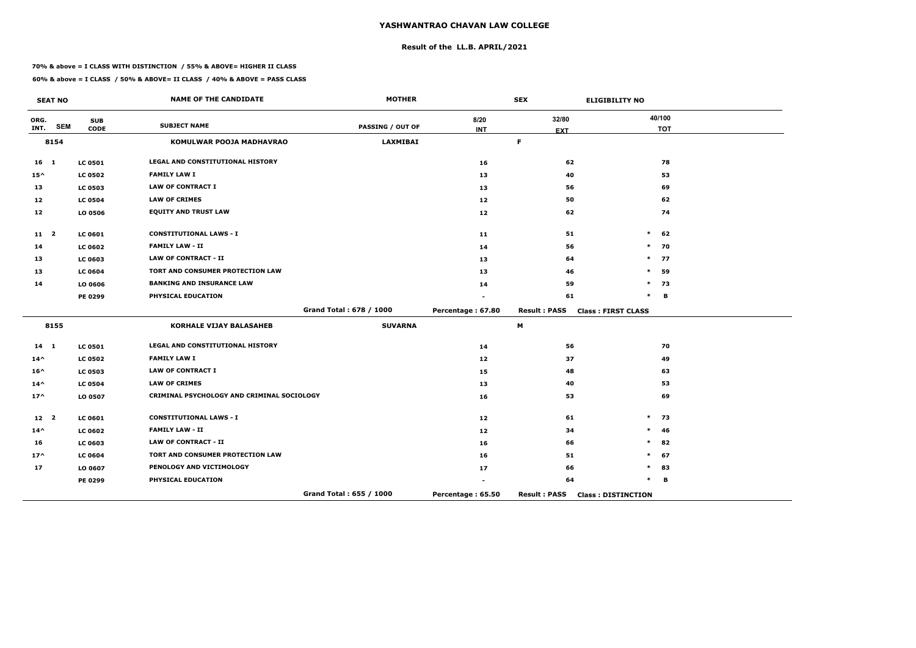## **Result of the LL.B. APRIL/2021**

#### **70% & above = I CLASS WITH DISTINCTION / 55% & ABOVE= HIGHER II CLASS**

|                 | <b>SEAT NO</b> |                           | <b>NAME OF THE CANDIDATE</b>               | <b>MOTHER</b>           |                    | <b>SEX</b>          | <b>ELIGIBILITY NO</b>     |
|-----------------|----------------|---------------------------|--------------------------------------------|-------------------------|--------------------|---------------------|---------------------------|
| ORG.<br>INT.    | <b>SEM</b>     | <b>SUB</b><br><b>CODE</b> | <b>SUBJECT NAME</b>                        | <b>PASSING / OUT OF</b> | 8/20<br><b>INT</b> | 32/80               | 40/100<br><b>TOT</b>      |
|                 | 8154           |                           | KOMULWAR POOJA MADHAVRAO                   | <b>LAXMIBAI</b>         |                    | <b>EXT</b><br>F.    |                           |
| $16 \quad 1$    |                | <b>LC 0501</b>            | <b>LEGAL AND CONSTITUTIONAL HISTORY</b>    |                         | 16                 | 62                  | 78                        |
| $15^{\wedge}$   |                | <b>LC 0502</b>            | <b>FAMILY LAW I</b>                        |                         | 13                 | 40                  | 53                        |
| 13              |                | <b>LC 0503</b>            | <b>LAW OF CONTRACT I</b>                   |                         | 13                 | 56                  | 69                        |
| 12              |                | <b>LC 0504</b>            | <b>LAW OF CRIMES</b>                       |                         | 12                 | 50                  | 62                        |
| 12              |                | LO 0506                   | <b>EQUITY AND TRUST LAW</b>                |                         | 12                 | 62                  | 74                        |
| $11 \quad 2$    |                | <b>LC 0601</b>            | <b>CONSTITUTIONAL LAWS - I</b>             |                         | 11                 | 51                  | $\ast$<br>62              |
| 14              |                | <b>LC 0602</b>            | <b>FAMILY LAW - II</b>                     |                         | 14                 | 56                  | 70<br>$\ast$              |
| 13              |                | <b>LC 0603</b>            | <b>LAW OF CONTRACT - II</b>                |                         | 13                 | 64                  | $\ast$<br>77              |
| 13              |                | <b>LC 0604</b>            | TORT AND CONSUMER PROTECTION LAW           |                         | 13                 | 46                  | $\ast$<br>59              |
| 14              |                | LO 0606                   | <b>BANKING AND INSURANCE LAW</b>           |                         | 14                 | 59                  | $\ast$<br>73              |
|                 |                | PE 0299                   | PHYSICAL EDUCATION                         |                         |                    | 61                  | $\ast$<br>В               |
|                 |                |                           |                                            | Grand Total: 678 / 1000 | Percentage: 67.80  | <b>Result: PASS</b> | <b>Class: FIRST CLASS</b> |
|                 | 8155           |                           | KORHALE VIJAY BALASAHEB                    | <b>SUVARNA</b>          |                    | M                   |                           |
| $14 \quad 1$    |                | <b>LC 0501</b>            | LEGAL AND CONSTITUTIONAL HISTORY           |                         | 14                 | 56                  | 70                        |
| $14^{\wedge}$   |                | <b>LC 0502</b>            | <b>FAMILY LAW I</b>                        |                         | 12                 | 37                  | 49                        |
| $16^{\wedge}$   |                | <b>LC 0503</b>            | <b>LAW OF CONTRACT I</b>                   |                         | 15                 | 48                  | 63                        |
| $14^{\wedge}$   |                | <b>LC 0504</b>            | <b>LAW OF CRIMES</b>                       |                         | 13                 | 40                  | 53                        |
| $17^$           |                | LO 0507                   | CRIMINAL PSYCHOLOGY AND CRIMINAL SOCIOLOGY |                         | 16                 | 53                  | 69                        |
| 12 <sup>2</sup> |                | <b>LC 0601</b>            | <b>CONSTITUTIONAL LAWS - I</b>             |                         | 12                 | 61                  | $\ast$<br>73              |
| $14^{\wedge}$   |                | <b>LC 0602</b>            | <b>FAMILY LAW - II</b>                     |                         | 12                 | 34                  | $\ast$<br>46              |
| 16              |                | <b>LC 0603</b>            | <b>LAW OF CONTRACT - II</b>                |                         | 16                 | 66                  | $\ast$<br>82              |
| $17^$           |                | <b>LC 0604</b>            | TORT AND CONSUMER PROTECTION LAW           |                         | 16                 | 51                  | $\ast$<br>67              |
| 17              |                | LO 0607                   | PENOLOGY AND VICTIMOLOGY                   |                         | 17                 | 66                  | *<br>83                   |
|                 |                | PE 0299                   | PHYSICAL EDUCATION                         |                         |                    | 64                  | $\ast$<br>В               |
|                 |                |                           |                                            | Grand Total: 655 / 1000 | Percentage: 65.50  | <b>Result: PASS</b> | <b>Class: DISTINCTION</b> |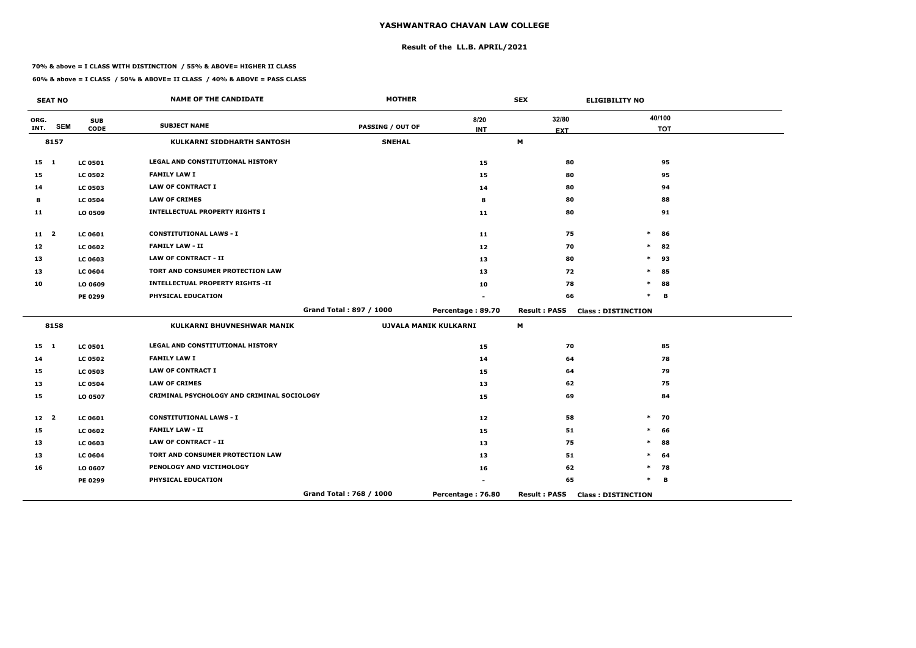## **Result of the LL.B. APRIL/2021**

#### **70% & above = I CLASS WITH DISTINCTION / 55% & ABOVE= HIGHER II CLASS**

| <b>SEAT NO</b>  |            |                           | <b>NAME OF THE CANDIDATE</b>               | <b>MOTHER</b>           |                       | <b>SEX</b>          | <b>ELIGIBILITY NO</b>     |
|-----------------|------------|---------------------------|--------------------------------------------|-------------------------|-----------------------|---------------------|---------------------------|
| ORG.<br>INT.    | <b>SEM</b> | <b>SUB</b><br><b>CODE</b> | <b>SUBJECT NAME</b>                        | <b>PASSING / OUT OF</b> | 8/20<br><b>INT</b>    | 32/80<br><b>EXT</b> | 40/100<br><b>TOT</b>      |
|                 | 8157       |                           | <b>KULKARNI SIDDHARTH SANTOSH</b>          | <b>SNEHAL</b>           |                       | M                   |                           |
|                 |            |                           |                                            |                         |                       |                     |                           |
| $15$ 1          |            | <b>LC 0501</b>            | LEGAL AND CONSTITUTIONAL HISTORY           |                         | 15                    | 80                  | 95                        |
| 15              |            | <b>LC 0502</b>            | <b>FAMILY LAW I</b>                        |                         | 15                    | 80                  | 95                        |
| 14              |            | <b>LC 0503</b>            | <b>LAW OF CONTRACT I</b>                   |                         | 14                    | 80                  | 94                        |
| 8               |            | <b>LC 0504</b>            | <b>LAW OF CRIMES</b>                       |                         | 8                     | 80                  | 88                        |
| 11              |            | LO 0509                   | <b>INTELLECTUAL PROPERTY RIGHTS I</b>      |                         | 11                    | 80                  | 91                        |
| $11 \quad 2$    |            | <b>LC 0601</b>            | <b>CONSTITUTIONAL LAWS - I</b>             |                         | 11                    | 75                  | $\ast$<br>86              |
| 12              |            | <b>LC 0602</b>            | <b>FAMILY LAW - II</b>                     |                         | 12 <sub>1</sub>       | 70                  | $\ast$<br>82              |
| 13              |            | <b>LC 0603</b>            | <b>LAW OF CONTRACT - II</b>                |                         | 13                    | 80                  | $\ast$<br>93              |
| 13              |            | <b>LC 0604</b>            | TORT AND CONSUMER PROTECTION LAW           |                         | 13                    | 72                  | 85<br>$\ast$              |
| 10              |            | LO 0609                   | <b>INTELLECTUAL PROPERTY RIGHTS -II</b>    |                         | 10                    | 78                  | $\ast$<br>88              |
|                 |            | PE 0299                   | PHYSICAL EDUCATION                         |                         |                       | 66                  | $\ast$<br>B               |
|                 |            |                           |                                            | Grand Total: 897 / 1000 | Percentage: 89.70     | <b>Result: PASS</b> | <b>Class: DISTINCTION</b> |
|                 | 8158       |                           | <b>KULKARNI BHUVNESHWAR MANIK</b>          |                         | UJVALA MANIK KULKARNI | M                   |                           |
| $15 \quad 1$    |            | <b>LC 0501</b>            | LEGAL AND CONSTITUTIONAL HISTORY           |                         | 15                    | 70                  | 85                        |
| 14              |            | <b>LC 0502</b>            | <b>FAMILY LAW I</b>                        |                         | 14                    | 64                  | 78                        |
| 15              |            | <b>LC 0503</b>            | <b>LAW OF CONTRACT I</b>                   |                         | 15                    | 64                  | 79                        |
| 13              |            | <b>LC 0504</b>            | <b>LAW OF CRIMES</b>                       |                         | 13                    | 62                  | 75                        |
| 15              |            | LO 0507                   | CRIMINAL PSYCHOLOGY AND CRIMINAL SOCIOLOGY |                         | 15                    | 69                  | 84                        |
| 12 <sup>2</sup> |            | <b>LC 0601</b>            | <b>CONSTITUTIONAL LAWS - I</b>             |                         | 12                    | 58                  | $\ast$<br>70              |
| 15              |            | <b>LC 0602</b>            | <b>FAMILY LAW - II</b>                     |                         | 15                    | 51                  | $\ast$<br>66              |
| 13              |            | <b>LC 0603</b>            | <b>LAW OF CONTRACT - II</b>                |                         | 13                    | 75                  | 88<br>$\ast$              |
| 13              |            | <b>LC 0604</b>            | TORT AND CONSUMER PROTECTION LAW           |                         | 13                    | 51                  | $\ast$<br>64              |
| 16              |            | LO 0607                   | PENOLOGY AND VICTIMOLOGY                   |                         | 16                    | 62                  | $\ast$<br>78              |
|                 |            | PE 0299                   | PHYSICAL EDUCATION                         |                         |                       | 65                  | $\ast$<br>B               |
|                 |            |                           |                                            | Grand Total: 768 / 1000 | Percentage: 76.80     | <b>Result: PASS</b> | <b>Class: DISTINCTION</b> |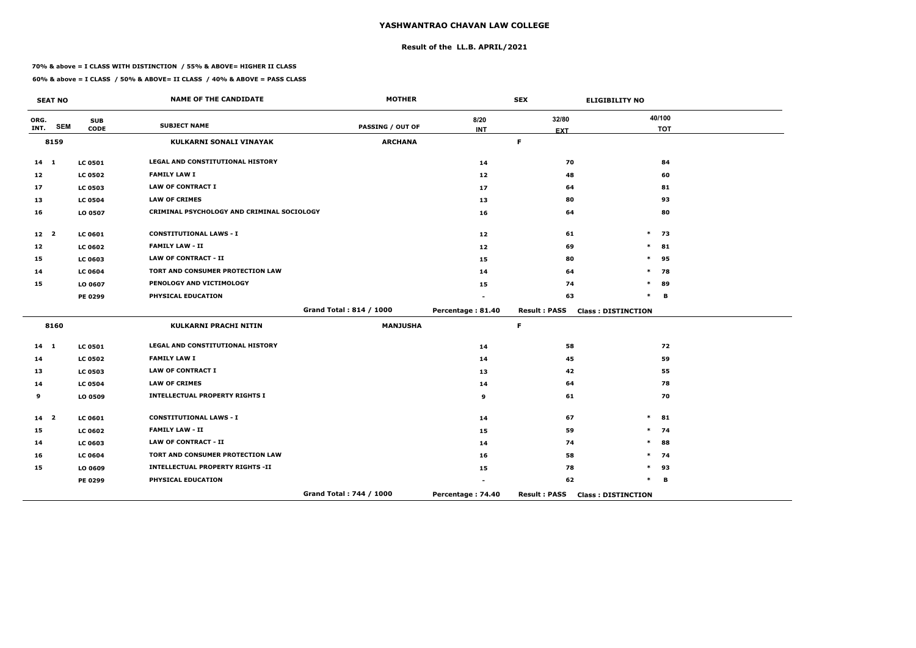## **Result of the LL.B. APRIL/2021**

#### **70% & above = I CLASS WITH DISTINCTION / 55% & ABOVE= HIGHER II CLASS**

 $\overline{\phantom{a}}$ 

|                 | <b>SEAT NO</b>          |                           | <b>NAME OF THE CANDIDATE</b>               | <b>MOTHER</b>           |                   | <b>SEX</b>          | <b>ELIGIBILITY NO</b>     |
|-----------------|-------------------------|---------------------------|--------------------------------------------|-------------------------|-------------------|---------------------|---------------------------|
| ORG.<br>INT.    | <b>SEM</b>              | <b>SUB</b><br><b>CODE</b> | <b>SUBJECT NAME</b>                        | <b>PASSING / OUT OF</b> | 8/20              | 32/80               | 40/100                    |
|                 |                         |                           |                                            |                         | <b>INT</b>        | <b>EXT</b><br>F.    | <b>TOT</b>                |
|                 | 8159                    |                           | KULKARNI SONALI VINAYAK                    | <b>ARCHANA</b>          |                   |                     |                           |
| $14$ 1          |                         | <b>LC 0501</b>            | <b>LEGAL AND CONSTITUTIONAL HISTORY</b>    |                         | 14                | 70                  | 84                        |
| 12              |                         | <b>LC 0502</b>            | <b>FAMILY LAW I</b>                        |                         | 12                | 48                  | 60                        |
| 17              |                         | <b>LC 0503</b>            | <b>LAW OF CONTRACT I</b>                   |                         | 17                | 64                  | 81                        |
| 13              |                         | <b>LC 0504</b>            | <b>LAW OF CRIMES</b>                       |                         | 13                | 80                  | 93                        |
| 16              |                         | LO 0507                   | CRIMINAL PSYCHOLOGY AND CRIMINAL SOCIOLOGY |                         | 16                | 64                  | 80                        |
| 12 <sub>2</sub> |                         | LC 0601                   | <b>CONSTITUTIONAL LAWS - I</b>             |                         | 12                | 61                  | $\ast$<br>73              |
| 12              |                         | <b>LC 0602</b>            | <b>FAMILY LAW - II</b>                     |                         | 12                | 69                  | $\ast$<br>81              |
| 15              |                         | LC 0603                   | <b>LAW OF CONTRACT - II</b>                |                         | 15                | 80                  | 95<br>$\ast$              |
| 14              |                         | <b>LC 0604</b>            | TORT AND CONSUMER PROTECTION LAW           |                         | 14                | 64                  | 78<br>$\ast$              |
| 15              |                         | LO 0607                   | PENOLOGY AND VICTIMOLOGY                   |                         | 15                | 74                  | $\ast$<br>89              |
|                 |                         | <b>PE 0299</b>            | PHYSICAL EDUCATION                         |                         |                   | 63                  | $\ast$<br>B               |
|                 |                         |                           |                                            | Grand Total: 814 / 1000 | Percentage: 81.40 | <b>Result: PASS</b> | <b>Class: DISTINCTION</b> |
|                 | 8160                    |                           | <b>KULKARNI PRACHI NITIN</b>               | <b>MANJUSHA</b>         |                   | $\mathsf F$         |                           |
| $14 \quad 1$    |                         | <b>LC 0501</b>            | <b>LEGAL AND CONSTITUTIONAL HISTORY</b>    |                         | 14                | 58                  | 72                        |
| 14              |                         | <b>LC 0502</b>            | <b>FAMILY LAW I</b>                        |                         | 14                | 45                  | 59                        |
| 13              |                         | <b>LC 0503</b>            | <b>LAW OF CONTRACT I</b>                   |                         | 13                | 42                  | 55                        |
| 14              |                         | <b>LC 0504</b>            | <b>LAW OF CRIMES</b>                       |                         | 14                | 64                  | 78                        |
| 9               |                         | LO 0509                   | <b>INTELLECTUAL PROPERTY RIGHTS I</b>      |                         | 9                 | 61                  | 70                        |
| 14              | $\overline{\mathbf{2}}$ | <b>LC 0601</b>            | <b>CONSTITUTIONAL LAWS - I</b>             |                         | 14                | 67                  | $\ast$<br>81              |
| 15              |                         | <b>LC 0602</b>            | <b>FAMILY LAW - II</b>                     |                         | 15                | 59                  | $\ast$<br>74              |
| 14              |                         | LC 0603                   | <b>LAW OF CONTRACT - II</b>                |                         | 14                | 74                  | $\ast$<br>88              |
| 16              |                         | <b>LC 0604</b>            | TORT AND CONSUMER PROTECTION LAW           |                         | 16                | 58                  | $\ast$<br>74              |
| 15              |                         | LO 0609                   | <b>INTELLECTUAL PROPERTY RIGHTS -II</b>    |                         | 15                | 78                  | 93<br>$\ast$              |
|                 |                         | <b>PE 0299</b>            | PHYSICAL EDUCATION                         |                         |                   | 62                  | *<br>B                    |
|                 |                         |                           |                                            | Grand Total: 744 / 1000 | Percentage: 74.40 | <b>Result: PASS</b> | <b>Class: DISTINCTION</b> |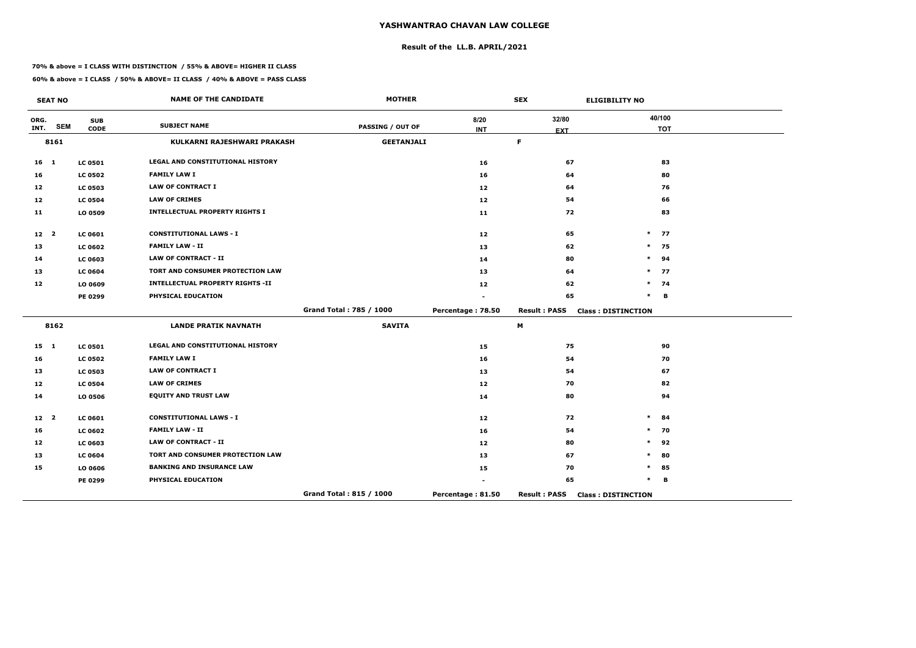## **Result of the LL.B. APRIL/2021**

#### **70% & above = I CLASS WITH DISTINCTION / 55% & ABOVE= HIGHER II CLASS**

**60% & above = I CLASS / 50% & ABOVE= II CLASS / 40% & ABOVE = PASS CLASS**

 $\overline{\phantom{a}}$ 

|                   | <b>SEAT NO</b> |                | <b>NAME OF THE CANDIDATE</b>            | <b>MOTHER</b>           |                   | <b>SEX</b>          | <b>ELIGIBILITY NO</b>     |
|-------------------|----------------|----------------|-----------------------------------------|-------------------------|-------------------|---------------------|---------------------------|
| ORG.              | <b>SEM</b>     | <b>SUB</b>     | <b>SUBJECT NAME</b>                     | <b>PASSING / OUT OF</b> | 8/20              | 32/80               | 40/100                    |
| INT.              |                | <b>CODE</b>    |                                         |                         | <b>INT</b>        | <b>EXT</b>          | <b>TOT</b>                |
|                   | 8161           |                | KULKARNI RAJESHWARI PRAKASH             | <b>GEETANJALI</b>       |                   | $\mathsf F$         |                           |
| 16 <sub>1</sub>   |                | <b>LC 0501</b> | LEGAL AND CONSTITUTIONAL HISTORY        |                         | 16                | 67                  | 83                        |
| 16                |                | <b>LC 0502</b> | <b>FAMILY LAW I</b>                     |                         | 16                | 64                  | 80                        |
| 12                |                | <b>LC 0503</b> | <b>LAW OF CONTRACT I</b>                |                         | 12                | 64                  | 76                        |
| 12                |                | <b>LC 0504</b> | <b>LAW OF CRIMES</b>                    |                         | 12                | 54                  | 66                        |
| 11                |                | LO 0509        | <b>INTELLECTUAL PROPERTY RIGHTS I</b>   |                         | 11                | 72                  | 83                        |
| 12 <sub>2</sub>   |                | <b>LC 0601</b> | <b>CONSTITUTIONAL LAWS - I</b>          |                         | 12                | 65                  | $\ast$<br>77              |
| 13                |                | <b>LC 0602</b> | <b>FAMILY LAW - II</b>                  |                         | 13                | 62                  | $\ast$<br>75              |
| 14                |                | LC 0603        | <b>LAW OF CONTRACT - II</b>             |                         | 14                | 80                  | $\ast$<br>94              |
| 13                |                | <b>LC 0604</b> | TORT AND CONSUMER PROTECTION LAW        |                         | 13                | 64                  | $\ast$<br>77              |
| 12                |                | LO 0609        | <b>INTELLECTUAL PROPERTY RIGHTS -II</b> |                         | 12                | 62                  | $\ast$<br>74              |
|                   |                | <b>PE 0299</b> | PHYSICAL EDUCATION                      |                         |                   | 65                  | $\ast$<br>B               |
|                   |                |                |                                         | Grand Total: 785 / 1000 | Percentage: 78.50 | <b>Result: PASS</b> | <b>Class: DISTINCTION</b> |
|                   | 8162           |                | <b>LANDE PRATIK NAVNATH</b>             | <b>SAVITA</b>           |                   | М                   |                           |
| $15 \quad 1$      |                | <b>LC 0501</b> | LEGAL AND CONSTITUTIONAL HISTORY        |                         | 15                | 75                  | 90                        |
| 16                |                | <b>LC 0502</b> | <b>FAMILY LAW I</b>                     |                         | 16                | 54                  | 70                        |
| 13                |                | <b>LC 0503</b> | <b>LAW OF CONTRACT I</b>                |                         | 13                | 54                  | 67                        |
| $12 \overline{ }$ |                | <b>LC 0504</b> | <b>LAW OF CRIMES</b>                    |                         | 12                | 70                  | 82                        |
| 14                |                | LO 0506        | <b>EQUITY AND TRUST LAW</b>             |                         | 14                | 80                  | 94                        |
| $12 \quad 2$      |                | <b>LC 0601</b> | <b>CONSTITUTIONAL LAWS - I</b>          |                         | 12                | 72                  | $\ast$<br>84              |
| 16                |                | <b>LC 0602</b> | <b>FAMILY LAW - II</b>                  |                         | 16                | 54                  | 70<br>$\ast$              |
| 12                |                | LC 0603        | <b>LAW OF CONTRACT - II</b>             |                         | 12                | 80                  | $\ast$<br>92              |
| 13                |                | <b>LC 0604</b> | TORT AND CONSUMER PROTECTION LAW        |                         | 13                | 67                  | 80<br>$\ast$              |
| 15                |                | LO 0606        | <b>BANKING AND INSURANCE LAW</b>        |                         | 15                | 70                  | $\ast$<br>85              |
|                   |                | <b>PE 0299</b> | PHYSICAL EDUCATION                      |                         |                   | 65                  | $\ast$<br>B               |
|                   |                |                |                                         | Grand Total: 815 / 1000 | Percentage: 81.50 | <b>Result: PASS</b> | <b>Class: DISTINCTION</b> |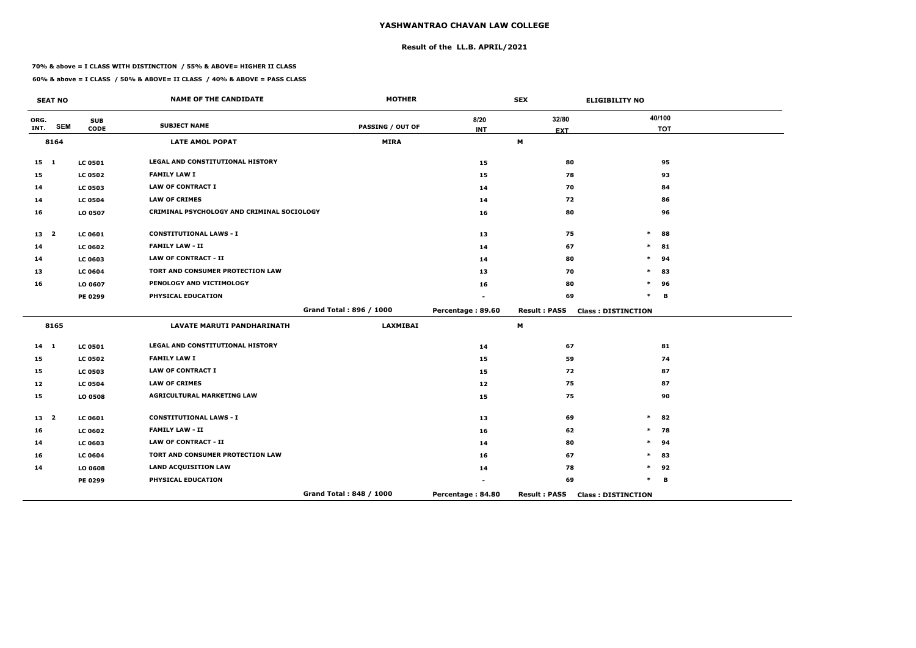## **Result of the LL.B. APRIL/2021**

#### **70% & above = I CLASS WITH DISTINCTION / 55% & ABOVE= HIGHER II CLASS**

|                 | <b>SEAT NO</b> |                           | <b>NAME OF THE CANDIDATE</b>               | <b>MOTHER</b>           |                    | <b>SEX</b>          | <b>ELIGIBILITY NO</b>     |
|-----------------|----------------|---------------------------|--------------------------------------------|-------------------------|--------------------|---------------------|---------------------------|
| ORG.<br>INT.    | <b>SEM</b>     | <b>SUB</b><br><b>CODE</b> | <b>SUBJECT NAME</b>                        | <b>PASSING / OUT OF</b> | 8/20<br><b>INT</b> | 32/80<br><b>EXT</b> | 40/100<br><b>TOT</b>      |
|                 | 8164           |                           | <b>LATE AMOL POPAT</b>                     | <b>MIRA</b>             |                    | M                   |                           |
| $15 \quad 1$    |                | <b>LC 0501</b>            | <b>LEGAL AND CONSTITUTIONAL HISTORY</b>    |                         | 15                 | 80                  | 95                        |
| 15              |                | <b>LC 0502</b>            | <b>FAMILY LAW I</b>                        |                         | 15                 | 78                  | 93                        |
| 14              |                | <b>LC 0503</b>            | <b>LAW OF CONTRACT I</b>                   |                         | 14                 | 70                  | 84                        |
| 14              |                | <b>LC 0504</b>            | <b>LAW OF CRIMES</b>                       |                         | 14                 | 72                  | 86                        |
| 16              |                | LO 0507                   | CRIMINAL PSYCHOLOGY AND CRIMINAL SOCIOLOGY |                         | 16                 | 80                  | 96                        |
| 13 2            |                | <b>LC 0601</b>            | <b>CONSTITUTIONAL LAWS - I</b>             |                         | 13                 | 75                  | $\ast$<br>88              |
| 14              |                | <b>LC 0602</b>            | <b>FAMILY LAW - II</b>                     |                         | 14                 | 67                  | $\ast$<br>81              |
| 14              |                | <b>LC 0603</b>            | <b>LAW OF CONTRACT - II</b>                |                         | 14                 | 80                  | $\ast$<br>94              |
| 13              |                | <b>LC 0604</b>            | TORT AND CONSUMER PROTECTION LAW           |                         | 13                 | 70                  | 83<br>*                   |
| 16              |                | LO 0607                   | PENOLOGY AND VICTIMOLOGY                   |                         | 16                 | 80                  | $\ast$<br>96              |
|                 |                | PE 0299                   | PHYSICAL EDUCATION                         |                         |                    | 69                  | $\ast$<br>в               |
|                 |                |                           |                                            | Grand Total: 896 / 1000 | Percentage: 89.60  | <b>Result: PASS</b> | <b>Class: DISTINCTION</b> |
|                 | 8165           |                           | <b>LAVATE MARUTI PANDHARINATH</b>          | <b>LAXMIBAI</b>         |                    | M                   |                           |
| $14 \quad 1$    |                | <b>LC 0501</b>            | LEGAL AND CONSTITUTIONAL HISTORY           |                         | 14                 | 67                  | 81                        |
| 15              |                | <b>LC 0502</b>            | <b>FAMILY LAW I</b>                        |                         | 15                 | 59                  | 74                        |
| 15              |                | <b>LC 0503</b>            | <b>LAW OF CONTRACT I</b>                   |                         | 15                 | 72                  | 87                        |
| 12              |                | <b>LC 0504</b>            | <b>LAW OF CRIMES</b>                       |                         | 12                 | 75                  | 87                        |
| 15              |                | LO 0508                   | <b>AGRICULTURAL MARKETING LAW</b>          |                         | 15                 | 75                  | 90                        |
| 13 <sup>2</sup> |                | <b>LC 0601</b>            | <b>CONSTITUTIONAL LAWS - I</b>             |                         | 13                 | 69                  | $\ast$<br>82              |
| 16              |                | <b>LC 0602</b>            | <b>FAMILY LAW - II</b>                     |                         | 16                 | 62                  | $\ast$<br>78              |
| 14              |                | <b>LC 0603</b>            | <b>LAW OF CONTRACT - II</b>                |                         | 14                 | 80                  | $\ast$<br>94              |
| 16              |                | <b>LC 0604</b>            | TORT AND CONSUMER PROTECTION LAW           |                         | 16                 | 67                  | $\ast$<br>83              |
| 14              |                | LO 0608                   | <b>LAND ACQUISITION LAW</b>                |                         | 14                 | 78                  | $\ast$<br>92              |
|                 |                | PE 0299                   | PHYSICAL EDUCATION                         |                         |                    | 69                  | $\ast$<br>в               |
|                 |                |                           |                                            | Grand Total: 848 / 1000 | Percentage: 84.80  | <b>Result: PASS</b> | <b>Class: DISTINCTION</b> |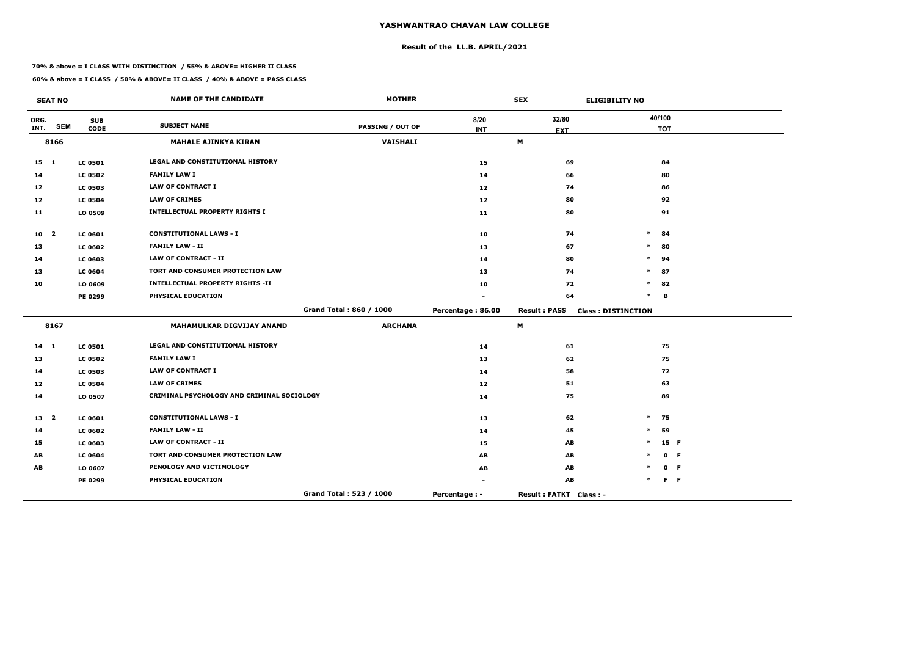## **Result of the LL.B. APRIL/2021**

#### **70% & above = I CLASS WITH DISTINCTION / 55% & ABOVE= HIGHER II CLASS**

|                 | <b>SEAT NO</b> |                           | <b>NAME OF THE CANDIDATE</b>               | <b>MOTHER</b>           |                      | <b>SEX</b>             | <b>ELIGIBILITY NO</b>     |
|-----------------|----------------|---------------------------|--------------------------------------------|-------------------------|----------------------|------------------------|---------------------------|
| ORG.<br>INT.    | <b>SEM</b>     | <b>SUB</b><br><b>CODE</b> | <b>SUBJECT NAME</b>                        | <b>PASSING / OUT OF</b> | 8/20<br><b>INT</b>   | 32/80<br><b>EXT</b>    | 40/100<br><b>TOT</b>      |
|                 | 8166           |                           | <b>MAHALE AJINKYA KIRAN</b>                | <b>VAISHALI</b>         |                      | M                      |                           |
| $15$ 1          |                | <b>LC 0501</b>            | LEGAL AND CONSTITUTIONAL HISTORY           |                         | 15                   | 69                     | 84                        |
| 14              |                | <b>LC 0502</b>            | <b>FAMILY LAW I</b>                        |                         | 14                   | 66                     | 80                        |
| 12              |                | <b>LC 0503</b>            | <b>LAW OF CONTRACT I</b>                   |                         | 12                   | 74                     | 86                        |
| 12              |                | <b>LC 0504</b>            | <b>LAW OF CRIMES</b>                       |                         | 12                   | 80                     | 92                        |
| 11              |                | LO 0509                   | <b>INTELLECTUAL PROPERTY RIGHTS I</b>      |                         | 11                   | 80                     | 91                        |
| 10 <sub>2</sub> |                | <b>LC 0601</b>            | <b>CONSTITUTIONAL LAWS - I</b>             |                         | 10                   | 74                     | $\ast$<br>84              |
| 13              |                | <b>LC 0602</b>            | <b>FAMILY LAW - II</b>                     |                         | 13                   | 67                     | 80<br>$\ast$              |
| 14              |                | <b>LC 0603</b>            | <b>LAW OF CONTRACT - II</b>                |                         | 14                   | 80                     | $\ast$<br>94              |
| 13              |                | <b>LC 0604</b>            | TORT AND CONSUMER PROTECTION LAW           |                         | 13                   | 74                     | 87<br>*                   |
| 10              |                | LO 0609                   | <b>INTELLECTUAL PROPERTY RIGHTS -II</b>    |                         | 10                   | 72                     | $\ast$<br>82              |
|                 |                | PE 0299                   | PHYSICAL EDUCATION                         |                         |                      | 64                     | $\ast$<br>B               |
|                 |                |                           |                                            | Grand Total: 860 / 1000 | Percentage: 86.00    | <b>Result: PASS</b>    | <b>Class: DISTINCTION</b> |
|                 | 8167           |                           | MAHAMULKAR DIGVIJAY ANAND                  | <b>ARCHANA</b>          |                      | M                      |                           |
| $14 \quad 1$    |                | <b>LC 0501</b>            | <b>LEGAL AND CONSTITUTIONAL HISTORY</b>    |                         | 14                   | 61                     | 75                        |
| 13              |                | <b>LC 0502</b>            | <b>FAMILY LAW I</b>                        |                         | 13                   | 62                     | 75                        |
| 14              |                | <b>LC 0503</b>            | <b>LAW OF CONTRACT I</b>                   |                         | 14                   | 58                     | 72                        |
| 12              |                | <b>LC 0504</b>            | <b>LAW OF CRIMES</b>                       |                         | 12                   | 51                     | 63                        |
| 14              |                | LO 0507                   | CRIMINAL PSYCHOLOGY AND CRIMINAL SOCIOLOGY |                         | 14                   | 75                     | 89                        |
| 13 <sup>2</sup> |                | <b>LC 0601</b>            | <b>CONSTITUTIONAL LAWS - I</b>             |                         | 13                   | 62                     | $\ast$<br>75              |
| 14              |                | <b>LC 0602</b>            | <b>FAMILY LAW - II</b>                     |                         | 14                   | 45                     | $\ast$<br>59              |
| 15              |                | <b>LC 0603</b>            | <b>LAW OF CONTRACT - II</b>                |                         | 15                   | AB                     | $\ast$<br>15 F            |
| AB              |                | <b>LC 0604</b>            | TORT AND CONSUMER PROTECTION LAW           |                         | AB                   | AB                     | 0 F<br>$\ast$             |
| AB              |                | LO 0607                   | PENOLOGY AND VICTIMOLOGY                   |                         | AB                   | AB                     | 0 F                       |
|                 |                | PE 0299                   | PHYSICAL EDUCATION                         |                         |                      | AB                     | $F - F$<br>$\ast$         |
|                 |                |                           |                                            | Grand Total: 523 / 1000 | <b>Percentage: -</b> | Result: FATKT Class: - |                           |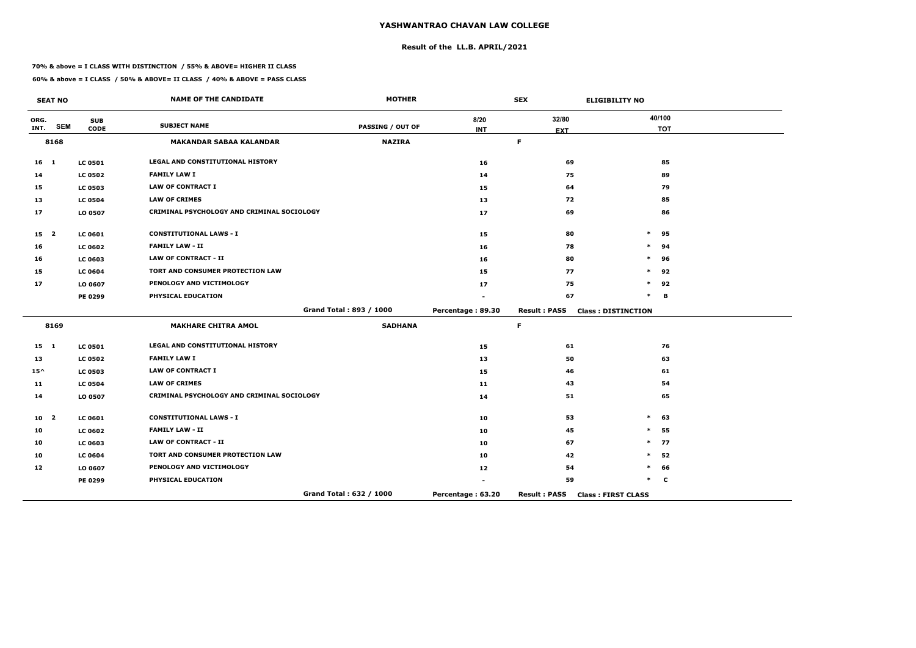## **Result of the LL.B. APRIL/2021**

#### **70% & above = I CLASS WITH DISTINCTION / 55% & ABOVE= HIGHER II CLASS**

 $\overline{\phantom{a}}$ 

|                 | <b>SEAT NO</b>          |                | <b>NAME OF THE CANDIDATE</b>               | <b>MOTHER</b>           |                   | <b>SEX</b>          | <b>ELIGIBILITY NO</b>     |
|-----------------|-------------------------|----------------|--------------------------------------------|-------------------------|-------------------|---------------------|---------------------------|
| ORG.            | <b>SEM</b>              | <b>SUB</b>     | <b>SUBJECT NAME</b>                        | <b>PASSING / OUT OF</b> | 8/20              | 32/80               | 40/100                    |
| INT.            |                         | <b>CODE</b>    |                                            |                         | <b>INT</b>        | <b>EXT</b>          | <b>TOT</b>                |
|                 | 8168                    |                | <b>MAKANDAR SABAA KALANDAR</b>             | <b>NAZIRA</b>           |                   | $\mathsf F$         |                           |
| $16$ 1          |                         | <b>LC 0501</b> | LEGAL AND CONSTITUTIONAL HISTORY           |                         | 16                | 69                  | 85                        |
| 14              |                         | <b>LC 0502</b> | <b>FAMILY LAW I</b>                        |                         | 14                | 75                  | 89                        |
| 15              |                         | <b>LC 0503</b> | <b>LAW OF CONTRACT I</b>                   |                         | 15                | 64                  | 79                        |
| 13              |                         | <b>LC 0504</b> | <b>LAW OF CRIMES</b>                       |                         | 13                | 72                  | 85                        |
| 17              |                         | LO 0507        | CRIMINAL PSYCHOLOGY AND CRIMINAL SOCIOLOGY |                         | 17                | 69                  | 86                        |
| 15 <sub>2</sub> |                         | <b>LC 0601</b> | <b>CONSTITUTIONAL LAWS - I</b>             |                         | 15                | 80                  | $\ast$<br>95              |
| 16              |                         | <b>LC 0602</b> | <b>FAMILY LAW - II</b>                     |                         | 16                | 78                  | 94<br>$\ast$              |
| 16              |                         | LC 0603        | <b>LAW OF CONTRACT - II</b>                |                         | 16                | 80                  | 96<br>$\ast$              |
| 15              |                         | <b>LC 0604</b> | TORT AND CONSUMER PROTECTION LAW           |                         | 15                | 77                  | 92<br>$\ast$              |
| 17              |                         | LO 0607        | PENOLOGY AND VICTIMOLOGY                   |                         | 17                | 75                  | $\ast$<br>92              |
|                 |                         | <b>PE 0299</b> | PHYSICAL EDUCATION                         |                         |                   | 67                  | $\ast$<br>B               |
|                 |                         |                |                                            | Grand Total: 893 / 1000 | Percentage: 89.30 | <b>Result: PASS</b> | <b>Class: DISTINCTION</b> |
|                 | 8169                    |                | <b>MAKHARE CHITRA AMOL</b>                 | <b>SADHANA</b>          |                   | $\mathsf F$         |                           |
| $15 \quad 1$    |                         | <b>LC 0501</b> | LEGAL AND CONSTITUTIONAL HISTORY           |                         | 15                | 61                  | 76                        |
| 13              |                         | <b>LC 0502</b> | <b>FAMILY LAW I</b>                        |                         | 13                | 50                  | 63                        |
| $15^{\wedge}$   |                         | <b>LC 0503</b> | <b>LAW OF CONTRACT I</b>                   |                         | 15                | 46                  | 61                        |
| 11              |                         | <b>LC 0504</b> | <b>LAW OF CRIMES</b>                       |                         | 11                | 43                  | 54                        |
| 14              |                         | LO 0507        | CRIMINAL PSYCHOLOGY AND CRIMINAL SOCIOLOGY |                         | 14                | 51                  | 65                        |
| 10              | $\overline{\mathbf{2}}$ | <b>LC 0601</b> | <b>CONSTITUTIONAL LAWS - I</b>             |                         | 10                | 53                  | 63<br>$\ast$              |
| 10              |                         | <b>LC 0602</b> | <b>FAMILY LAW - II</b>                     |                         | 10                | 45                  | 55<br>$\ast$              |
| 10              |                         | <b>LC 0603</b> | <b>LAW OF CONTRACT - II</b>                |                         | 10                | 67                  | $\ast$<br>77              |
| 10              |                         | <b>LC 0604</b> | TORT AND CONSUMER PROTECTION LAW           |                         | 10                | 42                  | 52<br>$\ast$              |
| 12              |                         | LO 0607        | PENOLOGY AND VICTIMOLOGY                   |                         | 12                | 54                  | $\ast$<br>66              |
|                 |                         | <b>PE 0299</b> | PHYSICAL EDUCATION                         |                         |                   | 59                  | $\ast$<br>$\mathbf c$     |
|                 |                         |                |                                            | Grand Total: 632 / 1000 | Percentage: 63.20 | <b>Result: PASS</b> | <b>Class: FIRST CLASS</b> |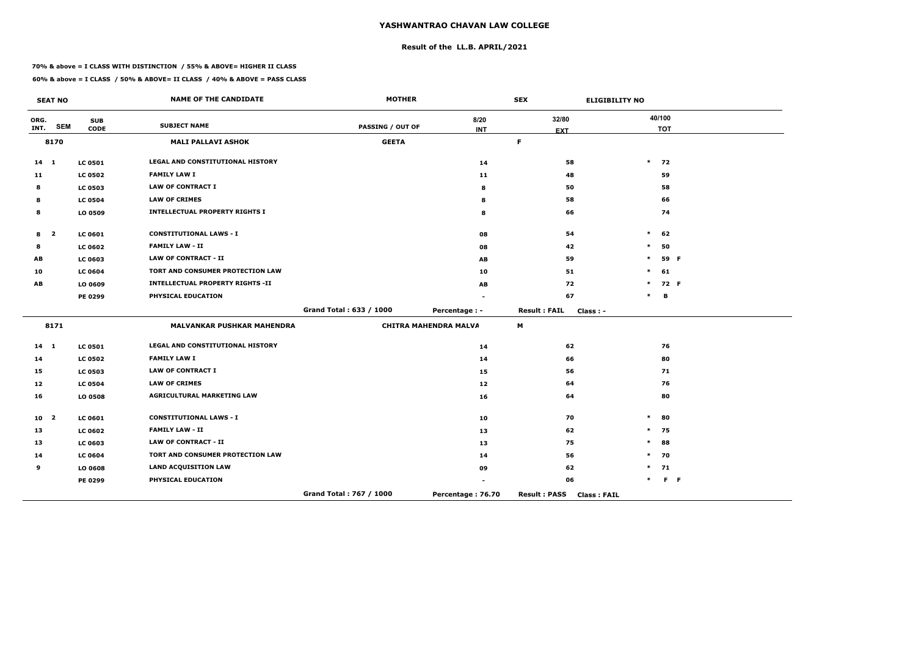## **Result of the LL.B. APRIL/2021**

#### **70% & above = I CLASS WITH DISTINCTION / 55% & ABOVE= HIGHER II CLASS**

|                 | <b>SEAT NO</b>          |                           | <b>NAME OF THE CANDIDATE</b>            | <b>MOTHER</b>           |                              | <b>SEX</b>                                | <b>ELIGIBILITY NO</b> |
|-----------------|-------------------------|---------------------------|-----------------------------------------|-------------------------|------------------------------|-------------------------------------------|-----------------------|
| ORG.<br>INT.    | <b>SEM</b>              | <b>SUB</b><br><b>CODE</b> | <b>SUBJECT NAME</b>                     | <b>PASSING / OUT OF</b> | 8/20                         | 32/80                                     | 40/100                |
|                 | 8170                    |                           | <b>MALI PALLAVI ASHOK</b>               | <b>GEETA</b>            | <b>INT</b>                   | <b>EXT</b><br>F.                          | <b>TOT</b>            |
|                 |                         |                           |                                         |                         |                              |                                           |                       |
| $14 \quad 1$    |                         | <b>LC 0501</b>            | LEGAL AND CONSTITUTIONAL HISTORY        |                         | 14                           | 58                                        | $\ast$<br>72          |
| 11              |                         | <b>LC 0502</b>            | <b>FAMILY LAW I</b>                     |                         | 11                           | 48                                        | 59                    |
| 8               |                         | <b>LC 0503</b>            | <b>LAW OF CONTRACT I</b>                |                         | 8                            | 50                                        | 58                    |
| 8               |                         | <b>LC 0504</b>            | <b>LAW OF CRIMES</b>                    |                         | 8                            | 58                                        | 66                    |
| 8               |                         | LO 0509                   | <b>INTELLECTUAL PROPERTY RIGHTS I</b>   |                         | 8                            | 66                                        | 74                    |
| 8               | $\overline{\mathbf{2}}$ | <b>LC 0601</b>            | <b>CONSTITUTIONAL LAWS - I</b>          |                         | 08                           | 54                                        | $\ast$<br>62          |
| 8               |                         | <b>LC 0602</b>            | <b>FAMILY LAW - II</b>                  |                         | 08                           | 42                                        | $\ast$<br>50          |
| AВ              |                         | <b>LC 0603</b>            | <b>LAW OF CONTRACT - II</b>             |                         | AB                           | 59                                        | $\ast$<br>59 F        |
| 10              |                         | <b>LC 0604</b>            | TORT AND CONSUMER PROTECTION LAW        |                         | 10                           | 51                                        | $\ast$<br>61          |
| AB              |                         | LO 0609                   | <b>INTELLECTUAL PROPERTY RIGHTS -II</b> |                         | AB                           | 72                                        | $\ast$<br>72 F        |
|                 |                         | PE 0299                   | PHYSICAL EDUCATION                      |                         |                              | 67                                        | $\ast$<br>В           |
|                 |                         |                           |                                         | Grand Total: 633 / 1000 | Percentage : -               | <b>Result: FAIL</b><br>$Class: -$         |                       |
|                 | 8171                    |                           | <b>MALVANKAR PUSHKAR MAHENDRA</b>       |                         | <b>CHITRA MAHENDRA MALVA</b> | М                                         |                       |
| $14 \quad 1$    |                         | <b>LC 0501</b>            | LEGAL AND CONSTITUTIONAL HISTORY        |                         | 14                           | 62                                        | 76                    |
| 14              |                         | <b>LC 0502</b>            | <b>FAMILY LAW I</b>                     |                         | 14                           | 66                                        | 80                    |
| 15              |                         | <b>LC 0503</b>            | <b>LAW OF CONTRACT I</b>                |                         | 15                           | 56                                        | 71                    |
| 12              |                         | <b>LC 0504</b>            | <b>LAW OF CRIMES</b>                    |                         | 12                           | 64                                        | 76                    |
| 16              |                         | LO 0508                   | <b>AGRICULTURAL MARKETING LAW</b>       |                         | 16                           | 64                                        | 80                    |
| 10 <sub>2</sub> |                         | <b>LC 0601</b>            | <b>CONSTITUTIONAL LAWS - I</b>          |                         | 10                           | 70                                        | $\ast$<br>80          |
| 13              |                         | <b>LC 0602</b>            | <b>FAMILY LAW - II</b>                  |                         | 13                           | 62                                        | $\ast$<br>75          |
| 13              |                         | <b>LC 0603</b>            | <b>LAW OF CONTRACT - II</b>             |                         | 13                           | 75                                        | $\ast$<br>88          |
| 14              |                         | <b>LC 0604</b>            | TORT AND CONSUMER PROTECTION LAW        |                         | 14                           | 56                                        | $\ast$<br>70          |
| 9               |                         | LO 0608                   | <b>LAND ACQUISITION LAW</b>             |                         | 09                           | 62                                        | 71<br>$\ast$          |
|                 |                         | PE 0299                   | PHYSICAL EDUCATION                      |                         |                              | 06                                        | $F - F$<br>$\ast$     |
|                 |                         |                           |                                         | Grand Total: 767 / 1000 | Percentage: 76.70            | <b>Result: PASS</b><br><b>Class: FAIL</b> |                       |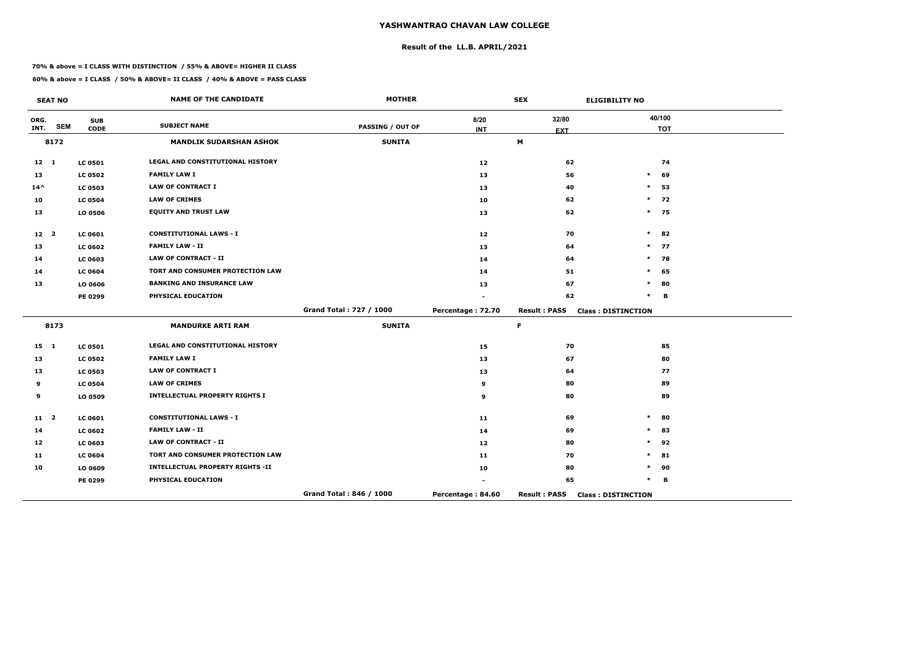## **Result of the LL.B. APRIL/2021**

#### **70% & above = I CLASS WITH DISTINCTION / 55% & ABOVE= HIGHER II CLASS**

|                 | <b>SEAT NO</b> |                           | <b>NAME OF THE CANDIDATE</b>            | <b>MOTHER</b>           |                    | <b>SEX</b>          | <b>ELIGIBILITY NO</b>     |
|-----------------|----------------|---------------------------|-----------------------------------------|-------------------------|--------------------|---------------------|---------------------------|
| ORG.<br>INT.    | <b>SEM</b>     | <b>SUB</b><br><b>CODE</b> | <b>SUBJECT NAME</b>                     | <b>PASSING / OUT OF</b> | 8/20<br><b>INT</b> | 32/80<br><b>EXT</b> | 40/100<br><b>TOT</b>      |
|                 | 8172           |                           | <b>MANDLIK SUDARSHAN ASHOK</b>          | <b>SUNITA</b>           |                    | M                   |                           |
| $12 \quad 1$    |                | <b>LC 0501</b>            | LEGAL AND CONSTITUTIONAL HISTORY        |                         | 12                 | 62                  | 74                        |
| 13              |                | <b>LC 0502</b>            | <b>FAMILY LAW I</b>                     |                         | 13                 | 56                  | 69<br>$\ast$              |
| $14^{\wedge}$   |                | <b>LC 0503</b>            | <b>LAW OF CONTRACT I</b>                |                         | 13                 | 40                  | 53<br>$\ast$              |
| 10              |                | <b>LC 0504</b>            | <b>LAW OF CRIMES</b>                    |                         | 10                 | 62                  | $\ast$<br>72              |
| 13              |                | LO 0506                   | <b>EQUITY AND TRUST LAW</b>             |                         | 13                 | 62                  | $*$ 75                    |
| 12 <sub>2</sub> |                | <b>LC 0601</b>            | <b>CONSTITUTIONAL LAWS - I</b>          |                         | 12                 | 70                  | $\ast$<br>82              |
| 13              |                | <b>LC 0602</b>            | <b>FAMILY LAW - II</b>                  |                         | 13                 | 64                  | 77<br>$\ast$              |
| 14              |                | LC 0603                   | <b>LAW OF CONTRACT - II</b>             |                         | 14                 | 64                  | $\ast$<br>78              |
| 14              |                | <b>LC 0604</b>            | TORT AND CONSUMER PROTECTION LAW        |                         | 14                 | 51                  | $\ast$<br>65              |
| 13              |                | LO 0606                   | <b>BANKING AND INSURANCE LAW</b>        |                         | 13                 | 67                  | 80<br>$\ast$              |
|                 |                | PE 0299                   | PHYSICAL EDUCATION                      |                         |                    | 62                  | $\ast$<br>B               |
|                 |                |                           |                                         | Grand Total: 727 / 1000 | Percentage: 72.70  | <b>Result: PASS</b> | <b>Class: DISTINCTION</b> |
|                 | 8173           |                           | <b>MANDURKE ARTI RAM</b>                | <b>SUNITA</b>           |                    | F.                  |                           |
| $15 \quad 1$    |                | <b>LC 0501</b>            | LEGAL AND CONSTITUTIONAL HISTORY        |                         | 15                 | 70                  | 85                        |
| 13              |                | <b>LC 0502</b>            | <b>FAMILY LAW I</b>                     |                         | 13                 | 67                  | 80                        |
| 13              |                | <b>LC 0503</b>            | <b>LAW OF CONTRACT I</b>                |                         | 13                 | 64                  | 77                        |
| 9               |                | <b>LC 0504</b>            | <b>LAW OF CRIMES</b>                    |                         | 9                  | 80                  | 89                        |
| 9               |                | LO 0509                   | <b>INTELLECTUAL PROPERTY RIGHTS I</b>   |                         | 9                  | 80                  | 89                        |
| $11 \quad 2$    |                | <b>LC 0601</b>            | <b>CONSTITUTIONAL LAWS - I</b>          |                         | 11                 | 69                  | 80<br>$\ast$              |
| 14              |                | <b>LC 0602</b>            | <b>FAMILY LAW - II</b>                  |                         | 14                 | 69                  | $\ast$<br>83              |
| 12              |                | LC 0603                   | <b>LAW OF CONTRACT - II</b>             |                         | 12                 | 80                  | 92<br>$\ast$              |
| 11              |                | <b>LC 0604</b>            | TORT AND CONSUMER PROTECTION LAW        |                         | 11                 | 70                  | $\ast$<br>81              |
| 10              |                | LO 0609                   | <b>INTELLECTUAL PROPERTY RIGHTS -II</b> |                         | 10                 | 80                  | $\ast$<br>90              |
|                 |                | PE 0299                   | PHYSICAL EDUCATION                      |                         |                    | 65                  | $\ast$<br>B               |
|                 |                |                           |                                         | Grand Total: 846 / 1000 | Percentage: 84.60  | <b>Result: PASS</b> | <b>Class: DISTINCTION</b> |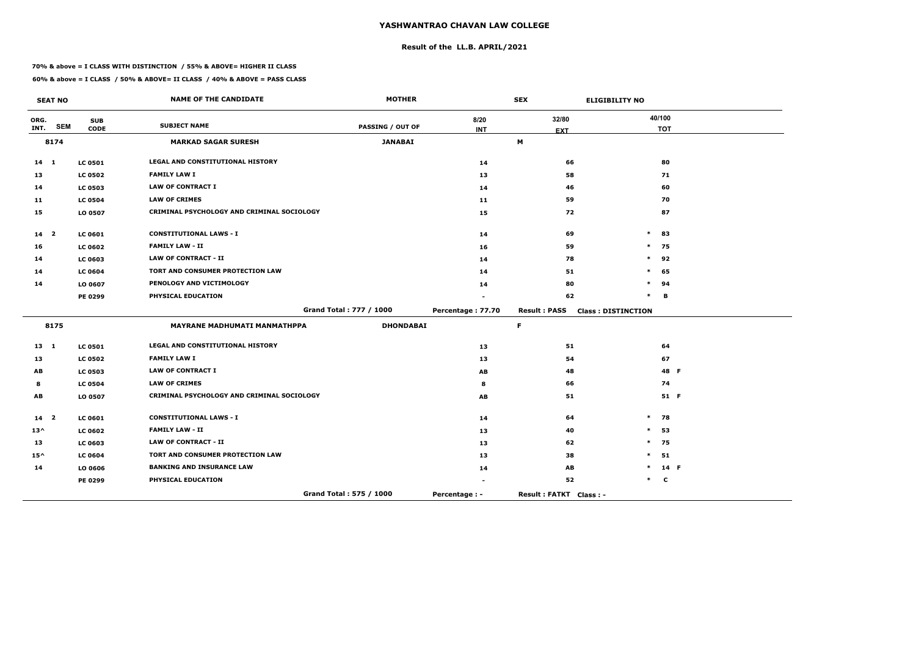## **Result of the LL.B. APRIL/2021**

#### **70% & above = I CLASS WITH DISTINCTION / 55% & ABOVE= HIGHER II CLASS**

 $\overline{\phantom{a}}$ 

|                 | <b>SEAT NO</b>          |                | <b>NAME OF THE CANDIDATE</b>               | <b>MOTHER</b>           |                   | <b>SEX</b>             | <b>ELIGIBILITY NO</b>     |             |  |
|-----------------|-------------------------|----------------|--------------------------------------------|-------------------------|-------------------|------------------------|---------------------------|-------------|--|
| ORG.            | <b>SEM</b>              | <b>SUB</b>     | <b>SUBJECT NAME</b>                        | PASSING / OUT OF        | 8/20              | 32/80                  |                           | 40/100      |  |
| INT.            |                         | <b>CODE</b>    |                                            |                         | <b>INT</b>        | <b>EXT</b>             |                           | <b>TOT</b>  |  |
|                 | 8174                    |                | <b>MARKAD SAGAR SURESH</b>                 | <b>JANABAI</b>          |                   | M                      |                           |             |  |
| $14$ 1          |                         | <b>LC 0501</b> | LEGAL AND CONSTITUTIONAL HISTORY           |                         | 14                | 66                     |                           | 80          |  |
| 13              |                         | <b>LC 0502</b> | <b>FAMILY LAW I</b>                        |                         | 13                | 58                     |                           | 71          |  |
| 14              |                         | <b>LC 0503</b> | <b>LAW OF CONTRACT I</b>                   |                         | 14                | 46                     |                           | 60          |  |
| 11              |                         | <b>LC 0504</b> | <b>LAW OF CRIMES</b>                       |                         | 11                | 59                     |                           | 70          |  |
| 15              |                         | LO 0507        | CRIMINAL PSYCHOLOGY AND CRIMINAL SOCIOLOGY |                         | 15                | 72                     |                           | 87          |  |
| 14 <sub>2</sub> |                         | LC 0601        | <b>CONSTITUTIONAL LAWS - I</b>             |                         | 14                | 69                     | $\ast$                    | 83          |  |
| 16              |                         | <b>LC 0602</b> | <b>FAMILY LAW - II</b>                     |                         | 16                | 59                     | $\ast$                    | 75          |  |
| 14              |                         | <b>LC 0603</b> | <b>LAW OF CONTRACT - II</b>                |                         | 14                | 78                     | $\ast$                    | 92          |  |
| 14              |                         | <b>LC 0604</b> | TORT AND CONSUMER PROTECTION LAW           |                         | 14                | 51                     | $\ast$                    | 65          |  |
| 14              |                         | LO 0607        | PENOLOGY AND VICTIMOLOGY                   |                         | 14                | 80                     | $\ast$                    | 94          |  |
|                 |                         | PE 0299        | PHYSICAL EDUCATION                         |                         |                   | 62                     | $\ast$                    | B           |  |
|                 |                         |                |                                            | Grand Total: 777 / 1000 | Percentage: 77.70 | <b>Result: PASS</b>    | <b>Class: DISTINCTION</b> |             |  |
|                 | 8175                    |                | <b>MAYRANE MADHUMATI MANMATHPPA</b>        | <b>DHONDABAI</b>        |                   | $\mathsf F$            |                           |             |  |
| $13 \quad 1$    |                         | <b>LC 0501</b> | LEGAL AND CONSTITUTIONAL HISTORY           |                         | 13                | 51                     |                           | 64          |  |
| 13              |                         | <b>LC 0502</b> | <b>FAMILY LAW I</b>                        |                         | 13                | 54                     |                           | 67          |  |
| AB              |                         | <b>LC 0503</b> | <b>LAW OF CONTRACT I</b>                   |                         | AB                | 48                     |                           | 48 F        |  |
| 8               |                         | <b>LC 0504</b> | <b>LAW OF CRIMES</b>                       |                         | 8                 | 66                     |                           | 74          |  |
| AB              |                         | LO 0507        | CRIMINAL PSYCHOLOGY AND CRIMINAL SOCIOLOGY |                         | AB                | 51                     |                           | 51 F        |  |
| 14              | $\overline{\mathbf{2}}$ | <b>LC 0601</b> | <b>CONSTITUTIONAL LAWS - I</b>             |                         | 14                | 64                     | $\ast$                    | 78          |  |
| $13^{\wedge}$   |                         | <b>LC 0602</b> | <b>FAMILY LAW - II</b>                     |                         | 13                | 40                     | $\ast$                    | 53          |  |
| 13              |                         | <b>LC 0603</b> | <b>LAW OF CONTRACT - II</b>                |                         | 13                | 62                     | $\ast$                    | 75          |  |
| $15^{\wedge}$   |                         | <b>LC 0604</b> | TORT AND CONSUMER PROTECTION LAW           |                         | 13                | 38                     | $\ast$                    | 51          |  |
| 14              |                         | LO 0606        | <b>BANKING AND INSURANCE LAW</b>           |                         | 14                | <b>AB</b>              |                           | 14 F        |  |
|                 |                         | PE 0299        | PHYSICAL EDUCATION                         |                         |                   | 52                     | $\ast$                    | $\mathbf c$ |  |
|                 |                         |                |                                            | Grand Total: 575 / 1000 | Percentage : -    | Result: FATKT Class: - |                           |             |  |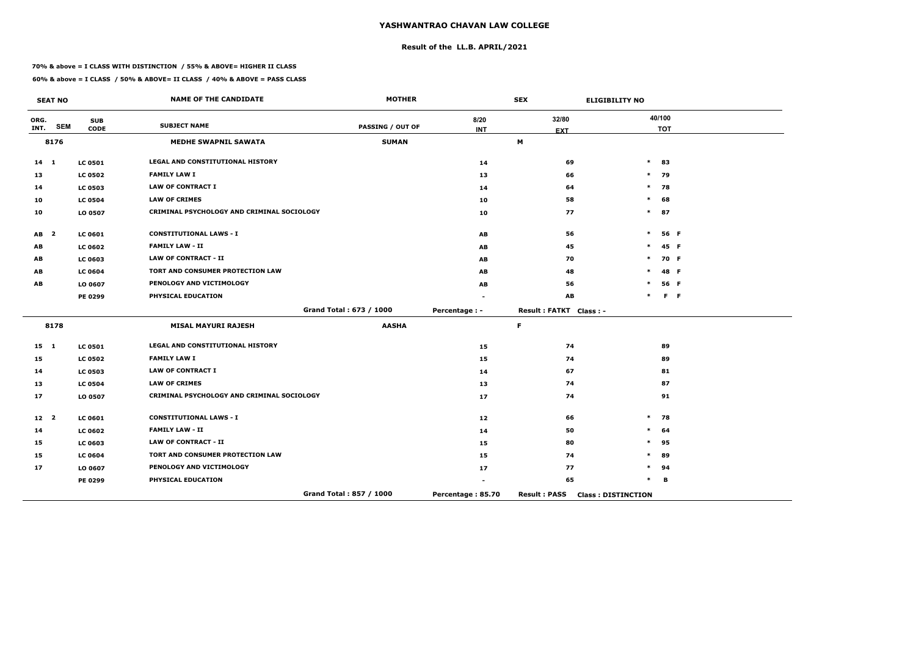## **Result of the LL.B. APRIL/2021**

#### **70% & above = I CLASS WITH DISTINCTION / 55% & ABOVE= HIGHER II CLASS**

|                 | <b>SEAT NO</b>          |                           | <b>NAME OF THE CANDIDATE</b>               | <b>MOTHER</b>           |                    | <b>SEX</b>             | <b>ELIGIBILITY NO</b>     |                      |         |
|-----------------|-------------------------|---------------------------|--------------------------------------------|-------------------------|--------------------|------------------------|---------------------------|----------------------|---------|
| ORG.<br>INT.    | <b>SEM</b>              | <b>SUB</b><br><b>CODE</b> | <b>SUBJECT NAME</b>                        | <b>PASSING / OUT OF</b> | 8/20<br><b>INT</b> | 32/80<br><b>EXT</b>    |                           | 40/100<br><b>TOT</b> |         |
|                 | 8176                    |                           | <b>MEDHE SWAPNIL SAWATA</b>                | <b>SUMAN</b>            |                    | M                      |                           |                      |         |
| $14 \quad 1$    |                         | <b>LC 0501</b>            | LEGAL AND CONSTITUTIONAL HISTORY           |                         | 14                 | 69                     | $\ast$                    | 83                   |         |
| 13              |                         | <b>LC 0502</b>            | <b>FAMILY LAW I</b>                        |                         | 13                 | 66                     | $\ast$                    | 79                   |         |
| 14              |                         | <b>LC 0503</b>            | <b>LAW OF CONTRACT I</b>                   |                         | 14                 | 64                     | $\ast$                    | 78                   |         |
| 10              |                         | <b>LC 0504</b>            | <b>LAW OF CRIMES</b>                       |                         | 10                 | 58                     | $\ast$                    | 68                   |         |
| 10              |                         | LO 0507                   | CRIMINAL PSYCHOLOGY AND CRIMINAL SOCIOLOGY |                         | 10                 | 77                     | $\ast$                    | 87                   |         |
| AB              | $\overline{\mathbf{2}}$ | <b>LC 0601</b>            | <b>CONSTITUTIONAL LAWS - I</b>             |                         | AB                 | 56                     | $\ast$                    |                      | 56 F    |
| AB              |                         | <b>LC 0602</b>            | <b>FAMILY LAW - II</b>                     |                         | AB                 | 45                     | $\ast$                    |                      | 45 F    |
| AB              |                         | <b>LC 0603</b>            | <b>LAW OF CONTRACT - II</b>                |                         | AB                 | 70                     | $\ast$                    |                      | 70 F    |
| AB              |                         | <b>LC 0604</b>            | TORT AND CONSUMER PROTECTION LAW           |                         | AB                 | 48                     | $\ast$                    |                      | 48 F    |
| AB              |                         | LO 0607                   | PENOLOGY AND VICTIMOLOGY                   |                         | AB                 | 56                     | ∗                         |                      | 56 F    |
|                 |                         | PE 0299                   | PHYSICAL EDUCATION                         |                         |                    | AB                     | $\ast$                    |                      | $F - F$ |
|                 |                         |                           |                                            | Grand Total: 673 / 1000 | Percentage : -     | Result: FATKT Class: - |                           |                      |         |
|                 | 8178                    |                           | <b>MISAL MAYURI RAJESH</b>                 | <b>AASHA</b>            |                    | F.                     |                           |                      |         |
| $15 \quad 1$    |                         | <b>LC 0501</b>            | LEGAL AND CONSTITUTIONAL HISTORY           |                         | 15                 | 74                     |                           | 89                   |         |
| 15              |                         | <b>LC 0502</b>            | <b>FAMILY LAW I</b>                        |                         | 15                 | 74                     |                           | 89                   |         |
| 14              |                         | <b>LC 0503</b>            | <b>LAW OF CONTRACT I</b>                   |                         | 14                 | 67                     |                           | 81                   |         |
| 13              |                         | <b>LC 0504</b>            | <b>LAW OF CRIMES</b>                       |                         | 13                 | 74                     |                           | 87                   |         |
| 17              |                         | LO 0507                   | CRIMINAL PSYCHOLOGY AND CRIMINAL SOCIOLOGY |                         | 17                 | 74                     |                           | 91                   |         |
| 12 <sup>2</sup> |                         | <b>LC 0601</b>            | <b>CONSTITUTIONAL LAWS - I</b>             |                         | 12                 | 66                     | $\ast$                    | 78                   |         |
| 14              |                         | <b>LC 0602</b>            | <b>FAMILY LAW - II</b>                     |                         | 14                 | 50                     | $\ast$                    | 64                   |         |
| 15              |                         | <b>LC 0603</b>            | <b>LAW OF CONTRACT - II</b>                |                         | 15                 | 80                     | $\ast$                    | 95                   |         |
| 15              |                         | <b>LC 0604</b>            | TORT AND CONSUMER PROTECTION LAW           |                         | 15                 | 74                     | $\ast$                    | 89                   |         |
| 17              |                         | LO 0607                   | PENOLOGY AND VICTIMOLOGY                   |                         | 17                 | 77                     | $\ast$                    | 94                   |         |
|                 |                         | PE 0299                   | PHYSICAL EDUCATION                         |                         |                    | 65                     | $\ast$                    | в                    |         |
|                 |                         |                           |                                            | Grand Total: 857 / 1000 | Percentage: 85.70  | <b>Result: PASS</b>    | <b>Class: DISTINCTION</b> |                      |         |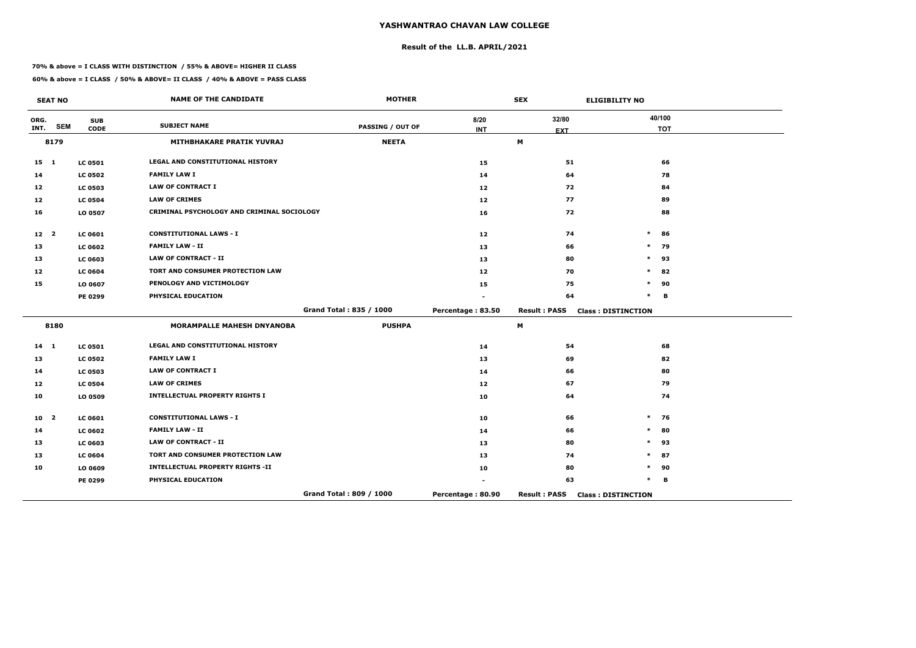## **Result of the LL.B. APRIL/2021**

#### **70% & above = I CLASS WITH DISTINCTION / 55% & ABOVE= HIGHER II CLASS**

|                 | <b>SEAT NO</b>          |                           | <b>NAME OF THE CANDIDATE</b>               | <b>MOTHER</b>           |                    | <b>SEX</b>          | <b>ELIGIBILITY NO</b>     |
|-----------------|-------------------------|---------------------------|--------------------------------------------|-------------------------|--------------------|---------------------|---------------------------|
| ORG.<br>INT.    | <b>SEM</b>              | <b>SUB</b><br><b>CODE</b> | <b>SUBJECT NAME</b>                        | <b>PASSING / OUT OF</b> | 8/20<br><b>INT</b> | 32/80<br><b>EXT</b> | 40/100<br><b>TOT</b>      |
|                 | 8179                    |                           | <b>MITHBHAKARE PRATIK YUVRAJ</b>           | <b>NEETA</b>            |                    | M                   |                           |
| $15$ 1          |                         | <b>LC 0501</b>            | LEGAL AND CONSTITUTIONAL HISTORY           |                         | 15                 | 51                  | 66                        |
| 14              |                         | <b>LC 0502</b>            | <b>FAMILY LAW I</b>                        |                         | 14                 | 64                  | 78                        |
| 12              |                         | <b>LC 0503</b>            | <b>LAW OF CONTRACT I</b>                   |                         | 12                 | 72                  | 84                        |
| 12              |                         | <b>LC 0504</b>            | <b>LAW OF CRIMES</b>                       |                         | 12                 | 77                  | 89                        |
| 16              |                         | LO 0507                   | CRIMINAL PSYCHOLOGY AND CRIMINAL SOCIOLOGY |                         | 16                 | 72                  | 88                        |
| 12 <sub>2</sub> |                         | LC 0601                   | <b>CONSTITUTIONAL LAWS - I</b>             |                         | 12                 | 74                  | $\ast$<br>86              |
| 13              |                         | <b>LC 0602</b>            | <b>FAMILY LAW - II</b>                     |                         | 13                 | 66                  | $\ast$<br>79              |
| 13              |                         | LC 0603                   | <b>LAW OF CONTRACT - II</b>                |                         | 13                 | 80                  | $\ast$<br>93              |
| 12              |                         | <b>LC 0604</b>            | TORT AND CONSUMER PROTECTION LAW           |                         | 12                 | 70                  | 82<br>$\ast$              |
| 15              |                         | LO 0607                   | PENOLOGY AND VICTIMOLOGY                   |                         | 15                 | 75                  | $\ast$<br>90              |
|                 |                         | PE 0299                   | PHYSICAL EDUCATION                         |                         |                    | 64                  | $\ast$<br>B               |
|                 |                         |                           |                                            | Grand Total: 835 / 1000 | Percentage: 83.50  | <b>Result: PASS</b> | <b>Class: DISTINCTION</b> |
|                 | 8180                    |                           | <b>MORAMPALLE MAHESH DNYANOBA</b>          | <b>PUSHPA</b>           |                    | M                   |                           |
| $14 \quad 1$    |                         | <b>LC 0501</b>            | <b>LEGAL AND CONSTITUTIONAL HISTORY</b>    |                         | 14                 | 54                  | 68                        |
| 13              |                         | <b>LC 0502</b>            | <b>FAMILY LAW I</b>                        |                         | 13                 | 69                  | 82                        |
| 14              |                         | <b>LC 0503</b>            | <b>LAW OF CONTRACT I</b>                   |                         | 14                 | 66                  | 80                        |
| 12              |                         | <b>LC 0504</b>            | <b>LAW OF CRIMES</b>                       |                         | 12                 | 67                  | 79                        |
| 10              |                         | LO 0509                   | <b>INTELLECTUAL PROPERTY RIGHTS I</b>      |                         | 10                 | 64                  | 74                        |
| 10              | $\overline{\mathbf{2}}$ | <b>LC 0601</b>            | <b>CONSTITUTIONAL LAWS - I</b>             |                         | 10                 | 66                  | $\ast$<br>76              |
| 14              |                         | <b>LC 0602</b>            | <b>FAMILY LAW - II</b>                     |                         | 14                 | 66                  | 80<br>$\ast$              |
| 13              |                         | LC 0603                   | <b>LAW OF CONTRACT - II</b>                |                         | 13                 | 80                  | 93<br>$\ast$              |
| 13              |                         | <b>LC 0604</b>            | TORT AND CONSUMER PROTECTION LAW           |                         | 13                 | 74                  | $\ast$<br>87              |
| 10              |                         | LO 0609                   | <b>INTELLECTUAL PROPERTY RIGHTS -II</b>    |                         | 10                 | 80                  | *<br>90                   |
|                 |                         | PE 0299                   | PHYSICAL EDUCATION                         |                         |                    | 63                  | $\ast$<br>В               |
|                 |                         |                           |                                            | Grand Total: 809 / 1000 | Percentage: 80.90  | <b>Result: PASS</b> | <b>Class: DISTINCTION</b> |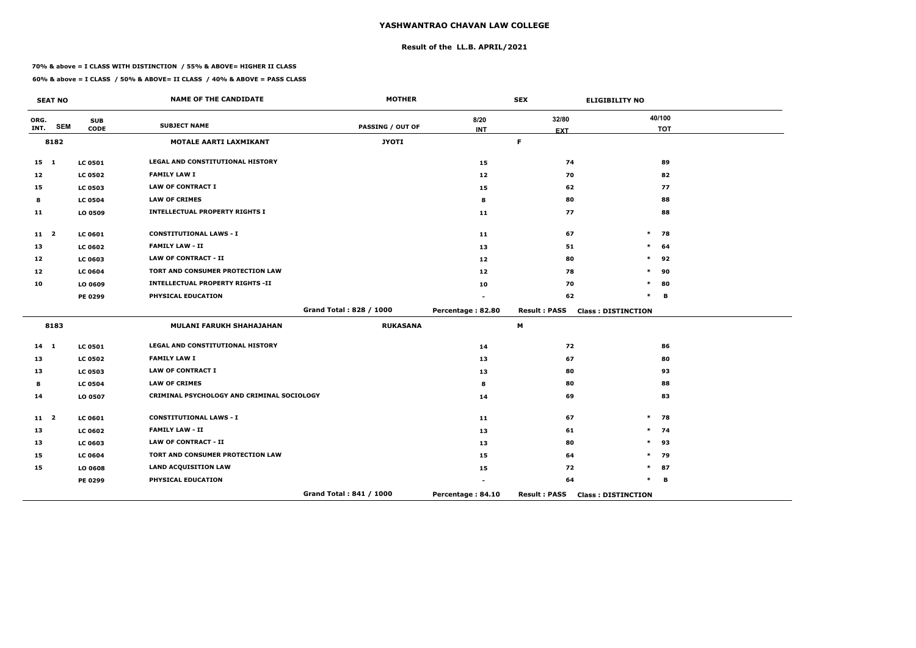## **Result of the LL.B. APRIL/2021**

#### **70% & above = I CLASS WITH DISTINCTION / 55% & ABOVE= HIGHER II CLASS**

|              | <b>SEAT NO</b> |                           | <b>NAME OF THE CANDIDATE</b>               | <b>MOTHER</b>           |                    | <b>SEX</b>          | <b>ELIGIBILITY NO</b>     |
|--------------|----------------|---------------------------|--------------------------------------------|-------------------------|--------------------|---------------------|---------------------------|
| ORG.<br>INT. | <b>SEM</b>     | <b>SUB</b><br><b>CODE</b> | <b>SUBJECT NAME</b>                        | <b>PASSING / OUT OF</b> | 8/20<br><b>INT</b> | 32/80<br><b>EXT</b> | 40/100<br><b>TOT</b>      |
|              | 8182           |                           | MOTALE AARTI LAXMIKANT                     | <b>JYOTI</b>            |                    | $\mathsf F$         |                           |
|              |                |                           |                                            |                         |                    |                     |                           |
| $15 \quad 1$ |                | <b>LC 0501</b>            | <b>LEGAL AND CONSTITUTIONAL HISTORY</b>    |                         | 15                 | 74                  | 89                        |
| 12           |                | <b>LC 0502</b>            | <b>FAMILY LAW I</b>                        |                         | 12                 | 70                  | 82                        |
| 15           |                | <b>LC 0503</b>            | <b>LAW OF CONTRACT I</b>                   |                         | 15                 | 62                  | 77                        |
| 8            |                | <b>LC 0504</b>            | <b>LAW OF CRIMES</b>                       |                         | 8                  | 80                  | 88                        |
| 11           |                | LO 0509                   | <b>INTELLECTUAL PROPERTY RIGHTS I</b>      |                         | 11                 | 77                  | 88                        |
| $11 \quad 2$ |                | <b>LC 0601</b>            | <b>CONSTITUTIONAL LAWS - I</b>             |                         | 11                 | 67                  | $\ast$<br>78              |
| 13           |                | <b>LC 0602</b>            | <b>FAMILY LAW - II</b>                     |                         | 13                 | 51                  | $\ast$<br>64              |
| 12           |                | <b>LC 0603</b>            | <b>LAW OF CONTRACT - II</b>                |                         | 12                 | 80                  | $\ast$<br>92              |
| 12           |                | <b>LC 0604</b>            | TORT AND CONSUMER PROTECTION LAW           |                         | 12                 | 78                  | 90<br>*                   |
| 10           |                | LO 0609                   | <b>INTELLECTUAL PROPERTY RIGHTS -II</b>    |                         | 10                 | 70                  | $\ast$<br>80              |
|              |                | PE 0299                   | PHYSICAL EDUCATION                         |                         |                    | 62                  | $\ast$<br>в               |
|              |                |                           |                                            | Grand Total: 828 / 1000 | Percentage: 82.80  | <b>Result: PASS</b> | <b>Class: DISTINCTION</b> |
|              | 8183           |                           | <b>MULANI FARUKH SHAHAJAHAN</b>            | <b>RUKASANA</b>         |                    | M                   |                           |
| $14 \quad 1$ |                | <b>LC 0501</b>            | LEGAL AND CONSTITUTIONAL HISTORY           |                         | 14                 | 72                  | 86                        |
| 13           |                | <b>LC 0502</b>            | <b>FAMILY LAW I</b>                        |                         | 13                 | 67                  | 80                        |
| 13           |                | <b>LC 0503</b>            | <b>LAW OF CONTRACT I</b>                   |                         | 13                 | 80                  | 93                        |
| 8            |                | <b>LC 0504</b>            | <b>LAW OF CRIMES</b>                       |                         | 8                  | 80                  | 88                        |
| 14           |                | LO 0507                   | CRIMINAL PSYCHOLOGY AND CRIMINAL SOCIOLOGY |                         | 14                 | 69                  | 83                        |
| $11 \quad 2$ |                | <b>LC 0601</b>            | <b>CONSTITUTIONAL LAWS - I</b>             |                         | 11                 | 67                  | $\ast$<br>78              |
| 13           |                | <b>LC 0602</b>            | <b>FAMILY LAW - II</b>                     |                         | 13                 | 61                  | 74<br>$\ast$              |
| 13           |                | <b>LC 0603</b>            | <b>LAW OF CONTRACT - II</b>                |                         | 13                 | 80                  | $\ast$<br>93              |
| 15           |                | <b>LC 0604</b>            | TORT AND CONSUMER PROTECTION LAW           |                         | 15                 | 64                  | $\ast$<br>79              |
| 15           |                | LO 0608                   | <b>LAND ACQUISITION LAW</b>                |                         | 15                 | 72                  | $\ast$<br>87              |
|              |                | PE 0299                   | PHYSICAL EDUCATION                         |                         |                    | 64                  | $\ast$<br>в               |
|              |                |                           |                                            | Grand Total: 841 / 1000 | Percentage: 84.10  | <b>Result: PASS</b> | <b>Class: DISTINCTION</b> |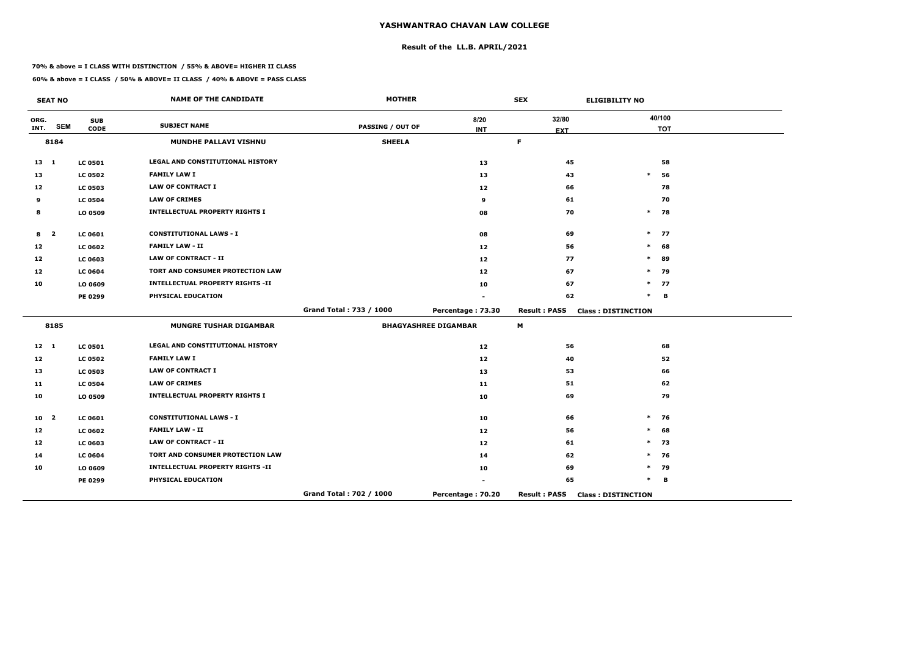## **Result of the LL.B. APRIL/2021**

#### **70% & above = I CLASS WITH DISTINCTION / 55% & ABOVE= HIGHER II CLASS**

 $\sim$ 

|                  | <b>SEAT NO</b> |                           | <b>NAME OF THE CANDIDATE</b>            | <b>MOTHER</b>           |                             | <b>SEX</b>          | <b>ELIGIBILITY NO</b>     |
|------------------|----------------|---------------------------|-----------------------------------------|-------------------------|-----------------------------|---------------------|---------------------------|
| ORG.<br>INT.     | <b>SEM</b>     | <b>SUB</b><br><b>CODE</b> | <b>SUBJECT NAME</b>                     | <b>PASSING / OUT OF</b> | 8/20                        | 32/80               | 40/100                    |
|                  |                |                           |                                         |                         | <b>INT</b>                  | <b>EXT</b>          | <b>TOT</b>                |
|                  | 8184           |                           | <b>MUNDHE PALLAVI VISHNU</b>            | <b>SHEELA</b>           |                             | F.                  |                           |
| $13 \quad 1$     |                | <b>LC 0501</b>            | LEGAL AND CONSTITUTIONAL HISTORY        |                         | 13                          | 45                  | 58                        |
| 13               |                | <b>LC 0502</b>            | <b>FAMILY LAW I</b>                     |                         | 13                          | 43                  | $\ast$<br>56              |
| 12 <sup>12</sup> |                | <b>LC 0503</b>            | <b>LAW OF CONTRACT I</b>                |                         | 12                          | 66                  | 78                        |
| 9                |                | <b>LC 0504</b>            | <b>LAW OF CRIMES</b>                    |                         | 9                           | 61                  | 70                        |
| 8                |                | LO 0509                   | <b>INTELLECTUAL PROPERTY RIGHTS I</b>   |                         | 08                          | 70                  | $\ast$<br>78              |
| 8                | $\overline{2}$ | LC 0601                   | <b>CONSTITUTIONAL LAWS - I</b>          |                         | 08                          | 69                  | 77<br>$\ast$              |
| 12               |                | <b>LC 0602</b>            | <b>FAMILY LAW - II</b>                  |                         | 12                          | 56                  | 68<br>$\ast$              |
| 12               |                | <b>LC 0603</b>            | <b>LAW OF CONTRACT - II</b>             |                         | 12                          | 77                  | 89<br>$\ast$              |
| 12               |                | <b>LC 0604</b>            | TORT AND CONSUMER PROTECTION LAW        |                         | 12 <sub>1</sub>             | 67                  | $\ast$<br>79              |
| 10               |                | LO 0609                   | <b>INTELLECTUAL PROPERTY RIGHTS -II</b> |                         | 10                          | 67                  | 77<br>$\ast$              |
|                  |                | <b>PE 0299</b>            | PHYSICAL EDUCATION                      |                         |                             | 62                  | $\ast$<br>в               |
|                  |                |                           |                                         | Grand Total: 733 / 1000 | Percentage: 73.30           | <b>Result: PASS</b> | <b>Class: DISTINCTION</b> |
|                  | 8185           |                           | <b>MUNGRE TUSHAR DIGAMBAR</b>           |                         | <b>BHAGYASHREE DIGAMBAR</b> | M                   |                           |
| $12 \quad 1$     |                | <b>LC 0501</b>            | LEGAL AND CONSTITUTIONAL HISTORY        |                         | 12                          | 56                  | 68                        |
| 12               |                | <b>LC 0502</b>            | <b>FAMILY LAW I</b>                     |                         | 12                          | 40                  | 52                        |
| 13               |                | <b>LC 0503</b>            | <b>LAW OF CONTRACT I</b>                |                         | 13                          | 53                  | 66                        |
| 11               |                | <b>LC 0504</b>            | <b>LAW OF CRIMES</b>                    |                         | 11                          | 51                  | 62                        |
| 10               |                | LO 0509                   | <b>INTELLECTUAL PROPERTY RIGHTS I</b>   |                         | 10                          | 69                  | 79                        |
| 10 <sub>2</sub>  |                | <b>LC 0601</b>            | <b>CONSTITUTIONAL LAWS - I</b>          |                         | 10                          | 66                  | 76<br>$\ast$              |
| 12               |                | <b>LC 0602</b>            | <b>FAMILY LAW - II</b>                  |                         | 12                          | 56                  | $\ast$<br>68              |
| 12               |                | <b>LC 0603</b>            | <b>LAW OF CONTRACT - II</b>             |                         | 12                          | 61                  | $\ast$<br>73              |
| 14               |                | <b>LC 0604</b>            | TORT AND CONSUMER PROTECTION LAW        |                         | 14                          | 62                  | 76<br>∗                   |
| 10               |                | LO 0609                   | <b>INTELLECTUAL PROPERTY RIGHTS -II</b> |                         | 10                          | 69                  | $\ast$<br>79              |
|                  |                | PE 0299                   | PHYSICAL EDUCATION                      |                         |                             | 65                  | $\ast$<br>в               |
|                  |                |                           |                                         | Grand Total: 702 / 1000 | Percentage: 70.20           | <b>Result: PASS</b> | <b>Class: DISTINCTION</b> |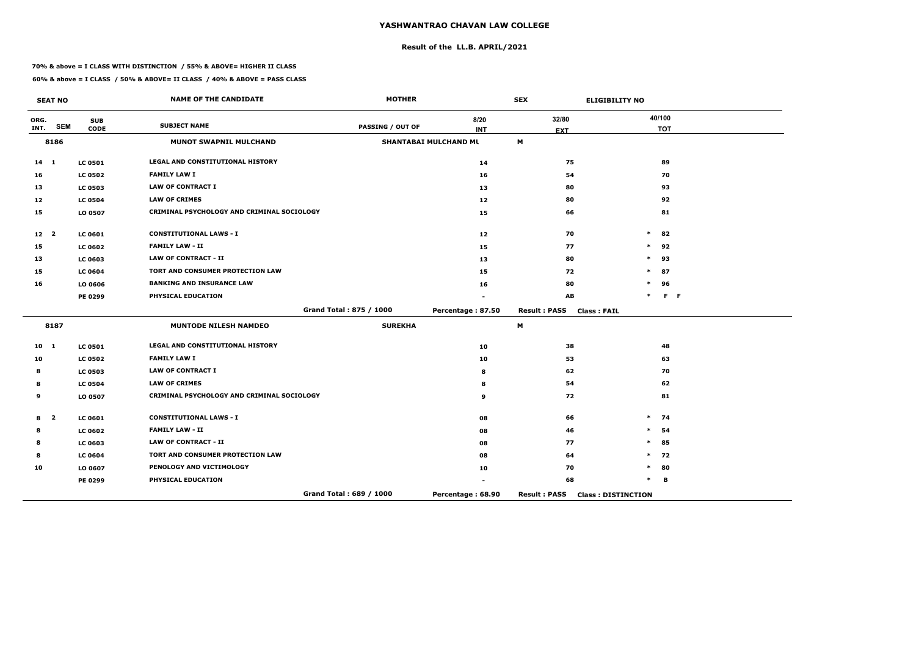## **Result of the LL.B. APRIL/2021**

#### **70% & above = I CLASS WITH DISTINCTION / 55% & ABOVE= HIGHER II CLASS**

**60% & above = I CLASS / 50% & ABOVE= II CLASS / 40% & ABOVE = PASS CLASS**

 $\overline{\phantom{a}}$ 

|                 | <b>SEAT NO</b>          |                | <b>NAME OF THE CANDIDATE</b>               | <b>MOTHER</b>           |                              | <b>SEX</b>                                | <b>ELIGIBILITY NO</b>     |
|-----------------|-------------------------|----------------|--------------------------------------------|-------------------------|------------------------------|-------------------------------------------|---------------------------|
| ORG.            |                         | <b>SUB</b>     | <b>SUBJECT NAME</b>                        |                         | 8/20                         | 32/80                                     | 40/100                    |
| INT.            | <b>SEM</b>              | <b>CODE</b>    |                                            | <b>PASSING / OUT OF</b> | <b>INT</b>                   | <b>EXT</b>                                | <b>TOT</b>                |
|                 | 8186                    |                | <b>MUNOT SWAPNIL MULCHAND</b>              |                         | <b>SHANTABAI MULCHAND ML</b> | M                                         |                           |
| $14 \quad 1$    |                         | <b>LC 0501</b> | LEGAL AND CONSTITUTIONAL HISTORY           |                         | 14                           | 75                                        | 89                        |
| 16              |                         | <b>LC 0502</b> | <b>FAMILY LAW I</b>                        |                         | 16                           | 54                                        | 70                        |
| 13              |                         | <b>LC 0503</b> | <b>LAW OF CONTRACT I</b>                   |                         | 13                           | 80                                        | 93                        |
| 12              |                         | <b>LC 0504</b> | <b>LAW OF CRIMES</b>                       |                         | 12                           | 80                                        | 92                        |
| 15              |                         | LO 0507        | CRIMINAL PSYCHOLOGY AND CRIMINAL SOCIOLOGY |                         | 15                           | 66                                        | 81                        |
| 12 <sub>2</sub> |                         | <b>LC 0601</b> | <b>CONSTITUTIONAL LAWS - I</b>             |                         | 12                           | 70                                        | $\ast$<br>82              |
| 15              |                         | <b>LC 0602</b> | <b>FAMILY LAW - II</b>                     |                         | 15                           | 77                                        | 92<br>$\ast$              |
| 13              |                         | <b>LC 0603</b> | <b>LAW OF CONTRACT - II</b>                |                         | 13                           | 80                                        | 93<br>$\ast$              |
| 15              |                         | <b>LC 0604</b> | TORT AND CONSUMER PROTECTION LAW           |                         | 15                           | 72                                        | $\ast$<br>87              |
| 16              |                         | LO 0606        | <b>BANKING AND INSURANCE LAW</b>           |                         | 16                           | 80                                        | 96<br>$\ast$              |
|                 |                         | PE 0299        | PHYSICAL EDUCATION                         |                         |                              | AB                                        | $F - F$                   |
|                 |                         |                |                                            | Grand Total: 875 / 1000 | Percentage: 87.50            | <b>Result: PASS</b><br><b>Class: FAIL</b> |                           |
|                 | 8187                    |                | <b>MUNTODE NILESH NAMDEO</b>               | <b>SUREKHA</b>          |                              | M                                         |                           |
| $10 \quad 1$    |                         | <b>LC 0501</b> | <b>LEGAL AND CONSTITUTIONAL HISTORY</b>    |                         | 10                           | 38                                        | 48                        |
| 10              |                         | <b>LC 0502</b> | <b>FAMILY LAW I</b>                        |                         | 10                           | 53                                        | 63                        |
| 8               |                         | <b>LC 0503</b> | <b>LAW OF CONTRACT I</b>                   |                         | 8                            | 62                                        | 70                        |
| 8               |                         | <b>LC 0504</b> | <b>LAW OF CRIMES</b>                       |                         | 8                            | 54                                        | 62                        |
| 9               |                         | LO 0507        | CRIMINAL PSYCHOLOGY AND CRIMINAL SOCIOLOGY |                         | 9                            | 72                                        | 81                        |
| 8               | $\overline{\mathbf{2}}$ | <b>LC 0601</b> | <b>CONSTITUTIONAL LAWS - I</b>             |                         | 08                           | 66                                        | $\ast$<br>74              |
| 8               |                         | <b>LC 0602</b> | <b>FAMILY LAW - II</b>                     |                         | 08                           | 46                                        | $\ast$<br>54              |
| 8               |                         | <b>LC 0603</b> | <b>LAW OF CONTRACT - II</b>                |                         | 08                           | 77                                        | $\ast$<br>85              |
| 8               |                         | <b>LC 0604</b> | TORT AND CONSUMER PROTECTION LAW           |                         | 08                           | 64                                        | 72<br>$\ast$              |
| 10              |                         | LO 0607        | PENOLOGY AND VICTIMOLOGY                   |                         | 10                           | 70                                        | 80<br>$\ast$              |
|                 |                         | PE 0299        | PHYSICAL EDUCATION                         |                         |                              | 68                                        | $\ast$<br>в               |
|                 |                         |                |                                            | Grand Total: 689 / 1000 | Percentage: 68.90            | <b>Result: PASS</b>                       | <b>Class: DISTINCTION</b> |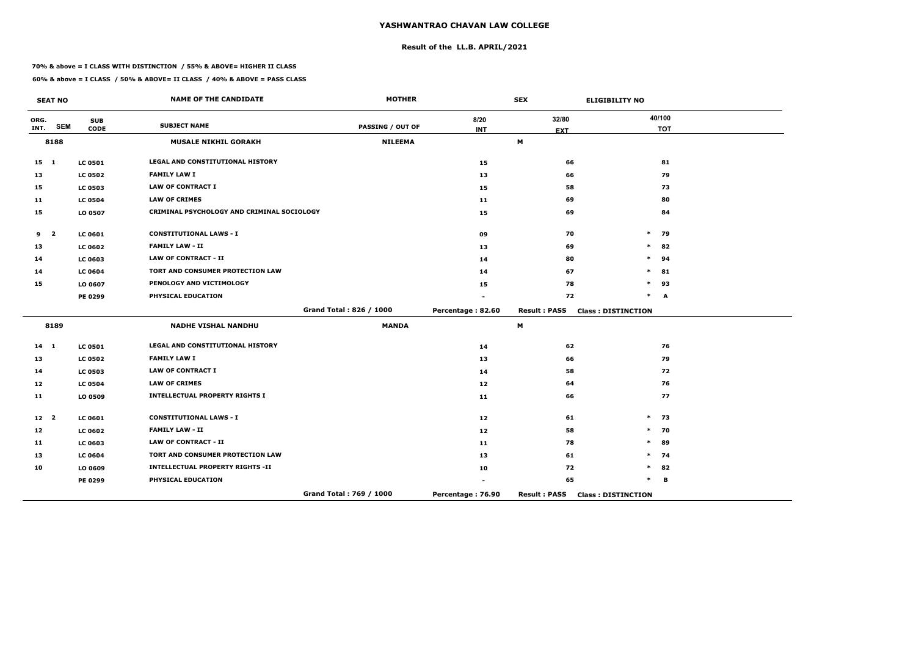# **Result of the LL.B. APRIL/2021**

#### **70% & above = I CLASS WITH DISTINCTION / 55% & ABOVE= HIGHER II CLASS**

 $\overline{\phantom{a}}$ 

|                 | <b>SEAT NO</b>          |                           | <b>NAME OF THE CANDIDATE</b>               | <b>MOTHER</b>           |                    | <b>SEX</b>          | <b>ELIGIBILITY NO</b>     |
|-----------------|-------------------------|---------------------------|--------------------------------------------|-------------------------|--------------------|---------------------|---------------------------|
| ORG.<br>INT.    | <b>SEM</b>              | <b>SUB</b><br><b>CODE</b> | <b>SUBJECT NAME</b>                        | <b>PASSING / OUT OF</b> | 8/20<br><b>INT</b> | 32/80<br><b>EXT</b> | 40/100<br><b>TOT</b>      |
|                 | 8188                    |                           | <b>MUSALE NIKHIL GORAKH</b>                | <b>NILEEMA</b>          |                    | M                   |                           |
| $15 \quad 1$    |                         | <b>LC 0501</b>            | <b>LEGAL AND CONSTITUTIONAL HISTORY</b>    |                         | 15                 | 66                  | 81                        |
| 13              |                         | <b>LC 0502</b>            | <b>FAMILY LAW I</b>                        |                         | 13                 | 66                  | 79                        |
| 15              |                         | <b>LC 0503</b>            | <b>LAW OF CONTRACT I</b>                   |                         | 15                 | 58                  | 73                        |
| 11              |                         | <b>LC 0504</b>            | <b>LAW OF CRIMES</b>                       |                         | 11                 | 69                  | 80                        |
| 15              |                         | LO 0507                   | CRIMINAL PSYCHOLOGY AND CRIMINAL SOCIOLOGY |                         | 15                 | 69                  | 84                        |
| 9               | $\overline{\mathbf{2}}$ | <b>LC 0601</b>            | <b>CONSTITUTIONAL LAWS - I</b>             |                         | 09                 | 70                  | $\ast$<br>79              |
| 13              |                         | <b>LC 0602</b>            | <b>FAMILY LAW - II</b>                     |                         | 13                 | 69                  | 82<br>$\ast$              |
| 14              |                         | <b>LC 0603</b>            | <b>LAW OF CONTRACT - II</b>                |                         | 14                 | 80                  | $\ast$<br>94              |
| 14              |                         | <b>LC 0604</b>            | TORT AND CONSUMER PROTECTION LAW           |                         | 14                 | 67                  | $\ast$<br>81              |
| 15              |                         | LO 0607                   | PENOLOGY AND VICTIMOLOGY                   |                         | 15                 | 78                  | 93<br>$\ast$              |
|                 |                         | <b>PE 0299</b>            | PHYSICAL EDUCATION                         |                         |                    | 72                  | $\ast$<br>A               |
|                 |                         |                           |                                            | Grand Total: 826 / 1000 | Percentage: 82.60  | <b>Result: PASS</b> | <b>Class: DISTINCTION</b> |
|                 | 8189                    |                           | <b>NADHE VISHAL NANDHU</b>                 | <b>MANDA</b>            |                    | M                   |                           |
| $14 \quad 1$    |                         | <b>LC 0501</b>            | <b>LEGAL AND CONSTITUTIONAL HISTORY</b>    |                         | 14                 | 62                  | 76                        |
| 13              |                         | <b>LC 0502</b>            | <b>FAMILY LAW I</b>                        |                         | 13                 | 66                  | 79                        |
| 14              |                         | <b>LC 0503</b>            | <b>LAW OF CONTRACT I</b>                   |                         | 14                 | 58                  | 72                        |
| 12              |                         | <b>LC 0504</b>            | <b>LAW OF CRIMES</b>                       |                         | 12 <sub>1</sub>    | 64                  | 76                        |
| 11              |                         | LO 0509                   | <b>INTELLECTUAL PROPERTY RIGHTS I</b>      |                         | 11                 | 66                  | 77                        |
| 12 <sup>2</sup> |                         | <b>LC 0601</b>            | <b>CONSTITUTIONAL LAWS - I</b>             |                         | 12                 | 61                  | 73<br>$\ast$              |
| 12              |                         | <b>LC 0602</b>            | <b>FAMILY LAW - II</b>                     |                         | 12                 | 58                  | 70<br>$\ast$              |
| 11              |                         | <b>LC 0603</b>            | <b>LAW OF CONTRACT - II</b>                |                         | 11                 | 78                  | 89<br>$\ast$              |
| 13              |                         | <b>LC 0604</b>            | TORT AND CONSUMER PROTECTION LAW           |                         | 13                 | 61                  | 74<br>$\ast$              |
| 10              |                         | LO 0609                   | <b>INTELLECTUAL PROPERTY RIGHTS -II</b>    |                         | 10                 | 72                  | 82<br>$\ast$              |
|                 |                         | <b>PE 0299</b>            | PHYSICAL EDUCATION                         |                         |                    | 65                  | $\ast$<br>B               |
|                 |                         |                           |                                            | Grand Total: 769 / 1000 | Percentage: 76.90  | <b>Result: PASS</b> | <b>Class: DISTINCTION</b> |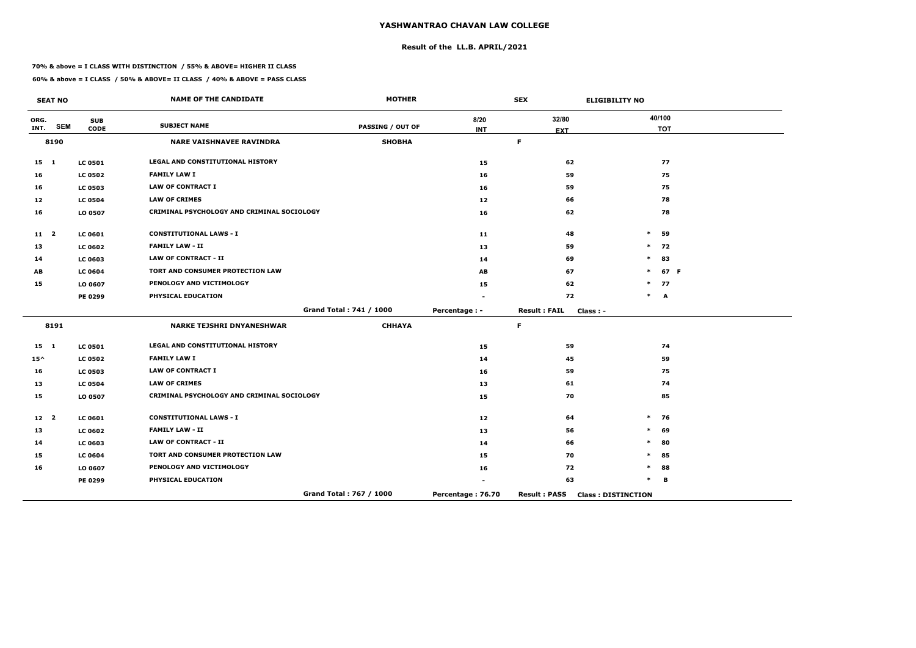# **Result of the LL.B. APRIL/2021**

#### **70% & above = I CLASS WITH DISTINCTION / 55% & ABOVE= HIGHER II CLASS**

 $\overline{\phantom{a}}$ 

|                 | <b>SEAT NO</b> |                | <b>NAME OF THE CANDIDATE</b>               | <b>MOTHER</b>           |                   | <b>SEX</b>                       | <b>ELIGIBILITY NO</b>     |
|-----------------|----------------|----------------|--------------------------------------------|-------------------------|-------------------|----------------------------------|---------------------------|
| ORG.            |                | <b>SUB</b>     | <b>SUBJECT NAME</b>                        |                         | 8/20              | 32/80                            | 40/100                    |
| INT.            | <b>SEM</b>     | <b>CODE</b>    |                                            | <b>PASSING / OUT OF</b> | <b>INT</b>        | <b>EXT</b>                       | <b>TOT</b>                |
|                 | 8190           |                | <b>NARE VAISHNAVEE RAVINDRA</b>            | <b>SHOBHA</b>           |                   | $\mathsf F$                      |                           |
| $15 \quad 1$    |                | <b>LC 0501</b> | LEGAL AND CONSTITUTIONAL HISTORY           |                         | 15                | 62                               | 77                        |
| 16              |                | <b>LC 0502</b> | <b>FAMILY LAW I</b>                        |                         | 16                | 59                               | 75                        |
| 16              |                | <b>LC 0503</b> | <b>LAW OF CONTRACT I</b>                   |                         | 16                | 59                               | 75                        |
| 12              |                | <b>LC 0504</b> | <b>LAW OF CRIMES</b>                       |                         | 12                | 66                               | 78                        |
| 16              |                | LO 0507        | CRIMINAL PSYCHOLOGY AND CRIMINAL SOCIOLOGY |                         | 16                | 62                               | 78                        |
| $11 \quad 2$    |                | <b>LC 0601</b> | <b>CONSTITUTIONAL LAWS - I</b>             |                         | 11                | 48                               | $\ast$<br>59              |
| 13              |                | <b>LC 0602</b> | <b>FAMILY LAW - II</b>                     |                         | 13                | 59                               | $\ast$<br>72              |
| 14              |                | <b>LC 0603</b> | <b>LAW OF CONTRACT - II</b>                |                         | 14                | 69                               | 83<br>$\ast$              |
| AB              |                | <b>LC 0604</b> | TORT AND CONSUMER PROTECTION LAW           |                         | AB                | 67                               | 67 F<br>$\ast$            |
| 15              |                | LO 0607        | PENOLOGY AND VICTIMOLOGY                   |                         | 15                | 62                               | $\ast$<br>77              |
|                 |                | PE 0299        | PHYSICAL EDUCATION                         |                         |                   | 72                               | $\ast$<br>A               |
|                 |                |                |                                            | Grand Total: 741 / 1000 | Percentage : -    | <b>Result: FAIL</b><br>Class : - |                           |
|                 | 8191           |                | <b>NARKE TEJSHRI DNYANESHWAR</b>           | <b>CHHAYA</b>           |                   | $\mathsf F$                      |                           |
| $15 \quad 1$    |                | <b>LC 0501</b> | LEGAL AND CONSTITUTIONAL HISTORY           |                         | 15                | 59                               | 74                        |
| $15^{\wedge}$   |                | <b>LC 0502</b> | <b>FAMILY LAW I</b>                        |                         | 14                | 45                               | 59                        |
| 16              |                | <b>LC 0503</b> | <b>LAW OF CONTRACT I</b>                   |                         | 16                | 59                               | 75                        |
| 13              |                | <b>LC 0504</b> | <b>LAW OF CRIMES</b>                       |                         | 13                | 61                               | 74                        |
| 15              |                | LO 0507        | CRIMINAL PSYCHOLOGY AND CRIMINAL SOCIOLOGY |                         | 15                | 70                               | 85                        |
| 12 <sup>2</sup> |                | <b>LC 0601</b> | <b>CONSTITUTIONAL LAWS - I</b>             |                         | 12                | 64                               | 76<br>$\ast$              |
| 13              |                | <b>LC 0602</b> | <b>FAMILY LAW - II</b>                     |                         | 13                | 56                               | 69<br>$\ast$              |
| 14              |                | <b>LC 0603</b> | <b>LAW OF CONTRACT - II</b>                |                         | 14                | 66                               | $\ast$<br>80              |
| 15              |                | <b>LC 0604</b> | TORT AND CONSUMER PROTECTION LAW           |                         | 15                | 70                               | 85<br>$\ast$              |
| 16              |                | LO 0607        | PENOLOGY AND VICTIMOLOGY                   |                         | 16                | 72                               | 88<br>$\ast$              |
|                 |                | PE 0299        | PHYSICAL EDUCATION                         |                         |                   | 63                               | $\ast$<br>B               |
|                 |                |                |                                            | Grand Total: 767 / 1000 | Percentage: 76.70 | <b>Result: PASS</b>              | <b>Class: DISTINCTION</b> |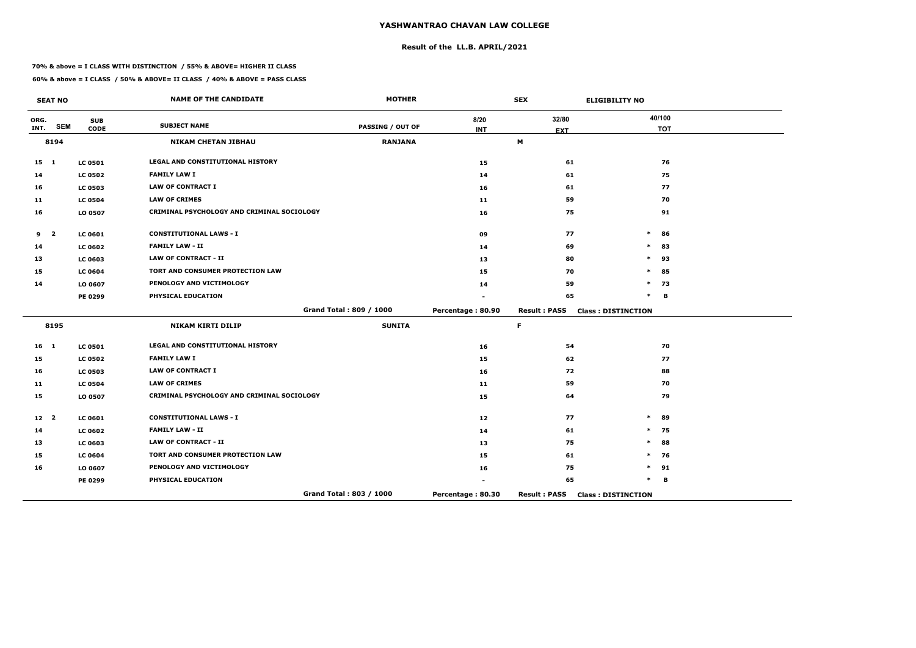# **Result of the LL.B. APRIL/2021**

#### **70% & above = I CLASS WITH DISTINCTION / 55% & ABOVE= HIGHER II CLASS**

|                 | <b>SEAT NO</b>          |                           | <b>NAME OF THE CANDIDATE</b>               | <b>MOTHER</b>           |                    | <b>SEX</b>          | <b>ELIGIBILITY NO</b>     |
|-----------------|-------------------------|---------------------------|--------------------------------------------|-------------------------|--------------------|---------------------|---------------------------|
| ORG.<br>INT.    | <b>SEM</b>              | <b>SUB</b><br><b>CODE</b> | <b>SUBJECT NAME</b>                        | PASSING / OUT OF        | 8/20<br><b>INT</b> | 32/80<br><b>EXT</b> | 40/100<br><b>TOT</b>      |
|                 | 8194                    |                           | <b>NIKAM CHETAN JIBHAU</b>                 | <b>RANJANA</b>          |                    | M                   |                           |
| $15 \quad 1$    |                         | <b>LC 0501</b>            | LEGAL AND CONSTITUTIONAL HISTORY           |                         | 15                 | 61                  | 76                        |
| 14              |                         | <b>LC 0502</b>            | <b>FAMILY LAW I</b>                        |                         | 14                 | 61                  | 75                        |
| 16              |                         | <b>LC 0503</b>            | <b>LAW OF CONTRACT I</b>                   |                         | 16                 | 61                  | 77                        |
| 11              |                         | <b>LC 0504</b>            | <b>LAW OF CRIMES</b>                       |                         | 11                 | 59                  | 70                        |
| 16              |                         | LO 0507                   | CRIMINAL PSYCHOLOGY AND CRIMINAL SOCIOLOGY |                         | 16                 | 75                  | 91                        |
| 9               | $\overline{\mathbf{2}}$ | LC 0601                   | <b>CONSTITUTIONAL LAWS - I</b>             |                         | 09                 | 77                  | $\ast$<br>86              |
| 14              |                         | <b>LC 0602</b>            | <b>FAMILY LAW - II</b>                     |                         | 14                 | 69                  | $\ast$<br>83              |
| 13              |                         | <b>LC 0603</b>            | <b>LAW OF CONTRACT - II</b>                |                         | 13                 | 80                  | $\ast$<br>93              |
| 15              |                         | <b>LC 0604</b>            | TORT AND CONSUMER PROTECTION LAW           |                         | 15                 | 70                  | 85<br>$\ast$              |
| 14              |                         | LO 0607                   | PENOLOGY AND VICTIMOLOGY                   |                         | 14                 | 59                  | $\ast$<br>73              |
|                 |                         | PE 0299                   | PHYSICAL EDUCATION                         |                         |                    | 65                  | $\ast$<br>B               |
|                 |                         |                           |                                            | Grand Total: 809 / 1000 | Percentage: 80.90  | <b>Result: PASS</b> | <b>Class: DISTINCTION</b> |
|                 | 8195                    |                           | <b>NIKAM KIRTI DILIP</b>                   | <b>SUNITA</b>           |                    | $\mathsf F$         |                           |
| $16 \quad 1$    |                         | <b>LC 0501</b>            | <b>LEGAL AND CONSTITUTIONAL HISTORY</b>    |                         | 16                 | 54                  | 70                        |
| 15              |                         | <b>LC 0502</b>            | <b>FAMILY LAW I</b>                        |                         | 15                 | 62                  | 77                        |
| 16              |                         | <b>LC 0503</b>            | <b>LAW OF CONTRACT I</b>                   |                         | 16                 | 72                  | 88                        |
| 11              |                         | <b>LC 0504</b>            | <b>LAW OF CRIMES</b>                       |                         | 11                 | 59                  | 70                        |
| 15              |                         | LO 0507                   | CRIMINAL PSYCHOLOGY AND CRIMINAL SOCIOLOGY |                         | 15                 | 64                  | 79                        |
| 12 <sup>2</sup> |                         | LC 0601                   | <b>CONSTITUTIONAL LAWS - I</b>             |                         | 12                 | 77                  | $\ast$<br>89              |
| 14              |                         | <b>LC 0602</b>            | <b>FAMILY LAW - II</b>                     |                         | 14                 | 61                  | 75<br>$\ast$              |
| 13              |                         | LC 0603                   | <b>LAW OF CONTRACT - II</b>                |                         | 13                 | 75                  | $\ast$<br>88              |
| 15              |                         | <b>LC 0604</b>            | TORT AND CONSUMER PROTECTION LAW           |                         | 15                 | 61                  | $\ast$<br>76              |
| 16              |                         | LO 0607                   | PENOLOGY AND VICTIMOLOGY                   |                         | 16                 | 75                  | 91<br>$\ast$              |
|                 |                         | PE 0299                   | PHYSICAL EDUCATION                         |                         |                    | 65                  | $\ast$<br>B               |
|                 |                         |                           |                                            | Grand Total: 803 / 1000 | Percentage: 80.30  | <b>Result: PASS</b> | <b>Class: DISTINCTION</b> |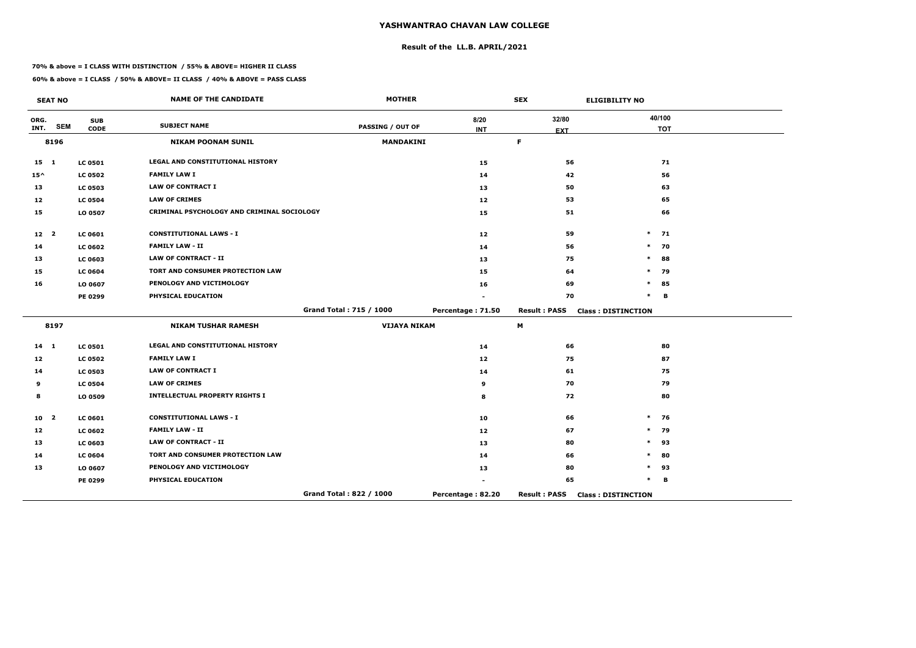# **Result of the LL.B. APRIL/2021**

#### **70% & above = I CLASS WITH DISTINCTION / 55% & ABOVE= HIGHER II CLASS**

|                 | <b>SEAT NO</b>          |                           | <b>NAME OF THE CANDIDATE</b>               | <b>MOTHER</b>           |                    | <b>SEX</b>          | <b>ELIGIBILITY NO</b>     |
|-----------------|-------------------------|---------------------------|--------------------------------------------|-------------------------|--------------------|---------------------|---------------------------|
| ORG.<br>INT.    | <b>SEM</b>              | <b>SUB</b><br><b>CODE</b> | <b>SUBJECT NAME</b>                        | <b>PASSING / OUT OF</b> | 8/20<br><b>INT</b> | 32/80               | 40/100<br><b>TOT</b>      |
|                 | 8196                    |                           | <b>NIKAM POONAM SUNIL</b>                  | <b>MANDAKINI</b>        |                    | <b>EXT</b><br>F.    |                           |
|                 |                         |                           |                                            |                         |                    |                     |                           |
| 15 1            |                         | <b>LC 0501</b>            | LEGAL AND CONSTITUTIONAL HISTORY           |                         | 15                 | 56                  | 71                        |
| $15^{\wedge}$   |                         | <b>LC 0502</b>            | <b>FAMILY LAW I</b>                        |                         | 14                 | 42                  | 56                        |
| 13              |                         | <b>LC 0503</b>            | <b>LAW OF CONTRACT I</b>                   |                         | 13                 | 50                  | 63                        |
| 12              |                         | <b>LC 0504</b>            | <b>LAW OF CRIMES</b>                       |                         | 12                 | 53                  | 65                        |
| 15              |                         | LO 0507                   | CRIMINAL PSYCHOLOGY AND CRIMINAL SOCIOLOGY |                         | 15                 | 51                  | 66                        |
| 12 <sub>2</sub> |                         | <b>LC 0601</b>            | <b>CONSTITUTIONAL LAWS - I</b>             |                         | 12                 | 59                  | $\ast$<br>71              |
| 14              |                         | <b>LC 0602</b>            | <b>FAMILY LAW - II</b>                     |                         | 14                 | 56                  | $\ast$<br>70              |
| 13              |                         | LC 0603                   | <b>LAW OF CONTRACT - II</b>                |                         | 13                 | 75                  | 88<br>$\ast$              |
| 15              |                         | <b>LC 0604</b>            | TORT AND CONSUMER PROTECTION LAW           |                         | 15                 | 64                  | 79<br>$\ast$              |
| 16              |                         | LO 0607                   | PENOLOGY AND VICTIMOLOGY                   |                         | 16                 | 69                  | $\ast$<br>85              |
|                 |                         | PE 0299                   | PHYSICAL EDUCATION                         |                         |                    | 70                  | $\ast$<br>B               |
|                 |                         |                           |                                            | Grand Total: 715 / 1000 | Percentage: 71.50  | <b>Result: PASS</b> | <b>Class: DISTINCTION</b> |
|                 | 8197                    |                           | <b>NIKAM TUSHAR RAMESH</b>                 | <b>VIJAYA NIKAM</b>     |                    | M                   |                           |
| $14$ 1          |                         | <b>LC 0501</b>            | LEGAL AND CONSTITUTIONAL HISTORY           |                         | 14                 | 66                  | 80                        |
| 12              |                         | <b>LC 0502</b>            | <b>FAMILY LAW I</b>                        |                         | 12                 | 75                  | 87                        |
| 14              |                         | <b>LC 0503</b>            | <b>LAW OF CONTRACT I</b>                   |                         | 14                 | 61                  | 75                        |
| 9               |                         | <b>LC 0504</b>            | <b>LAW OF CRIMES</b>                       |                         | 9                  | 70                  | 79                        |
| 8               |                         | LO 0509                   | <b>INTELLECTUAL PROPERTY RIGHTS I</b>      |                         | 8                  | 72                  | 80                        |
| 10              | $\overline{\mathbf{2}}$ | LC 0601                   | <b>CONSTITUTIONAL LAWS - I</b>             |                         | 10                 | 66                  | 76<br>$\ast$              |
| 12              |                         | <b>LC 0602</b>            | <b>FAMILY LAW - II</b>                     |                         | 12                 | 67                  | 79<br>$\ast$              |
| 13              |                         | LC 0603                   | <b>LAW OF CONTRACT - II</b>                |                         | 13                 | 80                  | $\ast$<br>93              |
| 14              |                         | <b>LC 0604</b>            | TORT AND CONSUMER PROTECTION LAW           |                         | 14                 | 66                  | 80<br>$\ast$              |
| 13              |                         | LO 0607                   | PENOLOGY AND VICTIMOLOGY                   |                         | 13                 | 80                  | $\ast$<br>93              |
|                 |                         | PE 0299                   | PHYSICAL EDUCATION                         |                         |                    | 65                  | $\ast$<br>B               |
|                 |                         |                           |                                            | Grand Total: 822 / 1000 | Percentage: 82.20  | <b>Result: PASS</b> | <b>Class: DISTINCTION</b> |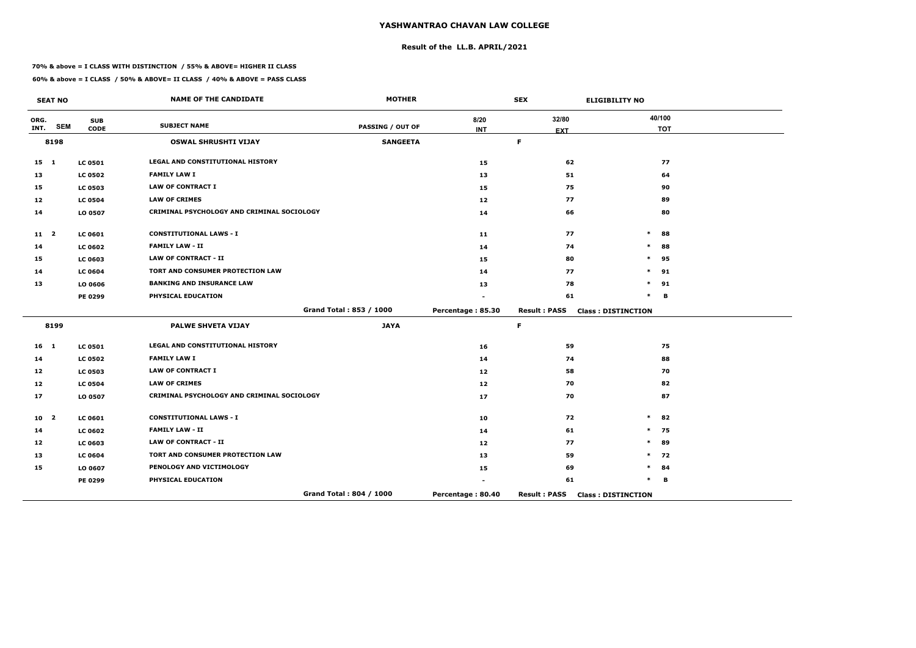# **Result of the LL.B. APRIL/2021**

#### **70% & above = I CLASS WITH DISTINCTION / 55% & ABOVE= HIGHER II CLASS**

 $\overline{\phantom{a}}$ 

|              | <b>SEAT NO</b>          |                | <b>NAME OF THE CANDIDATE</b>               | <b>MOTHER</b>           |                   | <b>SEX</b>          | <b>ELIGIBILITY NO</b>     |
|--------------|-------------------------|----------------|--------------------------------------------|-------------------------|-------------------|---------------------|---------------------------|
| ORG.         | <b>SEM</b>              | <b>SUB</b>     | <b>SUBJECT NAME</b>                        | <b>PASSING / OUT OF</b> | 8/20              | 32/80               | 40/100                    |
| INT.         |                         | <b>CODE</b>    |                                            |                         | <b>INT</b>        | <b>EXT</b>          | <b>TOT</b>                |
|              | 8198                    |                | <b>OSWAL SHRUSHTI VIJAY</b>                | <b>SANGEETA</b>         |                   | $\mathsf F$         |                           |
| $15 \quad 1$ |                         | <b>LC 0501</b> | <b>LEGAL AND CONSTITUTIONAL HISTORY</b>    |                         | 15                | 62                  | 77                        |
| 13           |                         | <b>LC 0502</b> | <b>FAMILY LAW I</b>                        |                         | 13                | 51                  | 64                        |
| 15           |                         | <b>LC 0503</b> | <b>LAW OF CONTRACT I</b>                   |                         | 15                | 75                  | 90                        |
| 12           |                         | <b>LC 0504</b> | <b>LAW OF CRIMES</b>                       |                         | 12                | 77                  | 89                        |
| 14           |                         | LO 0507        | CRIMINAL PSYCHOLOGY AND CRIMINAL SOCIOLOGY |                         | 14                | 66                  | 80                        |
| $11 \quad 2$ |                         | <b>LC 0601</b> | <b>CONSTITUTIONAL LAWS - I</b>             |                         | 11                | 77                  | 88<br>$\ast$              |
| 14           |                         | <b>LC 0602</b> | <b>FAMILY LAW - II</b>                     |                         | 14                | 74                  | 88<br>$\ast$              |
| 15           |                         | <b>LC 0603</b> | <b>LAW OF CONTRACT - II</b>                |                         | 15                | 80                  | 95<br>$\ast$              |
| 14           |                         | <b>LC 0604</b> | TORT AND CONSUMER PROTECTION LAW           |                         | 14                | 77                  | 91<br>$\ast$              |
| 13           |                         | LO 0606        | <b>BANKING AND INSURANCE LAW</b>           |                         | 13                | 78                  | 91<br>$\ast$              |
|              |                         | PE 0299        | PHYSICAL EDUCATION                         |                         |                   | 61                  | $\ast$<br>B               |
|              |                         |                |                                            | Grand Total: 853 / 1000 | Percentage: 85.30 | <b>Result: PASS</b> | <b>Class: DISTINCTION</b> |
|              | 8199                    |                | <b>PALWE SHVETA VIJAY</b>                  | <b>JAYA</b>             |                   | $\mathsf F$         |                           |
| $16 \quad 1$ |                         | <b>LC 0501</b> | LEGAL AND CONSTITUTIONAL HISTORY           |                         | 16                | 59                  | 75                        |
| 14           |                         | <b>LC 0502</b> | <b>FAMILY LAW I</b>                        |                         | 14                | 74                  | 88                        |
| 12           |                         | <b>LC 0503</b> | <b>LAW OF CONTRACT I</b>                   |                         | 12                | 58                  | 70                        |
| 12           |                         | <b>LC 0504</b> | <b>LAW OF CRIMES</b>                       |                         | 12                | 70                  | 82                        |
| 17           |                         | LO 0507        | CRIMINAL PSYCHOLOGY AND CRIMINAL SOCIOLOGY |                         | 17                | 70                  | 87                        |
| 10           | $\overline{\mathbf{2}}$ | <b>LC 0601</b> | <b>CONSTITUTIONAL LAWS - I</b>             |                         | 10                | 72                  | $\ast$<br>82              |
| 14           |                         | <b>LC 0602</b> | <b>FAMILY LAW - II</b>                     |                         | 14                | 61                  | $\ast$<br>75              |
| 12           |                         | <b>LC 0603</b> | <b>LAW OF CONTRACT - II</b>                |                         | 12                | 77                  | $\ast$<br>89              |
| 13           |                         | <b>LC 0604</b> | TORT AND CONSUMER PROTECTION LAW           |                         | 13                | 59                  | $\ast$<br>72              |
| 15           |                         | LO 0607        | PENOLOGY AND VICTIMOLOGY                   |                         | 15                | 69                  | 84<br>$\ast$              |
|              |                         | PE 0299        | PHYSICAL EDUCATION                         |                         |                   | 61                  | *<br>B                    |
|              |                         |                |                                            | Grand Total: 804 / 1000 | Percentage: 80.40 | <b>Result: PASS</b> | <b>Class: DISTINCTION</b> |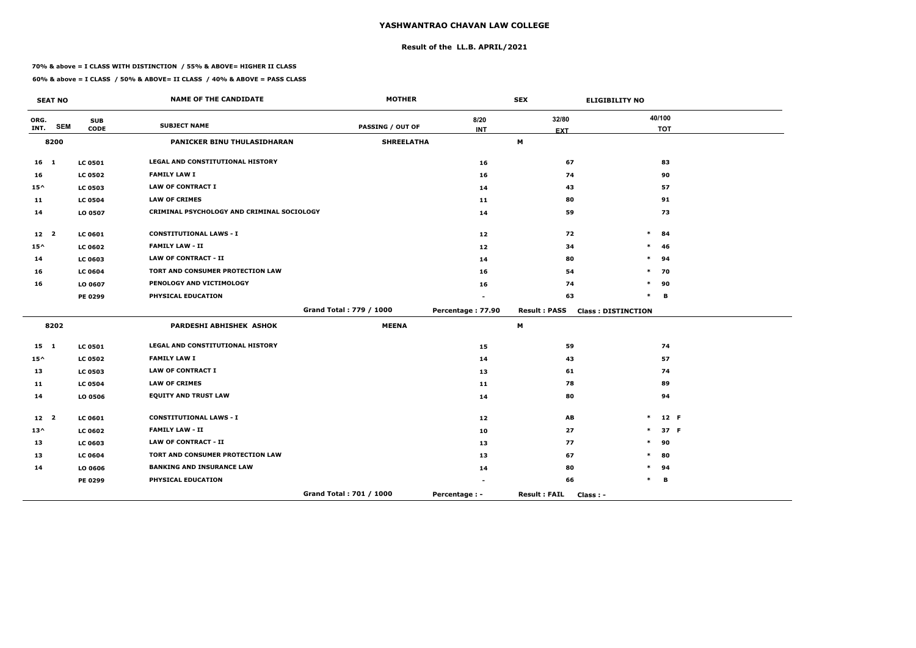# **Result of the LL.B. APRIL/2021**

#### **70% & above = I CLASS WITH DISTINCTION / 55% & ABOVE= HIGHER II CLASS**

**60% & above = I CLASS / 50% & ABOVE= II CLASS / 40% & ABOVE = PASS CLASS**

 $\overline{\phantom{a}}$ 

|                 | <b>SEAT NO</b> |                | <b>NAME OF THE CANDIDATE</b>               | <b>MOTHER</b>           |                   | <b>SEX</b>                       | <b>ELIGIBILITY NO</b>     |            |
|-----------------|----------------|----------------|--------------------------------------------|-------------------------|-------------------|----------------------------------|---------------------------|------------|
| ORG.            |                | <b>SUB</b>     | <b>SUBJECT NAME</b>                        |                         | 8/20              | 32/80                            | 40/100                    |            |
| INT.            | <b>SEM</b>     | <b>CODE</b>    |                                            | <b>PASSING / OUT OF</b> | <b>INT</b>        | <b>EXT</b>                       |                           | <b>TOT</b> |
|                 | 8200           |                | PANICKER BINU THULASIDHARAN                | <b>SHREELATHA</b>       |                   | M                                |                           |            |
| 16 <sub>1</sub> |                | <b>LC 0501</b> | LEGAL AND CONSTITUTIONAL HISTORY           |                         | 16                | 67                               |                           | 83         |
| 16              |                | <b>LC 0502</b> | <b>FAMILY LAW I</b>                        |                         | 16                | 74                               |                           | 90         |
| $15^{\wedge}$   |                | <b>LC 0503</b> | <b>LAW OF CONTRACT I</b>                   |                         | 14                | 43                               |                           | 57         |
| 11              |                | <b>LC 0504</b> | <b>LAW OF CRIMES</b>                       |                         | 11                | 80                               |                           | 91         |
| 14              |                | LO 0507        | CRIMINAL PSYCHOLOGY AND CRIMINAL SOCIOLOGY |                         | 14                | 59                               |                           | 73         |
| 12 <sub>2</sub> |                | <b>LC 0601</b> | <b>CONSTITUTIONAL LAWS - I</b>             |                         | 12                | 72                               | $\ast$                    | 84         |
| $15^{\wedge}$   |                | <b>LC 0602</b> | <b>FAMILY LAW - II</b>                     |                         | 12                | 34                               | $\ast$                    | 46         |
| 14              |                | <b>LC 0603</b> | <b>LAW OF CONTRACT - II</b>                |                         | 14                | 80                               | $\ast$                    | 94         |
| 16              |                | <b>LC 0604</b> | TORT AND CONSUMER PROTECTION LAW           |                         | 16                | 54                               | $\ast$                    | 70         |
| 16              |                | LO 0607        | PENOLOGY AND VICTIMOLOGY                   |                         | 16                | 74                               | $\ast$                    | 90         |
|                 |                | PE 0299        | PHYSICAL EDUCATION                         |                         |                   | 63                               | $\ast$                    | В          |
|                 |                |                |                                            | Grand Total: 779 / 1000 | Percentage: 77.90 | <b>Result: PASS</b>              | <b>Class: DISTINCTION</b> |            |
|                 | 8202           |                | PARDESHI ABHISHEK ASHOK                    | <b>MEENA</b>            |                   | M                                |                           |            |
| 15 1            |                | <b>LC 0501</b> | LEGAL AND CONSTITUTIONAL HISTORY           |                         | 15                | 59                               |                           | 74         |
| $15^{\wedge}$   |                | <b>LC 0502</b> | <b>FAMILY LAW I</b>                        |                         | 14                | 43                               |                           | 57         |
| 13              |                | <b>LC 0503</b> | <b>LAW OF CONTRACT I</b>                   |                         | 13                | 61                               |                           | 74         |
| 11              |                | <b>LC 0504</b> | <b>LAW OF CRIMES</b>                       |                         | 11                | 78                               |                           | 89         |
| 14              |                | LO 0506        | <b>EQUITY AND TRUST LAW</b>                |                         | 14                | 80                               |                           | 94         |
| 12 <sup>2</sup> |                | <b>LC 0601</b> | <b>CONSTITUTIONAL LAWS - I</b>             |                         | 12                | AB                               |                           | 12 F       |
| $13^{\wedge}$   |                | <b>LC 0602</b> | <b>FAMILY LAW - II</b>                     |                         | 10                | 27                               | $\ast$                    | 37 F       |
| 13              |                | <b>LC 0603</b> | <b>LAW OF CONTRACT - II</b>                |                         | 13                | 77                               |                           | 90         |
| 13              |                | <b>LC 0604</b> | TORT AND CONSUMER PROTECTION LAW           |                         | 13                | 67                               |                           | 80         |
| 14              |                | LO 0606        | <b>BANKING AND INSURANCE LAW</b>           |                         | 14                | 80                               |                           | 94         |
|                 |                | <b>PE 0299</b> | PHYSICAL EDUCATION                         |                         | $\blacksquare$    | 66                               |                           | в          |
|                 |                |                |                                            | Grand Total: 701 / 1000 | Percentage : -    | <b>Result: FAIL</b><br>Class : - |                           |            |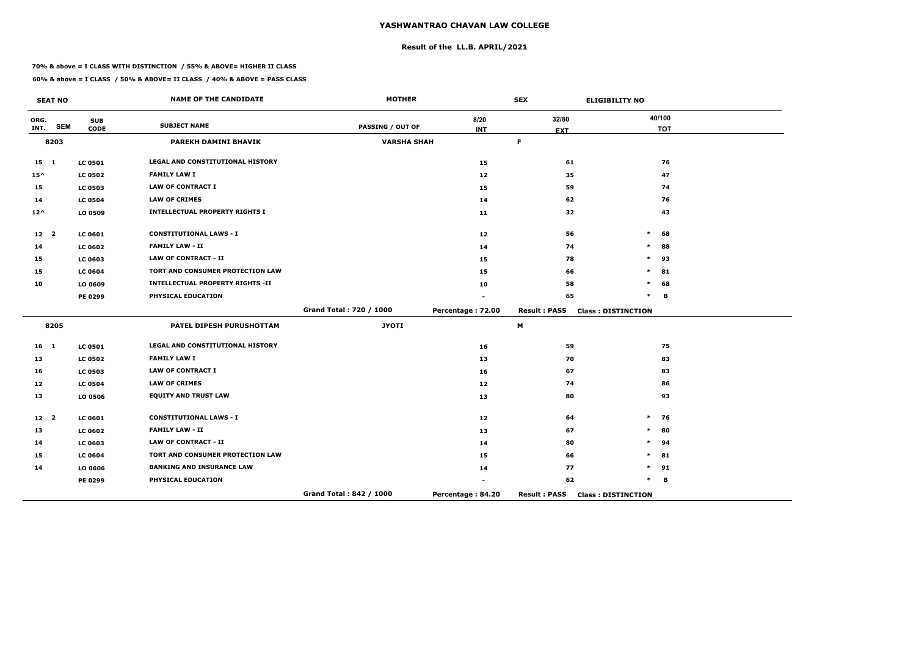# **Result of the LL.B. APRIL/2021**

#### **70% & above = I CLASS WITH DISTINCTION / 55% & ABOVE= HIGHER II CLASS**

|                 | <b>SEAT NO</b> |                           | <b>NAME OF THE CANDIDATE</b>            | <b>MOTHER</b>           |                    | <b>SEX</b>          | <b>ELIGIBILITY NO</b>     |
|-----------------|----------------|---------------------------|-----------------------------------------|-------------------------|--------------------|---------------------|---------------------------|
| ORG.<br>INT.    | <b>SEM</b>     | <b>SUB</b><br><b>CODE</b> | <b>SUBJECT NAME</b>                     | <b>PASSING / OUT OF</b> | 8/20<br><b>INT</b> | 32/80               | 40/100<br><b>TOT</b>      |
|                 | 8203           |                           | PAREKH DAMINI BHAVIK                    | <b>VARSHA SHAH</b>      |                    | <b>EXT</b><br>F.    |                           |
|                 |                |                           |                                         |                         |                    |                     |                           |
| $15 \quad 1$    |                | <b>LC 0501</b>            | <b>LEGAL AND CONSTITUTIONAL HISTORY</b> |                         | 15                 | 61                  | 76                        |
| $15^{\wedge}$   |                | <b>LC 0502</b>            | <b>FAMILY LAW I</b>                     |                         | 12                 | 35                  | 47                        |
| 15              |                | <b>LC 0503</b>            | <b>LAW OF CONTRACT I</b>                |                         | 15                 | 59                  | 74                        |
| 14              |                | <b>LC 0504</b>            | <b>LAW OF CRIMES</b>                    |                         | 14                 | 62                  | 76                        |
| $12^{\wedge}$   |                | LO 0509                   | <b>INTELLECTUAL PROPERTY RIGHTS I</b>   |                         | 11                 | 32                  | 43                        |
| 12 <sub>2</sub> |                | <b>LC 0601</b>            | <b>CONSTITUTIONAL LAWS - I</b>          |                         | 12                 | 56                  | $\ast$<br>68              |
| 14              |                | <b>LC 0602</b>            | <b>FAMILY LAW - II</b>                  |                         | 14                 | 74                  | $\ast$<br>88              |
| 15              |                | LC 0603                   | <b>LAW OF CONTRACT - II</b>             |                         | 15                 | 78                  | $\ast$<br>93              |
| 15              |                | <b>LC 0604</b>            | TORT AND CONSUMER PROTECTION LAW        |                         | 15                 | 66                  | $\ast$<br>81              |
| 10              |                | LO 0609                   | <b>INTELLECTUAL PROPERTY RIGHTS -II</b> |                         | 10                 | 58                  | *<br>68                   |
|                 |                | PE 0299                   | PHYSICAL EDUCATION                      |                         |                    | 65                  | $\ast$<br>В               |
|                 |                |                           |                                         | Grand Total: 720 / 1000 | Percentage: 72.00  | <b>Result: PASS</b> | <b>Class: DISTINCTION</b> |
|                 | 8205           |                           | PATEL DIPESH PURUSHOTTAM                | <b>JYOTI</b>            |                    | М                   |                           |
| $16 \quad 1$    |                | <b>LC 0501</b>            | LEGAL AND CONSTITUTIONAL HISTORY        |                         | 16                 | 59                  | 75                        |
| 13              |                | <b>LC 0502</b>            | <b>FAMILY LAW I</b>                     |                         | 13                 | 70                  | 83                        |
| 16              |                | <b>LC 0503</b>            | <b>LAW OF CONTRACT I</b>                |                         | 16                 | 67                  | 83                        |
| 12              |                | <b>LC 0504</b>            | <b>LAW OF CRIMES</b>                    |                         | 12                 | 74                  | 86                        |
| 13              |                | LO 0506                   | <b>EQUITY AND TRUST LAW</b>             |                         | 13                 | 80                  | 93                        |
| 12 <sup>2</sup> |                | LC 0601                   | <b>CONSTITUTIONAL LAWS - I</b>          |                         | 12                 | 64                  | $\ast$<br>76              |
| 13              |                | <b>LC 0602</b>            | <b>FAMILY LAW - II</b>                  |                         | 13                 | 67                  | 80<br>$\ast$              |
| 14              |                | LC 0603                   | <b>LAW OF CONTRACT - II</b>             |                         | 14                 | 80                  | 94<br>*                   |
| 15              |                | <b>LC 0604</b>            | TORT AND CONSUMER PROTECTION LAW        |                         | 15                 | 66                  | $\ast$<br>81              |
| 14              |                | LO 0606                   | <b>BANKING AND INSURANCE LAW</b>        |                         | 14                 | 77                  | *<br>91                   |
|                 |                | PE 0299                   | PHYSICAL EDUCATION                      |                         |                    | 62                  | $\ast$<br>В               |
|                 |                |                           |                                         | Grand Total: 842 / 1000 | Percentage: 84.20  | <b>Result: PASS</b> | <b>Class: DISTINCTION</b> |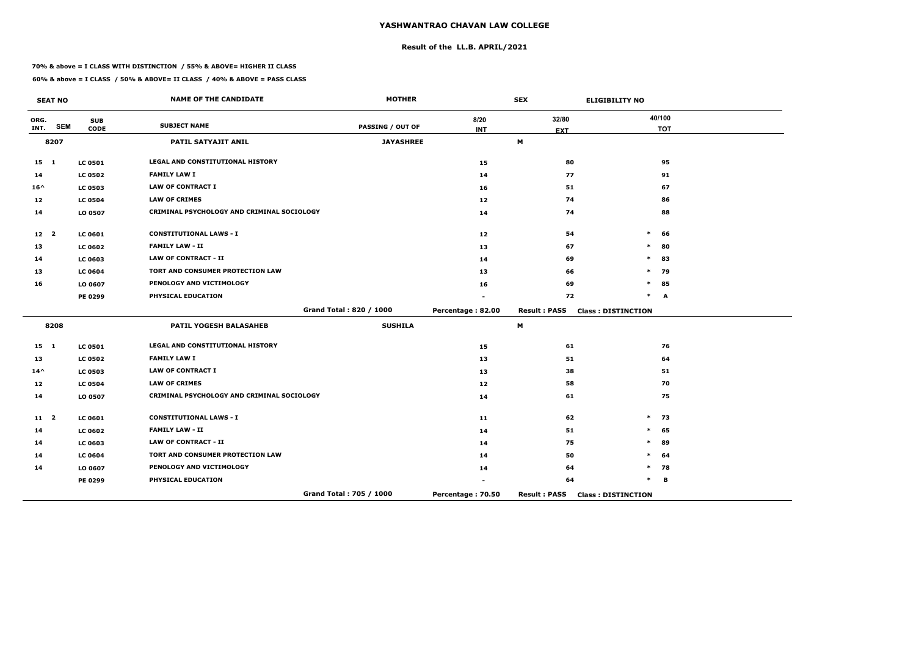# **Result of the LL.B. APRIL/2021**

#### **70% & above = I CLASS WITH DISTINCTION / 55% & ABOVE= HIGHER II CLASS**

|                 | <b>SEAT NO</b> |                           | <b>NAME OF THE CANDIDATE</b>               | <b>MOTHER</b>           |                    | <b>SEX</b>          | <b>ELIGIBILITY NO</b>     |
|-----------------|----------------|---------------------------|--------------------------------------------|-------------------------|--------------------|---------------------|---------------------------|
| ORG.<br>INT.    | <b>SEM</b>     | <b>SUB</b><br><b>CODE</b> | <b>SUBJECT NAME</b>                        | PASSING / OUT OF        | 8/20<br><b>INT</b> | 32/80               | 40/100<br><b>TOT</b>      |
|                 | 8207           |                           | <b>PATIL SATYAJIT ANIL</b>                 | <b>JAYASHREE</b>        |                    | <b>EXT</b><br>M     |                           |
|                 |                |                           |                                            |                         |                    |                     |                           |
| $15$ 1          |                | <b>LC 0501</b>            | LEGAL AND CONSTITUTIONAL HISTORY           |                         | 15                 | 80                  | 95                        |
| 14              |                | <b>LC 0502</b>            | <b>FAMILY LAW I</b>                        |                         | 14                 | 77                  | 91                        |
| $16^{\wedge}$   |                | <b>LC 0503</b>            | <b>LAW OF CONTRACT I</b>                   |                         | 16                 | 51                  | 67                        |
| 12              |                | <b>LC 0504</b>            | <b>LAW OF CRIMES</b>                       |                         | 12                 | 74                  | 86                        |
| 14              |                | LO 0507                   | CRIMINAL PSYCHOLOGY AND CRIMINAL SOCIOLOGY |                         | 14                 | 74                  | 88                        |
| 12 <sub>2</sub> |                | <b>LC 0601</b>            | <b>CONSTITUTIONAL LAWS - I</b>             |                         | 12                 | 54                  | $\ast$<br>66              |
| 13              |                | <b>LC 0602</b>            | <b>FAMILY LAW - II</b>                     |                         | 13                 | 67                  | $\ast$<br>80              |
| 14              |                | <b>LC 0603</b>            | <b>LAW OF CONTRACT - II</b>                |                         | 14                 | 69                  | 83<br>$\ast$              |
| 13              |                | <b>LC 0604</b>            | TORT AND CONSUMER PROTECTION LAW           |                         | 13                 | 66                  | 79<br>$\ast$              |
| 16              |                | LO 0607                   | PENOLOGY AND VICTIMOLOGY                   |                         | 16                 | 69                  | $\ast$<br>85              |
|                 |                | PE 0299                   | PHYSICAL EDUCATION                         |                         |                    | 72                  | $\ast$<br>A               |
|                 |                |                           |                                            | Grand Total: 820 / 1000 | Percentage: 82.00  | <b>Result: PASS</b> | <b>Class: DISTINCTION</b> |
|                 | 8208           |                           | <b>PATIL YOGESH BALASAHEB</b>              | <b>SUSHILA</b>          |                    | M                   |                           |
| $15 \quad 1$    |                | <b>LC 0501</b>            | LEGAL AND CONSTITUTIONAL HISTORY           |                         | 15                 | 61                  | 76                        |
| 13              |                | <b>LC 0502</b>            | <b>FAMILY LAW I</b>                        |                         | 13                 | 51                  | 64                        |
| $14^{\wedge}$   |                | <b>LC 0503</b>            | <b>LAW OF CONTRACT I</b>                   |                         | 13                 | 38                  | 51                        |
| 12              |                | <b>LC 0504</b>            | <b>LAW OF CRIMES</b>                       |                         | 12 <sub>1</sub>    | 58                  | 70                        |
| 14              |                | LO 0507                   | CRIMINAL PSYCHOLOGY AND CRIMINAL SOCIOLOGY |                         | 14                 | 61                  | 75                        |
| $11$ 2          |                | LC 0601                   | <b>CONSTITUTIONAL LAWS - I</b>             |                         | 11                 | 62                  | $\ast$<br>73              |
| 14              |                | <b>LC 0602</b>            | <b>FAMILY LAW - II</b>                     |                         | 14                 | 51                  | 65<br>$\ast$              |
| 14              |                | <b>LC 0603</b>            | <b>LAW OF CONTRACT - II</b>                |                         | 14                 | 75                  | $\ast$<br>89              |
| 14              |                | <b>LC 0604</b>            | TORT AND CONSUMER PROTECTION LAW           |                         | 14                 | 50                  | $\ast$<br>64              |
| 14              |                | LO 0607                   | PENOLOGY AND VICTIMOLOGY                   |                         | 14                 | 64                  | $\ast$<br>78              |
|                 |                | PE 0299                   | PHYSICAL EDUCATION                         |                         |                    | 64                  | $\ast$<br>B               |
|                 |                |                           |                                            | Grand Total: 705 / 1000 | Percentage: 70.50  | <b>Result: PASS</b> | <b>Class: DISTINCTION</b> |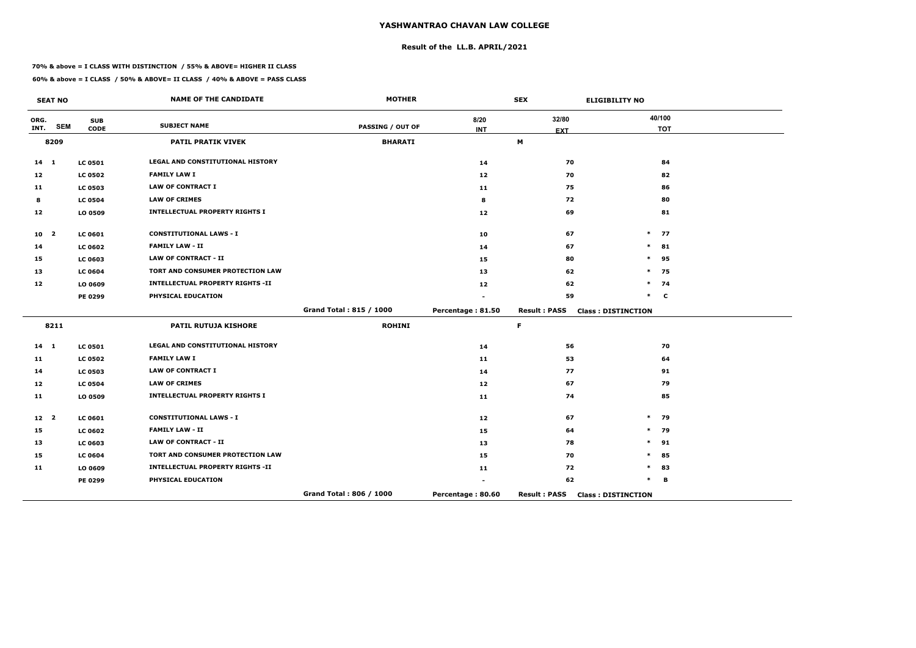# **Result of the LL.B. APRIL/2021**

#### **70% & above = I CLASS WITH DISTINCTION / 55% & ABOVE= HIGHER II CLASS**

|                 | <b>SEAT NO</b> |                           | <b>NAME OF THE CANDIDATE</b>            | <b>MOTHER</b>           |                    | <b>SEX</b>          | <b>ELIGIBILITY NO</b>     |
|-----------------|----------------|---------------------------|-----------------------------------------|-------------------------|--------------------|---------------------|---------------------------|
| ORG.<br>INT.    | <b>SEM</b>     | <b>SUB</b><br><b>CODE</b> | <b>SUBJECT NAME</b>                     | <b>PASSING / OUT OF</b> | 8/20<br><b>INT</b> | 32/80<br><b>EXT</b> | 40/100<br><b>TOT</b>      |
|                 | 8209           |                           | <b>PATIL PRATIK VIVEK</b>               | <b>BHARATI</b>          |                    | M                   |                           |
| $14 \quad 1$    |                | <b>LC 0501</b>            | LEGAL AND CONSTITUTIONAL HISTORY        |                         | 14                 | 70                  | 84                        |
| 12              |                | <b>LC 0502</b>            | <b>FAMILY LAW I</b>                     |                         | 12                 | 70                  | 82                        |
| 11              |                | <b>LC 0503</b>            | <b>LAW OF CONTRACT I</b>                |                         | 11                 | 75                  | 86                        |
| 8               |                | <b>LC 0504</b>            | <b>LAW OF CRIMES</b>                    |                         | 8                  | 72                  | 80                        |
| 12              |                | LO 0509                   | <b>INTELLECTUAL PROPERTY RIGHTS I</b>   |                         | 12                 | 69                  | 81                        |
| 10 <sub>2</sub> |                | <b>LC 0601</b>            | <b>CONSTITUTIONAL LAWS - I</b>          |                         | 10                 | 67                  | $\ast$<br>77              |
| 14              |                | <b>LC 0602</b>            | <b>FAMILY LAW - II</b>                  |                         | 14                 | 67                  | $\ast$<br>81              |
| 15              |                | <b>LC 0603</b>            | <b>LAW OF CONTRACT - II</b>             |                         | 15                 | 80                  | $\ast$<br>95              |
| 13              |                | <b>LC 0604</b>            | TORT AND CONSUMER PROTECTION LAW        |                         | 13                 | 62                  | $\ast$<br>75              |
| 12              |                | LO 0609                   | <b>INTELLECTUAL PROPERTY RIGHTS -II</b> |                         | 12                 | 62                  | $\ast$<br>74              |
|                 |                | PE 0299                   | PHYSICAL EDUCATION                      |                         |                    | 59                  | $\ast$<br>$\mathbf c$     |
|                 |                |                           |                                         | Grand Total: 815 / 1000 | Percentage: 81.50  | <b>Result: PASS</b> | <b>Class: DISTINCTION</b> |
|                 | 8211           |                           | <b>PATIL RUTUJA KISHORE</b>             | <b>ROHINI</b>           |                    | F.                  |                           |
| $14 \quad 1$    |                | <b>LC 0501</b>            | LEGAL AND CONSTITUTIONAL HISTORY        |                         | 14                 | 56                  | 70                        |
| 11              |                | <b>LC 0502</b>            | <b>FAMILY LAW I</b>                     |                         | 11                 | 53                  | 64                        |
| 14              |                | <b>LC 0503</b>            | <b>LAW OF CONTRACT I</b>                |                         | 14                 | 77                  | 91                        |
| 12              |                | <b>LC 0504</b>            | <b>LAW OF CRIMES</b>                    |                         | 12                 | 67                  | 79                        |
| 11              |                | LO 0509                   | <b>INTELLECTUAL PROPERTY RIGHTS I</b>   |                         | 11                 | 74                  | 85                        |
| 12 <sup>2</sup> |                | <b>LC 0601</b>            | <b>CONSTITUTIONAL LAWS - I</b>          |                         | 12                 | 67                  | $\ast$<br>79              |
| 15              |                | <b>LC 0602</b>            | <b>FAMILY LAW - II</b>                  |                         | 15                 | 64                  | $\ast$<br>79              |
| 13              |                | <b>LC 0603</b>            | <b>LAW OF CONTRACT - II</b>             |                         | 13                 | 78                  | $\ast$<br>91              |
| 15              |                | <b>LC 0604</b>            | TORT AND CONSUMER PROTECTION LAW        |                         | 15                 | 70                  | $\ast$<br>85              |
| 11              |                | LO 0609                   | <b>INTELLECTUAL PROPERTY RIGHTS -II</b> |                         | 11                 | 72                  | $\ast$<br>83              |
|                 |                | PE 0299                   | PHYSICAL EDUCATION                      |                         |                    | 62                  | $\ast$<br>В               |
|                 |                |                           |                                         | Grand Total: 806 / 1000 | Percentage: 80.60  | <b>Result: PASS</b> | <b>Class: DISTINCTION</b> |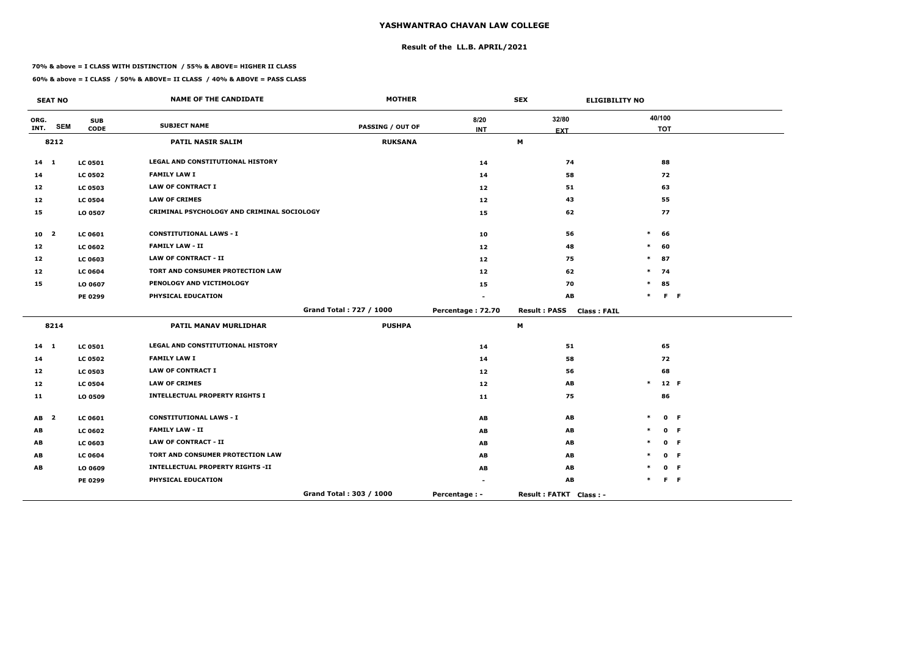# **Result of the LL.B. APRIL/2021**

#### **70% & above = I CLASS WITH DISTINCTION / 55% & ABOVE= HIGHER II CLASS**

 $\overline{\phantom{a}}$ 

|                 | <b>SEAT NO</b> |                | <b>NAME OF THE CANDIDATE</b>                      | <b>MOTHER</b>           |                                     | <b>SEX</b><br><b>ELIGIBILITY NO</b>       |        |            |         |
|-----------------|----------------|----------------|---------------------------------------------------|-------------------------|-------------------------------------|-------------------------------------------|--------|------------|---------|
| ORG.            |                | <b>SUB</b>     | <b>SUBJECT NAME</b>                               |                         | 8/20                                | 32/80                                     |        | 40/100     |         |
| INT.            | <b>SEM</b>     | <b>CODE</b>    |                                                   | <b>PASSING / OUT OF</b> | <b>INT</b>                          | <b>EXT</b>                                |        | <b>TOT</b> |         |
|                 | 8212           |                | PATIL NASIR SALIM                                 | <b>RUKSANA</b>          |                                     | M                                         |        |            |         |
| $14 \quad 1$    |                | <b>LC 0501</b> | LEGAL AND CONSTITUTIONAL HISTORY                  |                         | 14                                  | 74                                        |        | 88         |         |
| 14              |                | <b>LC 0502</b> | <b>FAMILY LAW I</b>                               |                         | 14                                  | 58                                        |        | 72         |         |
| 12              |                | <b>LC 0503</b> | <b>LAW OF CONTRACT I</b>                          |                         | 12                                  | 51                                        |        | 63         |         |
| 12              |                | <b>LC 0504</b> | <b>LAW OF CRIMES</b>                              |                         | 12                                  | 43                                        |        | 55         |         |
| 15              |                | LO 0507        | <b>CRIMINAL PSYCHOLOGY AND CRIMINAL SOCIOLOGY</b> |                         | 15                                  | 62                                        |        | 77         |         |
| 10 <sub>2</sub> |                | <b>LC 0601</b> | <b>CONSTITUTIONAL LAWS - I</b>                    |                         | 10                                  | 56                                        | $\ast$ | 66         |         |
| 12              |                | <b>LC 0602</b> | <b>FAMILY LAW - II</b>                            |                         | 12                                  | 48                                        | $\ast$ | 60         |         |
| 12              |                | <b>LC 0603</b> | <b>LAW OF CONTRACT - II</b>                       |                         | 12                                  | 75                                        |        | $*$ 87     |         |
| 12              |                | <b>LC 0604</b> | TORT AND CONSUMER PROTECTION LAW                  |                         | 12                                  | 62                                        |        | $*$ 74     |         |
| 15              |                | LO 0607        | PENOLOGY AND VICTIMOLOGY                          |                         | 15                                  | 70                                        | $\ast$ | 85         |         |
|                 |                | PE 0299        | PHYSICAL EDUCATION                                |                         |                                     | AB                                        | $\ast$ |            | $F - F$ |
|                 |                |                |                                                   | Grand Total: 727 / 1000 | Percentage: 72.70                   | <b>Result: PASS</b><br><b>Class: FAIL</b> |        |            |         |
|                 | 8214           |                | PATIL MANAV MURLIDHAR                             | <b>PUSHPA</b>           |                                     | $\boldsymbol{\mathsf{M}}$                 |        |            |         |
| $14 \quad 1$    |                | <b>LC 0501</b> | LEGAL AND CONSTITUTIONAL HISTORY                  |                         | 14                                  | 51                                        |        | 65         |         |
| 14              |                | <b>LC 0502</b> | <b>FAMILY LAW I</b>                               |                         | 14                                  | 58                                        |        | 72         |         |
| 12              |                | <b>LC 0503</b> | <b>LAW OF CONTRACT I</b>                          |                         | 12                                  | 56                                        |        | 68         |         |
| 12              |                | <b>LC 0504</b> | <b>LAW OF CRIMES</b>                              |                         | 12                                  | AB                                        | $\ast$ |            | 12 F    |
| 11              |                | LO 0509        | <b>INTELLECTUAL PROPERTY RIGHTS I</b>             |                         | 11                                  | 75                                        |        | 86         |         |
| AB <sub>2</sub> |                | <b>LC 0601</b> | <b>CONSTITUTIONAL LAWS - I</b>                    |                         | AB                                  | AB                                        |        |            | 0 F     |
| AB              |                | <b>LC 0602</b> | <b>FAMILY LAW - II</b>                            |                         | AB                                  | AB                                        |        |            | 0 F     |
| AB              |                | <b>LC 0603</b> | <b>LAW OF CONTRACT - II</b>                       |                         | AB                                  | AB                                        |        |            | 0 F     |
| AB              |                | <b>LC 0604</b> | TORT AND CONSUMER PROTECTION LAW                  |                         | $\boldsymbol{\mathsf{A}\mathsf{B}}$ | AB                                        |        |            | 0 F     |
| AB              |                | LO 0609        | <b>INTELLECTUAL PROPERTY RIGHTS -II</b>           |                         | AB                                  | AB                                        |        |            | 0 F     |
|                 |                | <b>PE 0299</b> | PHYSICAL EDUCATION                                |                         | $\blacksquare$                      | AB                                        |        |            | $F - F$ |
|                 |                |                |                                                   | Grand Total: 303 / 1000 | Percentage : -                      | Result: FATKT Class: -                    |        |            |         |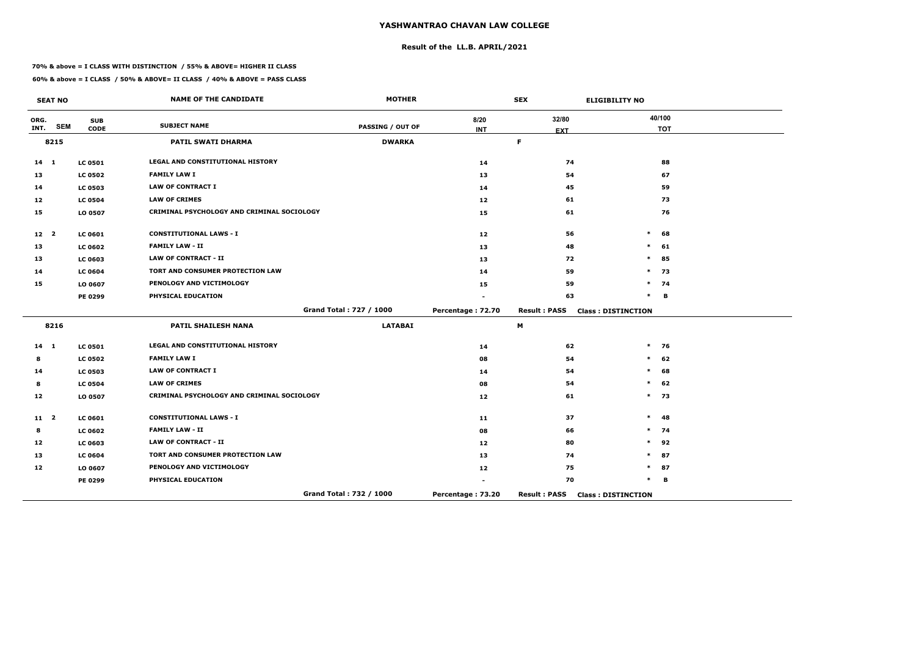# **Result of the LL.B. APRIL/2021**

#### **70% & above = I CLASS WITH DISTINCTION / 55% & ABOVE= HIGHER II CLASS**

|                 | <b>SEAT NO</b> |                           | <b>NAME OF THE CANDIDATE</b>               | <b>MOTHER</b>           |                    | <b>SEX</b>          | <b>ELIGIBILITY NO</b>     |
|-----------------|----------------|---------------------------|--------------------------------------------|-------------------------|--------------------|---------------------|---------------------------|
| ORG.<br>INT.    | <b>SEM</b>     | <b>SUB</b><br><b>CODE</b> | <b>SUBJECT NAME</b>                        | PASSING / OUT OF        | 8/20<br><b>INT</b> | 32/80               | 40/100<br><b>TOT</b>      |
|                 | 8215           |                           | PATIL SWATI DHARMA                         | <b>DWARKA</b>           |                    | <b>EXT</b><br>F     |                           |
|                 |                |                           |                                            |                         |                    |                     |                           |
| $14 \quad 1$    |                | <b>LC 0501</b>            | LEGAL AND CONSTITUTIONAL HISTORY           |                         | 14                 | 74                  | 88                        |
| 13              |                | <b>LC 0502</b>            | <b>FAMILY LAW I</b>                        |                         | 13                 | 54                  | 67                        |
| 14              |                | <b>LC 0503</b>            | <b>LAW OF CONTRACT I</b>                   |                         | 14                 | 45                  | 59                        |
| 12              |                | <b>LC 0504</b>            | <b>LAW OF CRIMES</b>                       |                         | 12                 | 61                  | 73                        |
| 15              |                | LO 0507                   | CRIMINAL PSYCHOLOGY AND CRIMINAL SOCIOLOGY |                         | 15                 | 61                  | 76                        |
| 12 <sub>2</sub> |                | LC 0601                   | <b>CONSTITUTIONAL LAWS - I</b>             |                         | 12                 | 56                  | $\ast$<br>68              |
| 13              |                | <b>LC 0602</b>            | <b>FAMILY LAW - II</b>                     |                         | 13                 | 48                  | 61<br>$\ast$              |
| 13              |                | <b>LC 0603</b>            | <b>LAW OF CONTRACT - II</b>                |                         | 13                 | 72                  | $\ast$<br>85              |
| 14              |                | <b>LC 0604</b>            | TORT AND CONSUMER PROTECTION LAW           |                         | 14                 | 59                  | $\ast$<br>73              |
| 15              |                | LO 0607                   | PENOLOGY AND VICTIMOLOGY                   |                         | 15                 | 59                  | $\ast$<br>74              |
|                 |                | PE 0299                   | PHYSICAL EDUCATION                         |                         |                    | 63                  | $\ast$<br>В               |
|                 |                |                           |                                            | Grand Total: 727 / 1000 | Percentage: 72.70  | <b>Result: PASS</b> | <b>Class: DISTINCTION</b> |
|                 | 8216           |                           | PATIL SHAILESH NANA                        | <b>LATABAI</b>          |                    | M                   |                           |
| $14 \quad 1$    |                | <b>LC 0501</b>            | LEGAL AND CONSTITUTIONAL HISTORY           |                         | 14                 | 62                  | $\ast$<br>76              |
| 8               |                | <b>LC 0502</b>            | <b>FAMILY LAW I</b>                        |                         | 08                 | 54                  | $\ast$<br>62              |
| 14              |                | <b>LC 0503</b>            | <b>LAW OF CONTRACT I</b>                   |                         | 14                 | 54                  | $\ast$<br>68              |
| 8               |                | <b>LC 0504</b>            | <b>LAW OF CRIMES</b>                       |                         | 08                 | 54                  | $\ast$<br>62              |
| 12              |                | LO 0507                   | CRIMINAL PSYCHOLOGY AND CRIMINAL SOCIOLOGY |                         | 12                 | 61                  | $*$ 73                    |
| $11 \quad 2$    |                | <b>LC 0601</b>            | <b>CONSTITUTIONAL LAWS - I</b>             |                         | 11                 | 37                  | $\ast$<br>48              |
| 8               |                | <b>LC 0602</b>            | <b>FAMILY LAW - II</b>                     |                         | 08                 | 66                  | $\ast$<br>74              |
| 12              |                | <b>LC 0603</b>            | <b>LAW OF CONTRACT - II</b>                |                         | 12                 | 80                  | $\ast$<br>92              |
| 13              |                | <b>LC 0604</b>            | TORT AND CONSUMER PROTECTION LAW           |                         | 13                 | 74                  | ∗<br>87                   |
| 12              |                | LO 0607                   | PENOLOGY AND VICTIMOLOGY                   |                         | 12                 | 75                  | $\ast$<br>87              |
|                 |                | <b>PE 0299</b>            | PHYSICAL EDUCATION                         |                         | ۰                  | 70                  | $\ast$<br>В               |
|                 |                |                           |                                            | Grand Total: 732 / 1000 | Percentage: 73.20  | <b>Result: PASS</b> | <b>Class: DISTINCTION</b> |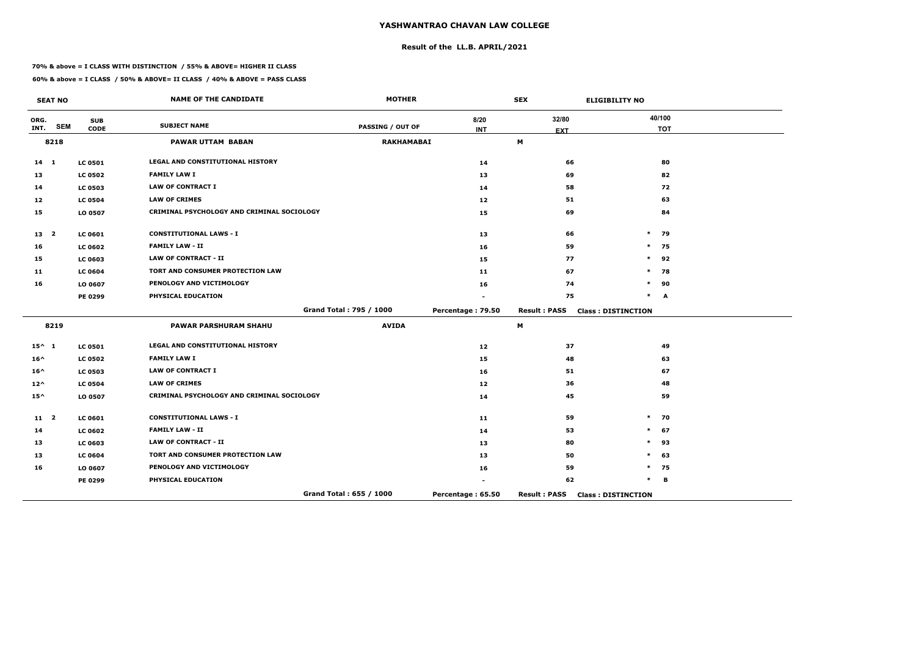# **Result of the LL.B. APRIL/2021**

#### **70% & above = I CLASS WITH DISTINCTION / 55% & ABOVE= HIGHER II CLASS**

 $\overline{\phantom{a}}$ 

|                 | <b>SEAT NO</b> |                           | <b>NAME OF THE CANDIDATE</b>               | <b>MOTHER</b>           |                    | <b>SEX</b>          | <b>ELIGIBILITY NO</b>     |
|-----------------|----------------|---------------------------|--------------------------------------------|-------------------------|--------------------|---------------------|---------------------------|
| ORG.<br>INT.    | <b>SEM</b>     | <b>SUB</b><br><b>CODE</b> | <b>SUBJECT NAME</b>                        | <b>PASSING / OUT OF</b> | 8/20<br><b>INT</b> | 32/80               | 40/100<br><b>TOT</b>      |
|                 | 8218           |                           | <b>PAWAR UTTAM BABAN</b>                   | <b>RAKHAMABAI</b>       |                    | <b>EXT</b><br>M     |                           |
| $14 \quad 1$    |                | <b>LC 0501</b>            | <b>LEGAL AND CONSTITUTIONAL HISTORY</b>    |                         | 14                 | 66                  | 80                        |
| 13              |                | <b>LC 0502</b>            | <b>FAMILY LAW I</b>                        |                         | 13                 | 69                  | 82                        |
| 14              |                | <b>LC 0503</b>            | <b>LAW OF CONTRACT I</b>                   |                         | 14                 | 58                  | 72                        |
| 12              |                | <b>LC 0504</b>            | <b>LAW OF CRIMES</b>                       |                         | 12 <sub>1</sub>    | 51                  | 63                        |
| 15              |                | LO 0507                   | CRIMINAL PSYCHOLOGY AND CRIMINAL SOCIOLOGY |                         | 15                 | 69                  | 84                        |
| 13 <sub>2</sub> |                | LC 0601                   | <b>CONSTITUTIONAL LAWS - I</b>             |                         | 13                 | 66                  | $\ast$<br>79              |
| 16              |                | <b>LC 0602</b>            | <b>FAMILY LAW - II</b>                     |                         | 16                 | 59                  | 75<br>$\ast$              |
| 15              |                | <b>LC 0603</b>            | <b>LAW OF CONTRACT - II</b>                |                         | 15                 | 77                  | $\ast$<br>92              |
| 11              |                | <b>LC 0604</b>            | TORT AND CONSUMER PROTECTION LAW           |                         | 11                 | 67                  | 78<br>$\ast$              |
| 16              |                | LO 0607                   | PENOLOGY AND VICTIMOLOGY                   |                         | 16                 | 74                  | 90<br>$\ast$              |
|                 |                | <b>PE 0299</b>            | PHYSICAL EDUCATION                         |                         |                    | 75                  | $\ast$<br>A               |
|                 |                |                           |                                            | Grand Total: 795 / 1000 | Percentage: 79.50  | <b>Result: PASS</b> | <b>Class: DISTINCTION</b> |
|                 | 8219           |                           | <b>PAWAR PARSHURAM SHAHU</b>               | <b>AVIDA</b>            |                    | M                   |                           |
| $15^{\wedge} 1$ |                | <b>LC 0501</b>            | <b>LEGAL AND CONSTITUTIONAL HISTORY</b>    |                         | 12                 | 37                  | 49                        |
| $16^{\wedge}$   |                | <b>LC 0502</b>            | <b>FAMILY LAW I</b>                        |                         | 15                 | 48                  | 63                        |
| $16^{\wedge}$   |                | <b>LC 0503</b>            | <b>LAW OF CONTRACT I</b>                   |                         | 16                 | 51                  | 67                        |
| $12^{\wedge}$   |                | <b>LC 0504</b>            | <b>LAW OF CRIMES</b>                       |                         | 12 <sub>1</sub>    | 36                  | 48                        |
| $15^{\wedge}$   |                | LO 0507                   | CRIMINAL PSYCHOLOGY AND CRIMINAL SOCIOLOGY |                         | 14                 | 45                  | 59                        |
| 11 <sub>2</sub> |                | LC 0601                   | <b>CONSTITUTIONAL LAWS - I</b>             |                         | 11                 | 59                  | 70<br>$\ast$              |
| 14              |                | <b>LC 0602</b>            | <b>FAMILY LAW - II</b>                     |                         | 14                 | 53                  | 67<br>$\ast$              |
| 13              |                | <b>LC 0603</b>            | <b>LAW OF CONTRACT - II</b>                |                         | 13                 | 80                  | 93<br>$\ast$              |
| 13              |                | <b>LC 0604</b>            | TORT AND CONSUMER PROTECTION LAW           |                         | 13                 | 50                  | 63<br>$\ast$              |
| 16              |                | LO 0607                   | PENOLOGY AND VICTIMOLOGY                   |                         | 16                 | 59                  | $\ast$<br>75              |
|                 |                | <b>PE 0299</b>            | PHYSICAL EDUCATION                         |                         |                    | 62                  | $\ast$<br>B               |
|                 |                |                           |                                            | Grand Total: 655 / 1000 | Percentage: 65.50  | <b>Result: PASS</b> | <b>Class: DISTINCTION</b> |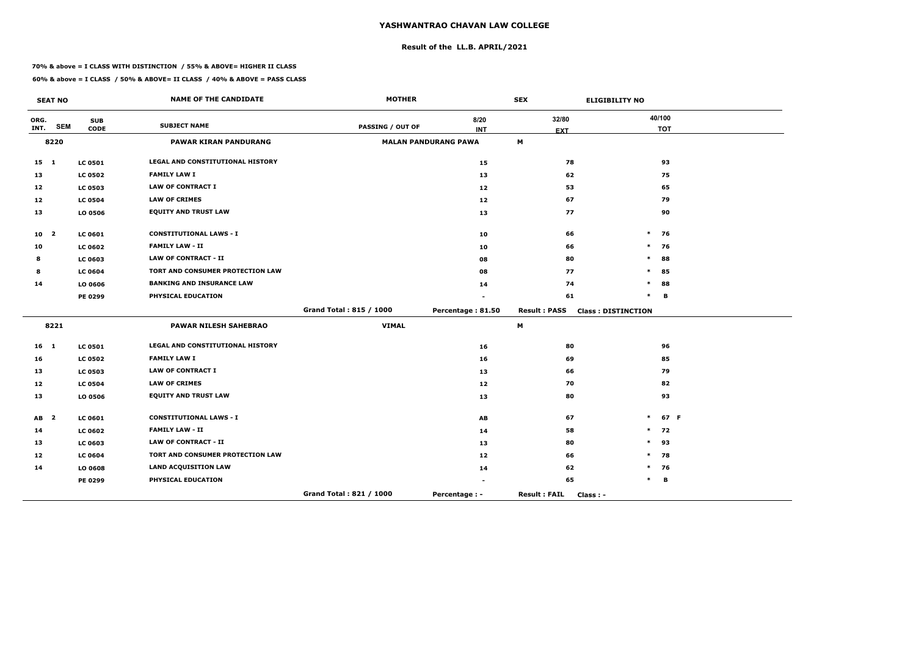# **Result of the LL.B. APRIL/2021**

#### **70% & above = I CLASS WITH DISTINCTION / 55% & ABOVE= HIGHER II CLASS**

| <b>SEAT NO</b>  |            |                | <b>NAME OF THE CANDIDATE</b>     | <b>MOTHER</b>           |                             | <b>SEX</b>                        | <b>ELIGIBILITY NO</b>     |  |
|-----------------|------------|----------------|----------------------------------|-------------------------|-----------------------------|-----------------------------------|---------------------------|--|
| ORG.<br>INT.    | <b>SEM</b> | <b>SUB</b>     | <b>SUBJECT NAME</b>              | PASSING / OUT OF        | 8/20                        | 32/80                             | 40/100                    |  |
|                 |            | <b>CODE</b>    |                                  |                         | <b>INT</b>                  | <b>EXT</b>                        | <b>TOT</b>                |  |
|                 | 8220       |                | <b>PAWAR KIRAN PANDURANG</b>     |                         | <b>MALAN PANDURANG PAWA</b> | M                                 |                           |  |
| $15 \quad 1$    |            | <b>LC 0501</b> | LEGAL AND CONSTITUTIONAL HISTORY |                         | 15                          | 78                                | 93                        |  |
| 13              |            | <b>LC 0502</b> | <b>FAMILY LAW I</b>              |                         | 13                          | 62                                | 75                        |  |
| 12              |            | <b>LC 0503</b> | <b>LAW OF CONTRACT I</b>         |                         | 12                          | 53                                | 65                        |  |
| 12              |            | <b>LC 0504</b> | <b>LAW OF CRIMES</b>             |                         | 12                          | 67                                | 79                        |  |
| 13              |            | LO 0506        | <b>EQUITY AND TRUST LAW</b>      |                         | 13                          | 77                                | 90                        |  |
| 10 <sub>2</sub> |            | <b>LC 0601</b> | <b>CONSTITUTIONAL LAWS - I</b>   |                         | 10                          | 66                                | $\ast$<br>76              |  |
| 10              |            | <b>LC 0602</b> | <b>FAMILY LAW - II</b>           |                         | 10                          | 66                                | $\ast$<br>76              |  |
| 8               |            | <b>LC 0603</b> | <b>LAW OF CONTRACT - II</b>      |                         | 08                          | 80                                | $\ast$<br>88              |  |
| 8               |            | <b>LC 0604</b> | TORT AND CONSUMER PROTECTION LAW |                         | 08                          | 77                                | *<br>85                   |  |
| 14              |            | LO 0606        | <b>BANKING AND INSURANCE LAW</b> |                         | 14                          | 74                                | *<br>88                   |  |
|                 |            | PE 0299        | PHYSICAL EDUCATION               |                         |                             | 61                                | $\ast$<br>в               |  |
|                 |            |                |                                  | Grand Total: 815 / 1000 | Percentage: 81.50           | <b>Result: PASS</b>               | <b>Class: DISTINCTION</b> |  |
|                 | 8221       |                | <b>PAWAR NILESH SAHEBRAO</b>     | <b>VIMAL</b>            |                             | M                                 |                           |  |
| 16 1            |            | <b>LC 0501</b> | LEGAL AND CONSTITUTIONAL HISTORY |                         | 16                          | 80                                | 96                        |  |
| 16              |            | <b>LC 0502</b> | <b>FAMILY LAW I</b>              |                         | 16                          | 69                                | 85                        |  |
| 13              |            | <b>LC 0503</b> | <b>LAW OF CONTRACT I</b>         |                         | 13                          | 66                                | 79                        |  |
| 12              |            | <b>LC 0504</b> | <b>LAW OF CRIMES</b>             |                         | 12                          | 70                                | 82                        |  |
| 13              |            | LO 0506        | <b>EQUITY AND TRUST LAW</b>      |                         | 13                          | 80                                | 93                        |  |
| AB <sub>2</sub> |            | <b>LC 0601</b> | <b>CONSTITUTIONAL LAWS - I</b>   |                         | AB                          | 67                                | $\ast$<br>67 F            |  |
| 14              |            | <b>LC 0602</b> | <b>FAMILY LAW - II</b>           |                         | 14                          | 58                                | $\ast$<br>72              |  |
| 13              |            | <b>LC 0603</b> | <b>LAW OF CONTRACT - II</b>      |                         | 13                          | 80                                | $\ast$<br>93              |  |
| 12              |            | <b>LC 0604</b> | TORT AND CONSUMER PROTECTION LAW |                         | 12                          | 66                                | 78<br>$\ast$              |  |
| 14              |            | LO 0608        | <b>LAND ACQUISITION LAW</b>      |                         | 14                          | 62                                | $\ast$<br>76              |  |
|                 |            | PE 0299        | PHYSICAL EDUCATION               |                         |                             | 65                                | B<br>$\ast$               |  |
|                 |            |                |                                  | Grand Total: 821 / 1000 | Percentage : -              | <b>Result: FAIL</b><br>$Class: -$ |                           |  |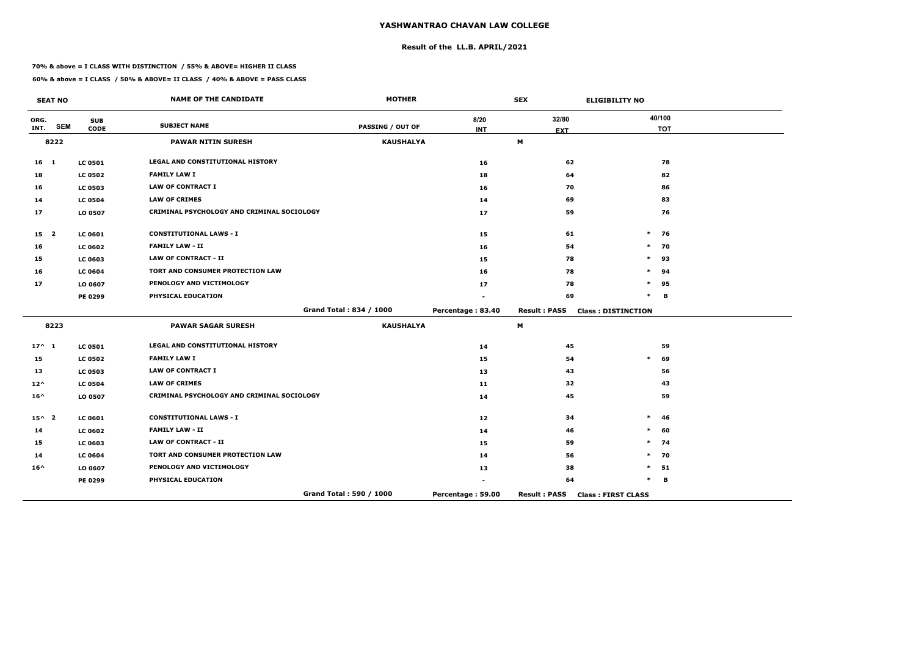# **Result of the LL.B. APRIL/2021**

#### **70% & above = I CLASS WITH DISTINCTION / 55% & ABOVE= HIGHER II CLASS**

|                 | <b>SEAT NO</b> |                           | <b>NAME OF THE CANDIDATE</b>               | <b>MOTHER</b>           |                   | <b>SEX</b>          | <b>ELIGIBILITY NO</b>     |
|-----------------|----------------|---------------------------|--------------------------------------------|-------------------------|-------------------|---------------------|---------------------------|
| ORG.<br>INT.    | <b>SEM</b>     | <b>SUB</b><br><b>CODE</b> | <b>SUBJECT NAME</b>                        | <b>PASSING / OUT OF</b> | 8/20              | 32/80               | 40/100<br><b>TOT</b>      |
|                 | 8222           |                           | <b>PAWAR NITIN SURESH</b>                  | <b>KAUSHALYA</b>        | <b>INT</b>        | <b>EXT</b><br>M     |                           |
|                 |                |                           |                                            |                         |                   |                     |                           |
| $16$ 1          |                | <b>LC 0501</b>            | <b>LEGAL AND CONSTITUTIONAL HISTORY</b>    |                         | 16                | 62                  | 78                        |
| 18              |                | <b>LC 0502</b>            | <b>FAMILY LAW I</b>                        |                         | 18                | 64                  | 82                        |
| 16              |                | <b>LC 0503</b>            | <b>LAW OF CONTRACT I</b>                   |                         | 16                | 70                  | 86                        |
| 14              |                | <b>LC 0504</b>            | <b>LAW OF CRIMES</b>                       |                         | 14                | 69                  | 83                        |
| 17              |                | LO 0507                   | CRIMINAL PSYCHOLOGY AND CRIMINAL SOCIOLOGY |                         | 17                | 59                  | 76                        |
| 15 <sub>2</sub> |                | <b>LC 0601</b>            | <b>CONSTITUTIONAL LAWS - I</b>             |                         | 15                | 61                  | $\ast$<br>76              |
| 16              |                | <b>LC 0602</b>            | <b>FAMILY LAW - II</b>                     |                         | 16                | 54                  | 70<br>$\ast$              |
| 15              |                | <b>LC 0603</b>            | <b>LAW OF CONTRACT - II</b>                |                         | 15                | 78                  | $\ast$<br>93              |
| 16              |                | <b>LC 0604</b>            | TORT AND CONSUMER PROTECTION LAW           |                         | 16                | 78                  | $\ast$<br>94              |
| 17              |                | LO 0607                   | PENOLOGY AND VICTIMOLOGY                   |                         | 17                | 78                  | $\ast$<br>95              |
|                 |                | PE 0299                   | PHYSICAL EDUCATION                         |                         |                   | 69                  | $\ast$<br>В               |
|                 |                |                           |                                            | Grand Total: 834 / 1000 | Percentage: 83.40 | <b>Result: PASS</b> | <b>Class: DISTINCTION</b> |
|                 | 8223           |                           | <b>PAWAR SAGAR SURESH</b>                  | <b>KAUSHALYA</b>        |                   | M                   |                           |
| $17^{\wedge} 1$ |                | <b>LC 0501</b>            | LEGAL AND CONSTITUTIONAL HISTORY           |                         | 14                | 45                  | 59                        |
| 15              |                | <b>LC 0502</b>            | <b>FAMILY LAW I</b>                        |                         | 15                | 54                  | $\ast$<br>69              |
| 13              |                | <b>LC 0503</b>            | <b>LAW OF CONTRACT I</b>                   |                         | 13                | 43                  | 56                        |
| $12^{\wedge}$   |                | <b>LC 0504</b>            | <b>LAW OF CRIMES</b>                       |                         | 11                | 32                  | 43                        |
| $16^{\wedge}$   |                | LO 0507                   | CRIMINAL PSYCHOLOGY AND CRIMINAL SOCIOLOGY |                         | 14                | 45                  | 59                        |
| $15^{\wedge}$ 2 |                | <b>LC 0601</b>            | <b>CONSTITUTIONAL LAWS - I</b>             |                         | 12                | 34                  | $\ast$<br>46              |
| 14              |                | <b>LC 0602</b>            | <b>FAMILY LAW - II</b>                     |                         | 14                | 46                  | $\ast$<br>60              |
| 15              |                | <b>LC 0603</b>            | <b>LAW OF CONTRACT - II</b>                |                         | 15                | 59                  | 74<br>$\ast$              |
| 14              |                | <b>LC 0604</b>            | TORT AND CONSUMER PROTECTION LAW           |                         | 14                | 56                  | 70<br>$\ast$              |
| $16^{\wedge}$   |                | LO 0607                   | PENOLOGY AND VICTIMOLOGY                   |                         | 13                | 38                  | $\ast$<br>51              |
|                 |                | PE 0299                   | PHYSICAL EDUCATION                         |                         |                   | 64                  | $\ast$<br>B               |
|                 |                |                           |                                            | Grand Total: 590 / 1000 | Percentage: 59.00 | <b>Result: PASS</b> | <b>Class: FIRST CLASS</b> |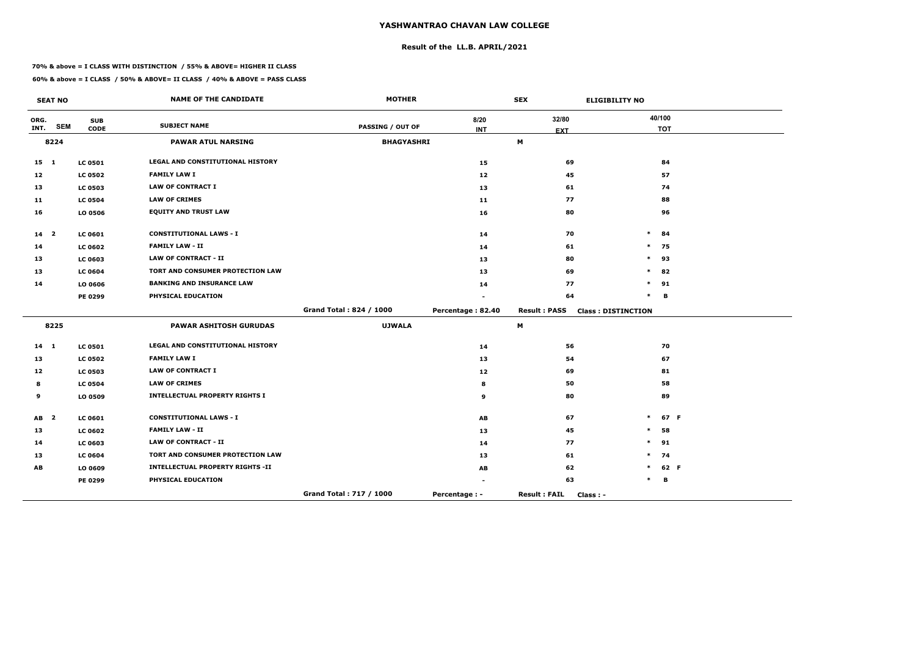# **Result of the LL.B. APRIL/2021**

#### **70% & above = I CLASS WITH DISTINCTION / 55% & ABOVE= HIGHER II CLASS**

|                 | <b>SEAT NO</b>          |                           | <b>NAME OF THE CANDIDATE</b>            | <b>MOTHER</b>           |                      | <b>SEX</b>                        | <b>ELIGIBILITY NO</b>     |
|-----------------|-------------------------|---------------------------|-----------------------------------------|-------------------------|----------------------|-----------------------------------|---------------------------|
| ORG.<br>INT.    | <b>SEM</b>              | <b>SUB</b><br><b>CODE</b> | <b>SUBJECT NAME</b>                     | <b>PASSING / OUT OF</b> | 8/20<br><b>INT</b>   | 32/80                             | 40/100<br><b>TOT</b>      |
|                 | 8224                    |                           | <b>PAWAR ATUL NARSING</b>               | <b>BHAGYASHRI</b>       |                      | <b>EXT</b><br>M                   |                           |
|                 |                         |                           |                                         |                         |                      |                                   |                           |
| $15$ 1          |                         | <b>LC 0501</b>            | LEGAL AND CONSTITUTIONAL HISTORY        |                         | 15                   | 69                                | 84                        |
| 12              |                         | <b>LC 0502</b>            | <b>FAMILY LAW I</b>                     |                         | 12                   | 45                                | 57                        |
| 13              |                         | <b>LC 0503</b>            | <b>LAW OF CONTRACT I</b>                |                         | 13                   | 61                                | 74                        |
| 11              |                         | <b>LC 0504</b>            | <b>LAW OF CRIMES</b>                    |                         | 11                   | 77                                | 88                        |
| 16              |                         | LO 0506                   | <b>EQUITY AND TRUST LAW</b>             |                         | 16                   | 80                                | 96                        |
| 14 <sub>2</sub> |                         | <b>LC 0601</b>            | <b>CONSTITUTIONAL LAWS - I</b>          |                         | 14                   | 70                                | $\ast$<br>84              |
| 14              |                         | <b>LC 0602</b>            | <b>FAMILY LAW - II</b>                  |                         | 14                   | 61                                | $\ast$<br>75              |
| 13              |                         | <b>LC 0603</b>            | <b>LAW OF CONTRACT - II</b>             |                         | 13                   | 80                                | $\ast$<br>93              |
| 13              |                         | <b>LC 0604</b>            | TORT AND CONSUMER PROTECTION LAW        |                         | 13                   | 69                                | 82<br>$\ast$              |
| 14              |                         | LO 0606                   | <b>BANKING AND INSURANCE LAW</b>        |                         | 14                   | 77                                | $\ast$<br>91              |
|                 |                         | PE 0299                   | PHYSICAL EDUCATION                      |                         |                      | 64                                | $\ast$<br>B               |
|                 |                         |                           |                                         | Grand Total: 824 / 1000 | Percentage: 82.40    | <b>Result: PASS</b>               | <b>Class: DISTINCTION</b> |
|                 | 8225                    |                           | <b>PAWAR ASHITOSH GURUDAS</b>           | <b>UJWALA</b>           |                      | M                                 |                           |
| $14 \quad 1$    |                         | <b>LC 0501</b>            | <b>LEGAL AND CONSTITUTIONAL HISTORY</b> |                         | 14                   | 56                                | 70                        |
| 13              |                         | <b>LC 0502</b>            | <b>FAMILY LAW I</b>                     |                         | 13                   | 54                                | 67                        |
| 12              |                         | <b>LC 0503</b>            | <b>LAW OF CONTRACT I</b>                |                         | 12                   | 69                                | 81                        |
| 8               |                         | <b>LC 0504</b>            | <b>LAW OF CRIMES</b>                    |                         | 8                    | 50                                | 58                        |
| 9               |                         | LO 0509                   | <b>INTELLECTUAL PROPERTY RIGHTS I</b>   |                         | 9                    | 80                                | 89                        |
| AB              | $\overline{\mathbf{2}}$ | <b>LC 0601</b>            | <b>CONSTITUTIONAL LAWS - I</b>          |                         | AB                   | 67                                | $\ast$<br>67 F            |
| 13              |                         | <b>LC 0602</b>            | <b>FAMILY LAW - II</b>                  |                         | 13                   | 45                                | $\ast$<br>58              |
| 14              |                         | <b>LC 0603</b>            | <b>LAW OF CONTRACT - II</b>             |                         | 14                   | 77                                | $\ast$<br>91              |
| 13              |                         | <b>LC 0604</b>            | TORT AND CONSUMER PROTECTION LAW        |                         | 13                   | 61                                | 74<br>$\ast$              |
| AB              |                         | LO 0609                   | <b>INTELLECTUAL PROPERTY RIGHTS -II</b> |                         | AB                   | 62                                | 62 F<br>*                 |
|                 |                         | PE 0299                   | PHYSICAL EDUCATION                      |                         |                      | 63                                | В<br>$\ast$               |
|                 |                         |                           |                                         | Grand Total: 717 / 1000 | <b>Percentage: -</b> | <b>Result: FAIL</b><br>$Class: -$ |                           |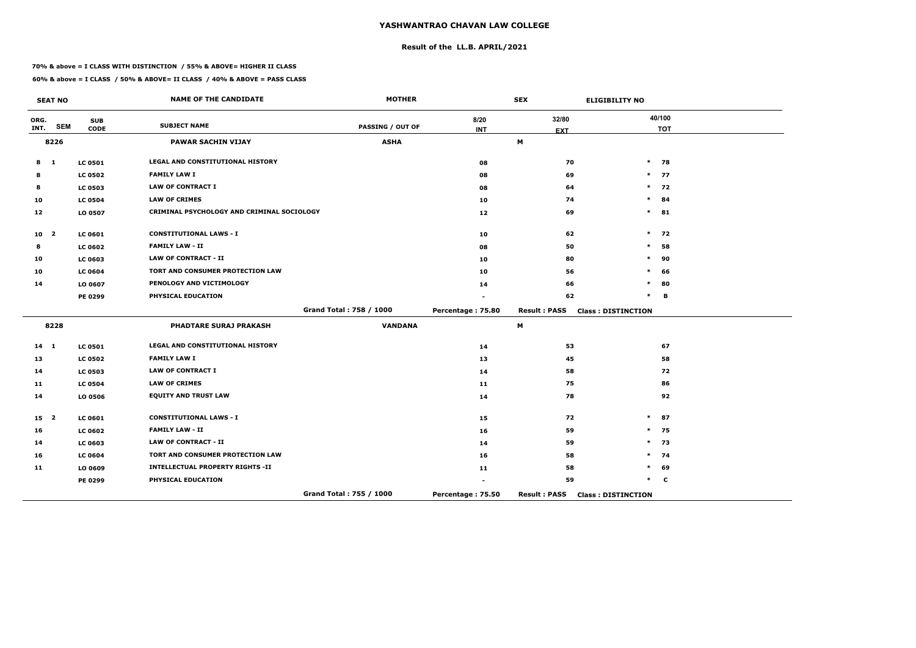# **Result of the LL.B. APRIL/2021**

#### **70% & above = I CLASS WITH DISTINCTION / 55% & ABOVE= HIGHER II CLASS**

|                 | <b>SEAT NO</b> |                           | <b>NAME OF THE CANDIDATE</b>               | <b>MOTHER</b>           |                    | <b>SEX</b>                | <b>ELIGIBILITY NO</b>     |
|-----------------|----------------|---------------------------|--------------------------------------------|-------------------------|--------------------|---------------------------|---------------------------|
| ORG.<br>INT.    | <b>SEM</b>     | <b>SUB</b><br><b>CODE</b> | <b>SUBJECT NAME</b>                        | <b>PASSING / OUT OF</b> | 8/20<br><b>INT</b> | 32/80<br><b>EXT</b>       | 40/100<br><b>TOT</b>      |
|                 | 8226           |                           | <b>PAWAR SACHIN VIJAY</b>                  | <b>ASHA</b>             |                    | $\boldsymbol{\mathsf{M}}$ |                           |
| 8               | $\mathbf{1}$   | <b>LC 0501</b>            | <b>LEGAL AND CONSTITUTIONAL HISTORY</b>    |                         | 08                 | 70                        | $*$ 78                    |
| 8               |                | <b>LC 0502</b>            | <b>FAMILY LAW I</b>                        |                         | 08                 | 69                        | $\ast$<br>77              |
| 8               |                | <b>LC 0503</b>            | <b>LAW OF CONTRACT I</b>                   |                         | 08                 | 64                        | $\ast$<br>72              |
| 10              |                | <b>LC 0504</b>            | <b>LAW OF CRIMES</b>                       |                         | 10                 | 74                        | $\ast$<br>84              |
| 12              |                | LO 0507                   | CRIMINAL PSYCHOLOGY AND CRIMINAL SOCIOLOGY |                         | 12                 | 69                        | $\ast$<br>81              |
| 10 <sub>2</sub> |                | <b>LC 0601</b>            | <b>CONSTITUTIONAL LAWS - I</b>             |                         | 10                 | 62                        | $\ast$<br>72              |
| 8               |                | <b>LC 0602</b>            | <b>FAMILY LAW - II</b>                     |                         | 08                 | 50                        | $\ast$<br>58              |
| 10              |                | LC 0603                   | <b>LAW OF CONTRACT - II</b>                |                         | 10                 | 80                        | $\ast$<br>90              |
| 10              |                | <b>LC 0604</b>            | TORT AND CONSUMER PROTECTION LAW           |                         | 10                 | 56                        | $\ast$<br>66              |
| 14              |                | LO 0607                   | PENOLOGY AND VICTIMOLOGY                   |                         | 14                 | 66                        | *<br>80                   |
|                 |                | PE 0299                   | PHYSICAL EDUCATION                         |                         |                    | 62                        | $\ast$<br>B               |
|                 |                |                           |                                            | Grand Total: 758 / 1000 | Percentage: 75.80  | <b>Result: PASS</b>       | <b>Class: DISTINCTION</b> |
|                 | 8228           |                           | <b>PHADTARE SURAJ PRAKASH</b>              | <b>VANDANA</b>          |                    | M                         |                           |
| $14 \quad 1$    |                | <b>LC 0501</b>            | LEGAL AND CONSTITUTIONAL HISTORY           |                         | 14                 | 53                        | 67                        |
| 13              |                | <b>LC 0502</b>            | <b>FAMILY LAW I</b>                        |                         | 13                 | 45                        | 58                        |
| 14              |                | <b>LC 0503</b>            | <b>LAW OF CONTRACT I</b>                   |                         | 14                 | 58                        | 72                        |
| 11              |                | <b>LC 0504</b>            | <b>LAW OF CRIMES</b>                       |                         | 11                 | 75                        | 86                        |
| 14              |                | LO 0506                   | <b>EQUITY AND TRUST LAW</b>                |                         | 14                 | 78                        | 92                        |
| 15 <sub>2</sub> |                | LC 0601                   | <b>CONSTITUTIONAL LAWS - I</b>             |                         | 15                 | 72                        | $\ast$<br>87              |
| 16              |                | <b>LC 0602</b>            | <b>FAMILY LAW - II</b>                     |                         | 16                 | 59                        | $\ast$<br>75              |
| 14              |                | LC 0603                   | <b>LAW OF CONTRACT - II</b>                |                         | 14                 | 59                        | $\ast$<br>73              |
| 16              |                | <b>LC 0604</b>            | TORT AND CONSUMER PROTECTION LAW           |                         | 16                 | 58                        | $\ast$<br>74              |
| 11              |                | LO 0609                   | <b>INTELLECTUAL PROPERTY RIGHTS -II</b>    |                         | 11                 | 58                        | *<br>69                   |
|                 |                | PE 0299                   | PHYSICAL EDUCATION                         |                         |                    | 59                        | $\ast$<br>C               |
|                 |                |                           |                                            | Grand Total: 755 / 1000 | Percentage: 75.50  | <b>Result: PASS</b>       | <b>Class: DISTINCTION</b> |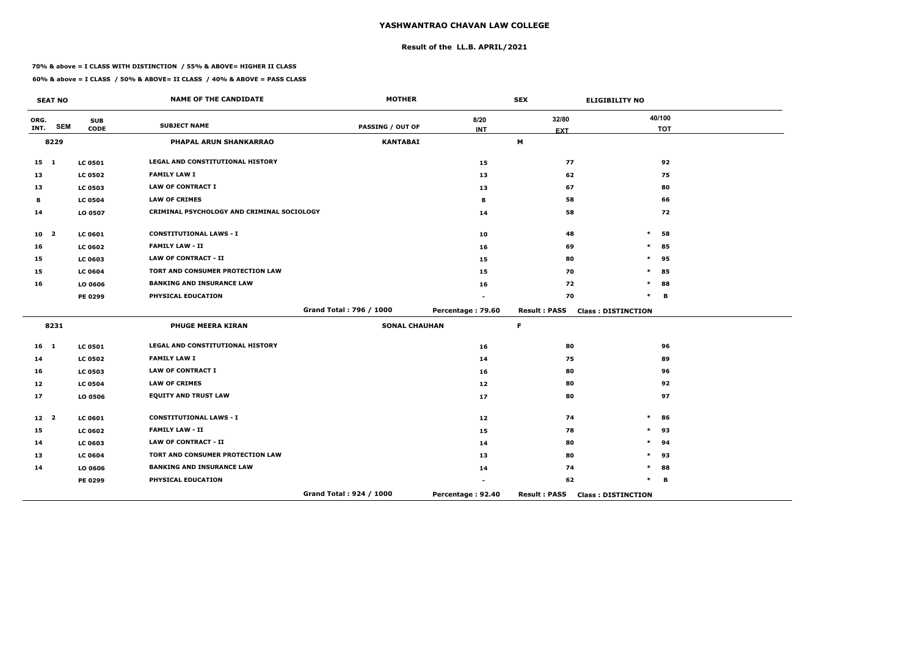# **Result of the LL.B. APRIL/2021**

#### **70% & above = I CLASS WITH DISTINCTION / 55% & ABOVE= HIGHER II CLASS**

|                 | <b>SEAT NO</b> |                           | <b>NAME OF THE CANDIDATE</b>               | <b>MOTHER</b>           |                    | <b>SEX</b>          | <b>ELIGIBILITY NO</b>     |
|-----------------|----------------|---------------------------|--------------------------------------------|-------------------------|--------------------|---------------------|---------------------------|
| ORG.<br>INT.    | <b>SEM</b>     | <b>SUB</b><br><b>CODE</b> | <b>SUBJECT NAME</b>                        | PASSING / OUT OF        | 8/20<br><b>INT</b> | 32/80               | 40/100<br><b>TOT</b>      |
|                 | 8229           |                           | <b>PHAPAL ARUN SHANKARRAO</b>              | <b>KANTABAI</b>         |                    | <b>EXT</b><br>M     |                           |
|                 |                |                           |                                            |                         |                    |                     |                           |
| $15 \quad 1$    |                | <b>LC 0501</b>            | LEGAL AND CONSTITUTIONAL HISTORY           |                         | 15                 | 77                  | 92                        |
| 13              |                | <b>LC 0502</b>            | <b>FAMILY LAW I</b>                        |                         | 13                 | 62                  | 75                        |
| 13              |                | <b>LC 0503</b>            | <b>LAW OF CONTRACT I</b>                   |                         | 13                 | 67                  | 80                        |
| 8               |                | <b>LC 0504</b>            | <b>LAW OF CRIMES</b>                       |                         | 8                  | 58                  | 66                        |
| 14              |                | LO 0507                   | CRIMINAL PSYCHOLOGY AND CRIMINAL SOCIOLOGY |                         | 14                 | 58                  | 72                        |
| 10 <sub>2</sub> |                | <b>LC 0601</b>            | <b>CONSTITUTIONAL LAWS - I</b>             |                         | 10                 | 48                  | $\ast$<br>58              |
| 16              |                | <b>LC 0602</b>            | <b>FAMILY LAW - II</b>                     |                         | 16                 | 69                  | $\ast$<br>85              |
| 15              |                | LC 0603                   | <b>LAW OF CONTRACT - II</b>                |                         | 15                 | 80                  | 95<br>$\ast$              |
| 15              |                | <b>LC 0604</b>            | TORT AND CONSUMER PROTECTION LAW           |                         | 15                 | 70                  | 85<br>$\ast$              |
| 16              |                | LO 0606                   | <b>BANKING AND INSURANCE LAW</b>           |                         | 16                 | 72                  | $\ast$<br>88              |
|                 |                | PE 0299                   | PHYSICAL EDUCATION                         |                         |                    | 70                  | $\ast$<br>B               |
|                 |                |                           |                                            | Grand Total: 796 / 1000 | Percentage: 79.60  | <b>Result: PASS</b> | <b>Class: DISTINCTION</b> |
|                 | 8231           |                           | <b>PHUGE MEERA KIRAN</b>                   | <b>SONAL CHAUHAN</b>    |                    | $\mathsf F$         |                           |
| 16 <sub>1</sub> |                | <b>LC 0501</b>            | LEGAL AND CONSTITUTIONAL HISTORY           |                         | 16                 | 80                  | 96                        |
| 14              |                | <b>LC 0502</b>            | <b>FAMILY LAW I</b>                        |                         | 14                 | 75                  | 89                        |
| 16              |                | <b>LC 0503</b>            | <b>LAW OF CONTRACT I</b>                   |                         | 16                 | 80                  | 96                        |
| 12              |                | <b>LC 0504</b>            | <b>LAW OF CRIMES</b>                       |                         | 12 <sub>1</sub>    | 80                  | 92                        |
| 17              |                | LO 0506                   | <b>EQUITY AND TRUST LAW</b>                |                         | 17                 | 80                  | 97                        |
| 12 <sup>2</sup> |                | LC 0601                   | <b>CONSTITUTIONAL LAWS - I</b>             |                         | 12                 | 74                  | $\ast$<br>86              |
| 15              |                | <b>LC 0602</b>            | <b>FAMILY LAW - II</b>                     |                         | 15                 | 78                  | 93<br>$\ast$              |
| 14              |                | LC 0603                   | <b>LAW OF CONTRACT - II</b>                |                         | 14                 | 80                  | $\ast$<br>94              |
| 13              |                | <b>LC 0604</b>            | TORT AND CONSUMER PROTECTION LAW           |                         | 13                 | 80                  | $\ast$<br>93              |
| 14              |                | LO 0606                   | <b>BANKING AND INSURANCE LAW</b>           |                         | 14                 | 74                  | 88<br>$\ast$              |
|                 |                | PE 0299                   | PHYSICAL EDUCATION                         |                         |                    | 62                  | $\ast$<br>B               |
|                 |                |                           |                                            | Grand Total: 924 / 1000 | Percentage: 92.40  | <b>Result: PASS</b> | <b>Class: DISTINCTION</b> |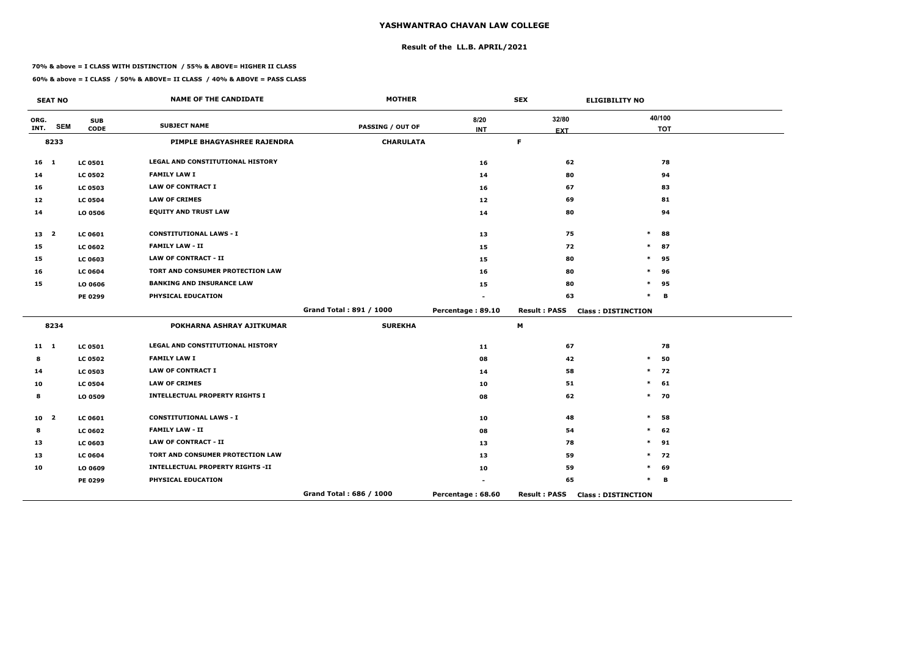# **Result of the LL.B. APRIL/2021**

#### **70% & above = I CLASS WITH DISTINCTION / 55% & ABOVE= HIGHER II CLASS**

|              | <b>SEAT NO</b>          |                           | <b>NAME OF THE CANDIDATE</b>            | <b>MOTHER</b>           |                   | <b>SEX</b>                |                           | <b>ELIGIBILITY NO</b> |  |
|--------------|-------------------------|---------------------------|-----------------------------------------|-------------------------|-------------------|---------------------------|---------------------------|-----------------------|--|
| ORG.<br>INT. | <b>SEM</b>              | <b>SUB</b><br><b>CODE</b> | <b>SUBJECT NAME</b>                     | <b>PASSING / OUT OF</b> | 8/20              | 32/80                     |                           | 40/100<br><b>TOT</b>  |  |
|              | 8233                    |                           | PIMPLE BHAGYASHREE RAJENDRA             | <b>CHARULATA</b>        | <b>INT</b>        | <b>EXT</b><br>$\mathsf F$ |                           |                       |  |
|              |                         |                           |                                         |                         |                   |                           |                           |                       |  |
| $16$ 1       |                         | <b>LC 0501</b>            | LEGAL AND CONSTITUTIONAL HISTORY        |                         | 16                | 62                        |                           | 78                    |  |
| 14           |                         | <b>LC 0502</b>            | <b>FAMILY LAW I</b>                     |                         | 14                | 80                        |                           | 94                    |  |
| 16           |                         | <b>LC 0503</b>            | <b>LAW OF CONTRACT I</b>                |                         | 16                | 67                        |                           | 83                    |  |
| 12           |                         | <b>LC 0504</b>            | <b>LAW OF CRIMES</b>                    |                         | 12 <sub>1</sub>   | 69                        |                           | 81                    |  |
| 14           |                         | LO 0506                   | <b>EQUITY AND TRUST LAW</b>             |                         | 14                | 80                        |                           | 94                    |  |
| 13 2         |                         | LC 0601                   | <b>CONSTITUTIONAL LAWS - I</b>          |                         | 13                | 75                        | $\ast$                    | 88                    |  |
| 15           |                         | <b>LC 0602</b>            | <b>FAMILY LAW - II</b>                  |                         | 15                | 72                        | $\ast$                    | 87                    |  |
| 15           |                         | <b>LC 0603</b>            | <b>LAW OF CONTRACT - II</b>             |                         | 15                | 80                        | $\ast$                    | 95                    |  |
| 16           |                         | <b>LC 0604</b>            | TORT AND CONSUMER PROTECTION LAW        |                         | 16                | 80                        | $\ast$                    | 96                    |  |
| 15           |                         | LO 0606                   | <b>BANKING AND INSURANCE LAW</b>        |                         | 15                | 80                        | $\ast$                    | 95                    |  |
|              |                         | PE 0299                   | PHYSICAL EDUCATION                      |                         |                   | 63                        | $\ast$                    | B                     |  |
|              |                         |                           |                                         | Grand Total: 891 / 1000 | Percentage: 89.10 | <b>Result: PASS</b>       | <b>Class: DISTINCTION</b> |                       |  |
|              | 8234                    |                           | POKHARNA ASHRAY AJITKUMAR               | <b>SUREKHA</b>          |                   | M                         |                           |                       |  |
| $11 \quad 1$ |                         | <b>LC 0501</b>            | LEGAL AND CONSTITUTIONAL HISTORY        |                         | 11                | 67                        |                           | 78                    |  |
| 8            |                         | <b>LC 0502</b>            | <b>FAMILY LAW I</b>                     |                         | 08                | 42                        | $\ast$                    | 50                    |  |
| 14           |                         | <b>LC 0503</b>            | <b>LAW OF CONTRACT I</b>                |                         | 14                | 58                        | $\ast$                    | 72                    |  |
| 10           |                         | <b>LC 0504</b>            | <b>LAW OF CRIMES</b>                    |                         | 10                | 51                        | $\ast$                    | 61                    |  |
| 8            |                         | LO 0509                   | <b>INTELLECTUAL PROPERTY RIGHTS I</b>   |                         | 08                | 62                        | $\ast$                    | 70                    |  |
| 10           | $\overline{\mathbf{2}}$ | <b>LC 0601</b>            | <b>CONSTITUTIONAL LAWS - I</b>          |                         | 10                | 48                        | $\ast$                    | 58                    |  |
| 8            |                         | <b>LC 0602</b>            | <b>FAMILY LAW - II</b>                  |                         | 08                | 54                        | $\ast$                    | 62                    |  |
| 13           |                         | <b>LC 0603</b>            | <b>LAW OF CONTRACT - II</b>             |                         | 13                | 78                        | $\ast$                    | 91                    |  |
| 13           |                         | <b>LC 0604</b>            | TORT AND CONSUMER PROTECTION LAW        |                         | 13                | 59                        | $\ast$                    | 72                    |  |
| 10           |                         | LO 0609                   | <b>INTELLECTUAL PROPERTY RIGHTS -II</b> |                         | 10                | 59                        | $\ast$                    | 69                    |  |
|              |                         | PE 0299                   | PHYSICAL EDUCATION                      |                         |                   | 65                        | $\ast$                    | B                     |  |
|              |                         |                           |                                         | Grand Total: 686 / 1000 | Percentage: 68.60 | <b>Result: PASS</b>       | <b>Class: DISTINCTION</b> |                       |  |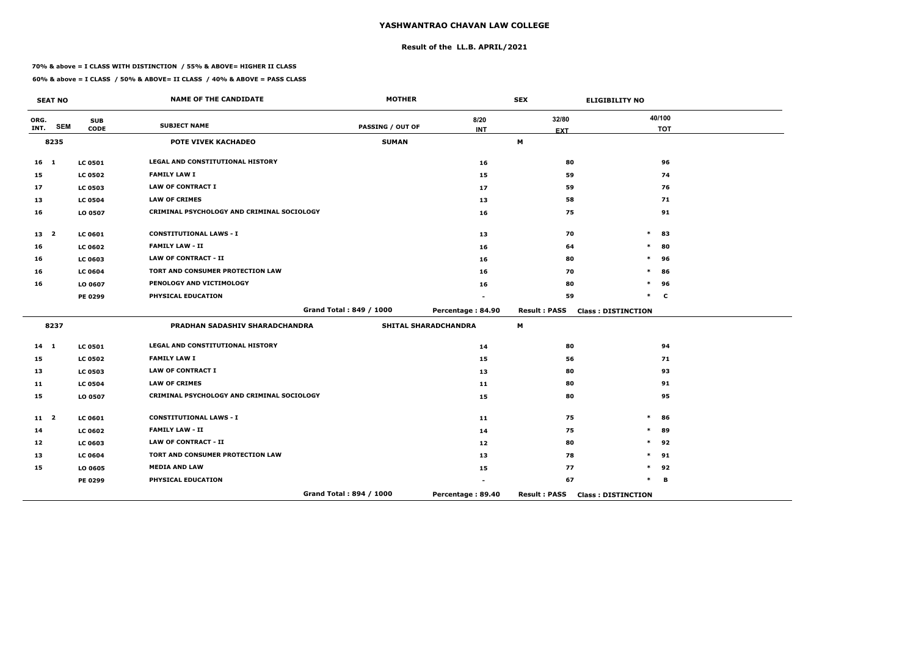# **Result of the LL.B. APRIL/2021**

#### **70% & above = I CLASS WITH DISTINCTION / 55% & ABOVE= HIGHER II CLASS**

|              | <b>SEAT NO</b> |                           | <b>NAME OF THE CANDIDATE</b>               | <b>MOTHER</b>           |                             | <b>SEX</b>          | <b>ELIGIBILITY NO</b>     |
|--------------|----------------|---------------------------|--------------------------------------------|-------------------------|-----------------------------|---------------------|---------------------------|
| ORG.<br>INT. | <b>SEM</b>     | <b>SUB</b><br><b>CODE</b> | <b>SUBJECT NAME</b>                        | <b>PASSING / OUT OF</b> | 8/20<br><b>INT</b>          | 32/80<br><b>EXT</b> | 40/100<br><b>TOT</b>      |
|              | 8235           |                           | POTE VIVEK KACHADEO                        | <b>SUMAN</b>            |                             | M                   |                           |
| $16$ 1       |                | <b>LC 0501</b>            | <b>LEGAL AND CONSTITUTIONAL HISTORY</b>    |                         | 16                          | 80                  | 96                        |
| 15           |                | <b>LC 0502</b>            | <b>FAMILY LAW I</b>                        |                         | 15                          | 59                  | 74                        |
| 17           |                | <b>LC 0503</b>            | <b>LAW OF CONTRACT I</b>                   |                         | 17                          | 59                  | 76                        |
| 13           |                | <b>LC 0504</b>            | <b>LAW OF CRIMES</b>                       |                         | 13                          | 58                  | 71                        |
| 16           |                | LO 0507                   | CRIMINAL PSYCHOLOGY AND CRIMINAL SOCIOLOGY |                         | 16                          | 75                  | 91                        |
| 13 2         |                | <b>LC 0601</b>            | <b>CONSTITUTIONAL LAWS - I</b>             |                         | 13                          | 70                  | $\ast$<br>83              |
| 16           |                | <b>LC 0602</b>            | <b>FAMILY LAW - II</b>                     |                         | 16                          | 64                  | 80<br>$\ast$              |
| 16           |                | <b>LC 0603</b>            | <b>LAW OF CONTRACT - II</b>                |                         | 16                          | 80                  | $\ast$<br>96              |
| 16           |                | <b>LC 0604</b>            | TORT AND CONSUMER PROTECTION LAW           |                         | 16                          | 70                  | *<br>86                   |
| 16           |                | LO 0607                   | PENOLOGY AND VICTIMOLOGY                   |                         | 16                          | 80                  | $\ast$<br>96              |
|              |                | PE 0299                   | PHYSICAL EDUCATION                         |                         |                             | 59                  | $\ast$<br>C               |
|              |                |                           |                                            | Grand Total: 849 / 1000 | Percentage: 84.90           | <b>Result: PASS</b> | <b>Class: DISTINCTION</b> |
|              | 8237           |                           | PRADHAN SADASHIV SHARADCHANDRA             |                         | <b>SHITAL SHARADCHANDRA</b> | M                   |                           |
| $14 \quad 1$ |                | <b>LC 0501</b>            | <b>LEGAL AND CONSTITUTIONAL HISTORY</b>    |                         | 14                          | 80                  | 94                        |
| 15           |                | <b>LC 0502</b>            | <b>FAMILY LAW I</b>                        |                         | 15                          | 56                  | 71                        |
| 13           |                | <b>LC 0503</b>            | <b>LAW OF CONTRACT I</b>                   |                         | 13                          | 80                  | 93                        |
| 11           |                | <b>LC 0504</b>            | <b>LAW OF CRIMES</b>                       |                         | 11                          | 80                  | 91                        |
| 15           |                | LO 0507                   | CRIMINAL PSYCHOLOGY AND CRIMINAL SOCIOLOGY |                         | 15                          | 80                  | 95                        |
| $11 \quad 2$ |                | <b>LC 0601</b>            | <b>CONSTITUTIONAL LAWS - I</b>             |                         | 11                          | 75                  | $\ast$<br>86              |
| 14           |                | <b>LC 0602</b>            | <b>FAMILY LAW - II</b>                     |                         | 14                          | 75                  | $\ast$<br>89              |
| 12           |                | <b>LC 0603</b>            | <b>LAW OF CONTRACT - II</b>                |                         | 12                          | 80                  | 92<br>$\ast$              |
| 13           |                | <b>LC 0604</b>            | TORT AND CONSUMER PROTECTION LAW           |                         | 13                          | 78                  | $\ast$<br>91              |
| 15           |                | LO 0605                   | <b>MEDIA AND LAW</b>                       |                         | 15                          | 77                  | $\ast$<br>92              |
|              |                | PE 0299                   | PHYSICAL EDUCATION                         |                         |                             | 67                  | $\ast$<br>В               |
|              |                |                           |                                            | Grand Total: 894 / 1000 | Percentage: 89.40           | <b>Result: PASS</b> | <b>Class: DISTINCTION</b> |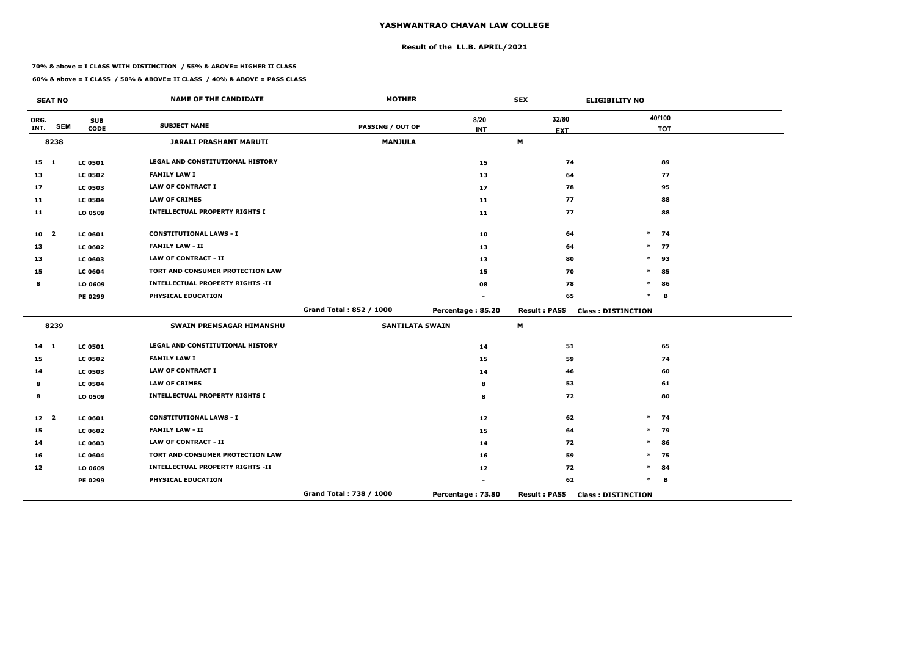# **Result of the LL.B. APRIL/2021**

#### **70% & above = I CLASS WITH DISTINCTION / 55% & ABOVE= HIGHER II CLASS**

|                 | <b>SEAT NO</b> |                           | <b>NAME OF THE CANDIDATE</b>            | <b>MOTHER</b>           |                    | <b>SEX</b>          | <b>ELIGIBILITY NO</b>     |
|-----------------|----------------|---------------------------|-----------------------------------------|-------------------------|--------------------|---------------------|---------------------------|
| ORG.<br>INT.    | <b>SEM</b>     | <b>SUB</b><br><b>CODE</b> | <b>SUBJECT NAME</b>                     | <b>PASSING / OUT OF</b> | 8/20<br><b>INT</b> | 32/80<br><b>EXT</b> | 40/100<br><b>TOT</b>      |
|                 | 8238           |                           | <b>JARALI PRASHANT MARUTI</b>           | <b>MANJULA</b>          |                    | M                   |                           |
| $15$ 1          |                | <b>LC 0501</b>            | LEGAL AND CONSTITUTIONAL HISTORY        |                         | 15                 | 74                  | 89                        |
| 13              |                | <b>LC 0502</b>            | <b>FAMILY LAW I</b>                     |                         | 13                 | 64                  | 77                        |
| 17              |                | <b>LC 0503</b>            | <b>LAW OF CONTRACT I</b>                |                         | 17                 | 78                  | 95                        |
| 11              |                | <b>LC 0504</b>            | <b>LAW OF CRIMES</b>                    |                         | 11                 | 77                  | 88                        |
| 11              |                | LO 0509                   | <b>INTELLECTUAL PROPERTY RIGHTS I</b>   |                         | 11                 | 77                  | 88                        |
| 10 <sub>2</sub> |                | <b>LC 0601</b>            | <b>CONSTITUTIONAL LAWS - I</b>          |                         | 10                 | 64                  | $\ast$<br>74              |
| 13              |                | <b>LC 0602</b>            | <b>FAMILY LAW - II</b>                  |                         | 13                 | 64                  | $\ast$<br>77              |
| 13              |                | <b>LC 0603</b>            | <b>LAW OF CONTRACT - II</b>             |                         | 13                 | 80                  | $\ast$<br>93              |
| 15              |                | <b>LC 0604</b>            | TORT AND CONSUMER PROTECTION LAW        |                         | 15                 | 70                  | 85<br>$\ast$              |
| 8               |                | LO 0609                   | <b>INTELLECTUAL PROPERTY RIGHTS -II</b> |                         | 08                 | 78                  | $\ast$<br>86              |
|                 |                | PE 0299                   | PHYSICAL EDUCATION                      |                         |                    | 65                  | $\ast$<br>B               |
|                 |                |                           |                                         | Grand Total: 852 / 1000 | Percentage: 85.20  | <b>Result: PASS</b> | <b>Class: DISTINCTION</b> |
|                 | 8239           |                           | <b>SWAIN PREMSAGAR HIMANSHU</b>         | <b>SANTILATA SWAIN</b>  |                    | М                   |                           |
| $14 \quad 1$    |                | <b>LC 0501</b>            | <b>LEGAL AND CONSTITUTIONAL HISTORY</b> |                         | 14                 | 51                  | 65                        |
| 15              |                | <b>LC 0502</b>            | <b>FAMILY LAW I</b>                     |                         | 15                 | 59                  | 74                        |
| 14              |                | <b>LC 0503</b>            | <b>LAW OF CONTRACT I</b>                |                         | 14                 | 46                  | 60                        |
| 8               |                | <b>LC 0504</b>            | <b>LAW OF CRIMES</b>                    |                         | 8                  | 53                  | 61                        |
| 8               |                | LO 0509                   | <b>INTELLECTUAL PROPERTY RIGHTS I</b>   |                         | 8                  | 72                  | 80                        |
| 12 <sup>2</sup> |                | <b>LC 0601</b>            | <b>CONSTITUTIONAL LAWS - I</b>          |                         | 12                 | 62                  | $\ast$<br>74              |
| 15              |                | <b>LC 0602</b>            | <b>FAMILY LAW - II</b>                  |                         | 15                 | 64                  | 79<br>$\ast$              |
| 14              |                | LC 0603                   | <b>LAW OF CONTRACT - II</b>             |                         | 14                 | 72                  | 86<br>$\ast$              |
| 16              |                | <b>LC 0604</b>            | TORT AND CONSUMER PROTECTION LAW        |                         | 16                 | 59                  | $\ast$<br>75              |
| 12              |                | LO 0609                   | <b>INTELLECTUAL PROPERTY RIGHTS -II</b> |                         | 12                 | 72                  | *<br>84                   |
|                 |                | PE 0299                   | PHYSICAL EDUCATION                      |                         |                    | 62                  | $\ast$<br>В               |
|                 |                |                           |                                         | Grand Total: 738 / 1000 | Percentage: 73.80  | <b>Result: PASS</b> | <b>Class: DISTINCTION</b> |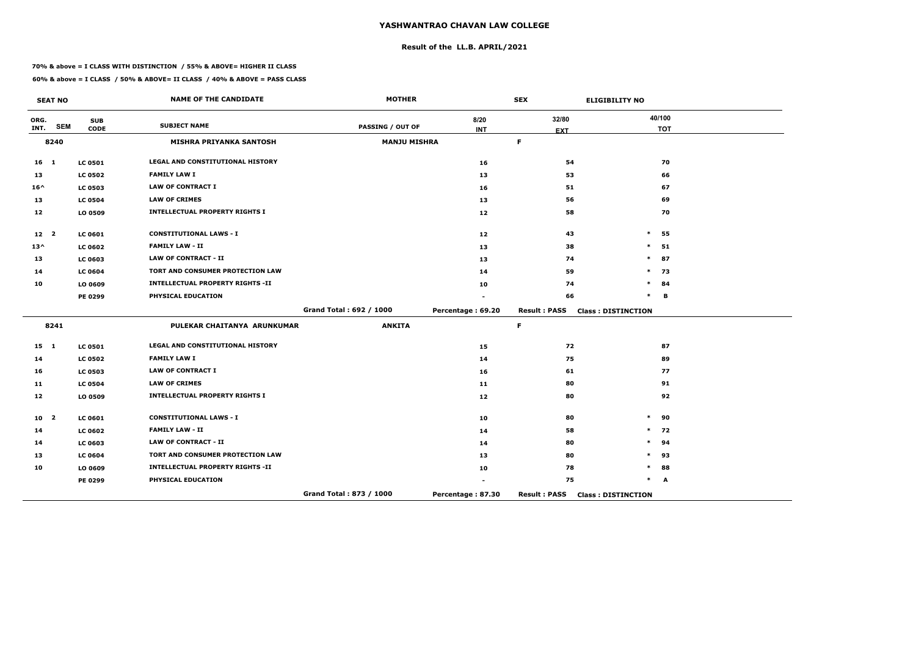# **Result of the LL.B. APRIL/2021**

#### **70% & above = I CLASS WITH DISTINCTION / 55% & ABOVE= HIGHER II CLASS**

**60% & above = I CLASS / 50% & ABOVE= II CLASS / 40% & ABOVE = PASS CLASS**

 $\overline{\phantom{a}}$ 

|                 | <b>SEAT NO</b>          |                | <b>NAME OF THE CANDIDATE</b>            | <b>MOTHER</b>           |                     | <b>SEX</b>                | <b>ELIGIBILITY NO</b>     |
|-----------------|-------------------------|----------------|-----------------------------------------|-------------------------|---------------------|---------------------------|---------------------------|
| ORG.            | <b>SEM</b>              | <b>SUB</b>     | <b>SUBJECT NAME</b>                     | <b>PASSING / OUT OF</b> | 8/20                | 32/80                     | 40/100                    |
| INT.            |                         | <b>CODE</b>    |                                         |                         | <b>INT</b>          | <b>EXT</b><br>$\mathsf F$ | <b>TOT</b>                |
|                 | 8240                    |                | <b>MISHRA PRIYANKA SANTOSH</b>          |                         | <b>MANJU MISHRA</b> |                           |                           |
| $16$ 1          |                         | <b>LC 0501</b> | <b>LEGAL AND CONSTITUTIONAL HISTORY</b> |                         | 16                  | 54                        | 70                        |
| 13              |                         | <b>LC 0502</b> | <b>FAMILY LAW I</b>                     |                         | 13                  | 53                        | 66                        |
| $16^{\wedge}$   |                         | <b>LC 0503</b> | <b>LAW OF CONTRACT I</b>                |                         | 16                  | 51                        | 67                        |
| 13              |                         | <b>LC 0504</b> | <b>LAW OF CRIMES</b>                    |                         | 13                  | 56                        | 69                        |
| 12              |                         | LO 0509        | <b>INTELLECTUAL PROPERTY RIGHTS I</b>   |                         | 12                  | 58                        | 70                        |
| 12 <sub>2</sub> |                         | <b>LC 0601</b> | <b>CONSTITUTIONAL LAWS - I</b>          |                         | 12                  | 43                        | $\ast$<br>55              |
| $13^{\wedge}$   |                         | <b>LC 0602</b> | <b>FAMILY LAW - II</b>                  |                         | 13                  | 38                        | $\ast$<br>51              |
| 13              |                         | LC 0603        | <b>LAW OF CONTRACT - II</b>             |                         | 13                  | 74                        | 87<br>$\ast$              |
| 14              |                         | <b>LC 0604</b> | TORT AND CONSUMER PROTECTION LAW        |                         | 14                  | 59                        | $\ast$<br>73              |
| 10              |                         | LO 0609        | <b>INTELLECTUAL PROPERTY RIGHTS -II</b> |                         | 10                  | 74                        | $\ast$<br>84              |
|                 |                         | <b>PE 0299</b> | PHYSICAL EDUCATION                      |                         |                     | 66                        | $\ast$<br>B               |
|                 |                         |                |                                         | Grand Total: 692 / 1000 | Percentage: 69.20   | <b>Result: PASS</b>       | <b>Class: DISTINCTION</b> |
|                 | 8241                    |                | PULEKAR CHAITANYA ARUNKUMAR             | <b>ANKITA</b>           |                     | $\mathsf F$               |                           |
| $15 \quad 1$    |                         | <b>LC 0501</b> | LEGAL AND CONSTITUTIONAL HISTORY        |                         | 15                  | 72                        | 87                        |
| 14              |                         | <b>LC 0502</b> | <b>FAMILY LAW I</b>                     |                         | 14                  | 75                        | 89                        |
| 16              |                         | <b>LC 0503</b> | <b>LAW OF CONTRACT I</b>                |                         | 16                  | 61                        | 77                        |
| 11              |                         | <b>LC 0504</b> | <b>LAW OF CRIMES</b>                    |                         | 11                  | 80                        | 91                        |
| 12              |                         | LO 0509        | <b>INTELLECTUAL PROPERTY RIGHTS I</b>   |                         | 12                  | 80                        | 92                        |
| 10              | $\overline{\mathbf{2}}$ | <b>LC 0601</b> | <b>CONSTITUTIONAL LAWS - I</b>          |                         | 10                  | 80                        | 90<br>$\ast$              |
| 14              |                         | <b>LC 0602</b> | <b>FAMILY LAW - II</b>                  |                         | 14                  | 58                        | 72<br>$\ast$              |
| 14              |                         | LC 0603        | <b>LAW OF CONTRACT - II</b>             |                         | 14                  | 80                        | 94<br>$\ast$              |
| 13              |                         | <b>LC 0604</b> | TORT AND CONSUMER PROTECTION LAW        |                         | 13                  | 80                        | 93<br>$\ast$              |
| 10              |                         | LO 0609        | <b>INTELLECTUAL PROPERTY RIGHTS -II</b> |                         | 10                  | 78                        | 88<br>$\ast$              |
|                 |                         | <b>PE 0299</b> | PHYSICAL EDUCATION                      |                         |                     | 75                        | $\ast$<br>A               |
|                 |                         |                |                                         | Grand Total: 873 / 1000 | Percentage: 87.30   | <b>Result: PASS</b>       | <b>Class: DISTINCTION</b> |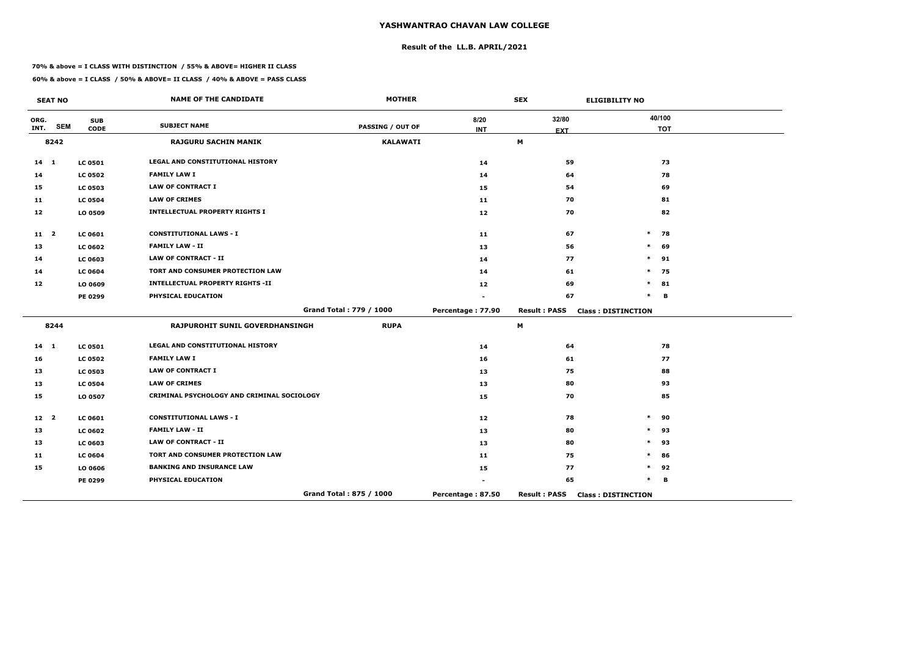# **Result of the LL.B. APRIL/2021**

#### **70% & above = I CLASS WITH DISTINCTION / 55% & ABOVE= HIGHER II CLASS**

|                 | <b>SEAT NO</b> |                           | <b>NAME OF THE CANDIDATE</b>               | <b>MOTHER</b>           |                   | <b>SEX</b>          | <b>ELIGIBILITY NO</b>     |
|-----------------|----------------|---------------------------|--------------------------------------------|-------------------------|-------------------|---------------------|---------------------------|
| ORG.<br>INT.    | <b>SEM</b>     | <b>SUB</b><br><b>CODE</b> | <b>SUBJECT NAME</b>                        | <b>PASSING / OUT OF</b> | 8/20              | 32/80               | 40/100<br><b>TOT</b>      |
|                 | 8242           |                           | <b>RAJGURU SACHIN MANIK</b>                | <b>KALAWATI</b>         | <b>INT</b>        | <b>EXT</b><br>M     |                           |
|                 |                |                           |                                            |                         |                   |                     |                           |
| $14 \quad 1$    |                | <b>LC 0501</b>            | LEGAL AND CONSTITUTIONAL HISTORY           |                         | 14                | 59                  | 73                        |
| 14              |                | <b>LC 0502</b>            | <b>FAMILY LAW I</b>                        |                         | 14                | 64                  | 78                        |
| 15              |                | <b>LC 0503</b>            | <b>LAW OF CONTRACT I</b>                   |                         | 15                | 54                  | 69                        |
| 11              |                | <b>LC 0504</b>            | <b>LAW OF CRIMES</b>                       |                         | 11                | 70                  | 81                        |
| 12              |                | LO 0509                   | <b>INTELLECTUAL PROPERTY RIGHTS I</b>      |                         | 12                | 70                  | 82                        |
| 11 <sub>2</sub> |                | <b>LC 0601</b>            | <b>CONSTITUTIONAL LAWS - I</b>             |                         | 11                | 67                  | $*$ 78                    |
| 13              |                | <b>LC 0602</b>            | <b>FAMILY LAW - II</b>                     |                         | 13                | 56                  | $\ast$<br>69              |
| 14              |                | LC 0603                   | <b>LAW OF CONTRACT - II</b>                |                         | 14                | 77                  | $\ast$<br>91              |
| 14              |                | <b>LC 0604</b>            | TORT AND CONSUMER PROTECTION LAW           |                         | 14                | 61                  | $\ast$<br>75              |
| 12              |                | LO 0609                   | <b>INTELLECTUAL PROPERTY RIGHTS -II</b>    |                         | 12                | 69                  | $\ast$<br>81              |
|                 |                | PE 0299                   | PHYSICAL EDUCATION                         |                         |                   | 67                  | $\ast$<br>в               |
|                 |                |                           |                                            | Grand Total: 779 / 1000 | Percentage: 77.90 | <b>Result: PASS</b> | <b>Class: DISTINCTION</b> |
|                 | 8244           |                           | RAJPUROHIT SUNIL GOVERDHANSINGH            | <b>RUPA</b>             |                   | M                   |                           |
| $14 \quad 1$    |                | <b>LC 0501</b>            | LEGAL AND CONSTITUTIONAL HISTORY           |                         | 14                | 64                  | 78                        |
| 16              |                | <b>LC 0502</b>            | <b>FAMILY LAW I</b>                        |                         | 16                | 61                  | 77                        |
| 13              |                | <b>LC 0503</b>            | <b>LAW OF CONTRACT I</b>                   |                         | 13                | 75                  | 88                        |
| 13              |                | <b>LC 0504</b>            | <b>LAW OF CRIMES</b>                       |                         | 13                | 80                  | 93                        |
| 15              |                | LO 0507                   | CRIMINAL PSYCHOLOGY AND CRIMINAL SOCIOLOGY |                         | 15                | 70                  | 85                        |
| 12 <sup>2</sup> |                | <b>LC 0601</b>            | <b>CONSTITUTIONAL LAWS - I</b>             |                         | 12                | 78                  | $\ast$<br>90              |
| 13              |                | <b>LC 0602</b>            | <b>FAMILY LAW - II</b>                     |                         | 13                | 80                  | 93<br>$\ast$              |
| 13              |                | <b>LC 0603</b>            | LAW OF CONTRACT - II                       |                         | 13                | 80                  | $\ast$<br>93              |
| 11              |                | <b>LC 0604</b>            | TORT AND CONSUMER PROTECTION LAW           |                         | 11                | 75                  | $\ast$<br>86              |
| 15              |                | LO 0606                   | <b>BANKING AND INSURANCE LAW</b>           |                         | 15                | 77                  | $\ast$<br>92              |
|                 |                | <b>PE 0299</b>            | PHYSICAL EDUCATION                         |                         | ۰                 | 65                  | $\ast$<br>В               |
|                 |                |                           |                                            | Grand Total: 875 / 1000 | Percentage: 87.50 | <b>Result: PASS</b> | <b>Class: DISTINCTION</b> |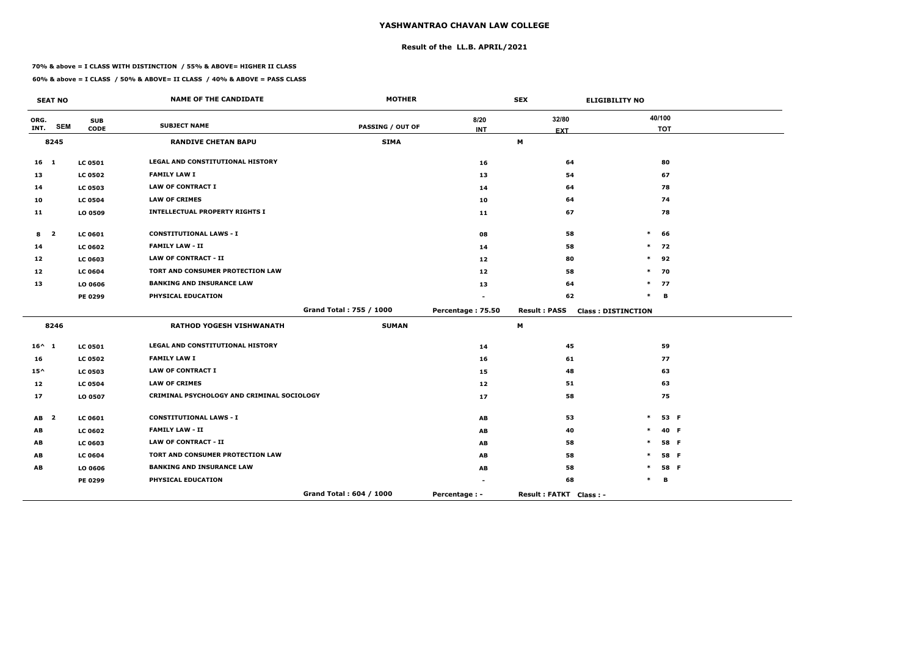# **Result of the LL.B. APRIL/2021**

#### **70% & above = I CLASS WITH DISTINCTION / 55% & ABOVE= HIGHER II CLASS**

 $\overline{\phantom{a}}$ 

|                 | <b>SEAT NO</b>          |                | <b>NAME OF THE CANDIDATE</b>               | <b>MOTHER</b>           |                   | <b>SEX</b>             | <b>ELIGIBILITY NO</b>     |      |
|-----------------|-------------------------|----------------|--------------------------------------------|-------------------------|-------------------|------------------------|---------------------------|------|
| ORG.            |                         | <b>SUB</b>     | <b>SUBJECT NAME</b>                        |                         | 8/20              | 32/80                  | 40/100                    |      |
| INT.            | <b>SEM</b>              | <b>CODE</b>    |                                            | <b>PASSING / OUT OF</b> | <b>INT</b>        | <b>EXT</b>             | <b>TOT</b>                |      |
| 8245            |                         |                | <b>RANDIVE CHETAN BAPU</b>                 | <b>SIMA</b>             |                   | M                      |                           |      |
| 16 <sub>1</sub> |                         | <b>LC 0501</b> | <b>LEGAL AND CONSTITUTIONAL HISTORY</b>    |                         | 16                | 64                     | 80                        |      |
| 13              |                         | <b>LC 0502</b> | <b>FAMILY LAW I</b>                        |                         | 13                | 54                     | 67                        |      |
| 14              |                         | <b>LC 0503</b> | <b>LAW OF CONTRACT I</b>                   |                         | 14                | 64                     |                           | 78   |
| 10              |                         | <b>LC 0504</b> | <b>LAW OF CRIMES</b>                       |                         | 10                | 64                     |                           | 74   |
| 11              |                         | LO 0509        | <b>INTELLECTUAL PROPERTY RIGHTS I</b>      |                         | 11                | 67                     |                           | 78   |
| 8               | $\overline{\mathbf{2}}$ | <b>LC 0601</b> | <b>CONSTITUTIONAL LAWS - I</b>             |                         | 08                | 58                     | $\ast$<br>66              |      |
| 14              |                         | <b>LC 0602</b> | <b>FAMILY LAW - II</b>                     |                         | 14                | 58                     | $\ast$<br>72              |      |
| 12              |                         | <b>LC 0603</b> | <b>LAW OF CONTRACT - II</b>                |                         | 12 <sub>1</sub>   | 80                     | 92<br>$\ast$              |      |
| 12 <sub>1</sub> |                         | <b>LC 0604</b> | TORT AND CONSUMER PROTECTION LAW           |                         | 12 <sub>1</sub>   | 58                     | 70<br>$\ast$              |      |
| 13              |                         | LO 0606        | <b>BANKING AND INSURANCE LAW</b>           |                         | 13                | 64                     | $\ast$<br>77              |      |
|                 |                         | PE 0299        | PHYSICAL EDUCATION                         |                         |                   | 62                     | $\ast$<br>B               |      |
|                 |                         |                |                                            | Grand Total: 755 / 1000 | Percentage: 75.50 | <b>Result: PASS</b>    | <b>Class: DISTINCTION</b> |      |
|                 | 8246                    |                | <b>RATHOD YOGESH VISHWANATH</b>            | <b>SUMAN</b>            |                   | M                      |                           |      |
| $16^{\wedge}$ 1 |                         | <b>LC 0501</b> | <b>LEGAL AND CONSTITUTIONAL HISTORY</b>    |                         | 14                | 45                     |                           | 59   |
| 16              |                         | <b>LC 0502</b> | <b>FAMILY LAW I</b>                        |                         | 16                | 61                     |                           | 77   |
| $15^{\wedge}$   |                         | <b>LC 0503</b> | <b>LAW OF CONTRACT I</b>                   |                         | 15                | 48                     | 63                        |      |
| 12              |                         | <b>LC 0504</b> | <b>LAW OF CRIMES</b>                       |                         | 12                | 51                     |                           | 63   |
| 17              |                         | LO 0507        | CRIMINAL PSYCHOLOGY AND CRIMINAL SOCIOLOGY |                         | 17                | 58                     |                           | 75   |
| <b>AB</b>       | $\overline{\mathbf{2}}$ | <b>LC 0601</b> | <b>CONSTITUTIONAL LAWS - I</b>             |                         | AB                | 53                     | $\ast$                    | 53 F |
| AB              |                         | <b>LC 0602</b> | <b>FAMILY LAW - II</b>                     |                         | AB                | 40                     |                           | 40 F |
| AB              |                         | <b>LC 0603</b> | <b>LAW OF CONTRACT - II</b>                |                         | AB                | 58                     | *                         | 58 F |
| AB              |                         | <b>LC 0604</b> | TORT AND CONSUMER PROTECTION LAW           |                         | AB                | 58                     |                           | 58 F |
| AB              |                         | LO 0606        | <b>BANKING AND INSURANCE LAW</b>           |                         | AB                | 58                     |                           | 58 F |
|                 |                         | PE 0299        | PHYSICAL EDUCATION                         |                         |                   | 68                     |                           | В    |
|                 |                         |                |                                            | Grand Total: 604 / 1000 | Percentage : -    | Result: FATKT Class: - |                           |      |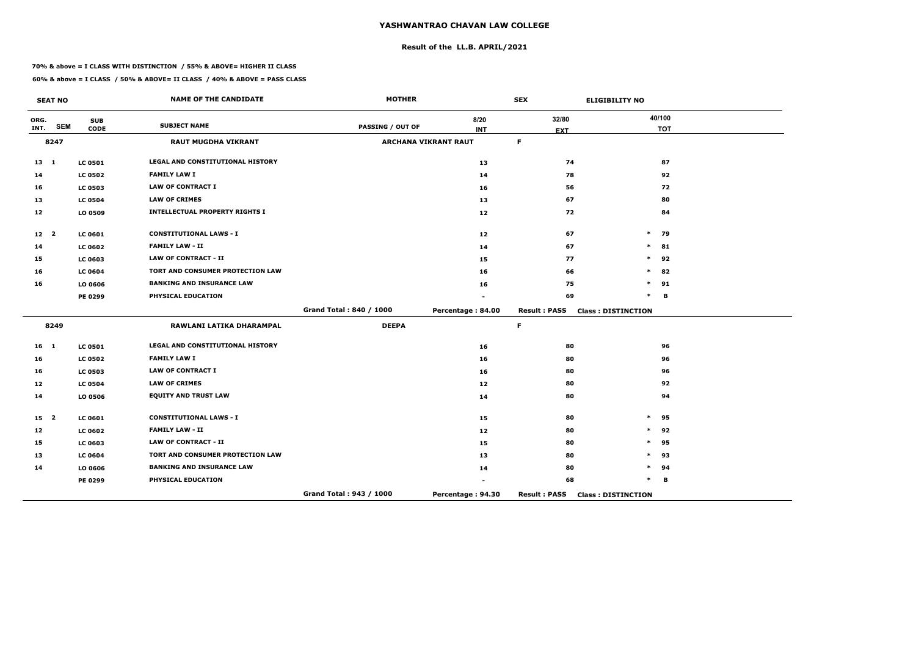# **Result of the LL.B. APRIL/2021**

#### **70% & above = I CLASS WITH DISTINCTION / 55% & ABOVE= HIGHER II CLASS**

**60% & above = I CLASS / 50% & ABOVE= II CLASS / 40% & ABOVE = PASS CLASS**

 $\overline{\phantom{a}}$ 

|                 | <b>SEAT NO</b> |                | <b>NAME OF THE CANDIDATE</b>          | <b>MOTHER</b>           |                             | <b>SEX</b>          | <b>ELIGIBILITY NO</b>     |  |
|-----------------|----------------|----------------|---------------------------------------|-------------------------|-----------------------------|---------------------|---------------------------|--|
| ORG.            | <b>SEM</b>     | <b>SUB</b>     | <b>SUBJECT NAME</b>                   |                         | 8/20                        | 32/80               | 40/100                    |  |
| INT.            |                | <b>CODE</b>    |                                       | <b>PASSING / OUT OF</b> | <b>INT</b>                  | <b>EXT</b>          | <b>TOT</b>                |  |
|                 | 8247           |                | <b>RAUT MUGDHA VIKRANT</b>            |                         | <b>ARCHANA VIKRANT RAUT</b> | F                   |                           |  |
| $13 \quad 1$    |                | <b>LC 0501</b> | LEGAL AND CONSTITUTIONAL HISTORY      |                         | 13                          | 74                  | 87                        |  |
| 14              |                | <b>LC 0502</b> | <b>FAMILY LAW I</b>                   |                         | 14                          | 78                  | 92                        |  |
| 16              |                | <b>LC 0503</b> | <b>LAW OF CONTRACT I</b>              |                         | 16                          | 56                  | 72                        |  |
| 13              |                | <b>LC 0504</b> | <b>LAW OF CRIMES</b>                  |                         | 13                          | 67                  | 80                        |  |
| 12              |                | LO 0509        | <b>INTELLECTUAL PROPERTY RIGHTS I</b> |                         | 12                          | 72                  | 84                        |  |
| 12 <sub>2</sub> |                | <b>LC 0601</b> | <b>CONSTITUTIONAL LAWS - I</b>        |                         | 12 <sub>1</sub>             | 67                  | $\ast$<br>79              |  |
| 14              |                | <b>LC 0602</b> | <b>FAMILY LAW - II</b>                |                         | 14                          | 67                  | $\ast$<br>81              |  |
| 15              |                | <b>LC 0603</b> | <b>LAW OF CONTRACT - II</b>           |                         | 15                          | 77                  | 92<br>$\ast$              |  |
| 16              |                | <b>LC 0604</b> | TORT AND CONSUMER PROTECTION LAW      |                         | 16                          | 66                  | $\ast$<br>82              |  |
| 16              |                | LO 0606        | <b>BANKING AND INSURANCE LAW</b>      |                         | 16                          | 75                  | $\ast$<br>91              |  |
|                 |                | PE 0299        | PHYSICAL EDUCATION                    |                         |                             | 69                  | $\ast$<br>B               |  |
|                 |                |                |                                       | Grand Total: 840 / 1000 | Percentage: 84.00           | <b>Result: PASS</b> | <b>Class: DISTINCTION</b> |  |
|                 | 8249           |                | RAWLANI LATIKA DHARAMPAL              | <b>DEEPA</b>            |                             | F                   |                           |  |
| 16 <sub>1</sub> |                | <b>LC 0501</b> | LEGAL AND CONSTITUTIONAL HISTORY      |                         | 16                          | 80                  | 96                        |  |
| 16              |                | <b>LC 0502</b> | <b>FAMILY LAW I</b>                   |                         | 16                          | 80                  | 96                        |  |
| 16              |                | <b>LC 0503</b> | <b>LAW OF CONTRACT I</b>              |                         | 16                          | 80                  | 96                        |  |
| 12              |                | <b>LC 0504</b> | <b>LAW OF CRIMES</b>                  |                         | 12                          | 80                  | 92                        |  |
| 14              |                | LO 0506        | <b>EQUITY AND TRUST LAW</b>           |                         | 14                          | 80                  | 94                        |  |
| 15 <sub>2</sub> |                | <b>LC 0601</b> | <b>CONSTITUTIONAL LAWS - I</b>        |                         | 15                          | 80                  | $\ast$<br>95              |  |
| 12              |                | <b>LC 0602</b> | <b>FAMILY LAW - II</b>                |                         | 12                          | 80                  | 92<br>$\ast$              |  |
| 15              |                | <b>LC 0603</b> | <b>LAW OF CONTRACT - II</b>           |                         | 15                          | 80                  | $\ast$<br>95              |  |
| 13              |                | <b>LC 0604</b> | TORT AND CONSUMER PROTECTION LAW      |                         | 13                          | 80                  | 93<br>$\ast$              |  |
| 14              |                | LO 0606        | <b>BANKING AND INSURANCE LAW</b>      |                         | 14                          | 80                  | $\ast$<br>94              |  |
|                 |                | PE 0299        | PHYSICAL EDUCATION                    |                         |                             | 68                  | $\ast$<br>B               |  |
|                 |                |                |                                       | Grand Total: 943 / 1000 | Percentage: 94.30           | <b>Result: PASS</b> | <b>Class: DISTINCTION</b> |  |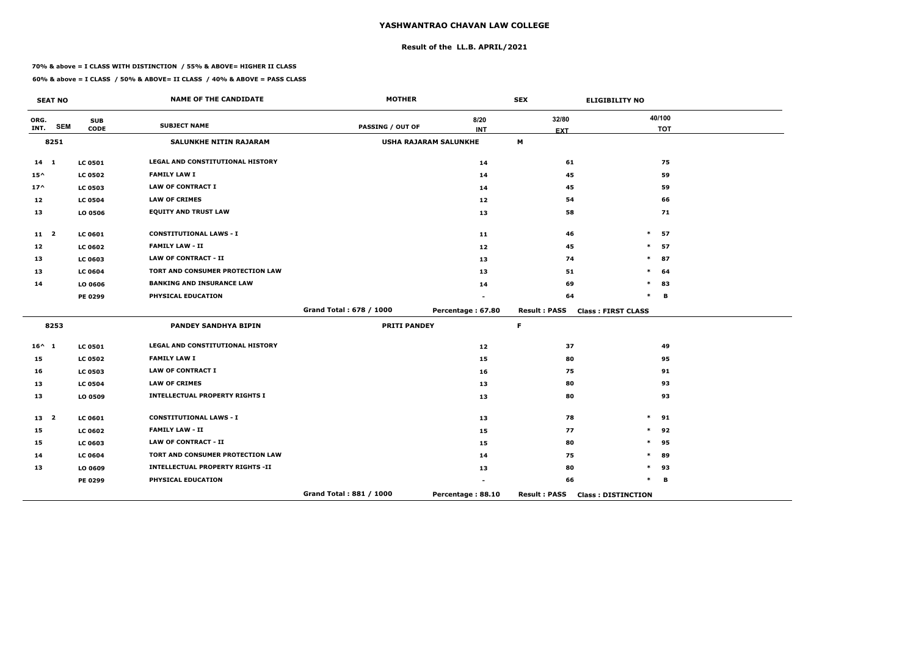# **Result of the LL.B. APRIL/2021**

#### **70% & above = I CLASS WITH DISTINCTION / 55% & ABOVE= HIGHER II CLASS**

### **60% & above = I CLASS / 50% & ABOVE= II CLASS / 40% & ABOVE = PASS CLASS**

 $\overline{\phantom{a}}$ 

|                 | <b>SEAT NO</b> |                           | <b>NAME OF THE CANDIDATE</b>            | <b>MOTHER</b>           |                              | <b>SEX</b>          | <b>ELIGIBILITY NO</b>     |
|-----------------|----------------|---------------------------|-----------------------------------------|-------------------------|------------------------------|---------------------|---------------------------|
| ORG.<br>INT.    | <b>SEM</b>     | <b>SUB</b><br><b>CODE</b> | <b>SUBJECT NAME</b>                     | <b>PASSING / OUT OF</b> | 8/20                         | 32/80               | 40/100                    |
|                 |                |                           |                                         |                         | <b>INT</b>                   | <b>EXT</b>          | <b>TOT</b>                |
|                 | 8251           |                           | SALUNKHE NITIN RAJARAM                  |                         | <b>USHA RAJARAM SALUNKHE</b> | M                   |                           |
| $14 \quad 1$    |                | <b>LC 0501</b>            | LEGAL AND CONSTITUTIONAL HISTORY        |                         | 14                           | 61                  | 75                        |
| $15^{\wedge}$   |                | <b>LC 0502</b>            | <b>FAMILY LAW I</b>                     |                         | 14                           | 45                  | 59                        |
| $17^{\wedge}$   |                | <b>LC 0503</b>            | <b>LAW OF CONTRACT I</b>                |                         | 14                           | 45                  | 59                        |
| 12              |                | <b>LC 0504</b>            | <b>LAW OF CRIMES</b>                    |                         | 12                           | 54                  | 66                        |
| 13              |                | LO 0506                   | <b>EQUITY AND TRUST LAW</b>             |                         | 13                           | 58                  | 71                        |
| 11 <sub>2</sub> |                | <b>LC 0601</b>            | <b>CONSTITUTIONAL LAWS - I</b>          |                         | 11                           | 46                  | $\ast$<br>57              |
| 12              |                | <b>LC 0602</b>            | <b>FAMILY LAW - II</b>                  |                         | 12                           | 45                  | $\ast$<br>57              |
| 13              |                | <b>LC 0603</b>            | <b>LAW OF CONTRACT - II</b>             |                         | 13                           | 74                  | 87<br>$\ast$              |
| 13              |                | <b>LC 0604</b>            | <b>TORT AND CONSUMER PROTECTION LAW</b> |                         | 13                           | 51                  | 64<br>$\ast$              |
| 14              |                | LO 0606                   | <b>BANKING AND INSURANCE LAW</b>        |                         | 14                           | 69                  | $\ast$<br>83              |
|                 |                | PE 0299                   | PHYSICAL EDUCATION                      |                         |                              | 64                  | $\ast$<br>B               |
|                 |                |                           |                                         | Grand Total: 678 / 1000 | Percentage: 67.80            | <b>Result: PASS</b> | <b>Class: FIRST CLASS</b> |
|                 | 8253           |                           | <b>PANDEY SANDHYA BIPIN</b>             | <b>PRITI PANDEY</b>     |                              | F                   |                           |
| $16^{\wedge} 1$ |                | <b>LC 0501</b>            | LEGAL AND CONSTITUTIONAL HISTORY        |                         | 12                           | 37                  | 49                        |
| 15              |                | <b>LC 0502</b>            | <b>FAMILY LAW I</b>                     |                         | 15                           | 80                  | 95                        |
| 16              |                | <b>LC 0503</b>            | <b>LAW OF CONTRACT I</b>                |                         | 16                           | 75                  | 91                        |
| 13              |                | <b>LC 0504</b>            | <b>LAW OF CRIMES</b>                    |                         | 13                           | 80                  | 93                        |
| 13              |                | LO 0509                   | <b>INTELLECTUAL PROPERTY RIGHTS I</b>   |                         | 13                           | 80                  | 93                        |
| 13 <sup>2</sup> |                | <b>LC 0601</b>            | <b>CONSTITUTIONAL LAWS - I</b>          |                         | 13                           | 78                  | $\ast$<br>91              |
| 15              |                | <b>LC 0602</b>            | <b>FAMILY LAW - II</b>                  |                         | 15                           | 77                  | 92<br>$\ast$              |
| 15              |                | LC 0603                   | <b>LAW OF CONTRACT - II</b>             |                         | 15                           | 80                  | $\ast$<br>95              |
| 14              |                | <b>LC 0604</b>            | TORT AND CONSUMER PROTECTION LAW        |                         | 14                           | 75                  | 89<br>∗                   |
| 13              |                | LO 0609                   | <b>INTELLECTUAL PROPERTY RIGHTS -II</b> |                         | 13                           | 80                  | $\ast$<br>93              |
|                 |                | PE 0299                   | PHYSICAL EDUCATION                      |                         |                              | 66                  | $\ast$<br>в               |
|                 |                |                           |                                         | Grand Total: 881 / 1000 | Percentage: 88.10            | <b>Result: PASS</b> | <b>Class: DISTINCTION</b> |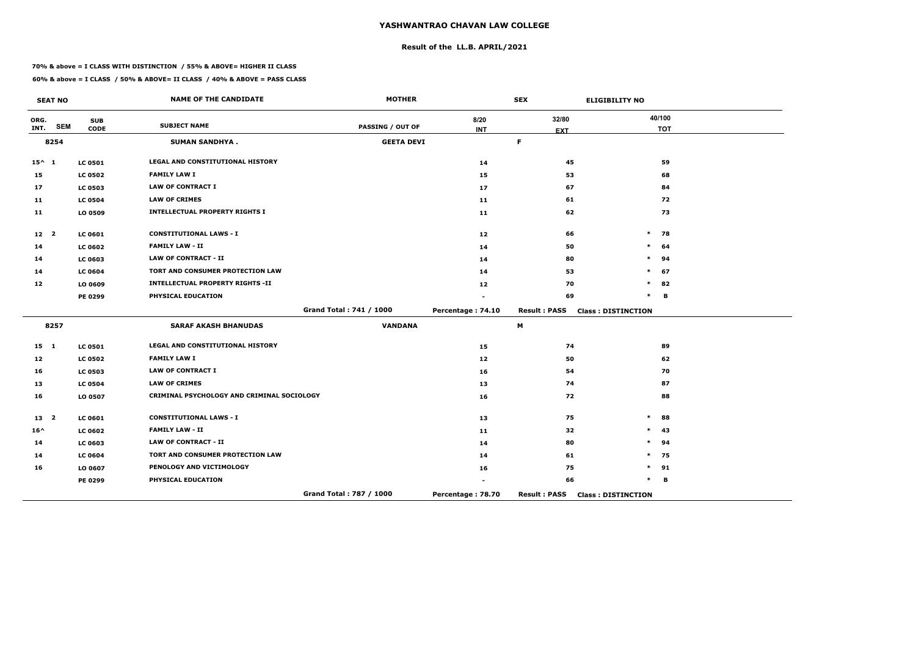# **Result of the LL.B. APRIL/2021**

#### **70% & above = I CLASS WITH DISTINCTION / 55% & ABOVE= HIGHER II CLASS**

|                 | <b>SEAT NO</b> |                           | <b>NAME OF THE CANDIDATE</b>               | <b>MOTHER</b>           |                    | <b>SEX</b>          | <b>ELIGIBILITY NO</b>     |
|-----------------|----------------|---------------------------|--------------------------------------------|-------------------------|--------------------|---------------------|---------------------------|
| ORG.<br>INT.    | <b>SEM</b>     | <b>SUB</b><br><b>CODE</b> | <b>SUBJECT NAME</b>                        | <b>PASSING / OUT OF</b> | 8/20<br><b>INT</b> | 32/80               | 40/100<br><b>TOT</b>      |
|                 | 8254           |                           | <b>SUMAN SANDHYA.</b>                      | <b>GEETA DEVI</b>       |                    | <b>EXT</b><br>F.    |                           |
|                 |                |                           |                                            |                         |                    |                     |                           |
| $15^{\wedge} 1$ |                | <b>LC 0501</b>            | <b>LEGAL AND CONSTITUTIONAL HISTORY</b>    |                         | 14                 | 45                  | 59                        |
| 15              |                | <b>LC 0502</b>            | <b>FAMILY LAW I</b>                        |                         | 15                 | 53                  | 68                        |
| 17              |                | <b>LC 0503</b>            | <b>LAW OF CONTRACT I</b>                   |                         | 17                 | 67                  | 84                        |
| 11              |                | <b>LC 0504</b>            | <b>LAW OF CRIMES</b>                       |                         | 11                 | 61                  | 72                        |
| 11              |                | LO 0509                   | <b>INTELLECTUAL PROPERTY RIGHTS I</b>      |                         | 11                 | 62                  | 73                        |
| 12 <sub>2</sub> |                | LC 0601                   | <b>CONSTITUTIONAL LAWS - I</b>             |                         | 12                 | 66                  | $\ast$<br>78              |
| 14              |                | <b>LC 0602</b>            | <b>FAMILY LAW - II</b>                     |                         | 14                 | 50                  | $\ast$<br>64              |
| 14              |                | LC 0603                   | <b>LAW OF CONTRACT - II</b>                |                         | 14                 | 80                  | $\ast$<br>94              |
| 14              |                | <b>LC 0604</b>            | TORT AND CONSUMER PROTECTION LAW           |                         | 14                 | 53                  | $\ast$<br>67              |
| 12              |                | LO 0609                   | <b>INTELLECTUAL PROPERTY RIGHTS -II</b>    |                         | 12                 | 70                  | $\ast$<br>82              |
|                 |                | PE 0299                   | PHYSICAL EDUCATION                         |                         |                    | 69                  | $\ast$<br>B               |
|                 |                |                           |                                            | Grand Total: 741 / 1000 | Percentage: 74.10  | <b>Result: PASS</b> | <b>Class: DISTINCTION</b> |
|                 | 8257           |                           | <b>SARAF AKASH BHANUDAS</b>                | <b>VANDANA</b>          |                    | M                   |                           |
| $15 \quad 1$    |                | <b>LC 0501</b>            | <b>LEGAL AND CONSTITUTIONAL HISTORY</b>    |                         | 15                 | 74                  | 89                        |
| 12              |                | <b>LC 0502</b>            | <b>FAMILY LAW I</b>                        |                         | 12                 | 50                  | 62                        |
| 16              |                | <b>LC 0503</b>            | <b>LAW OF CONTRACT I</b>                   |                         | 16                 | 54                  | 70                        |
| 13              |                | <b>LC 0504</b>            | <b>LAW OF CRIMES</b>                       |                         | 13                 | 74                  | 87                        |
| 16              |                | LO 0507                   | CRIMINAL PSYCHOLOGY AND CRIMINAL SOCIOLOGY |                         | 16                 | 72                  | 88                        |
| 13 <sup>2</sup> |                | LC 0601                   | <b>CONSTITUTIONAL LAWS - I</b>             |                         | 13                 | 75                  | $\ast$<br>88              |
| $16^{\wedge}$   |                | <b>LC 0602</b>            | <b>FAMILY LAW - II</b>                     |                         | 11                 | 32                  | $\ast$<br>43              |
| 14              |                | LC 0603                   | <b>LAW OF CONTRACT - II</b>                |                         | 14                 | 80                  | $\ast$<br>94              |
| 14              |                | <b>LC 0604</b>            | TORT AND CONSUMER PROTECTION LAW           |                         | 14                 | 61                  | $\ast$<br>75              |
| 16              |                | LO 0607                   | PENOLOGY AND VICTIMOLOGY                   |                         | 16                 | 75                  | $\ast$<br>91              |
|                 |                | PE 0299                   | PHYSICAL EDUCATION                         |                         |                    | 66                  | $\ast$<br>В               |
|                 |                |                           |                                            | Grand Total: 787 / 1000 | Percentage: 78.70  | <b>Result: PASS</b> | <b>Class: DISTINCTION</b> |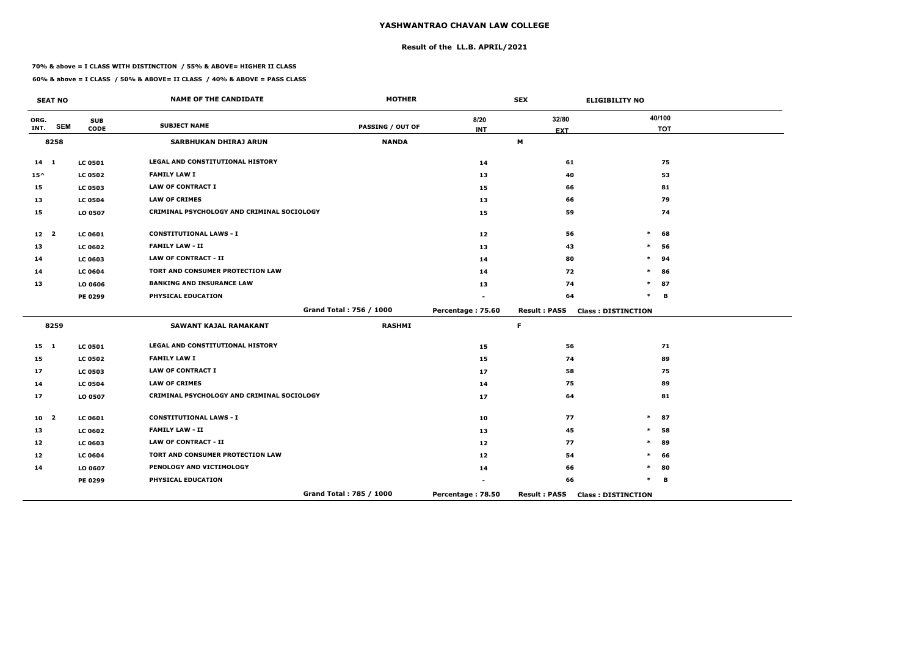# **Result of the LL.B. APRIL/2021**

#### **70% & above = I CLASS WITH DISTINCTION / 55% & ABOVE= HIGHER II CLASS**

|                 | <b>SEAT NO</b> |                           | <b>NAME OF THE CANDIDATE</b>               | <b>MOTHER</b>           |                    | <b>SEX</b>          | <b>ELIGIBILITY NO</b>     |
|-----------------|----------------|---------------------------|--------------------------------------------|-------------------------|--------------------|---------------------|---------------------------|
| ORG.<br>INT.    | <b>SEM</b>     | <b>SUB</b><br><b>CODE</b> | <b>SUBJECT NAME</b>                        | <b>PASSING / OUT OF</b> | 8/20<br><b>INT</b> | 32/80<br><b>EXT</b> | 40/100<br><b>TOT</b>      |
|                 | 8258           |                           | <b>SARBHUKAN DHIRAJ ARUN</b>               | <b>NANDA</b>            |                    | М                   |                           |
| $14$ 1          |                | <b>LC 0501</b>            | LEGAL AND CONSTITUTIONAL HISTORY           |                         | 14                 | 61                  | 75                        |
| $15^{\wedge}$   |                | <b>LC 0502</b>            | <b>FAMILY LAW I</b>                        |                         | 13                 | 40                  | 53                        |
| 15              |                | <b>LC 0503</b>            | <b>LAW OF CONTRACT I</b>                   |                         | 15                 | 66                  | 81                        |
| 13              |                | <b>LC 0504</b>            | <b>LAW OF CRIMES</b>                       |                         | 13                 | 66                  | 79                        |
| 15              |                | LO 0507                   | CRIMINAL PSYCHOLOGY AND CRIMINAL SOCIOLOGY |                         | 15                 | 59                  | 74                        |
| 12 <sup>2</sup> |                | <b>LC 0601</b>            | <b>CONSTITUTIONAL LAWS - I</b>             |                         | 12                 | 56                  | $\ast$<br>68              |
| 13              |                | <b>LC 0602</b>            | <b>FAMILY LAW - II</b>                     |                         | 13                 | 43                  | $\ast$<br>56              |
| 14              |                | <b>LC 0603</b>            | <b>LAW OF CONTRACT - II</b>                |                         | 14                 | 80                  | 94                        |
| 14              |                | <b>LC 0604</b>            | TORT AND CONSUMER PROTECTION LAW           |                         | 14                 | 72                  | $\ast$<br>86              |
| 13              |                | LO 0606                   | <b>BANKING AND INSURANCE LAW</b>           |                         | 13                 | 74                  | 87<br>$\ast$              |
|                 |                | <b>PE 0299</b>            | PHYSICAL EDUCATION                         |                         |                    | 64                  | $\ast$<br>в               |
|                 |                |                           |                                            | Grand Total: 756 / 1000 | Percentage: 75.60  | <b>Result: PASS</b> | <b>Class: DISTINCTION</b> |
|                 | 8259           |                           | <b>SAWANT KAJAL RAMAKANT</b>               | <b>RASHMI</b>           |                    | F                   |                           |
| $15 \quad 1$    |                | <b>LC 0501</b>            | LEGAL AND CONSTITUTIONAL HISTORY           |                         | 15                 | 56                  | 71                        |
| 15              |                | <b>LC 0502</b>            | <b>FAMILY LAW I</b>                        |                         | 15                 | 74                  | 89                        |
| 17              |                | <b>LC 0503</b>            | <b>LAW OF CONTRACT I</b>                   |                         | 17                 | 58                  | 75                        |
| 14              |                | <b>LC 0504</b>            | <b>LAW OF CRIMES</b>                       |                         | 14                 | 75                  | 89                        |
| 17              |                | LO 0507                   | CRIMINAL PSYCHOLOGY AND CRIMINAL SOCIOLOGY |                         | 17                 | 64                  | 81                        |
| 10 <sub>2</sub> |                | <b>LC 0601</b>            | <b>CONSTITUTIONAL LAWS - I</b>             |                         | 10                 | 77                  | 87<br>$\ast$              |
| 13              |                | <b>LC 0602</b>            | <b>FAMILY LAW - II</b>                     |                         | 13                 | 45                  | $\ast$<br>58              |
| 12              |                | <b>LC 0603</b>            | <b>LAW OF CONTRACT - II</b>                |                         | 12                 | 77                  | $\ast$<br>89              |
| 12              |                | <b>LC 0604</b>            | TORT AND CONSUMER PROTECTION LAW           |                         | 12                 | 54                  | $\ast$<br>66              |
| 14              |                | LO 0607                   | PENOLOGY AND VICTIMOLOGY                   |                         | 14                 | 66                  | $\ast$<br>80              |
|                 |                | <b>PE 0299</b>            | PHYSICAL EDUCATION                         |                         |                    | 66                  | $\ast$<br>в               |
|                 |                |                           |                                            | Grand Total: 785 / 1000 | Percentage: 78.50  | <b>Result: PASS</b> | <b>Class: DISTINCTION</b> |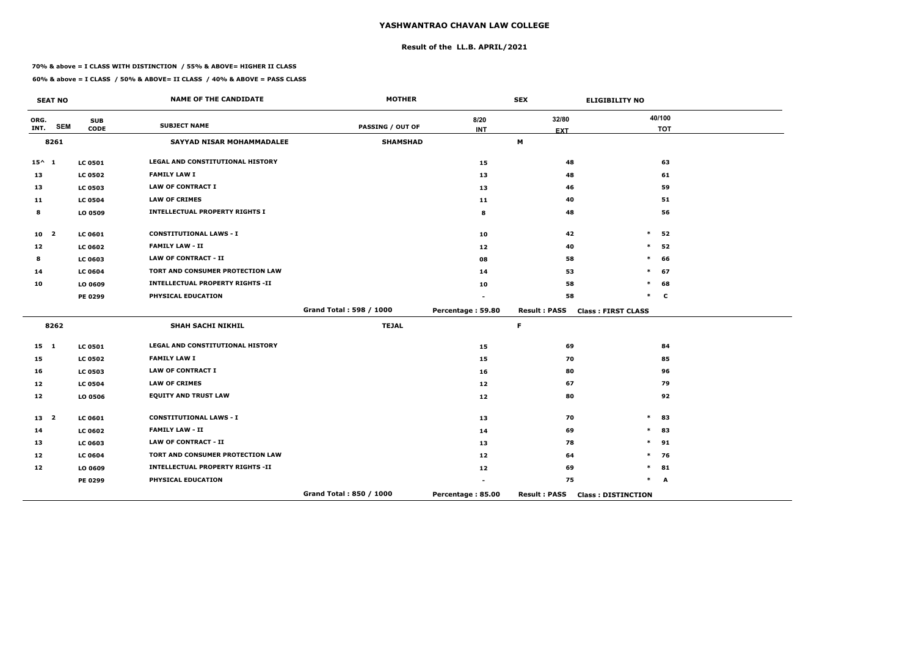# **Result of the LL.B. APRIL/2021**

#### **70% & above = I CLASS WITH DISTINCTION / 55% & ABOVE= HIGHER II CLASS**

|                 | <b>SEAT NO</b> |                           | <b>NAME OF THE CANDIDATE</b>            | <b>MOTHER</b>           |                    | <b>SEX</b>          | <b>ELIGIBILITY NO</b>     |
|-----------------|----------------|---------------------------|-----------------------------------------|-------------------------|--------------------|---------------------|---------------------------|
| ORG.<br>INT.    | <b>SEM</b>     | <b>SUB</b><br><b>CODE</b> | <b>SUBJECT NAME</b>                     | <b>PASSING / OUT OF</b> | 8/20<br><b>INT</b> | 32/80               | 40/100<br><b>TOT</b>      |
|                 | 8261           |                           | SAYYAD NISAR MOHAMMADALEE               | <b>SHAMSHAD</b>         |                    | <b>EXT</b><br>M     |                           |
|                 |                |                           |                                         |                         |                    |                     |                           |
| $15^{\wedge} 1$ |                | <b>LC 0501</b>            | <b>LEGAL AND CONSTITUTIONAL HISTORY</b> |                         | 15                 | 48                  | 63                        |
| 13              |                | <b>LC 0502</b>            | <b>FAMILY LAW I</b>                     |                         | 13                 | 48                  | 61                        |
| 13              |                | <b>LC 0503</b>            | <b>LAW OF CONTRACT I</b>                |                         | 13                 | 46                  | 59                        |
| 11              |                | <b>LC 0504</b>            | <b>LAW OF CRIMES</b>                    |                         | 11                 | 40                  | 51                        |
| 8               |                | LO 0509                   | <b>INTELLECTUAL PROPERTY RIGHTS I</b>   |                         | 8                  | 48                  | 56                        |
| 10 <sub>2</sub> |                | <b>LC 0601</b>            | <b>CONSTITUTIONAL LAWS - I</b>          |                         | 10                 | 42                  | $\ast$<br>52              |
| 12              |                | <b>LC 0602</b>            | <b>FAMILY LAW - II</b>                  |                         | 12 <sub>1</sub>    | 40                  | $\ast$<br>52              |
| 8               |                | <b>LC 0603</b>            | <b>LAW OF CONTRACT - II</b>             |                         | 08                 | 58                  | $\ast$<br>66              |
| 14              |                | <b>LC 0604</b>            | TORT AND CONSUMER PROTECTION LAW        |                         | 14                 | 53                  | $\ast$<br>67              |
| 10              |                | LO 0609                   | <b>INTELLECTUAL PROPERTY RIGHTS -II</b> |                         | 10                 | 58                  | $\ast$<br>68              |
|                 |                | PE 0299                   | PHYSICAL EDUCATION                      |                         |                    | 58                  | $\ast$<br>$\mathbf c$     |
|                 |                |                           |                                         | Grand Total: 598 / 1000 | Percentage: 59.80  | <b>Result: PASS</b> | <b>Class: FIRST CLASS</b> |
|                 | 8262           |                           | <b>SHAH SACHI NIKHIL</b>                | <b>TEJAL</b>            |                    | $\mathsf F$         |                           |
| $15 \quad 1$    |                | <b>LC 0501</b>            | LEGAL AND CONSTITUTIONAL HISTORY        |                         | 15                 | 69                  | 84                        |
| 15              |                | <b>LC 0502</b>            | <b>FAMILY LAW I</b>                     |                         | 15                 | 70                  | 85                        |
| 16              |                | <b>LC 0503</b>            | <b>LAW OF CONTRACT I</b>                |                         | 16                 | 80                  | 96                        |
| 12              |                | <b>LC 0504</b>            | <b>LAW OF CRIMES</b>                    |                         | 12                 | 67                  | 79                        |
| 12              |                | LO 0506                   | <b>EQUITY AND TRUST LAW</b>             |                         | 12                 | 80                  | 92                        |
| 13 <sup>2</sup> |                | <b>LC 0601</b>            | <b>CONSTITUTIONAL LAWS - I</b>          |                         | 13                 | 70                  | $\ast$<br>83              |
| 14              |                | <b>LC 0602</b>            | <b>FAMILY LAW - II</b>                  |                         | 14                 | 69                  | $\ast$<br>83              |
| 13              |                | <b>LC 0603</b>            | <b>LAW OF CONTRACT - II</b>             |                         | 13                 | 78                  | $\ast$<br>91              |
| 12              |                | <b>LC 0604</b>            | TORT AND CONSUMER PROTECTION LAW        |                         | 12                 | 64                  | $\ast$<br>76              |
| 12              |                | LO 0609                   | <b>INTELLECTUAL PROPERTY RIGHTS -II</b> |                         | 12                 | 69                  | 81<br>$\ast$              |
|                 |                | PE 0299                   | PHYSICAL EDUCATION                      |                         |                    | 75                  | $\ast$<br>A               |
|                 |                |                           |                                         | Grand Total: 850 / 1000 | Percentage: 85.00  | <b>Result: PASS</b> | <b>Class: DISTINCTION</b> |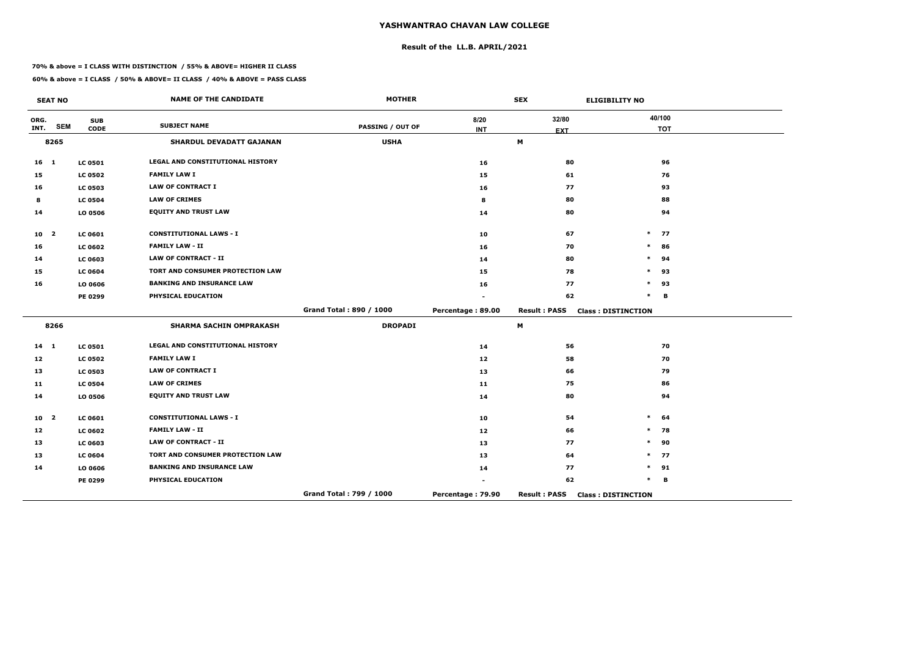# **Result of the LL.B. APRIL/2021**

#### **70% & above = I CLASS WITH DISTINCTION / 55% & ABOVE= HIGHER II CLASS**

|                 | <b>SEAT NO</b> |                | <b>NAME OF THE CANDIDATE</b>     | <b>MOTHER</b>           |                   | <b>SEX</b>          | <b>ELIGIBILITY NO</b>     |
|-----------------|----------------|----------------|----------------------------------|-------------------------|-------------------|---------------------|---------------------------|
| ORG.            |                | <b>SUB</b>     | <b>SUBJECT NAME</b>              |                         | 8/20              | 32/80               | 40/100                    |
| INT.            | <b>SEM</b>     | <b>CODE</b>    |                                  | <b>PASSING / OUT OF</b> | <b>INT</b>        | <b>EXT</b>          | <b>TOT</b>                |
|                 | 8265           |                | <b>SHARDUL DEVADATT GAJANAN</b>  | <b>USHA</b>             |                   | M                   |                           |
| $16$ 1          |                | <b>LC 0501</b> | LEGAL AND CONSTITUTIONAL HISTORY |                         | 16                | 80                  | 96                        |
| 15              |                | <b>LC 0502</b> | <b>FAMILY LAW I</b>              |                         | 15                | 61                  | 76                        |
| 16              |                | <b>LC 0503</b> | <b>LAW OF CONTRACT I</b>         |                         | 16                | 77                  | 93                        |
| 8               |                | <b>LC 0504</b> | <b>LAW OF CRIMES</b>             |                         | 8                 | 80                  | 88                        |
| 14              |                | LO 0506        | <b>EQUITY AND TRUST LAW</b>      |                         | 14                | 80                  | 94                        |
| 10 <sub>2</sub> |                | <b>LC 0601</b> | <b>CONSTITUTIONAL LAWS - I</b>   |                         | 10                | 67                  | $\ast$<br>77              |
| 16              |                | <b>LC 0602</b> | <b>FAMILY LAW - II</b>           |                         | 16                | 70                  | $\ast$<br>86              |
| 14              |                | <b>LC 0603</b> | <b>LAW OF CONTRACT - II</b>      |                         | 14                | 80                  | $\ast$<br>94              |
| 15              |                | <b>LC 0604</b> | TORT AND CONSUMER PROTECTION LAW |                         | 15                | 78                  | $\ast$<br>93              |
| 16              |                | LO 0606        | <b>BANKING AND INSURANCE LAW</b> |                         | 16                | 77                  | $\ast$<br>93              |
|                 |                | <b>PE 0299</b> | PHYSICAL EDUCATION               |                         |                   | 62                  | $\ast$<br>в               |
|                 |                |                |                                  | Grand Total: 890 / 1000 | Percentage: 89.00 | <b>Result: PASS</b> | <b>Class: DISTINCTION</b> |
|                 | 8266           |                | <b>SHARMA SACHIN OMPRAKASH</b>   | <b>DROPADI</b>          |                   | M                   |                           |
| $14 \quad 1$    |                | <b>LC 0501</b> | LEGAL AND CONSTITUTIONAL HISTORY |                         | 14                | 56                  | 70                        |
| 12              |                | <b>LC 0502</b> | <b>FAMILY LAW I</b>              |                         | 12                | 58                  | 70                        |
| 13              |                | <b>LC 0503</b> | <b>LAW OF CONTRACT I</b>         |                         | 13                | 66                  | 79                        |
| 11              |                | <b>LC 0504</b> | <b>LAW OF CRIMES</b>             |                         | 11                | 75                  | 86                        |
| 14              |                | LO 0506        | <b>EQUITY AND TRUST LAW</b>      |                         | 14                | 80                  | 94                        |
| 10 <sub>2</sub> |                | <b>LC 0601</b> | <b>CONSTITUTIONAL LAWS - I</b>   |                         | 10                | 54                  | $\ast$<br>64              |
| 12              |                | <b>LC 0602</b> | <b>FAMILY LAW - II</b>           |                         | 12                | 66                  | $\ast$<br>78              |
| 13              |                | <b>LC 0603</b> | <b>LAW OF CONTRACT - II</b>      |                         | 13                | 77                  | $\ast$<br>90              |
| 13              |                | <b>LC 0604</b> | TORT AND CONSUMER PROTECTION LAW |                         | 13                | 64                  | $\ast$<br>77              |
| 14              |                | LO 0606        | <b>BANKING AND INSURANCE LAW</b> |                         | 14                | 77                  | 91<br>$\ast$              |
|                 |                | <b>PE 0299</b> | PHYSICAL EDUCATION               |                         |                   | 62                  | $\ast$<br>в               |
|                 |                |                |                                  | Grand Total: 799 / 1000 | Percentage: 79.90 | <b>Result: PASS</b> | <b>Class: DISTINCTION</b> |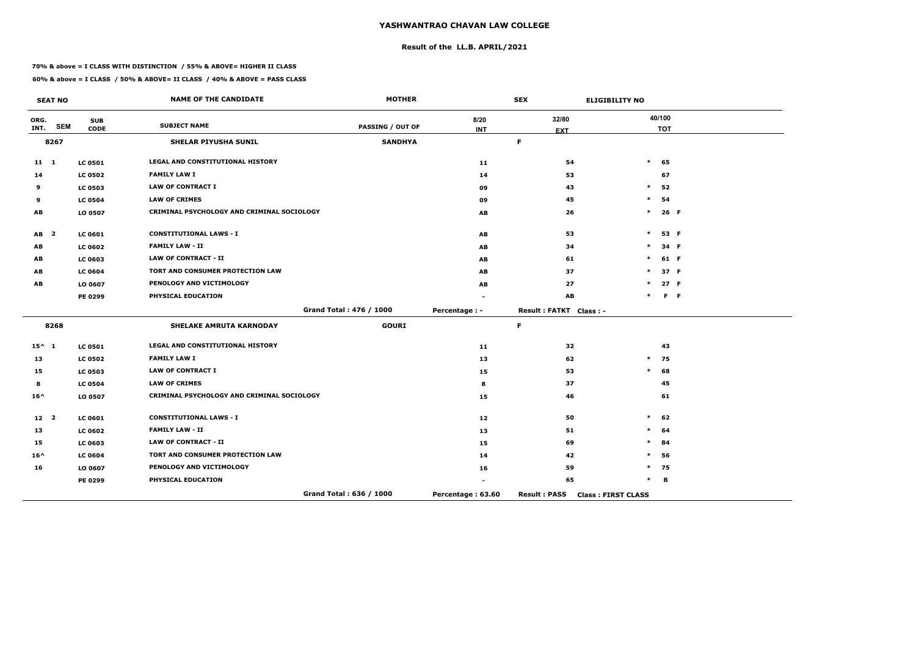# **Result of the LL.B. APRIL/2021**

#### **70% & above = I CLASS WITH DISTINCTION / 55% & ABOVE= HIGHER II CLASS**

|                 | <b>SEAT NO</b> |                           | <b>NAME OF THE CANDIDATE</b>               | <b>MOTHER</b>           |                    | <b>SEX</b>             | <b>ELIGIBILITY NO</b>     |
|-----------------|----------------|---------------------------|--------------------------------------------|-------------------------|--------------------|------------------------|---------------------------|
| ORG.<br>INT.    | <b>SEM</b>     | <b>SUB</b><br><b>CODE</b> | <b>SUBJECT NAME</b>                        | <b>PASSING / OUT OF</b> | 8/20<br><b>INT</b> | 32/80<br><b>EXT</b>    | 40/100<br><b>TOT</b>      |
|                 | 8267           |                           | SHELAR PIYUSHA SUNIL                       | <b>SANDHYA</b>          |                    | F                      |                           |
| $11 \quad 1$    |                | <b>LC 0501</b>            | LEGAL AND CONSTITUTIONAL HISTORY           |                         | 11                 | 54                     | $\ast$<br>65              |
| 14              |                | <b>LC 0502</b>            | <b>FAMILY LAW I</b>                        |                         | 14                 | 53                     | 67                        |
| 9               |                | <b>LC 0503</b>            | <b>LAW OF CONTRACT I</b>                   |                         | 09                 | 43                     | $\ast$<br>52              |
| 9               |                | <b>LC 0504</b>            | <b>LAW OF CRIMES</b>                       |                         | 09                 | 45                     | 54<br>$\ast$              |
| AB              |                | LO 0507                   | CRIMINAL PSYCHOLOGY AND CRIMINAL SOCIOLOGY |                         | AB                 | 26                     | $\ast$<br>26 F            |
| AB <sub>2</sub> |                | LC 0601                   | <b>CONSTITUTIONAL LAWS - I</b>             |                         | AB                 | 53                     | $\ast$<br>53 F            |
| AB              |                | <b>LC 0602</b>            | <b>FAMILY LAW - II</b>                     |                         | AB                 | 34                     | 34 F<br>$\ast$            |
| AB              |                | LC 0603                   | <b>LAW OF CONTRACT - II</b>                |                         | AB                 | 61                     | 61 F<br>$\ast$            |
| AB              |                | <b>LC 0604</b>            | TORT AND CONSUMER PROTECTION LAW           |                         | AB                 | 37                     | 37 F<br>$\ast$            |
| AB              |                | LO 0607                   | PENOLOGY AND VICTIMOLOGY                   |                         | AB                 | 27                     | 27 F<br>$\ast$            |
|                 |                | PE 0299                   | PHYSICAL EDUCATION                         |                         |                    | AB                     | $*$ F F                   |
|                 |                |                           |                                            | Grand Total: 476 / 1000 | Percentage : -     | Result: FATKT Class: - |                           |
|                 | 8268           |                           | <b>SHELAKE AMRUTA KARNODAY</b>             | <b>GOURI</b>            |                    | F                      |                           |
| $15^{\wedge} 1$ |                | <b>LC 0501</b>            | LEGAL AND CONSTITUTIONAL HISTORY           |                         | 11                 | 32                     | 43                        |
| 13              |                | <b>LC 0502</b>            | <b>FAMILY LAW I</b>                        |                         | 13                 | 62                     | 75<br>$\ast$              |
| 15              |                | <b>LC 0503</b>            | <b>LAW OF CONTRACT I</b>                   |                         | 15                 | 53                     | $\ast$<br>68              |
| 8               |                | <b>LC 0504</b>            | <b>LAW OF CRIMES</b>                       |                         | 8                  | 37                     | 45                        |
| $16^{\wedge}$   |                | LO 0507                   | CRIMINAL PSYCHOLOGY AND CRIMINAL SOCIOLOGY |                         | 15                 | 46                     | 61                        |
| 12 2            |                | <b>LC 0601</b>            | <b>CONSTITUTIONAL LAWS - I</b>             |                         | 12                 | 50                     | $\ast$<br>62              |
| 13              |                | <b>LC 0602</b>            | <b>FAMILY LAW - II</b>                     |                         | 13                 | 51                     | $\ast$<br>64              |
| 15              |                | <b>LC 0603</b>            | LAW OF CONTRACT - II                       |                         | 15                 | 69                     | $\ast$<br>84              |
| $16^{\wedge}$   |                | <b>LC 0604</b>            | TORT AND CONSUMER PROTECTION LAW           |                         | 14                 | 42                     | 56                        |
| 16              |                | LO 0607                   | PENOLOGY AND VICTIMOLOGY                   |                         | 16                 | 59                     | $*$ 75                    |
|                 |                | PE 0299                   | PHYSICAL EDUCATION                         |                         | $\blacksquare$     | 65                     | B<br>$\ast$               |
|                 |                |                           |                                            | Grand Total: 636 / 1000 | Percentage: 63.60  | <b>Result: PASS</b>    | <b>Class: FIRST CLASS</b> |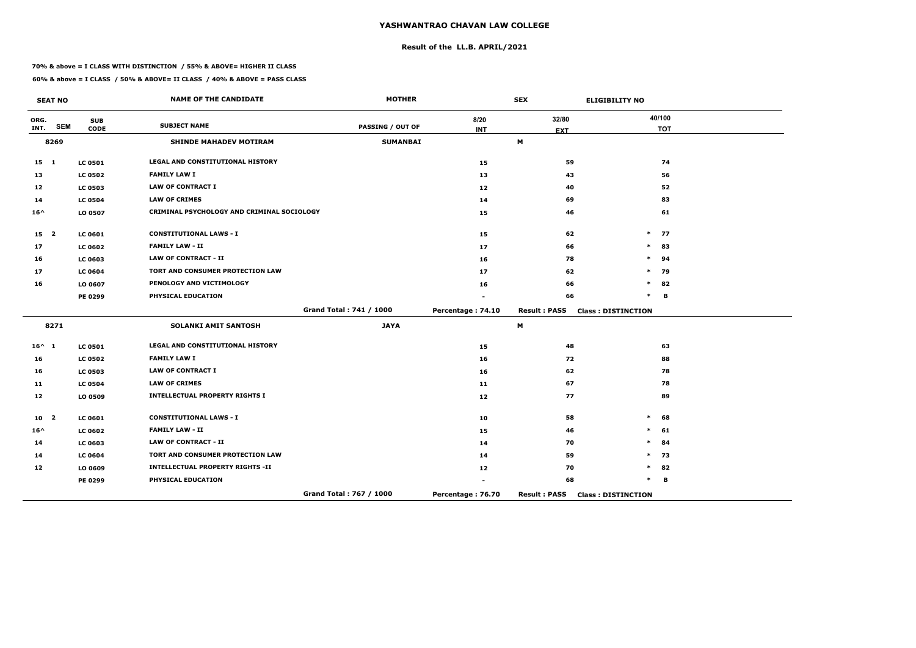# **Result of the LL.B. APRIL/2021**

#### **70% & above = I CLASS WITH DISTINCTION / 55% & ABOVE= HIGHER II CLASS**

|                 | <b>SEAT NO</b> |                           | <b>NAME OF THE CANDIDATE</b>               | <b>MOTHER</b>           |                    | <b>SEX</b>          | <b>ELIGIBILITY NO</b>     |
|-----------------|----------------|---------------------------|--------------------------------------------|-------------------------|--------------------|---------------------|---------------------------|
| ORG.<br>INT.    | <b>SEM</b>     | <b>SUB</b><br><b>CODE</b> | <b>SUBJECT NAME</b>                        | <b>PASSING / OUT OF</b> | 8/20<br><b>INT</b> | 32/80               | 40/100<br><b>TOT</b>      |
|                 | 8269           |                           | <b>SHINDE MAHADEV MOTIRAM</b>              | <b>SUMANBAI</b>         |                    | <b>EXT</b><br>M     |                           |
|                 |                |                           |                                            |                         |                    |                     |                           |
| $15$ 1          |                | <b>LC 0501</b>            | LEGAL AND CONSTITUTIONAL HISTORY           |                         | 15                 | 59                  | 74                        |
| 13              |                | <b>LC 0502</b>            | <b>FAMILY LAW I</b>                        |                         | 13                 | 43                  | 56                        |
| 12              |                | <b>LC 0503</b>            | <b>LAW OF CONTRACT I</b>                   |                         | 12                 | 40                  | 52                        |
| 14              |                | <b>LC 0504</b>            | <b>LAW OF CRIMES</b>                       |                         | 14                 | 69                  | 83                        |
| $16^{\wedge}$   |                | LO 0507                   | CRIMINAL PSYCHOLOGY AND CRIMINAL SOCIOLOGY |                         | 15                 | 46                  | 61                        |
| 15 <sub>2</sub> |                | <b>LC 0601</b>            | <b>CONSTITUTIONAL LAWS - I</b>             |                         | 15                 | 62                  | $\ast$<br>77              |
| 17              |                | <b>LC 0602</b>            | <b>FAMILY LAW - II</b>                     |                         | 17                 | 66                  | $\ast$<br>83              |
| 16              |                | <b>LC 0603</b>            | <b>LAW OF CONTRACT - II</b>                |                         | 16                 | 78                  | $\ast$<br>94              |
| 17              |                | <b>LC 0604</b>            | TORT AND CONSUMER PROTECTION LAW           |                         | 17                 | 62                  | 79<br>$\ast$              |
| 16              |                | LO 0607                   | PENOLOGY AND VICTIMOLOGY                   |                         | 16                 | 66                  | $\ast$<br>82              |
|                 |                | PE 0299                   | PHYSICAL EDUCATION                         |                         |                    | 66                  | $\ast$<br>B               |
|                 |                |                           |                                            | Grand Total: 741 / 1000 | Percentage: 74.10  | <b>Result: PASS</b> | <b>Class: DISTINCTION</b> |
|                 | 8271           |                           | <b>SOLANKI AMIT SANTOSH</b>                | <b>JAYA</b>             |                    | M                   |                           |
| $16^{\wedge} 1$ |                | <b>LC 0501</b>            | <b>LEGAL AND CONSTITUTIONAL HISTORY</b>    |                         | 15                 | 48                  | 63                        |
| 16              |                | <b>LC 0502</b>            | <b>FAMILY LAW I</b>                        |                         | 16                 | 72                  | 88                        |
| 16              |                | <b>LC 0503</b>            | <b>LAW OF CONTRACT I</b>                   |                         | 16                 | 62                  | 78                        |
| 11              |                | <b>LC 0504</b>            | <b>LAW OF CRIMES</b>                       |                         | 11                 | 67                  | 78                        |
| 12              |                | LO 0509                   | <b>INTELLECTUAL PROPERTY RIGHTS I</b>      |                         | 12                 | 77                  | 89                        |
| 10              | $\mathbf{2}$   | <b>LC 0601</b>            | <b>CONSTITUTIONAL LAWS - I</b>             |                         | 10                 | 58                  | $\ast$<br>68              |
| $16^{\wedge}$   |                | <b>LC 0602</b>            | <b>FAMILY LAW - II</b>                     |                         | 15                 | 46                  | 61<br>$\ast$              |
| 14              |                | <b>LC 0603</b>            | <b>LAW OF CONTRACT - II</b>                |                         | 14                 | 70                  | 84<br>$\ast$              |
| 14              |                | <b>LC 0604</b>            | TORT AND CONSUMER PROTECTION LAW           |                         | 14                 | 59                  | $\ast$<br>73              |
| 12              |                | LO 0609                   | <b>INTELLECTUAL PROPERTY RIGHTS -II</b>    |                         | 12                 | 70                  | 82<br>$\ast$              |
|                 |                | PE 0299                   | PHYSICAL EDUCATION                         |                         |                    | 68                  | $\ast$<br>B               |
|                 |                |                           |                                            | Grand Total: 767 / 1000 | Percentage: 76.70  | <b>Result: PASS</b> | <b>Class: DISTINCTION</b> |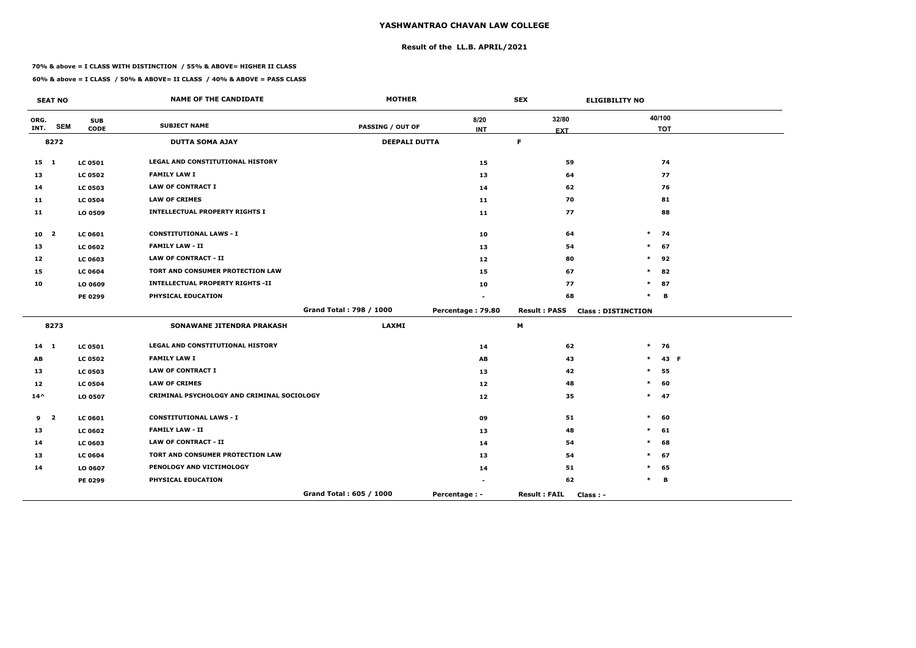# **Result of the LL.B. APRIL/2021**

#### **70% & above = I CLASS WITH DISTINCTION / 55% & ABOVE= HIGHER II CLASS**

 $\overline{\phantom{a}}$ 

|                | <b>SEAT NO</b> |                | <b>NAME OF THE CANDIDATE</b>               | <b>MOTHER</b>           |                   | <b>SEX</b>                      | <b>ELIGIBILITY NO</b>     |            |
|----------------|----------------|----------------|--------------------------------------------|-------------------------|-------------------|---------------------------------|---------------------------|------------|
| ORG.           | <b>SEM</b>     | <b>SUB</b>     | <b>SUBJECT NAME</b>                        | PASSING / OUT OF        | 8/20              | 32/80                           |                           | 40/100     |
| INT.           |                | <b>CODE</b>    |                                            |                         | <b>INT</b>        | <b>EXT</b>                      |                           | <b>TOT</b> |
|                | 8272           |                | <b>DUTTA SOMA AJAY</b>                     | <b>DEEPALI DUTTA</b>    |                   | F                               |                           |            |
| 15 1           |                | <b>LC 0501</b> | <b>LEGAL AND CONSTITUTIONAL HISTORY</b>    |                         | 15                | 59                              |                           | 74         |
| 13             |                | <b>LC 0502</b> | <b>FAMILY LAW I</b>                        |                         | 13                | 64                              |                           | 77         |
| 14             |                | <b>LC 0503</b> | <b>LAW OF CONTRACT I</b>                   |                         | 14                | 62                              |                           | 76         |
| 11             |                | <b>LC 0504</b> | <b>LAW OF CRIMES</b>                       |                         | 11                | 70                              |                           | 81         |
| 11             |                | LO 0509        | <b>INTELLECTUAL PROPERTY RIGHTS I</b>      |                         | 11                | 77                              |                           | 88         |
| $10 \quad 2$   |                | <b>LC 0601</b> | <b>CONSTITUTIONAL LAWS - I</b>             |                         | 10                | 64                              | $*$ 74                    |            |
| 13             |                | <b>LC 0602</b> | <b>FAMILY LAW - II</b>                     |                         | 13                | 54                              | $\ast$                    | 67         |
| 12             |                | <b>LC 0603</b> | <b>LAW OF CONTRACT - II</b>                |                         | 12                | 80                              | $*$ 92                    |            |
| 15             |                | <b>LC 0604</b> | TORT AND CONSUMER PROTECTION LAW           |                         | 15                | 67                              | $\ast$                    | 82         |
| 10             |                | LO 0609        | <b>INTELLECTUAL PROPERTY RIGHTS -II</b>    |                         | 10                | 77                              | $\ast$                    | 87         |
|                |                | PE 0299        | PHYSICAL EDUCATION                         |                         |                   | 68                              | $\ast$                    | в          |
|                |                |                |                                            | Grand Total: 798 / 1000 | Percentage: 79.80 | <b>Result: PASS</b>             | <b>Class: DISTINCTION</b> |            |
|                | 8273           |                | <b>SONAWANE JITENDRA PRAKASH</b>           | <b>LAXMI</b>            |                   | M                               |                           |            |
| $14 \quad 1$   |                | <b>LC 0501</b> | <b>LEGAL AND CONSTITUTIONAL HISTORY</b>    |                         | 14                | 62                              | $*$ 76                    |            |
| AB             |                | <b>LC 0502</b> | <b>FAMILY LAW I</b>                        |                         | AB                | 43                              | $\ast$                    | 43 F       |
| 13             |                | <b>LC 0503</b> | <b>LAW OF CONTRACT I</b>                   |                         | 13                | 42                              | $\ast$                    | 55         |
| 12             |                | <b>LC 0504</b> | <b>LAW OF CRIMES</b>                       |                         | 12                | 48                              | $\ast$                    | 60         |
| $14^{\wedge}$  |                | LO 0507        | CRIMINAL PSYCHOLOGY AND CRIMINAL SOCIOLOGY |                         | 12                | 35                              | $*$ 47                    |            |
| 9 <sub>2</sub> |                | <b>LC 0601</b> | <b>CONSTITUTIONAL LAWS - I</b>             |                         | 09                | 51                              | $\ast$                    | -60        |
| 13             |                | <b>LC 0602</b> | <b>FAMILY LAW - II</b>                     |                         | 13                | 48                              | $\ast$                    | 61         |
| 14             |                | <b>LC 0603</b> | LAW OF CONTRACT - II                       |                         | 14                | 54                              |                           | 68         |
| 13             |                | <b>LC 0604</b> | TORT AND CONSUMER PROTECTION LAW           |                         | 13                | 54                              | *                         | 67         |
| 14             |                | LO 0607        | PENOLOGY AND VICTIMOLOGY                   |                         | 14                | 51                              | $\ast$                    | 65         |
|                |                | <b>PE 0299</b> | PHYSICAL EDUCATION                         |                         | $\sim$            | 62                              |                           | в          |
|                |                |                |                                            | Grand Total: 605 / 1000 | Percentage : -    | <b>Result: FAIL</b><br>Class: - |                           |            |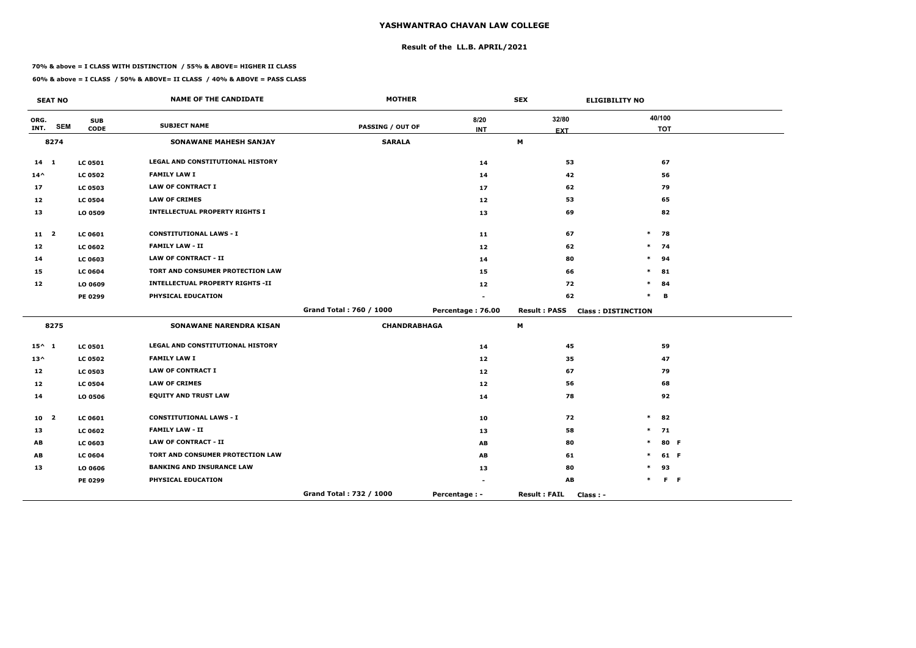# **Result of the LL.B. APRIL/2021**

#### **70% & above = I CLASS WITH DISTINCTION / 55% & ABOVE= HIGHER II CLASS**

|                 | <b>SEAT NO</b>          |                           | <b>NAME OF THE CANDIDATE</b>            | <b>MOTHER</b>           |                    | <b>SEX</b>                       | <b>ELIGIBILITY NO</b>     |
|-----------------|-------------------------|---------------------------|-----------------------------------------|-------------------------|--------------------|----------------------------------|---------------------------|
| ORG.<br>INT.    | <b>SEM</b>              | <b>SUB</b><br><b>CODE</b> | <b>SUBJECT NAME</b>                     | PASSING / OUT OF        | 8/20<br><b>INT</b> | 32/80<br><b>EXT</b>              | 40/100<br><b>TOT</b>      |
|                 | 8274                    |                           | <b>SONAWANE MAHESH SANJAY</b>           | <b>SARALA</b>           |                    | M                                |                           |
| $14$ 1          |                         | <b>LC 0501</b>            | LEGAL AND CONSTITUTIONAL HISTORY        |                         | 14                 | 53                               | 67                        |
| $14^{\wedge}$   |                         | <b>LC 0502</b>            | <b>FAMILY LAW I</b>                     |                         | 14                 | 42                               | 56                        |
| 17              |                         | <b>LC 0503</b>            | <b>LAW OF CONTRACT I</b>                |                         | 17                 | 62                               | 79                        |
| 12              |                         | <b>LC 0504</b>            | <b>LAW OF CRIMES</b>                    |                         | 12                 | 53                               | 65                        |
| 13              |                         | LO 0509                   | <b>INTELLECTUAL PROPERTY RIGHTS I</b>   |                         | 13                 | 69                               | 82                        |
| $11 \quad 2$    |                         | <b>LC 0601</b>            | <b>CONSTITUTIONAL LAWS - I</b>          |                         | 11                 | 67                               | $\ast$<br>78              |
| 12              |                         | <b>LC 0602</b>            | <b>FAMILY LAW - II</b>                  |                         | $12$               | 62                               | 74<br>$\ast$              |
| 14              |                         | <b>LC 0603</b>            | <b>LAW OF CONTRACT - II</b>             |                         | 14                 | 80                               | 94<br>$\ast$              |
| 15              |                         | <b>LC 0604</b>            | TORT AND CONSUMER PROTECTION LAW        |                         | 15                 | 66                               | $\ast$<br>81              |
| 12              |                         | LO 0609                   | <b>INTELLECTUAL PROPERTY RIGHTS -II</b> |                         | 12                 | 72                               | $\ast$<br>84              |
|                 |                         | PE 0299                   | PHYSICAL EDUCATION                      |                         |                    | 62                               | $\ast$<br>в               |
|                 |                         |                           |                                         | Grand Total: 760 / 1000 | Percentage: 76.00  | <b>Result: PASS</b>              | <b>Class: DISTINCTION</b> |
|                 | 8275                    |                           | <b>SONAWANE NARENDRA KISAN</b>          | <b>CHANDRABHAGA</b>     |                    | M                                |                           |
| $15^{\wedge} 1$ |                         | <b>LC 0501</b>            | LEGAL AND CONSTITUTIONAL HISTORY        |                         | 14                 | 45                               | 59                        |
| $13^{\wedge}$   |                         | <b>LC 0502</b>            | <b>FAMILY LAW I</b>                     |                         | 12                 | 35                               | 47                        |
| 12              |                         | <b>LC 0503</b>            | <b>LAW OF CONTRACT I</b>                |                         | 12                 | 67                               | 79                        |
| 12              |                         | <b>LC 0504</b>            | <b>LAW OF CRIMES</b>                    |                         | 12                 | 56                               | 68                        |
| 14              |                         | LO 0506                   | <b>EQUITY AND TRUST LAW</b>             |                         | 14                 | 78                               | 92                        |
| 10              | $\overline{\mathbf{2}}$ | <b>LC 0601</b>            | <b>CONSTITUTIONAL LAWS - I</b>          |                         | 10                 | 72                               | $\ast$<br>82              |
| 13              |                         | <b>LC 0602</b>            | <b>FAMILY LAW - II</b>                  |                         | 13                 | 58                               | $\ast$<br>71              |
| AB              |                         | <b>LC 0603</b>            | <b>LAW OF CONTRACT - II</b>             |                         | AB                 | 80                               | $\ast$<br>80 F            |
| AB              |                         | <b>LC 0604</b>            | TORT AND CONSUMER PROTECTION LAW        |                         | AB                 | 61                               | $\ast$<br>61 F            |
| 13              |                         | LO 0606                   | <b>BANKING AND INSURANCE LAW</b>        |                         | 13                 | 80                               | 93                        |
|                 |                         | PE 0299                   | PHYSICAL EDUCATION                      |                         |                    | AB                               | $F - F$                   |
|                 |                         |                           |                                         | Grand Total: 732 / 1000 | Percentage : -     | <b>Result: FAIL</b><br>Class : - |                           |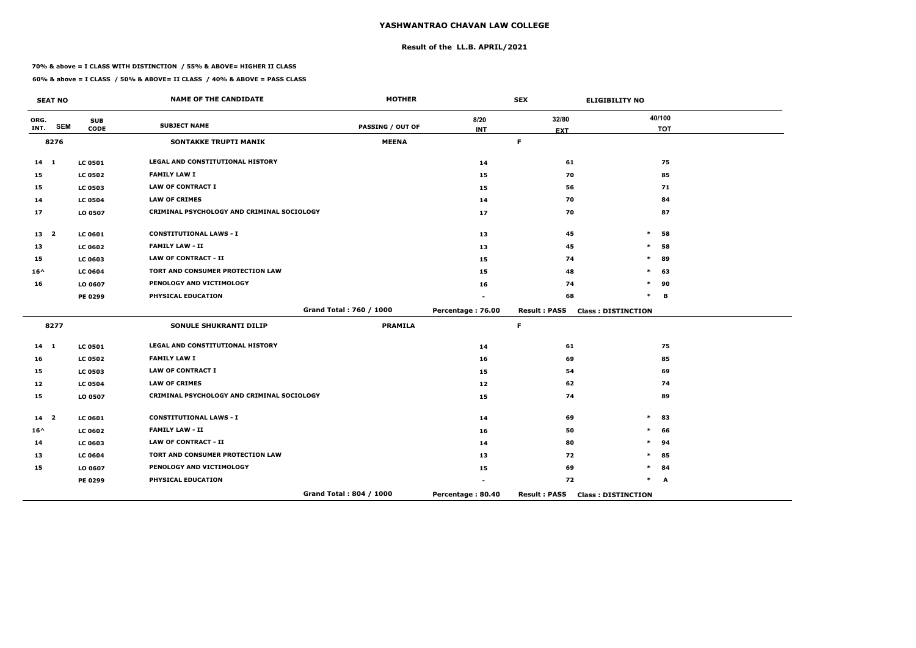# **Result of the LL.B. APRIL/2021**

#### **70% & above = I CLASS WITH DISTINCTION / 55% & ABOVE= HIGHER II CLASS**

 $\overline{\phantom{a}}$ 

|                 | <b>SEAT NO</b>          |                | <b>NAME OF THE CANDIDATE</b>               | <b>MOTHER</b>           |                   | <b>SEX</b>                | <b>ELIGIBILITY NO</b>     |
|-----------------|-------------------------|----------------|--------------------------------------------|-------------------------|-------------------|---------------------------|---------------------------|
| ORG.<br>INT.    | <b>SEM</b>              | <b>SUB</b>     | <b>SUBJECT NAME</b>                        | <b>PASSING / OUT OF</b> | 8/20              | 32/80                     | 40/100                    |
|                 | 8276                    | <b>CODE</b>    | <b>SONTAKKE TRUPTI MANIK</b>               | <b>MEENA</b>            | <b>INT</b>        | <b>EXT</b><br>$\mathsf F$ | <b>TOT</b>                |
|                 |                         |                |                                            |                         |                   |                           |                           |
| $14 \quad 1$    |                         | <b>LC 0501</b> | <b>LEGAL AND CONSTITUTIONAL HISTORY</b>    |                         | 14                | 61                        | 75                        |
| 15              |                         | <b>LC 0502</b> | <b>FAMILY LAW I</b>                        |                         | 15                | 70                        | 85                        |
| 15              |                         | <b>LC 0503</b> | <b>LAW OF CONTRACT I</b>                   |                         | 15                | 56                        | 71                        |
| 14              |                         | <b>LC 0504</b> | <b>LAW OF CRIMES</b>                       |                         | 14                | 70                        | 84                        |
| 17              |                         | LO 0507        | CRIMINAL PSYCHOLOGY AND CRIMINAL SOCIOLOGY |                         | 17                | 70                        | 87                        |
| 13 <sub>2</sub> |                         | <b>LC 0601</b> | <b>CONSTITUTIONAL LAWS - I</b>             |                         | 13                | 45                        | $\ast$<br>58              |
| 13              |                         | <b>LC 0602</b> | <b>FAMILY LAW - II</b>                     |                         | 13                | 45                        | $\ast$<br>58              |
| 15              |                         | LC 0603        | <b>LAW OF CONTRACT - II</b>                |                         | 15                | 74                        | 89<br>$\ast$              |
| $16^{\wedge}$   |                         | <b>LC 0604</b> | TORT AND CONSUMER PROTECTION LAW           |                         | 15                | 48                        | 63<br>$\ast$              |
| 16              |                         | LO 0607        | PENOLOGY AND VICTIMOLOGY                   |                         | 16                | 74                        | $\ast$<br>90              |
|                 |                         | <b>PE 0299</b> | PHYSICAL EDUCATION                         |                         |                   | 68                        | $\ast$<br>в               |
|                 |                         |                |                                            | Grand Total: 760 / 1000 | Percentage: 76.00 | <b>Result: PASS</b>       | <b>Class: DISTINCTION</b> |
|                 | 8277                    |                | <b>SONULE SHUKRANTI DILIP</b>              | <b>PRAMILA</b>          |                   | $\mathsf F$               |                           |
| $14 \quad 1$    |                         | <b>LC 0501</b> | LEGAL AND CONSTITUTIONAL HISTORY           |                         | 14                | 61                        | 75                        |
| 16              |                         | <b>LC 0502</b> | <b>FAMILY LAW I</b>                        |                         | 16                | 69                        | 85                        |
| 15              |                         | <b>LC 0503</b> | <b>LAW OF CONTRACT I</b>                   |                         | 15                | 54                        | 69                        |
| 12              |                         | <b>LC 0504</b> | <b>LAW OF CRIMES</b>                       |                         | 12 <sub>1</sub>   | 62                        | 74                        |
| 15              |                         | LO 0507        | CRIMINAL PSYCHOLOGY AND CRIMINAL SOCIOLOGY |                         | 15                | 74                        | 89                        |
| 14              | $\overline{\mathbf{2}}$ | <b>LC 0601</b> | <b>CONSTITUTIONAL LAWS - I</b>             |                         | 14                | 69                        | 83<br>$\ast$              |
| $16^{\wedge}$   |                         | <b>LC 0602</b> | <b>FAMILY LAW - II</b>                     |                         | 16                | 50                        | 66                        |
| 14              |                         | <b>LC 0603</b> | <b>LAW OF CONTRACT - II</b>                |                         | 14                | 80                        | $\ast$<br>94              |
| 13              |                         | <b>LC 0604</b> | TORT AND CONSUMER PROTECTION LAW           |                         | 13                | 72                        | 85                        |
| 15              |                         | LO 0607        | PENOLOGY AND VICTIMOLOGY                   |                         | 15                | 69                        | $\ast$<br>84              |
|                 |                         | <b>PE 0299</b> | PHYSICAL EDUCATION                         |                         |                   | 72                        | $\ast$<br>A               |
|                 |                         |                |                                            | Grand Total: 804 / 1000 | Percentage: 80.40 | <b>Result: PASS</b>       | <b>Class: DISTINCTION</b> |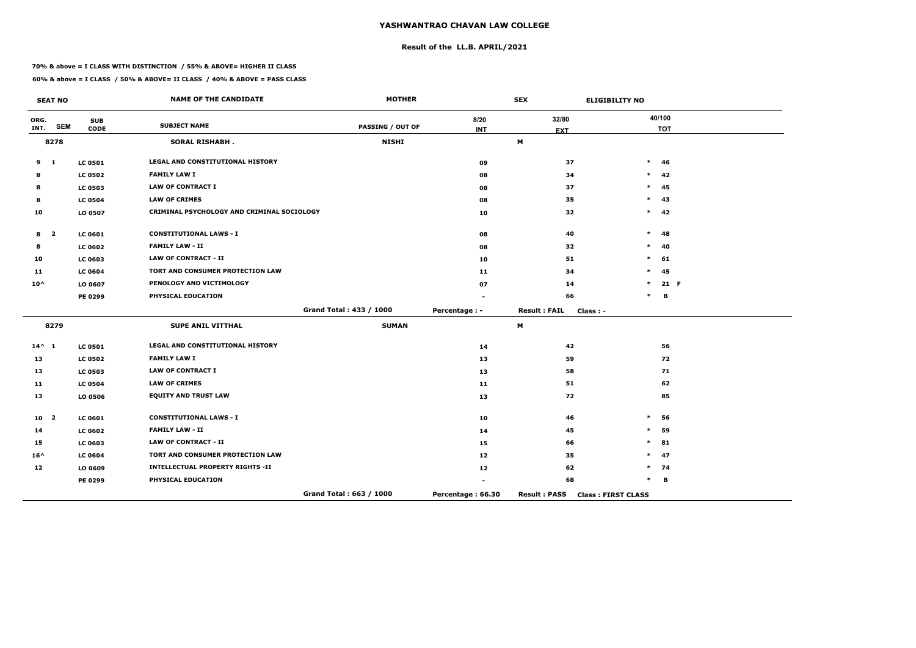# **Result of the LL.B. APRIL/2021**

#### **70% & above = I CLASS WITH DISTINCTION / 55% & ABOVE= HIGHER II CLASS**

|                 | <b>SEAT NO</b>          |                           | <b>NAME OF THE CANDIDATE</b>               | <b>MOTHER</b>           |                    | <b>SEX</b>                        | <b>ELIGIBILITY NO</b>     |
|-----------------|-------------------------|---------------------------|--------------------------------------------|-------------------------|--------------------|-----------------------------------|---------------------------|
| ORG.<br>INT.    | <b>SEM</b>              | <b>SUB</b><br><b>CODE</b> | <b>SUBJECT NAME</b>                        | <b>PASSING / OUT OF</b> | 8/20<br><b>INT</b> | 32/80                             | 40/100<br><b>TOT</b>      |
|                 | 8278                    |                           | <b>SORAL RISHABH.</b>                      | <b>NISHI</b>            |                    | <b>EXT</b><br>M                   |                           |
|                 |                         |                           |                                            |                         |                    |                                   |                           |
| 9               | $\mathbf{1}$            | <b>LC 0501</b>            | LEGAL AND CONSTITUTIONAL HISTORY           |                         | 09                 | 37                                | $\ast$<br>46              |
| 8               |                         | <b>LC 0502</b>            | <b>FAMILY LAW I</b>                        |                         | 08                 | 34                                | $\ast$<br>42              |
| 8               |                         | <b>LC 0503</b>            | <b>LAW OF CONTRACT I</b>                   |                         | 08                 | 37                                | 45<br>$\ast$              |
| 8               |                         | <b>LC 0504</b>            | <b>LAW OF CRIMES</b>                       |                         | 08                 | 35                                | 43<br>$\ast$              |
| 10              |                         | LO 0507                   | CRIMINAL PSYCHOLOGY AND CRIMINAL SOCIOLOGY |                         | 10                 | 32                                | $\ast$<br>42              |
| 8               | $\overline{\mathbf{2}}$ | <b>LC 0601</b>            | <b>CONSTITUTIONAL LAWS - I</b>             |                         | 08                 | 40                                | $\ast$<br>48              |
| 8               |                         | <b>LC 0602</b>            | <b>FAMILY LAW - II</b>                     |                         | 08                 | 32                                | 40<br>$\ast$              |
| 10              |                         | <b>LC 0603</b>            | <b>LAW OF CONTRACT - II</b>                |                         | 10                 | 51                                | $\ast$<br>61              |
| 11              |                         | <b>LC 0604</b>            | TORT AND CONSUMER PROTECTION LAW           |                         | 11                 | 34                                | 45<br>$\ast$              |
| $10^{\wedge}$   |                         | LO 0607                   | PENOLOGY AND VICTIMOLOGY                   |                         | 07                 | 14                                | 21 F<br>$\ast$            |
|                 |                         | <b>PE 0299</b>            | PHYSICAL EDUCATION                         |                         |                    | 66                                | $\ast$<br>в               |
|                 |                         |                           |                                            | Grand Total: 433 / 1000 | Percentage : -     | <b>Result: FAIL</b><br>$Class: -$ |                           |
|                 | 8279                    |                           | <b>SUPE ANIL VITTHAL</b>                   | <b>SUMAN</b>            |                    | M                                 |                           |
| $14^{\wedge} 1$ |                         | <b>LC 0501</b>            | LEGAL AND CONSTITUTIONAL HISTORY           |                         | 14                 | 42                                | 56                        |
| 13              |                         | <b>LC 0502</b>            | <b>FAMILY LAW I</b>                        |                         | 13                 | 59                                | 72                        |
| 13              |                         | <b>LC 0503</b>            | <b>LAW OF CONTRACT I</b>                   |                         | 13                 | 58                                | 71                        |
| 11              |                         | <b>LC 0504</b>            | <b>LAW OF CRIMES</b>                       |                         | 11                 | 51                                | 62                        |
| 13              |                         | LO 0506                   | <b>EQUITY AND TRUST LAW</b>                |                         | 13                 | 72                                | 85                        |
| 10              | $\overline{\mathbf{2}}$ | <b>LC 0601</b>            | <b>CONSTITUTIONAL LAWS - I</b>             |                         | 10                 | 46                                | $\ast$<br>56              |
| 14              |                         | <b>LC 0602</b>            | <b>FAMILY LAW - II</b>                     |                         | 14                 | 45                                | 59<br>$\ast$              |
| 15              |                         | <b>LC 0603</b>            | <b>LAW OF CONTRACT - II</b>                |                         | 15                 | 66                                | $\ast$<br>81              |
| $16^{\wedge}$   |                         | <b>LC 0604</b>            | TORT AND CONSUMER PROTECTION LAW           |                         | 12                 | 35                                | $\ast$<br>47              |
| 12              |                         | LO 0609                   | <b>INTELLECTUAL PROPERTY RIGHTS -II</b>    |                         | 12                 | 62                                | $\ast$<br>74              |
|                 |                         | PE 0299                   | PHYSICAL EDUCATION                         |                         |                    | 68                                | $\ast$<br>В               |
|                 |                         |                           |                                            | Grand Total: 663 / 1000 | Percentage: 66.30  | <b>Result: PASS</b>               | <b>Class: FIRST CLASS</b> |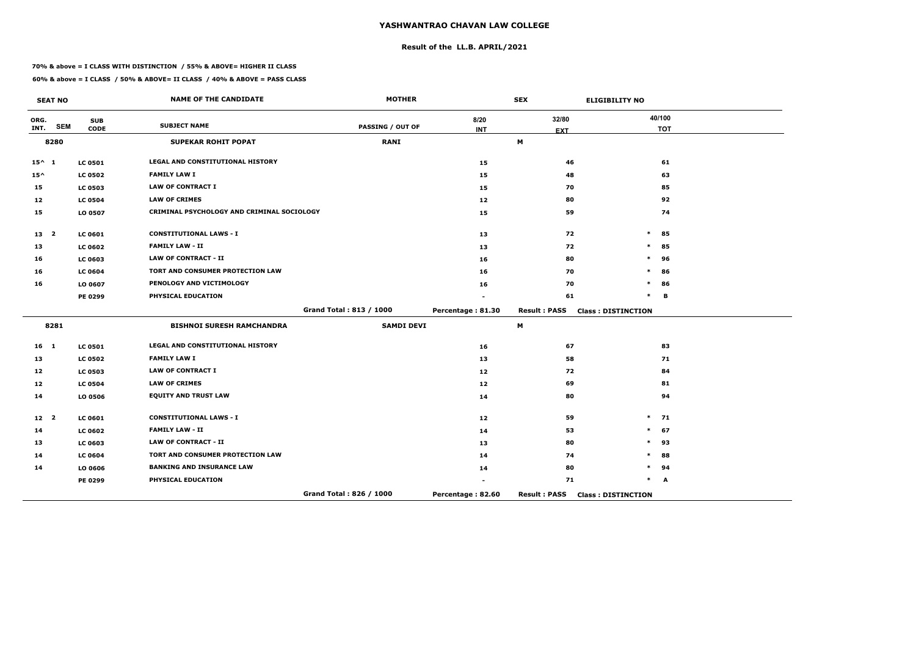# **Result of the LL.B. APRIL/2021**

#### **70% & above = I CLASS WITH DISTINCTION / 55% & ABOVE= HIGHER II CLASS**

|                 | <b>SEAT NO</b> |                           | <b>NAME OF THE CANDIDATE</b>               | <b>MOTHER</b>           |                    | <b>SEX</b>          | <b>ELIGIBILITY NO</b>     |
|-----------------|----------------|---------------------------|--------------------------------------------|-------------------------|--------------------|---------------------|---------------------------|
| ORG.<br>INT.    | <b>SEM</b>     | <b>SUB</b><br><b>CODE</b> | <b>SUBJECT NAME</b>                        | <b>PASSING / OUT OF</b> | 8/20<br><b>INT</b> | 32/80<br><b>EXT</b> | 40/100<br><b>TOT</b>      |
|                 | 8280           |                           | <b>SUPEKAR ROHIT POPAT</b>                 | <b>RANI</b>             |                    | M                   |                           |
| $15^{\wedge} 1$ |                | <b>LC 0501</b>            | <b>LEGAL AND CONSTITUTIONAL HISTORY</b>    |                         | 15                 | 46                  | 61                        |
| $15^{\wedge}$   |                | <b>LC 0502</b>            | <b>FAMILY LAW I</b>                        |                         | 15                 | 48                  | 63                        |
| 15              |                | <b>LC 0503</b>            | <b>LAW OF CONTRACT I</b>                   |                         | 15                 | 70                  | 85                        |
| 12              |                | <b>LC 0504</b>            | <b>LAW OF CRIMES</b>                       |                         | 12                 | 80                  | 92                        |
| 15              |                | LO 0507                   | CRIMINAL PSYCHOLOGY AND CRIMINAL SOCIOLOGY |                         | 15                 | 59                  | 74                        |
| 13 2            |                | <b>LC 0601</b>            | <b>CONSTITUTIONAL LAWS - I</b>             |                         | 13                 | 72                  | $\ast$<br>85              |
| 13              |                | <b>LC 0602</b>            | <b>FAMILY LAW - II</b>                     |                         | 13                 | 72                  | 85<br>$\ast$              |
| 16              |                | <b>LC 0603</b>            | <b>LAW OF CONTRACT - II</b>                |                         | 16                 | 80                  | $\ast$<br>96              |
| 16              |                | <b>LC 0604</b>            | TORT AND CONSUMER PROTECTION LAW           |                         | 16                 | 70                  | *<br>86                   |
| 16              |                | LO 0607                   | PENOLOGY AND VICTIMOLOGY                   |                         | 16                 | 70                  | $\ast$<br>86              |
|                 |                | PE 0299                   | PHYSICAL EDUCATION                         |                         |                    | 61                  | $\ast$<br>B               |
|                 |                |                           |                                            | Grand Total: 813 / 1000 | Percentage: 81.30  | <b>Result: PASS</b> | <b>Class: DISTINCTION</b> |
|                 | 8281           |                           | <b>BISHNOI SURESH RAMCHANDRA</b>           | <b>SAMDI DEVI</b>       |                    | M                   |                           |
| 16 <sub>1</sub> |                | <b>LC 0501</b>            | <b>LEGAL AND CONSTITUTIONAL HISTORY</b>    |                         | 16                 | 67                  | 83                        |
| 13              |                | <b>LC 0502</b>            | <b>FAMILY LAW I</b>                        |                         | 13                 | 58                  | 71                        |
| 12              |                | <b>LC 0503</b>            | <b>LAW OF CONTRACT I</b>                   |                         | 12                 | 72                  | 84                        |
| 12              |                | <b>LC 0504</b>            | <b>LAW OF CRIMES</b>                       |                         | 12                 | 69                  | 81                        |
| 14              |                | LO 0506                   | <b>EQUITY AND TRUST LAW</b>                |                         | 14                 | 80                  | 94                        |
| 12 <sup>2</sup> |                | <b>LC 0601</b>            | <b>CONSTITUTIONAL LAWS - I</b>             |                         | 12                 | 59                  | $\ast$<br>71              |
| 14              |                | <b>LC 0602</b>            | <b>FAMILY LAW - II</b>                     |                         | 14                 | 53                  | 67<br>$\ast$              |
| 13              |                | <b>LC 0603</b>            | <b>LAW OF CONTRACT - II</b>                |                         | 13                 | 80                  | $\ast$<br>93              |
| 14              |                | <b>LC 0604</b>            | TORT AND CONSUMER PROTECTION LAW           |                         | 14                 | 74                  | 88<br>$\ast$              |
| 14              |                | LO 0606                   | <b>BANKING AND INSURANCE LAW</b>           |                         | 14                 | 80                  | 94<br>$\ast$              |
|                 |                | PE 0299                   | PHYSICAL EDUCATION                         |                         |                    | 71                  | $\ast$<br>A               |
|                 |                |                           |                                            | Grand Total: 826 / 1000 | Percentage: 82.60  | <b>Result: PASS</b> | <b>Class: DISTINCTION</b> |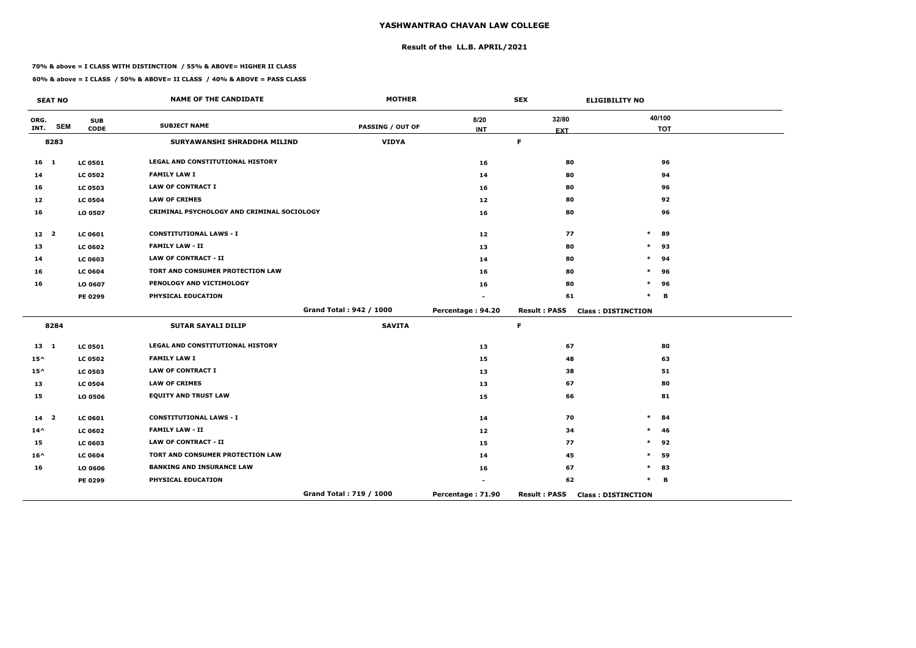## **Result of the LL.B. APRIL/2021**

#### **70% & above = I CLASS WITH DISTINCTION / 55% & ABOVE= HIGHER II CLASS**

 $\overline{\phantom{a}}$ 

|                 | <b>SEAT NO</b>          |                           | <b>NAME OF THE CANDIDATE</b>               | <b>MOTHER</b>           |                   | <b>SEX</b>          | <b>ELIGIBILITY NO</b>     |
|-----------------|-------------------------|---------------------------|--------------------------------------------|-------------------------|-------------------|---------------------|---------------------------|
| ORG.<br>INT.    | <b>SEM</b>              | <b>SUB</b><br><b>CODE</b> | <b>SUBJECT NAME</b>                        | <b>PASSING / OUT OF</b> | 8/20              | 32/80               | 40/100<br><b>TOT</b>      |
|                 | 8283                    |                           | SURYAWANSHI SHRADDHA MILIND                | <b>VIDYA</b>            | <b>INT</b>        | <b>EXT</b><br>F.    |                           |
| $16$ 1          |                         | <b>LC 0501</b>            | <b>LEGAL AND CONSTITUTIONAL HISTORY</b>    |                         | 16                | 80                  | 96                        |
| 14              |                         | <b>LC 0502</b>            | <b>FAMILY LAW I</b>                        |                         | 14                | 80                  | 94                        |
| 16              |                         | <b>LC 0503</b>            | <b>LAW OF CONTRACT I</b>                   |                         | 16                | 80                  | 96                        |
| 12 <sub>1</sub> |                         | <b>LC 0504</b>            | <b>LAW OF CRIMES</b>                       |                         | 12 <sub>1</sub>   | 80                  | 92                        |
| 16              |                         | LO 0507                   | CRIMINAL PSYCHOLOGY AND CRIMINAL SOCIOLOGY |                         | 16                | 80                  | 96                        |
| 12 <sub>2</sub> |                         | <b>LC 0601</b>            | <b>CONSTITUTIONAL LAWS - I</b>             |                         | 12                | 77                  | $\ast$<br>89              |
| 13              |                         | <b>LC 0602</b>            | <b>FAMILY LAW - II</b>                     |                         | 13                | 80                  | $\ast$<br>93              |
| 14              |                         | LC 0603                   | <b>LAW OF CONTRACT - II</b>                |                         | 14                | 80                  | 94                        |
| 16              |                         | <b>LC 0604</b>            | TORT AND CONSUMER PROTECTION LAW           |                         | 16                | 80                  | 96<br>∗                   |
| 16              |                         | LO 0607                   | PENOLOGY AND VICTIMOLOGY                   |                         | 16                | 80                  | $\ast$<br>96              |
|                 |                         | <b>PE 0299</b>            | PHYSICAL EDUCATION                         |                         |                   | 61                  | B<br>$\ast$               |
|                 |                         |                           |                                            | Grand Total: 942 / 1000 | Percentage: 94.20 | <b>Result: PASS</b> | <b>Class: DISTINCTION</b> |
|                 | 8284                    |                           | <b>SUTAR SAYALI DILIP</b>                  | <b>SAVITA</b>           |                   | $\mathsf F$         |                           |
| $13 \quad 1$    |                         | <b>LC 0501</b>            | <b>LEGAL AND CONSTITUTIONAL HISTORY</b>    |                         | 13                | 67                  | 80                        |
| $15^{\wedge}$   |                         | <b>LC 0502</b>            | <b>FAMILY LAW I</b>                        |                         | 15                | 48                  | 63                        |
| $15^{\wedge}$   |                         | <b>LC 0503</b>            | <b>LAW OF CONTRACT I</b>                   |                         | 13                | 38                  | 51                        |
| 13              |                         | <b>LC 0504</b>            | <b>LAW OF CRIMES</b>                       |                         | 13                | 67                  | 80                        |
| 15              |                         | LO 0506                   | <b>EQUITY AND TRUST LAW</b>                |                         | 15                | 66                  | 81                        |
| 14              | $\overline{\mathbf{2}}$ | LC 0601                   | <b>CONSTITUTIONAL LAWS - I</b>             |                         | 14                | 70                  | $\ast$<br>84              |
| $14^{\wedge}$   |                         | <b>LC 0602</b>            | <b>FAMILY LAW - II</b>                     |                         | 12                | 34                  | 46                        |
| 15              |                         | LC 0603                   | <b>LAW OF CONTRACT - II</b>                |                         | 15                | 77                  | $\ast$<br>92              |
| $16^{\wedge}$   |                         | <b>LC 0604</b>            | TORT AND CONSUMER PROTECTION LAW           |                         | 14                | 45                  | 59<br>$\ast$              |
| 16              |                         | LO 0606                   | <b>BANKING AND INSURANCE LAW</b>           |                         | 16                | 67                  | 83<br>$\ast$              |
|                 |                         | <b>PE 0299</b>            | PHYSICAL EDUCATION                         |                         |                   | 62                  | *<br>B                    |
|                 |                         |                           |                                            | Grand Total: 719 / 1000 | Percentage: 71.90 | <b>Result: PASS</b> | <b>Class: DISTINCTION</b> |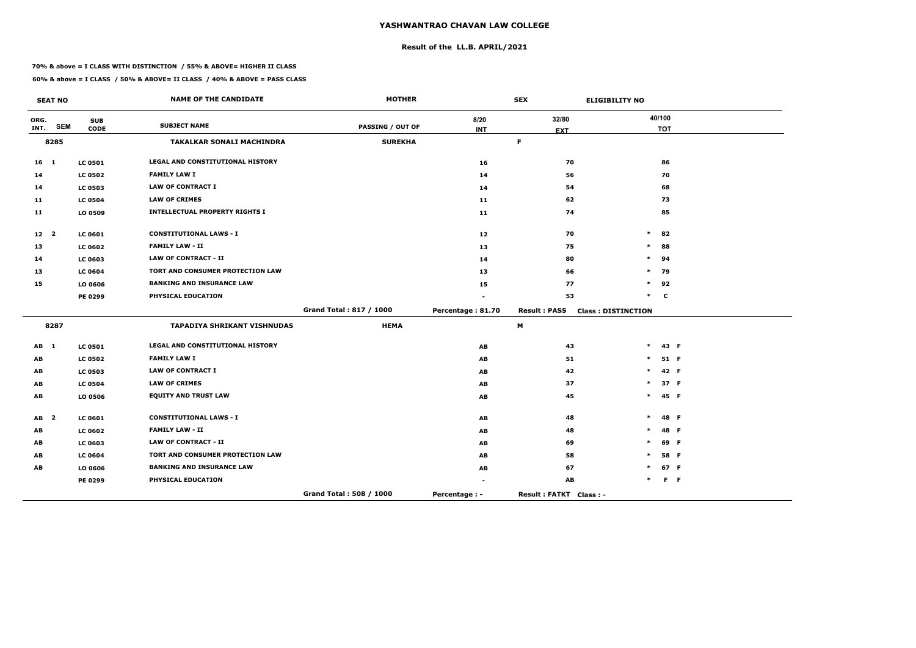## **Result of the LL.B. APRIL/2021**

#### **70% & above = I CLASS WITH DISTINCTION / 55% & ABOVE= HIGHER II CLASS**

|                 | <b>SEAT NO</b>          |                           | <b>NAME OF THE CANDIDATE</b>            | <b>MOTHER</b>           |                      | <b>SEX</b>             | <b>ELIGIBILITY NO</b>     |         |
|-----------------|-------------------------|---------------------------|-----------------------------------------|-------------------------|----------------------|------------------------|---------------------------|---------|
| ORG.<br>INT.    | <b>SEM</b>              | <b>SUB</b><br><b>CODE</b> | <b>SUBJECT NAME</b>                     | <b>PASSING / OUT OF</b> | 8/20<br><b>INT</b>   | 32/80                  | 40/100<br><b>TOT</b>      |         |
|                 | 8285                    |                           | <b>TAKALKAR SONALI MACHINDRA</b>        | <b>SUREKHA</b>          |                      | <b>EXT</b><br>F.       |                           |         |
| $16 \quad 1$    |                         | <b>LC 0501</b>            | LEGAL AND CONSTITUTIONAL HISTORY        |                         | 16                   | 70                     | 86                        |         |
| 14              |                         | <b>LC 0502</b>            | <b>FAMILY LAW I</b>                     |                         | 14                   | 56                     | 70                        |         |
| 14              |                         | <b>LC 0503</b>            | <b>LAW OF CONTRACT I</b>                |                         | 14                   | 54                     | 68                        |         |
| 11              |                         | <b>LC 0504</b>            | <b>LAW OF CRIMES</b>                    |                         | 11                   | 62                     | 73                        |         |
| 11              |                         | LO 0509                   | <b>INTELLECTUAL PROPERTY RIGHTS I</b>   |                         | 11                   | 74                     | 85                        |         |
| 12 <sub>2</sub> |                         | <b>LC 0601</b>            | <b>CONSTITUTIONAL LAWS - I</b>          |                         | 12                   | 70                     | $\ast$<br>82              |         |
| 13              |                         | <b>LC 0602</b>            | <b>FAMILY LAW - II</b>                  |                         | 13                   | 75                     | $\ast$<br>88              |         |
| 14              |                         | <b>LC 0603</b>            | <b>LAW OF CONTRACT - II</b>             |                         | 14                   | 80                     | $\ast$<br>94              |         |
| 13              |                         | <b>LC 0604</b>            | <b>TORT AND CONSUMER PROTECTION LAW</b> |                         | 13                   | 66                     | $\ast$<br>79              |         |
| 15              |                         | LO 0606                   | <b>BANKING AND INSURANCE LAW</b>        |                         | 15                   | 77                     | $\ast$<br>92              |         |
|                 |                         | PE 0299                   | PHYSICAL EDUCATION                      |                         |                      | 53                     | $\ast$<br>$\mathbf c$     |         |
|                 |                         |                           |                                         | Grand Total: 817 / 1000 | Percentage: 81.70    | <b>Result: PASS</b>    | <b>Class: DISTINCTION</b> |         |
|                 | 8287                    |                           | <b>TAPADIYA SHRIKANT VISHNUDAS</b>      | <b>HEMA</b>             |                      | М                      |                           |         |
| AB 1            |                         | <b>LC 0501</b>            | LEGAL AND CONSTITUTIONAL HISTORY        |                         | AB                   | 43                     | $\ast$                    | 43 F    |
| AB              |                         | <b>LC 0502</b>            | <b>FAMILY LAW I</b>                     |                         | AB                   | 51                     | $\ast$                    | 51 F    |
| AB              |                         | <b>LC 0503</b>            | <b>LAW OF CONTRACT I</b>                |                         | AB                   | 42                     | $\ast$                    | 42 F    |
| AB              |                         | <b>LC 0504</b>            | <b>LAW OF CRIMES</b>                    |                         | AB                   | 37                     | $\ast$                    | 37 F    |
| AB              |                         | LO 0506                   | <b>EQUITY AND TRUST LAW</b>             |                         | AB                   | 45                     | $\ast$                    | 45 F    |
| AB              | $\overline{\mathbf{2}}$ | <b>LC 0601</b>            | <b>CONSTITUTIONAL LAWS - I</b>          |                         | AB                   | 48                     | $\ast$                    | 48 F    |
| AB              |                         | <b>LC 0602</b>            | <b>FAMILY LAW - II</b>                  |                         | AB                   | 48                     | $\ast$                    | 48 F    |
| AB              |                         | <b>LC 0603</b>            | <b>LAW OF CONTRACT - II</b>             |                         | AB                   | 69                     | $\ast$                    | 69 F    |
| AB              |                         | <b>LC 0604</b>            | TORT AND CONSUMER PROTECTION LAW        |                         | AB                   | 58                     | $\ast$                    | 58 F    |
| AB              |                         | LO 0606                   | <b>BANKING AND INSURANCE LAW</b>        |                         | AB                   | 67                     | *                         | 67 F    |
|                 |                         | PE 0299                   | PHYSICAL EDUCATION                      |                         |                      | AB                     | $\ast$                    | $F - F$ |
|                 |                         |                           |                                         | Grand Total: 508 / 1000 | <b>Percentage: -</b> | Result: FATKT Class: - |                           |         |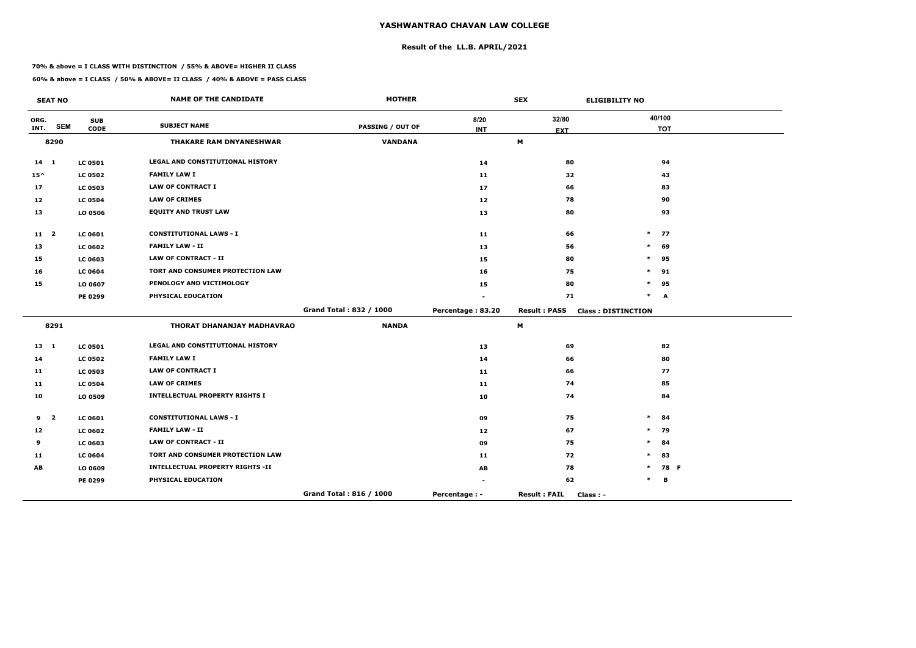## **Result of the LL.B. APRIL/2021**

#### **70% & above = I CLASS WITH DISTINCTION / 55% & ABOVE= HIGHER II CLASS**

|               | <b>SEAT NO</b>          |                           | <b>NAME OF THE CANDIDATE</b>            | <b>MOTHER</b>           |                      | <b>SEX</b>                        | <b>ELIGIBILITY NO</b>     |
|---------------|-------------------------|---------------------------|-----------------------------------------|-------------------------|----------------------|-----------------------------------|---------------------------|
| ORG.<br>INT.  | <b>SEM</b>              | <b>SUB</b><br><b>CODE</b> | <b>SUBJECT NAME</b>                     | <b>PASSING / OUT OF</b> | 8/20<br><b>INT</b>   | 32/80<br><b>EXT</b>               | 40/100<br><b>TOT</b>      |
|               | 8290                    |                           | <b>THAKARE RAM DNYANESHWAR</b>          | <b>VANDANA</b>          |                      | $\boldsymbol{\mathsf{M}}$         |                           |
| $14 \quad 1$  |                         | <b>LC 0501</b>            | <b>LEGAL AND CONSTITUTIONAL HISTORY</b> |                         | 14                   | 80                                | 94                        |
| $15^{\wedge}$ |                         | <b>LC 0502</b>            | <b>FAMILY LAW I</b>                     |                         | 11                   | 32                                | 43                        |
| 17            |                         | <b>LC 0503</b>            | <b>LAW OF CONTRACT I</b>                |                         | 17                   | 66                                | 83                        |
| 12            |                         | <b>LC 0504</b>            | <b>LAW OF CRIMES</b>                    |                         | 12                   | 78                                | 90                        |
| 13            |                         | LO 0506                   | <b>EQUITY AND TRUST LAW</b>             |                         | 13                   | 80                                | 93                        |
| $11 \quad 2$  |                         | <b>LC 0601</b>            | <b>CONSTITUTIONAL LAWS - I</b>          |                         | 11                   | 66                                | 77<br>$\ast$              |
| 13            |                         | <b>LC 0602</b>            | <b>FAMILY LAW - II</b>                  |                         | 13                   | 56                                | $\ast$<br>69              |
| 15            |                         | LC 0603                   | <b>LAW OF CONTRACT - II</b>             |                         | 15                   | 80                                | $\ast$<br>95              |
| 16            |                         | <b>LC 0604</b>            | TORT AND CONSUMER PROTECTION LAW        |                         | 16                   | 75                                | $\ast$<br>91              |
| 15            |                         | LO 0607                   | PENOLOGY AND VICTIMOLOGY                |                         | 15                   | 80                                | $\ast$<br>95              |
|               |                         | PE 0299                   | PHYSICAL EDUCATION                      |                         |                      | 71                                | $\ast$<br>A               |
|               |                         |                           |                                         | Grand Total: 832 / 1000 | Percentage: 83.20    | <b>Result: PASS</b>               | <b>Class: DISTINCTION</b> |
|               | 8291                    |                           | THORAT DHANANJAY MADHAVRAO              | <b>NANDA</b>            |                      | М                                 |                           |
| $13 \quad 1$  |                         | <b>LC 0501</b>            | LEGAL AND CONSTITUTIONAL HISTORY        |                         | 13                   | 69                                | 82                        |
| 14            |                         | <b>LC 0502</b>            | <b>FAMILY LAW I</b>                     |                         | 14                   | 66                                | 80                        |
| 11            |                         | <b>LC 0503</b>            | <b>LAW OF CONTRACT I</b>                |                         | 11                   | 66                                | 77                        |
| 11            |                         | <b>LC 0504</b>            | <b>LAW OF CRIMES</b>                    |                         | 11                   | 74                                | 85                        |
| 10            |                         | LO 0509                   | <b>INTELLECTUAL PROPERTY RIGHTS I</b>   |                         | 10                   | 74                                | 84                        |
| 9             | $\overline{\mathbf{2}}$ | LC 0601                   | <b>CONSTITUTIONAL LAWS - I</b>          |                         | 09                   | 75                                | $\ast$<br>84              |
| 12            |                         | <b>LC 0602</b>            | <b>FAMILY LAW - II</b>                  |                         | 12                   | 67                                | 79<br>$\ast$              |
| 9             |                         | LC 0603                   | <b>LAW OF CONTRACT - II</b>             |                         | 09                   | 75                                | 84<br>$\ast$              |
| 11            |                         | <b>LC 0604</b>            | TORT AND CONSUMER PROTECTION LAW        |                         | 11                   | 72                                | $\ast$<br>83              |
| AB            |                         | LO 0609                   | <b>INTELLECTUAL PROPERTY RIGHTS -II</b> |                         | AB                   | 78                                | 78 F<br>$\ast$            |
|               |                         | PE 0299                   | PHYSICAL EDUCATION                      |                         |                      | 62                                | В<br>$\ast$               |
|               |                         |                           |                                         | Grand Total: 816 / 1000 | <b>Percentage: -</b> | <b>Result: FAIL</b><br>$Class: -$ |                           |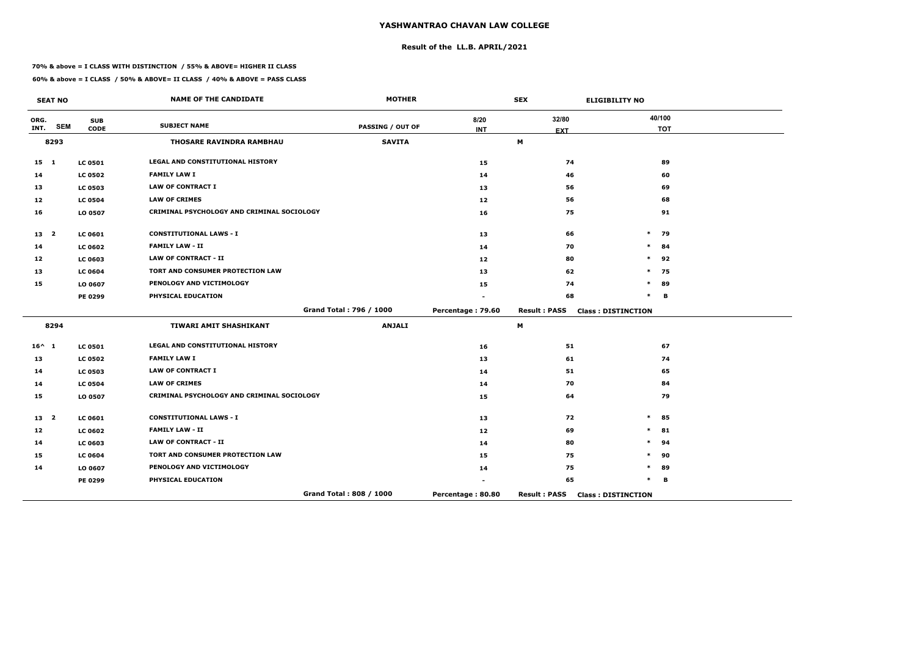## **Result of the LL.B. APRIL/2021**

#### **70% & above = I CLASS WITH DISTINCTION / 55% & ABOVE= HIGHER II CLASS**

 $\overline{\phantom{a}}$ 

|                 | <b>SEAT NO</b>          |                | <b>NAME OF THE CANDIDATE</b>               | <b>MOTHER</b>           |                   | <b>SEX</b>          | <b>ELIGIBILITY NO</b>     |
|-----------------|-------------------------|----------------|--------------------------------------------|-------------------------|-------------------|---------------------|---------------------------|
| ORG.            | <b>SEM</b>              | <b>SUB</b>     | <b>SUBJECT NAME</b>                        | <b>PASSING / OUT OF</b> | 8/20              | 32/80               | 40/100                    |
| INT.            |                         | <b>CODE</b>    |                                            |                         | <b>INT</b>        | <b>EXT</b>          | <b>TOT</b>                |
|                 | 8293                    |                | THOSARE RAVINDRA RAMBHAU                   | <b>SAVITA</b>           |                   | M                   |                           |
| $15 \quad 1$    |                         | <b>LC 0501</b> | <b>LEGAL AND CONSTITUTIONAL HISTORY</b>    |                         | 15                | 74                  | 89                        |
| 14              |                         | <b>LC 0502</b> | <b>FAMILY LAW I</b>                        |                         | 14                | 46                  | 60                        |
| 13              |                         | <b>LC 0503</b> | <b>LAW OF CONTRACT I</b>                   |                         | 13                | 56                  | 69                        |
| 12              |                         | <b>LC 0504</b> | <b>LAW OF CRIMES</b>                       |                         | 12                | 56                  | 68                        |
| 16              |                         | LO 0507        | CRIMINAL PSYCHOLOGY AND CRIMINAL SOCIOLOGY |                         | 16                | 75                  | 91                        |
| 13 <sub>2</sub> |                         | <b>LC 0601</b> | <b>CONSTITUTIONAL LAWS - I</b>             |                         | 13                | 66                  | $\ast$<br>79              |
| 14              |                         | <b>LC 0602</b> | <b>FAMILY LAW - II</b>                     |                         | 14                | 70                  | $\ast$<br>84              |
| 12              |                         | LC 0603        | <b>LAW OF CONTRACT - II</b>                |                         | 12                | 80                  | $\ast$<br>92              |
| 13              |                         | <b>LC 0604</b> | TORT AND CONSUMER PROTECTION LAW           |                         | 13                | 62                  | 75<br>$\ast$              |
| 15              |                         | LO 0607        | PENOLOGY AND VICTIMOLOGY                   |                         | 15                | 74                  | $\ast$<br>89              |
|                 |                         | <b>PE 0299</b> | PHYSICAL EDUCATION                         |                         |                   | 68                  | $\ast$<br>B               |
|                 |                         |                |                                            | Grand Total: 796 / 1000 | Percentage: 79.60 | <b>Result: PASS</b> | <b>Class: DISTINCTION</b> |
|                 | 8294                    |                | TIWARI AMIT SHASHIKANT                     | <b>ANJALI</b>           |                   | M                   |                           |
| $16^{\wedge} 1$ |                         | <b>LC 0501</b> | LEGAL AND CONSTITUTIONAL HISTORY           |                         | 16                | 51                  | 67                        |
| 13              |                         | <b>LC 0502</b> | <b>FAMILY LAW I</b>                        |                         | 13                | 61                  | 74                        |
| 14              |                         | <b>LC 0503</b> | <b>LAW OF CONTRACT I</b>                   |                         | 14                | 51                  | 65                        |
| 14              |                         | <b>LC 0504</b> | <b>LAW OF CRIMES</b>                       |                         | 14                | 70                  | 84                        |
| 15              |                         | LO 0507        | CRIMINAL PSYCHOLOGY AND CRIMINAL SOCIOLOGY |                         | 15                | 64                  | 79                        |
| 13              | $\overline{\mathbf{2}}$ | <b>LC 0601</b> | <b>CONSTITUTIONAL LAWS - I</b>             |                         | 13                | 72                  | 85<br>$\ast$              |
| 12              |                         | <b>LC 0602</b> | <b>FAMILY LAW - II</b>                     |                         | 12                | 69                  | 81<br>*                   |
| 14              |                         | <b>LC 0603</b> | <b>LAW OF CONTRACT - II</b>                |                         | 14                | 80                  | 94<br>$\ast$              |
| 15              |                         | <b>LC 0604</b> | TORT AND CONSUMER PROTECTION LAW           |                         | 15                | 75                  | 90<br>$\ast$              |
| 14              |                         | LO 0607        | PENOLOGY AND VICTIMOLOGY                   |                         | 14                | 75                  | 89<br>$\ast$              |
|                 |                         | <b>PE 0299</b> | PHYSICAL EDUCATION                         |                         |                   | 65                  | $\ast$<br>B               |
|                 |                         |                |                                            | Grand Total: 808 / 1000 | Percentage: 80.80 | <b>Result: PASS</b> | <b>Class: DISTINCTION</b> |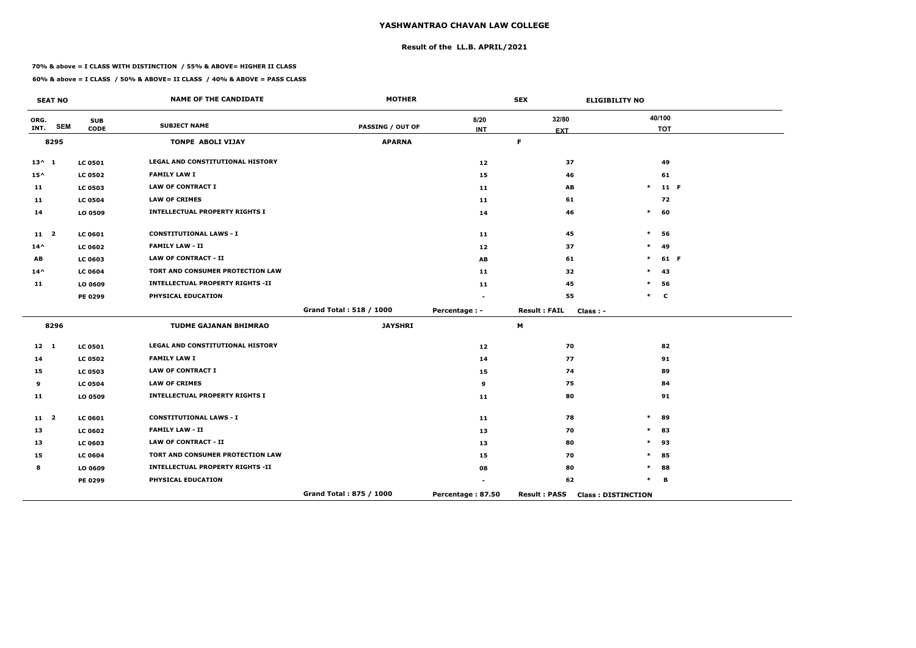## **Result of the LL.B. APRIL/2021**

#### **70% & above = I CLASS WITH DISTINCTION / 55% & ABOVE= HIGHER II CLASS**

|                 | <b>SEAT NO</b> |                           | <b>NAME OF THE CANDIDATE</b>            | <b>MOTHER</b>           |                    | <b>SEX</b>                        | <b>ELIGIBILITY NO</b>     |
|-----------------|----------------|---------------------------|-----------------------------------------|-------------------------|--------------------|-----------------------------------|---------------------------|
| ORG.<br>INT.    | <b>SEM</b>     | <b>SUB</b><br><b>CODE</b> | <b>SUBJECT NAME</b>                     | <b>PASSING / OUT OF</b> | 8/20<br><b>INT</b> | 32/80<br><b>EXT</b>               | 40/100<br><b>TOT</b>      |
|                 | 8295           |                           | <b>TONPE ABOLI VIJAY</b>                | <b>APARNA</b>           |                    | F.                                |                           |
| $13^{\wedge} 1$ |                | <b>LC 0501</b>            | LEGAL AND CONSTITUTIONAL HISTORY        |                         | 12                 | 37                                | 49                        |
| $15^{\wedge}$   |                | <b>LC 0502</b>            | <b>FAMILY LAW I</b>                     |                         | 15                 | 46                                | 61                        |
| 11              |                | <b>LC 0503</b>            | <b>LAW OF CONTRACT I</b>                |                         | 11                 | AB                                | $\ast$<br>11 F            |
| 11              |                | <b>LC 0504</b>            | <b>LAW OF CRIMES</b>                    |                         | 11                 | 61                                | 72                        |
| 14              |                | LO 0509                   | <b>INTELLECTUAL PROPERTY RIGHTS I</b>   |                         | 14                 | 46                                | $\pmb{\ast}$<br>60        |
| 11 <sub>2</sub> |                | <b>LC 0601</b>            | <b>CONSTITUTIONAL LAWS - I</b>          |                         | 11                 | 45                                | $\ast$<br>56              |
| $14^{\wedge}$   |                | <b>LC 0602</b>            | <b>FAMILY LAW - II</b>                  |                         | 12                 | 37                                | 49<br>$\ast$              |
| AB              |                | <b>LC 0603</b>            | <b>LAW OF CONTRACT - II</b>             |                         | AB                 | 61                                | 61 F<br>$\ast$            |
| $14^{\wedge}$   |                | <b>LC 0604</b>            | TORT AND CONSUMER PROTECTION LAW        |                         | 11                 | 32                                | 43<br>$\ast$              |
| 11              |                | LO 0609                   | <b>INTELLECTUAL PROPERTY RIGHTS -II</b> |                         | 11                 | 45                                | 56<br>$\ast$              |
|                 |                | <b>PE 0299</b>            | PHYSICAL EDUCATION                      |                         |                    | 55                                | $*$ C                     |
|                 |                |                           |                                         | Grand Total: 518 / 1000 | Percentage : -     | <b>Result: FAIL</b><br>$Class: -$ |                           |
|                 | 8296           |                           | <b>TUDME GAJANAN BHIMRAO</b>            | <b>JAYSHRI</b>          |                    | M                                 |                           |
| $12 \quad 1$    |                | <b>LC 0501</b>            | LEGAL AND CONSTITUTIONAL HISTORY        |                         | 12                 | 70                                | 82                        |
| 14              |                | <b>LC 0502</b>            | <b>FAMILY LAW I</b>                     |                         | 14                 | 77                                | 91                        |
| 15              |                | <b>LC 0503</b>            | <b>LAW OF CONTRACT I</b>                |                         | 15                 | 74                                | 89                        |
| 9               |                | <b>LC 0504</b>            | <b>LAW OF CRIMES</b>                    |                         | 9                  | 75                                | 84                        |
| 11              |                | LO 0509                   | <b>INTELLECTUAL PROPERTY RIGHTS I</b>   |                         | 11                 | 80                                | 91                        |
| $11 \quad 2$    |                | LC 0601                   | <b>CONSTITUTIONAL LAWS - I</b>          |                         | 11                 | 78                                | $\ast$<br>89              |
| 13              |                | <b>LC 0602</b>            | <b>FAMILY LAW - II</b>                  |                         | 13                 | 70                                | 83<br>$\ast$              |
| 13              |                | <b>LC 0603</b>            | <b>LAW OF CONTRACT - II</b>             |                         | 13                 | 80                                | 93<br>$\ast$              |
| 15              |                | <b>LC 0604</b>            | TORT AND CONSUMER PROTECTION LAW        |                         | 15                 | 70                                | $\ast$<br>85              |
| 8               |                | LO 0609                   | <b>INTELLECTUAL PROPERTY RIGHTS -II</b> |                         | 08                 | 80                                | $\ast$<br>88              |
|                 |                | PE 0299                   | PHYSICAL EDUCATION                      |                         |                    | 62                                | $\ast$<br>В               |
|                 |                |                           |                                         | Grand Total: 875 / 1000 | Percentage: 87.50  | <b>Result: PASS</b>               | <b>Class: DISTINCTION</b> |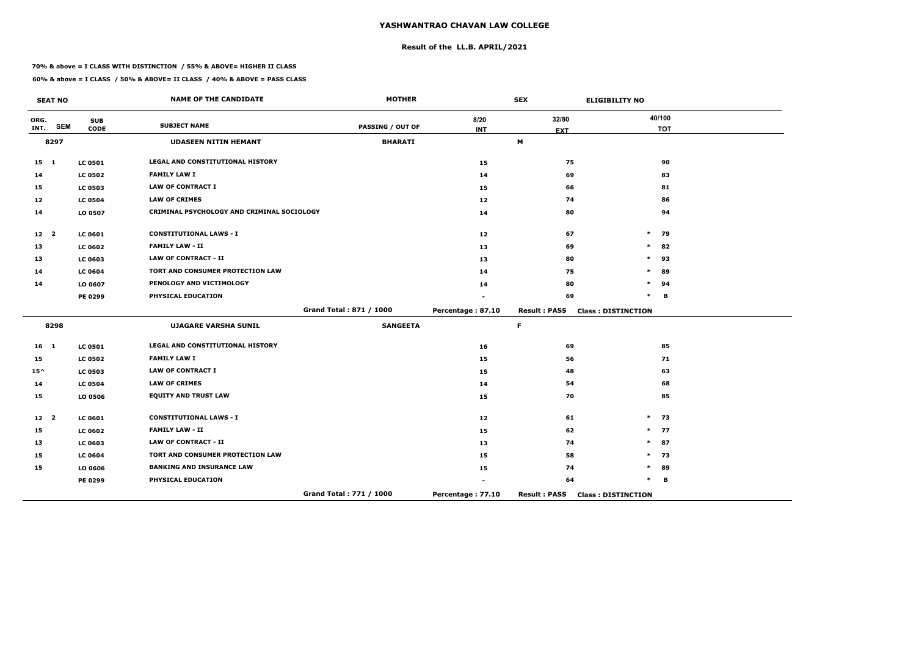## **Result of the LL.B. APRIL/2021**

#### **70% & above = I CLASS WITH DISTINCTION / 55% & ABOVE= HIGHER II CLASS**

|                 | <b>SEAT NO</b> |                           | <b>NAME OF THE CANDIDATE</b>               | <b>MOTHER</b>           |                    | <b>SEX</b>          | <b>ELIGIBILITY NO</b>     |
|-----------------|----------------|---------------------------|--------------------------------------------|-------------------------|--------------------|---------------------|---------------------------|
| ORG.<br>INT.    | <b>SEM</b>     | <b>SUB</b><br><b>CODE</b> | <b>SUBJECT NAME</b>                        | PASSING / OUT OF        | 8/20<br><b>INT</b> | 32/80<br><b>EXT</b> | 40/100<br><b>TOT</b>      |
|                 | 8297           |                           | <b>UDASEEN NITIN HEMANT</b>                | <b>BHARATI</b>          |                    | M                   |                           |
| $15$ 1          |                | <b>LC 0501</b>            | LEGAL AND CONSTITUTIONAL HISTORY           |                         | 15                 | 75                  | 90                        |
| 14              |                | <b>LC 0502</b>            | <b>FAMILY LAW I</b>                        |                         | 14                 | 69                  | 83                        |
| 15              |                | <b>LC 0503</b>            | <b>LAW OF CONTRACT I</b>                   |                         | 15                 | 66                  | 81                        |
| 12              |                | <b>LC 0504</b>            | <b>LAW OF CRIMES</b>                       |                         | 12                 | 74                  | 86                        |
| 14              |                | LO 0507                   | CRIMINAL PSYCHOLOGY AND CRIMINAL SOCIOLOGY |                         | 14                 | 80                  | 94                        |
| 12 <sub>2</sub> |                | <b>LC 0601</b>            | <b>CONSTITUTIONAL LAWS - I</b>             |                         | 12                 | 67                  | $\ast$<br>79              |
| 13              |                | <b>LC 0602</b>            | <b>FAMILY LAW - II</b>                     |                         | 13                 | 69                  | $\ast$<br>82              |
| 13              |                | LC 0603                   | <b>LAW OF CONTRACT - II</b>                |                         | 13                 | 80                  | $\ast$<br>93              |
| 14              |                | <b>LC 0604</b>            | TORT AND CONSUMER PROTECTION LAW           |                         | 14                 | 75                  | $\ast$<br>89              |
| 14              |                | LO 0607                   | PENOLOGY AND VICTIMOLOGY                   |                         | 14                 | 80                  | $\ast$<br>94              |
|                 |                | PE 0299                   | PHYSICAL EDUCATION                         |                         |                    | 69                  | $\ast$<br>B               |
|                 |                |                           |                                            | Grand Total: 871 / 1000 | Percentage: 87.10  | <b>Result: PASS</b> | <b>Class: DISTINCTION</b> |
|                 | 8298           |                           | <b>UJAGARE VARSHA SUNIL</b>                | <b>SANGEETA</b>         |                    | $\mathsf F$         |                           |
| 16 <sub>1</sub> |                | <b>LC 0501</b>            | LEGAL AND CONSTITUTIONAL HISTORY           |                         | 16                 | 69                  | 85                        |
| 15              |                | <b>LC 0502</b>            | <b>FAMILY LAW I</b>                        |                         | 15                 | 56                  | 71                        |
| $15^{\wedge}$   |                | <b>LC 0503</b>            | <b>LAW OF CONTRACT I</b>                   |                         | 15                 | 48                  | 63                        |
| 14              |                | <b>LC 0504</b>            | <b>LAW OF CRIMES</b>                       |                         | 14                 | 54                  | 68                        |
| 15              |                | LO 0506                   | <b>EQUITY AND TRUST LAW</b>                |                         | 15                 | 70                  | 85                        |
| 12 <sup>2</sup> |                | LC 0601                   | <b>CONSTITUTIONAL LAWS - I</b>             |                         | 12                 | 61                  | $\ast$<br>73              |
| 15              |                | <b>LC 0602</b>            | <b>FAMILY LAW - II</b>                     |                         | 15                 | 62                  | $\ast$<br>77              |
| 13              |                | LC 0603                   | <b>LAW OF CONTRACT - II</b>                |                         | 13                 | 74                  | $\ast$<br>87              |
| 15              |                | <b>LC 0604</b>            | TORT AND CONSUMER PROTECTION LAW           |                         | 15                 | 58                  | $\ast$<br>73              |
| 15              |                | LO 0606                   | <b>BANKING AND INSURANCE LAW</b>           |                         | 15                 | 74                  | 89<br>$\ast$              |
|                 |                | PE 0299                   | PHYSICAL EDUCATION                         |                         |                    | 64                  | $\ast$<br>B               |
|                 |                |                           |                                            | Grand Total: 771 / 1000 | Percentage: 77.10  | <b>Result: PASS</b> | <b>Class: DISTINCTION</b> |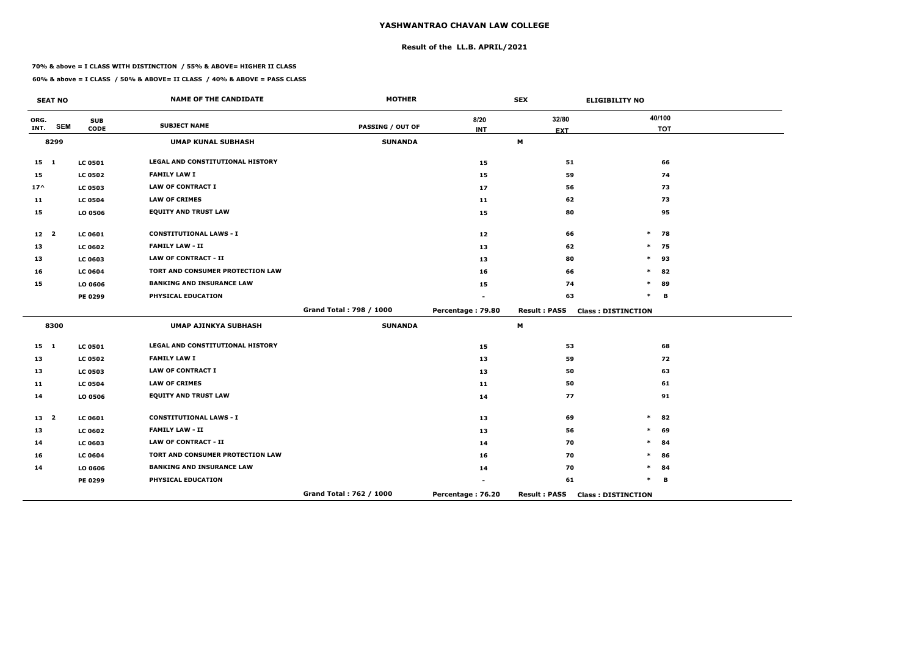## **Result of the LL.B. APRIL/2021**

#### **70% & above = I CLASS WITH DISTINCTION / 55% & ABOVE= HIGHER II CLASS**

|                 | <b>SEAT NO</b> |                           | <b>NAME OF THE CANDIDATE</b>            | <b>MOTHER</b>           |                    | <b>SEX</b>          | <b>ELIGIBILITY NO</b>     |
|-----------------|----------------|---------------------------|-----------------------------------------|-------------------------|--------------------|---------------------|---------------------------|
| ORG.<br>INT.    | <b>SEM</b>     | <b>SUB</b><br><b>CODE</b> | <b>SUBJECT NAME</b>                     | <b>PASSING / OUT OF</b> | 8/20<br><b>INT</b> | 32/80<br><b>EXT</b> | 40/100<br><b>TOT</b>      |
|                 | 8299           |                           | <b>UMAP KUNAL SUBHASH</b>               | <b>SUNANDA</b>          |                    | M                   |                           |
| $15 \quad 1$    |                | <b>LC 0501</b>            | LEGAL AND CONSTITUTIONAL HISTORY        |                         | 15                 | 51                  | 66                        |
| 15              |                | <b>LC 0502</b>            | <b>FAMILY LAW I</b>                     |                         | 15                 | 59                  | 74                        |
| $17^$           |                | <b>LC 0503</b>            | <b>LAW OF CONTRACT I</b>                |                         | 17                 | 56                  | 73                        |
| 11              |                | <b>LC 0504</b>            | <b>LAW OF CRIMES</b>                    |                         | 11                 | 62                  | 73                        |
| 15              |                | LO 0506                   | <b>EQUITY AND TRUST LAW</b>             |                         | 15                 | 80                  | 95                        |
| 12 <sub>2</sub> |                | <b>LC 0601</b>            | <b>CONSTITUTIONAL LAWS - I</b>          |                         | 12                 | 66                  | $\ast$<br>78              |
| 13              |                | <b>LC 0602</b>            | <b>FAMILY LAW - II</b>                  |                         | 13                 | 62                  | $\ast$<br>75              |
| 13              |                | <b>LC 0603</b>            | <b>LAW OF CONTRACT - II</b>             |                         | 13                 | 80                  | $\ast$<br>93              |
| 16              |                | <b>LC 0604</b>            | TORT AND CONSUMER PROTECTION LAW        |                         | 16                 | 66                  | 82<br>$\ast$              |
| 15              |                | LO 0606                   | <b>BANKING AND INSURANCE LAW</b>        |                         | 15                 | 74                  | $\ast$<br>89              |
|                 |                | PE 0299                   | PHYSICAL EDUCATION                      |                         |                    | 63                  | $\ast$<br>B               |
|                 |                |                           |                                         | Grand Total: 798 / 1000 | Percentage: 79.80  | <b>Result: PASS</b> | <b>Class: DISTINCTION</b> |
|                 | 8300           |                           | <b>UMAP AJINKYA SUBHASH</b>             | <b>SUNANDA</b>          |                    | M                   |                           |
| $15 \quad 1$    |                | <b>LC 0501</b>            | <b>LEGAL AND CONSTITUTIONAL HISTORY</b> |                         | 15                 | 53                  | 68                        |
| 13              |                | <b>LC 0502</b>            | <b>FAMILY LAW I</b>                     |                         | 13                 | 59                  | 72                        |
| 13              |                | <b>LC 0503</b>            | <b>LAW OF CONTRACT I</b>                |                         | 13                 | 50                  | 63                        |
| 11              |                | <b>LC 0504</b>            | <b>LAW OF CRIMES</b>                    |                         | 11                 | 50                  | 61                        |
| 14              |                | LO 0506                   | <b>EQUITY AND TRUST LAW</b>             |                         | 14                 | 77                  | 91                        |
| 13 <sup>2</sup> |                | LC 0601                   | <b>CONSTITUTIONAL LAWS - I</b>          |                         | 13                 | 69                  | $\ast$<br>82              |
| 13              |                | <b>LC 0602</b>            | <b>FAMILY LAW - II</b>                  |                         | 13                 | 56                  | 69<br>$\ast$              |
| 14              |                | <b>LC 0603</b>            | <b>LAW OF CONTRACT - II</b>             |                         | 14                 | 70                  | *<br>84                   |
| 16              |                | <b>LC 0604</b>            | TORT AND CONSUMER PROTECTION LAW        |                         | 16                 | 70                  | $\ast$<br>86              |
| 14              |                | LO 0606                   | <b>BANKING AND INSURANCE LAW</b>        |                         | 14                 | 70                  | *<br>84                   |
|                 |                | PE 0299                   | PHYSICAL EDUCATION                      |                         |                    | 61                  | $\ast$<br>В               |
|                 |                |                           |                                         | Grand Total: 762 / 1000 | Percentage: 76.20  | <b>Result: PASS</b> | <b>Class: DISTINCTION</b> |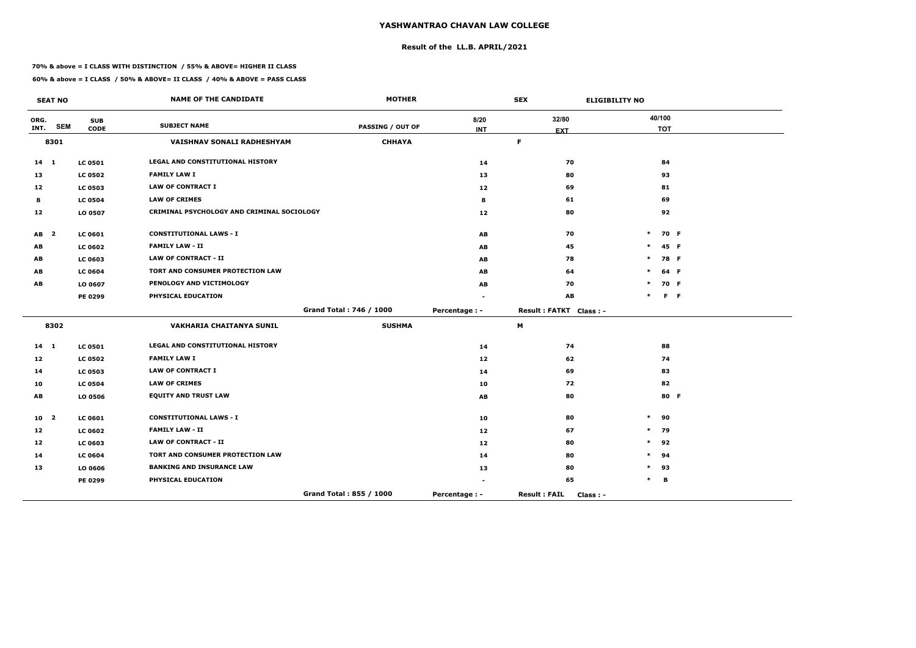## **Result of the LL.B. APRIL/2021**

#### **70% & above = I CLASS WITH DISTINCTION / 55% & ABOVE= HIGHER II CLASS**

|              | <b>SEAT NO</b>          |                           | <b>NAME OF THE CANDIDATE</b>               | <b>MOTHER</b>           |                | <b>SEX</b><br><b>ELIGIBILITY NO</b> |        |                      |         |
|--------------|-------------------------|---------------------------|--------------------------------------------|-------------------------|----------------|-------------------------------------|--------|----------------------|---------|
| ORG.<br>INT. | <b>SEM</b>              | <b>SUB</b><br><b>CODE</b> | <b>SUBJECT NAME</b>                        | <b>PASSING / OUT OF</b> | 8/20           | 32/80                               |        | 40/100<br><b>TOT</b> |         |
|              | 8301                    |                           | VAISHNAV SONALI RADHESHYAM                 | <b>CHHAYA</b>           | <b>INT</b>     | <b>EXT</b><br>F.                    |        |                      |         |
|              |                         |                           |                                            |                         |                |                                     |        |                      |         |
| $14$ 1       |                         | <b>LC 0501</b>            | LEGAL AND CONSTITUTIONAL HISTORY           |                         | 14             | 70                                  |        | 84                   |         |
| 13           |                         | <b>LC 0502</b>            | <b>FAMILY LAW I</b>                        |                         | 13             | 80                                  |        | 93                   |         |
| 12           |                         | <b>LC 0503</b>            | <b>LAW OF CONTRACT I</b>                   |                         | 12             | 69                                  |        | 81                   |         |
| 8            |                         | <b>LC 0504</b>            | <b>LAW OF CRIMES</b>                       |                         | 8              | 61                                  |        | 69                   |         |
| 12           |                         | LO 0507                   | CRIMINAL PSYCHOLOGY AND CRIMINAL SOCIOLOGY |                         | 12             | 80                                  |        | 92                   |         |
| AB           | $\overline{\mathbf{2}}$ | LC 0601                   | <b>CONSTITUTIONAL LAWS - I</b>             |                         | AB             | 70                                  | $\ast$ |                      | 70 F    |
| AB           |                         | <b>LC 0602</b>            | <b>FAMILY LAW - II</b>                     |                         | AB             | 45                                  | $\ast$ |                      | 45 F    |
| AB           |                         | <b>LC 0603</b>            | <b>LAW OF CONTRACT - II</b>                |                         | AB             | 78                                  | $\ast$ |                      | 78 F    |
| AB           |                         | <b>LC 0604</b>            | TORT AND CONSUMER PROTECTION LAW           |                         | AB             | 64                                  | $\ast$ |                      | 64 F    |
| AB           |                         | LO 0607                   | PENOLOGY AND VICTIMOLOGY                   |                         | AB             | 70                                  | $\ast$ |                      | 70 F    |
|              |                         | PE 0299                   | PHYSICAL EDUCATION                         |                         |                | AB                                  | $\ast$ |                      | $F - F$ |
|              |                         |                           |                                            | Grand Total: 746 / 1000 | Percentage : - | Result: FATKT Class: -              |        |                      |         |
|              | 8302                    |                           | <b>VAKHARIA CHAITANYA SUNIL</b>            | <b>SUSHMA</b>           |                | M                                   |        |                      |         |
| $14 \quad 1$ |                         | <b>LC 0501</b>            | LEGAL AND CONSTITUTIONAL HISTORY           |                         | 14             | 74                                  |        | 88                   |         |
| 12           |                         | <b>LC 0502</b>            | <b>FAMILY LAW I</b>                        |                         | 12             | 62                                  |        | 74                   |         |
| 14           |                         | <b>LC 0503</b>            | <b>LAW OF CONTRACT I</b>                   |                         | 14             | 69                                  |        | 83                   |         |
| 10           |                         | <b>LC 0504</b>            | <b>LAW OF CRIMES</b>                       |                         | 10             | 72                                  |        | 82                   |         |
| AB           |                         | LO 0506                   | <b>EQUITY AND TRUST LAW</b>                |                         | AB             | 80                                  |        |                      | 80 F    |
| 10           | $\overline{\mathbf{2}}$ | <b>LC 0601</b>            | <b>CONSTITUTIONAL LAWS - I</b>             |                         | 10             | 80                                  | $\ast$ | 90                   |         |
| 12           |                         | <b>LC 0602</b>            | <b>FAMILY LAW - II</b>                     |                         | 12             | 67                                  | $\ast$ | 79                   |         |
| 12           |                         | <b>LC 0603</b>            | <b>LAW OF CONTRACT - II</b>                |                         | 12             | 80                                  | $\ast$ | 92                   |         |
| 14           |                         | <b>LC 0604</b>            | TORT AND CONSUMER PROTECTION LAW           |                         | 14             | 80                                  | $\ast$ | 94                   |         |
| 13           |                         | LO 0606                   | <b>BANKING AND INSURANCE LAW</b>           |                         | 13             | 80                                  | $\ast$ | 93                   |         |
|              |                         | PE 0299                   | PHYSICAL EDUCATION                         |                         |                | 65                                  | $\ast$ | В                    |         |
|              |                         |                           |                                            | Grand Total: 855 / 1000 | Percentage : - | <b>Result: FAIL</b><br>Class : -    |        |                      |         |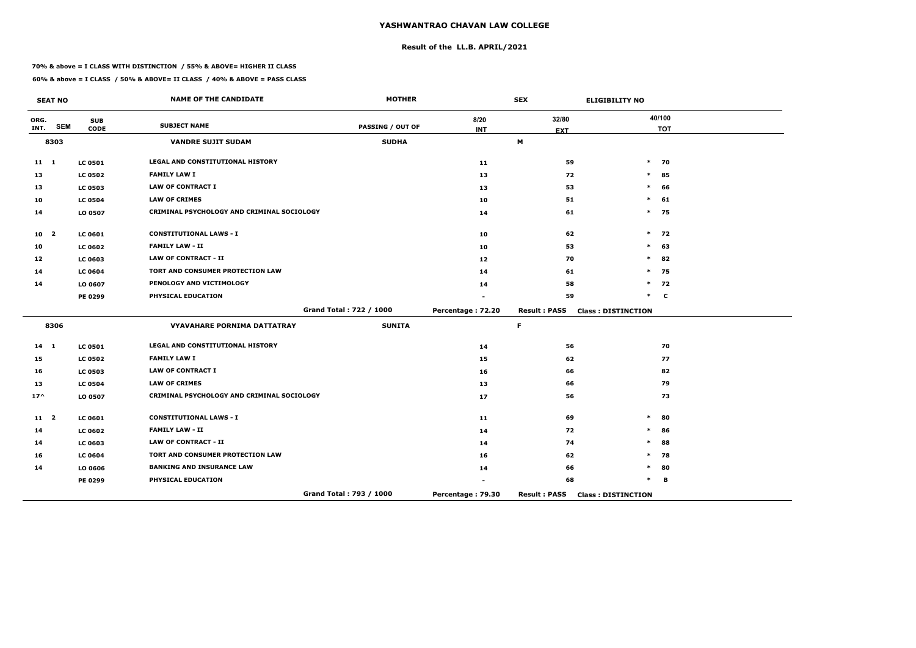## **Result of the LL.B. APRIL/2021**

#### **70% & above = I CLASS WITH DISTINCTION / 55% & ABOVE= HIGHER II CLASS**

|                 | <b>SEAT NO</b> |                           | <b>NAME OF THE CANDIDATE</b>               | <b>MOTHER</b>           |                    | <b>SEX</b>          | <b>ELIGIBILITY NO</b>     |
|-----------------|----------------|---------------------------|--------------------------------------------|-------------------------|--------------------|---------------------|---------------------------|
| ORG.<br>INT.    | <b>SEM</b>     | <b>SUB</b><br><b>CODE</b> | <b>SUBJECT NAME</b>                        | <b>PASSING / OUT OF</b> | 8/20<br><b>INT</b> | 32/80<br><b>EXT</b> | 40/100<br><b>TOT</b>      |
|                 | 8303           |                           | <b>VANDRE SUJIT SUDAM</b>                  | <b>SUDHA</b>            |                    | M                   |                           |
| $11 \quad 1$    |                | <b>LC 0501</b>            | LEGAL AND CONSTITUTIONAL HISTORY           |                         | 11                 | 59                  | $\ast$<br>70              |
| 13              |                | <b>LC 0502</b>            | <b>FAMILY LAW I</b>                        |                         | 13                 | 72                  | 85<br>$\ast$              |
| 13              |                | <b>LC 0503</b>            | <b>LAW OF CONTRACT I</b>                   |                         | 13                 | 53                  | 66<br>$\ast$              |
| 10              |                | <b>LC 0504</b>            | <b>LAW OF CRIMES</b>                       |                         | 10                 | 51                  | $\ast$<br>61              |
| 14              |                | LO 0507                   | CRIMINAL PSYCHOLOGY AND CRIMINAL SOCIOLOGY |                         | 14                 | 61                  | $\ast$<br>75              |
| 10 <sub>2</sub> |                | <b>LC 0601</b>            | <b>CONSTITUTIONAL LAWS - I</b>             |                         | 10                 | 62                  | $\ast$<br>72              |
| 10              |                | <b>LC 0602</b>            | <b>FAMILY LAW - II</b>                     |                         | 10                 | 53                  | $\ast$<br>63              |
| 12              |                | <b>LC 0603</b>            | <b>LAW OF CONTRACT - II</b>                |                         | 12                 | 70                  | $\ast$<br>82              |
| 14              |                | <b>LC 0604</b>            | TORT AND CONSUMER PROTECTION LAW           |                         | 14                 | 61                  | 75<br>$\ast$              |
| 14              |                | LO 0607                   | PENOLOGY AND VICTIMOLOGY                   |                         | 14                 | 58                  | $\ast$<br>72              |
|                 |                | PE 0299                   | PHYSICAL EDUCATION                         |                         |                    | 59                  | $\ast$<br>$\mathbf c$     |
|                 |                |                           |                                            | Grand Total: 722 / 1000 | Percentage: 72.20  | <b>Result: PASS</b> | <b>Class: DISTINCTION</b> |
|                 | 8306           |                           | VYAVAHARE PORNIMA DATTATRAY                | <b>SUNITA</b>           |                    | F.                  |                           |
| $14 \quad 1$    |                | <b>LC 0501</b>            | LEGAL AND CONSTITUTIONAL HISTORY           |                         | 14                 | 56                  | 70                        |
| 15              |                | <b>LC 0502</b>            | <b>FAMILY LAW I</b>                        |                         | 15                 | 62                  | 77                        |
| 16              |                | <b>LC 0503</b>            | <b>LAW OF CONTRACT I</b>                   |                         | 16                 | 66                  | 82                        |
| 13              |                | <b>LC 0504</b>            | <b>LAW OF CRIMES</b>                       |                         | 13                 | 66                  | 79                        |
| $17^$           |                | LO 0507                   | CRIMINAL PSYCHOLOGY AND CRIMINAL SOCIOLOGY |                         | 17                 | 56                  | 73                        |
| $11 \quad 2$    |                | <b>LC 0601</b>            | <b>CONSTITUTIONAL LAWS - I</b>             |                         | 11                 | 69                  | $\ast$<br>80              |
| 14              |                | <b>LC 0602</b>            | <b>FAMILY LAW - II</b>                     |                         | 14                 | 72                  | 86<br>$\ast$              |
| 14              |                | <b>LC 0603</b>            | <b>LAW OF CONTRACT - II</b>                |                         | 14                 | 74                  | 88<br>$\ast$              |
| 16              |                | <b>LC 0604</b>            | TORT AND CONSUMER PROTECTION LAW           |                         | 16                 | 62                  | $\ast$<br>78              |
| 14              |                | LO 0606                   | <b>BANKING AND INSURANCE LAW</b>           |                         | 14                 | 66                  | $\ast$<br>80              |
|                 |                | PE 0299                   | PHYSICAL EDUCATION                         |                         |                    | 68                  | $\ast$<br>B               |
|                 |                |                           |                                            | Grand Total: 793 / 1000 | Percentage: 79.30  | <b>Result: PASS</b> | <b>Class: DISTINCTION</b> |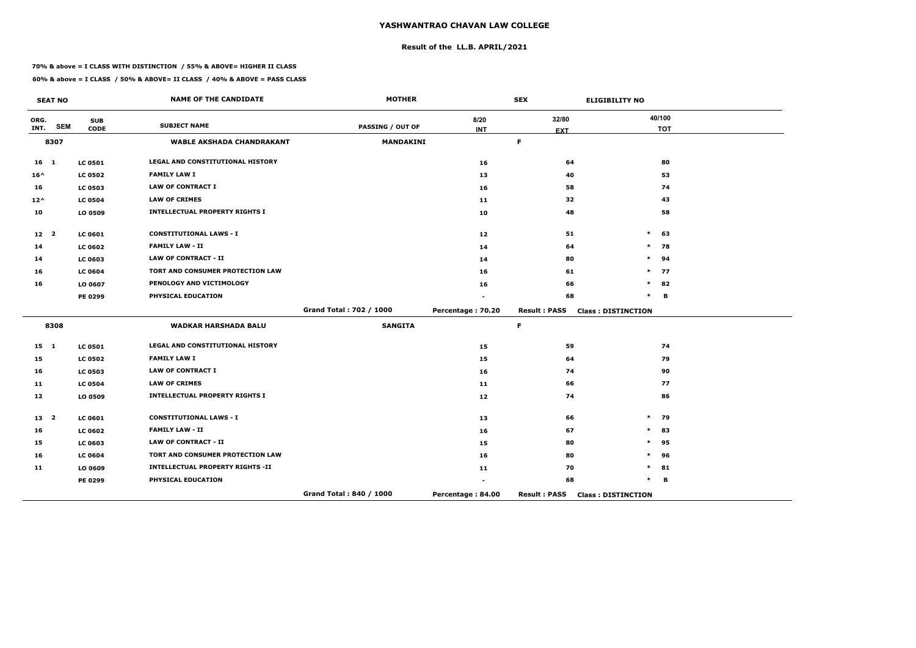## **Result of the LL.B. APRIL/2021**

#### **70% & above = I CLASS WITH DISTINCTION / 55% & ABOVE= HIGHER II CLASS**

 $\overline{\phantom{a}}$ 

|                 | <b>SEAT NO</b>          |                | <b>NAME OF THE CANDIDATE</b>            | <b>MOTHER</b>           |                   | <b>SEX</b>          | <b>ELIGIBILITY NO</b>     |
|-----------------|-------------------------|----------------|-----------------------------------------|-------------------------|-------------------|---------------------|---------------------------|
| ORG.            | <b>SEM</b>              | <b>SUB</b>     | <b>SUBJECT NAME</b>                     | <b>PASSING / OUT OF</b> | 8/20              | 32/80               | 40/100                    |
| INT.            |                         | <b>CODE</b>    |                                         |                         | <b>INT</b>        | <b>EXT</b>          | <b>TOT</b>                |
|                 | 8307                    |                | <b>WABLE AKSHADA CHANDRAKANT</b>        | <b>MANDAKINI</b>        |                   | $\mathsf F$         |                           |
| 16 <sub>1</sub> |                         | <b>LC 0501</b> | <b>LEGAL AND CONSTITUTIONAL HISTORY</b> |                         | 16                | 64                  | 80                        |
| $16^{\wedge}$   |                         | <b>LC 0502</b> | <b>FAMILY LAW I</b>                     |                         | 13                | 40                  | 53                        |
| 16              |                         | <b>LC 0503</b> | <b>LAW OF CONTRACT I</b>                |                         | 16                | 58                  | 74                        |
| $12^{\wedge}$   |                         | <b>LC 0504</b> | <b>LAW OF CRIMES</b>                    |                         | 11                | 32                  | 43                        |
| 10              |                         | LO 0509        | <b>INTELLECTUAL PROPERTY RIGHTS I</b>   |                         | 10                | 48                  | 58                        |
| 12 <sub>2</sub> |                         | <b>LC 0601</b> | <b>CONSTITUTIONAL LAWS - I</b>          |                         | 12 <sub>1</sub>   | 51                  | $\ast$<br>63              |
| 14              |                         | <b>LC 0602</b> | <b>FAMILY LAW - II</b>                  |                         | 14                | 64                  | $\ast$<br>78              |
| 14              |                         | LC 0603        | <b>LAW OF CONTRACT - II</b>             |                         | 14                | 80                  | $\ast$<br>94              |
| 16              |                         | <b>LC 0604</b> | TORT AND CONSUMER PROTECTION LAW        |                         | 16                | 61                  | $\ast$<br>77              |
| 16              |                         | LO 0607        | PENOLOGY AND VICTIMOLOGY                |                         | 16                | 66                  | $\ast$<br>82              |
|                 |                         | <b>PE 0299</b> | PHYSICAL EDUCATION                      |                         |                   | 68                  | $\ast$<br>B               |
|                 |                         |                |                                         | Grand Total: 702 / 1000 | Percentage: 70.20 | <b>Result: PASS</b> | <b>Class: DISTINCTION</b> |
|                 | 8308                    |                | <b>WADKAR HARSHADA BALU</b>             | <b>SANGITA</b>          |                   | $\mathsf F$         |                           |
| $15 \quad 1$    |                         | <b>LC 0501</b> | LEGAL AND CONSTITUTIONAL HISTORY        |                         | 15                | 59                  | 74                        |
| 15              |                         | <b>LC 0502</b> | <b>FAMILY LAW I</b>                     |                         | 15                | 64                  | 79                        |
| 16              |                         | <b>LC 0503</b> | <b>LAW OF CONTRACT I</b>                |                         | 16                | 74                  | 90                        |
| 11              |                         | <b>LC 0504</b> | <b>LAW OF CRIMES</b>                    |                         | 11                | 66                  | 77                        |
| 12              |                         | LO 0509        | <b>INTELLECTUAL PROPERTY RIGHTS I</b>   |                         | 12                | 74                  | 86                        |
| 13              | $\overline{\mathbf{2}}$ | <b>LC 0601</b> | <b>CONSTITUTIONAL LAWS - I</b>          |                         | 13                | 66                  | 79<br>$\ast$              |
| 16              |                         | <b>LC 0602</b> | <b>FAMILY LAW - II</b>                  |                         | 16                | 67                  | 83<br>$\ast$              |
| 15              |                         | LC 0603        | <b>LAW OF CONTRACT - II</b>             |                         | 15                | 80                  | 95<br>$\ast$              |
| 16              |                         | <b>LC 0604</b> | TORT AND CONSUMER PROTECTION LAW        |                         | 16                | 80                  | 96<br>$\ast$              |
| 11              |                         | LO 0609        | <b>INTELLECTUAL PROPERTY RIGHTS -II</b> |                         | 11                | 70                  | 81<br>$\ast$              |
|                 |                         | <b>PE 0299</b> | PHYSICAL EDUCATION                      |                         |                   | 68                  | $\ast$<br>B               |
|                 |                         |                |                                         | Grand Total: 840 / 1000 | Percentage: 84.00 | <b>Result: PASS</b> | <b>Class: DISTINCTION</b> |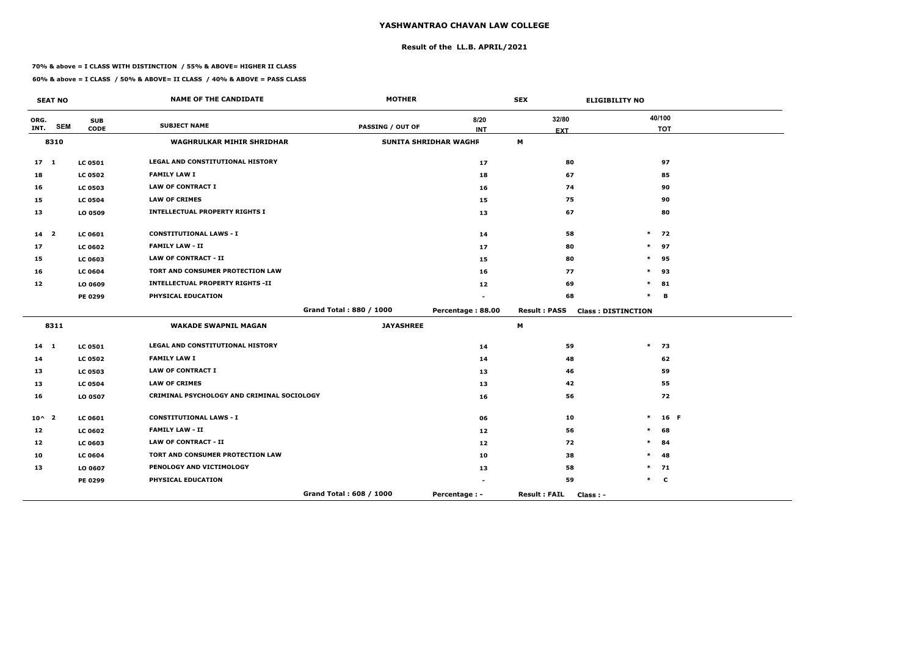## **Result of the LL.B. APRIL/2021**

#### **70% & above = I CLASS WITH DISTINCTION / 55% & ABOVE= HIGHER II CLASS**

### **60% & above = I CLASS / 50% & ABOVE= II CLASS / 40% & ABOVE = PASS CLASS**

 $\overline{\phantom{a}}$ 

|                | <b>SEAT NO</b>          |                | <b>NAME OF THE CANDIDATE</b>               | <b>MOTHER</b>           |                              | <b>SEX</b>                       | <b>ELIGIBILITY NO</b>     |
|----------------|-------------------------|----------------|--------------------------------------------|-------------------------|------------------------------|----------------------------------|---------------------------|
| ORG.           |                         | <b>SUB</b>     | <b>SUBJECT NAME</b>                        |                         | 8/20                         | 32/80                            | 40/100                    |
| INT.           | <b>SEM</b>              | <b>CODE</b>    |                                            | <b>PASSING / OUT OF</b> | <b>INT</b>                   | <b>EXT</b>                       | <b>TOT</b>                |
|                | 8310                    |                | <b>WAGHRULKAR MIHIR SHRIDHAR</b>           |                         | <b>SUNITA SHRIDHAR WAGHR</b> | M                                |                           |
| $17 \quad 1$   |                         | <b>LC 0501</b> | LEGAL AND CONSTITUTIONAL HISTORY           |                         | 17                           | 80                               | 97                        |
| 18             |                         | <b>LC 0502</b> | <b>FAMILY LAW I</b>                        |                         | 18                           | 67                               | 85                        |
| 16             |                         | <b>LC 0503</b> | <b>LAW OF CONTRACT I</b>                   |                         | 16                           | 74                               | 90                        |
| 15             |                         | <b>LC 0504</b> | <b>LAW OF CRIMES</b>                       |                         | 15                           | 75                               | 90                        |
| 13             |                         | LO 0509        | <b>INTELLECTUAL PROPERTY RIGHTS I</b>      |                         | 13                           | 67                               | 80                        |
| 14             | $\overline{\mathbf{2}}$ | <b>LC 0601</b> | <b>CONSTITUTIONAL LAWS - I</b>             |                         | 14                           | 58                               | $\ast$<br>72              |
| 17             |                         | <b>LC 0602</b> | <b>FAMILY LAW - II</b>                     |                         | 17                           | 80                               | 97<br>$\ast$              |
| 15             |                         | <b>LC 0603</b> | <b>LAW OF CONTRACT - II</b>                |                         | 15                           | 80                               | $\ast$<br>95              |
| 16             |                         | <b>LC 0604</b> | TORT AND CONSUMER PROTECTION LAW           |                         | 16                           | 77                               | $\ast$<br>93              |
| 12             |                         | LO 0609        | <b>INTELLECTUAL PROPERTY RIGHTS -II</b>    |                         | 12                           | 69                               | 81<br>$\ast$              |
|                |                         | PE 0299        | PHYSICAL EDUCATION                         |                         |                              | 68                               | $\ast$<br>B               |
|                |                         |                |                                            | Grand Total: 880 / 1000 | Percentage: 88.00            | <b>Result : PASS</b>             | <b>Class: DISTINCTION</b> |
|                | 8311                    |                | <b>WAKADE SWAPNIL MAGAN</b>                | <b>JAYASHREE</b>        |                              | М                                |                           |
| $14$ 1         |                         | <b>LC 0501</b> | LEGAL AND CONSTITUTIONAL HISTORY           |                         | 14                           | 59                               | $\ast$<br>73              |
| 14             |                         | <b>LC 0502</b> | <b>FAMILY LAW I</b>                        |                         | 14                           | 48                               | 62                        |
| 13             |                         | <b>LC 0503</b> | <b>LAW OF CONTRACT I</b>                   |                         | 13                           | 46                               | 59                        |
| 13             |                         | <b>LC 0504</b> | <b>LAW OF CRIMES</b>                       |                         | 13                           | 42                               | 55                        |
| 16             |                         | LO 0507        | CRIMINAL PSYCHOLOGY AND CRIMINAL SOCIOLOGY |                         | 16                           | 56                               | 72                        |
| $10^{\circ}$ 2 |                         | LC 0601        | <b>CONSTITUTIONAL LAWS - I</b>             |                         | 06                           | 10                               | $\ast$<br>16 F            |
| 12             |                         | <b>LC 0602</b> | <b>FAMILY LAW - II</b>                     |                         | 12                           | 56                               | $\ast$<br>68              |
| 12             |                         | LC 0603        | <b>LAW OF CONTRACT - II</b>                |                         | 12                           | 72                               | $\ast$<br>84              |
| 10             |                         | <b>LC 0604</b> | <b>TORT AND CONSUMER PROTECTION LAW</b>    |                         | 10                           | 38                               | 48<br>*                   |
| 13             |                         | LO 0607        | PENOLOGY AND VICTIMOLOGY                   |                         | 13                           | 58                               | $\ast$<br>71              |
|                |                         | PE 0299        | PHYSICAL EDUCATION                         |                         |                              | 59                               | $\ast$<br>$\mathbf c$     |
|                |                         |                |                                            | Grand Total: 608 / 1000 | Percentage : -               | <b>Result: FAIL</b><br>Class : - |                           |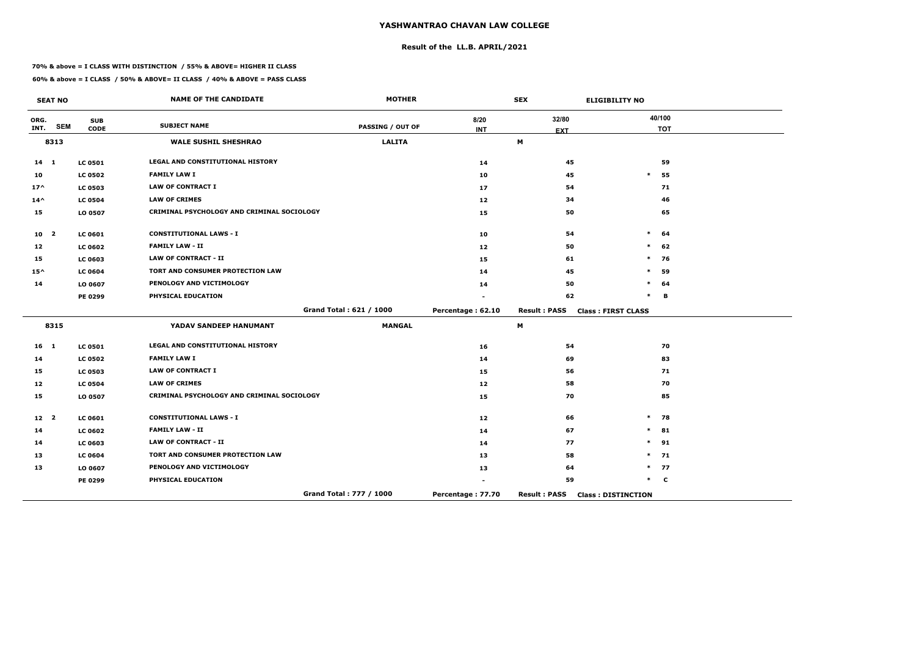## **Result of the LL.B. APRIL/2021**

#### **70% & above = I CLASS WITH DISTINCTION / 55% & ABOVE= HIGHER II CLASS**

|                 | <b>SEAT NO</b> |                           | <b>NAME OF THE CANDIDATE</b>               | <b>MOTHER</b>           |                    | <b>SEX</b>          | <b>ELIGIBILITY NO</b>     |
|-----------------|----------------|---------------------------|--------------------------------------------|-------------------------|--------------------|---------------------|---------------------------|
| ORG.<br>INT.    | <b>SEM</b>     | <b>SUB</b><br><b>CODE</b> | <b>SUBJECT NAME</b>                        | <b>PASSING / OUT OF</b> | 8/20<br><b>INT</b> | 32/80<br><b>EXT</b> | 40/100<br><b>TOT</b>      |
|                 | 8313           |                           | <b>WALE SUSHIL SHESHRAO</b>                | <b>LALITA</b>           |                    | M                   |                           |
| $14 \quad 1$    |                | <b>LC 0501</b>            | LEGAL AND CONSTITUTIONAL HISTORY           |                         | 14                 | 45                  | 59                        |
| 10              |                | <b>LC 0502</b>            | <b>FAMILY LAW I</b>                        |                         | 10                 | 45                  | 55<br>$\ast$              |
| $17^$           |                | <b>LC 0503</b>            | <b>LAW OF CONTRACT I</b>                   |                         | 17                 | 54                  | 71                        |
| $14^{\wedge}$   |                | <b>LC 0504</b>            | <b>LAW OF CRIMES</b>                       |                         | 12                 | 34                  | 46                        |
| 15              |                | LO 0507                   | CRIMINAL PSYCHOLOGY AND CRIMINAL SOCIOLOGY |                         | 15                 | 50                  | 65                        |
| 10 <sub>2</sub> |                | <b>LC 0601</b>            | <b>CONSTITUTIONAL LAWS - I</b>             |                         | 10                 | 54                  | $\ast$<br>64              |
| 12              |                | <b>LC 0602</b>            | <b>FAMILY LAW - II</b>                     |                         | 12                 | 50                  | $\ast$<br>62              |
| 15              |                | <b>LC 0603</b>            | <b>LAW OF CONTRACT - II</b>                |                         | 15                 | 61                  | $\ast$<br>76              |
| $15^{\wedge}$   |                | <b>LC 0604</b>            | TORT AND CONSUMER PROTECTION LAW           |                         | 14                 | 45                  | 59<br>*                   |
| 14              |                | LO 0607                   | PENOLOGY AND VICTIMOLOGY                   |                         | 14                 | 50                  | *<br>64                   |
|                 |                | PE 0299                   | PHYSICAL EDUCATION                         |                         |                    | 62                  | $\ast$<br>В               |
|                 |                |                           |                                            | Grand Total: 621 / 1000 | Percentage: 62.10  | <b>Result: PASS</b> | <b>Class: FIRST CLASS</b> |
|                 | 8315           |                           | YADAV SANDEEP HANUMANT                     | <b>MANGAL</b>           |                    | M                   |                           |
| 16 <sub>1</sub> |                | <b>LC 0501</b>            | <b>LEGAL AND CONSTITUTIONAL HISTORY</b>    |                         | 16                 | 54                  | 70                        |
| 14              |                | <b>LC 0502</b>            | <b>FAMILY LAW I</b>                        |                         | 14                 | 69                  | 83                        |
| 15              |                | <b>LC 0503</b>            | <b>LAW OF CONTRACT I</b>                   |                         | 15                 | 56                  | 71                        |
| 12              |                | <b>LC 0504</b>            | <b>LAW OF CRIMES</b>                       |                         | 12                 | 58                  | 70                        |
| 15              |                | LO 0507                   | CRIMINAL PSYCHOLOGY AND CRIMINAL SOCIOLOGY |                         | 15                 | 70                  | 85                        |
| 12 <sup>2</sup> |                | <b>LC 0601</b>            | <b>CONSTITUTIONAL LAWS - I</b>             |                         | 12                 | 66                  | $\ast$<br>78              |
| 14              |                | <b>LC 0602</b>            | <b>FAMILY LAW - II</b>                     |                         | 14                 | 67                  | 81<br>$\ast$              |
| 14              |                | <b>LC 0603</b>            | <b>LAW OF CONTRACT - II</b>                |                         | 14                 | 77                  | $\ast$<br>91              |
| 13              |                | <b>LC 0604</b>            | TORT AND CONSUMER PROTECTION LAW           |                         | 13                 | 58                  | $\ast$<br>71              |
| 13              |                | LO 0607                   | PENOLOGY AND VICTIMOLOGY                   |                         | 13                 | 64                  | 77<br>$\ast$              |
|                 |                | PE 0299                   | PHYSICAL EDUCATION                         |                         |                    | 59                  | $\ast$<br>$\mathbf c$     |
|                 |                |                           |                                            | Grand Total: 777 / 1000 | Percentage: 77.70  | <b>Result: PASS</b> | <b>Class: DISTINCTION</b> |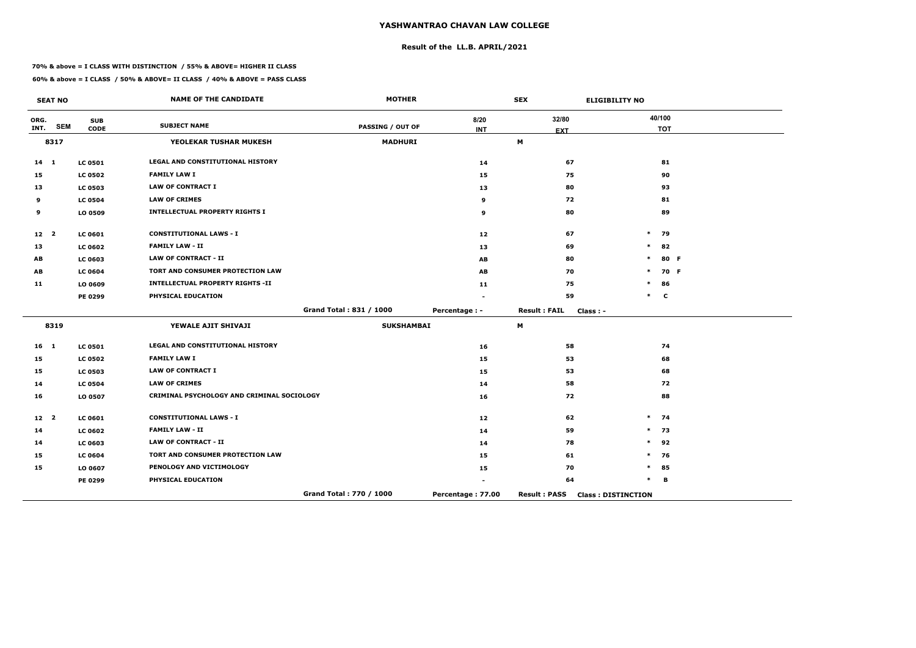## **Result of the LL.B. APRIL/2021**

#### **70% & above = I CLASS WITH DISTINCTION / 55% & ABOVE= HIGHER II CLASS**

|                 | <b>SEAT NO</b> |                           | <b>NAME OF THE CANDIDATE</b>               | <b>MOTHER</b>           |                   | <b>SEX</b>          | <b>ELIGIBILITY NO</b>     |             |      |
|-----------------|----------------|---------------------------|--------------------------------------------|-------------------------|-------------------|---------------------|---------------------------|-------------|------|
| ORG.<br>INT.    | <b>SEM</b>     | <b>SUB</b><br><b>CODE</b> | <b>SUBJECT NAME</b>                        | <b>PASSING / OUT OF</b> | 8/20              | 32/80               |                           | 40/100      |      |
|                 | 8317           |                           | YEOLEKAR TUSHAR MUKESH                     | <b>MADHURI</b>          | <b>INT</b>        | <b>EXT</b><br>M     |                           | <b>TOT</b>  |      |
|                 |                |                           |                                            |                         |                   |                     |                           |             |      |
| $14 \quad 1$    |                | <b>LC 0501</b>            | LEGAL AND CONSTITUTIONAL HISTORY           |                         | 14                | 67                  |                           | 81          |      |
| 15              |                | <b>LC 0502</b>            | <b>FAMILY LAW I</b>                        |                         | 15                | 75                  |                           | 90          |      |
| 13              |                | <b>LC 0503</b>            | <b>LAW OF CONTRACT I</b>                   |                         | 13                | 80                  |                           | 93          |      |
| 9               |                | <b>LC 0504</b>            | <b>LAW OF CRIMES</b>                       |                         | 9                 | 72                  |                           | 81          |      |
| 9               |                | LO 0509                   | <b>INTELLECTUAL PROPERTY RIGHTS I</b>      |                         | 9                 | 80                  |                           | 89          |      |
| 12 2            |                | LC 0601                   | <b>CONSTITUTIONAL LAWS - I</b>             |                         | 12                | 67                  |                           | $*$ 79      |      |
| 13              |                | <b>LC 0602</b>            | <b>FAMILY LAW - II</b>                     |                         | 13                | 69                  | $\ast$                    | 82          |      |
| AB              |                | LC 0603                   | <b>LAW OF CONTRACT - II</b>                |                         | AB                | 80                  | $\ast$                    |             | 80 F |
| AB              |                | <b>LC 0604</b>            | TORT AND CONSUMER PROTECTION LAW           |                         | AB                | 70                  | $\ast$                    |             | 70 F |
| 11              |                | LO 0609                   | <b>INTELLECTUAL PROPERTY RIGHTS -II</b>    |                         | 11                | 75                  | $\ast$                    | 86          |      |
|                 |                | PE 0299                   | PHYSICAL EDUCATION                         |                         |                   | 59                  | $\ast$                    | $\mathbf c$ |      |
|                 |                |                           |                                            | Grand Total: 831 / 1000 | Percentage : -    | <b>Result: FAIL</b> | Class: -                  |             |      |
|                 | 8319           |                           | YEWALE AJIT SHIVAJI                        | <b>SUKSHAMBAI</b>       |                   | M                   |                           |             |      |
| $16$ 1          |                | <b>LC 0501</b>            | LEGAL AND CONSTITUTIONAL HISTORY           |                         | 16                | 58                  |                           | 74          |      |
| 15              |                | <b>LC 0502</b>            | <b>FAMILY LAW I</b>                        |                         | 15                | 53                  |                           | 68          |      |
| 15              |                | <b>LC 0503</b>            | <b>LAW OF CONTRACT I</b>                   |                         | 15                | 53                  |                           | 68          |      |
| 14              |                | <b>LC 0504</b>            | <b>LAW OF CRIMES</b>                       |                         | 14                | 58                  |                           | 72          |      |
| 16              |                | LO 0507                   | CRIMINAL PSYCHOLOGY AND CRIMINAL SOCIOLOGY |                         | 16                | 72                  |                           | 88          |      |
| 12 <sup>2</sup> |                | <b>LC 0601</b>            | <b>CONSTITUTIONAL LAWS - I</b>             |                         | 12                | 62                  |                           | $*$ 74      |      |
| 14              |                | <b>LC 0602</b>            | <b>FAMILY LAW - II</b>                     |                         | 14                | 59                  |                           | $*$ 73      |      |
| 14              |                | <b>LC 0603</b>            | LAW OF CONTRACT - II                       |                         | 14                | 78                  | $\ast$                    | 92          |      |
| 15              |                | <b>LC 0604</b>            | TORT AND CONSUMER PROTECTION LAW           |                         | 15                | 61                  | $\ast$                    | 76          |      |
| 15              |                | LO 0607                   | PENOLOGY AND VICTIMOLOGY                   |                         | 15                | 70                  | $\ast$                    | 85          |      |
|                 |                | PE 0299                   | PHYSICAL EDUCATION                         |                         |                   | 64                  | $\ast$                    | B           |      |
|                 |                |                           |                                            | Grand Total: 770 / 1000 | Percentage: 77.00 | <b>Result: PASS</b> | <b>Class: DISTINCTION</b> |             |      |